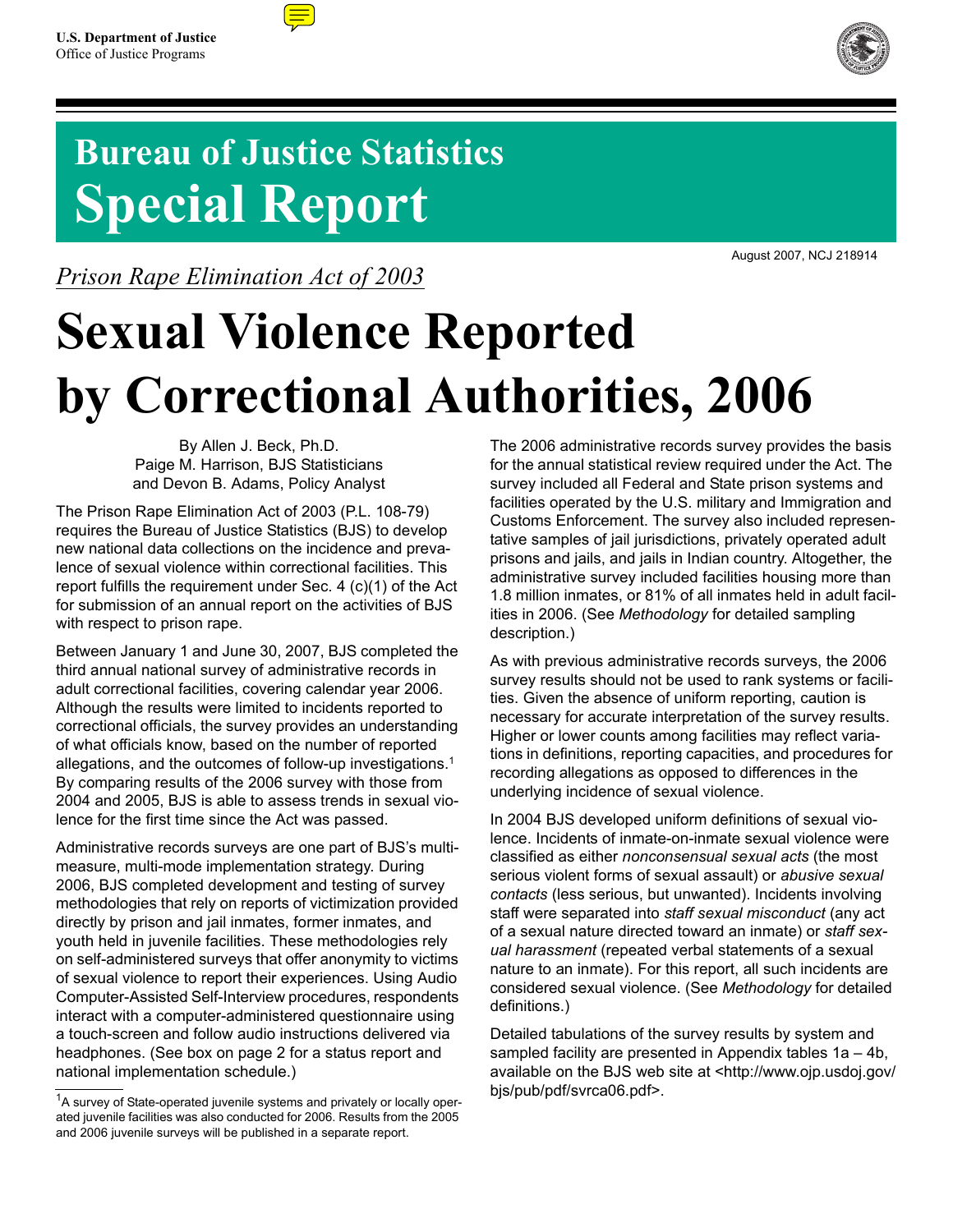

# **Bureau of Justice Statistics Special Report**

*Prison Rape Elimination Act of 2003*



August 2007, NCJ 218914

# **Sexual Violence Reported by Correctional Authorities, 2006**

By Allen J. Beck, Ph.D. Paige M. Harrison, BJS Statisticians and Devon B. Adams, Policy Analyst

The Prison Rape Elimination Act of 2003 (P.L. 108-79) requires the Bureau of Justice Statistics (BJS) to develop new national data collections on the incidence and prevalence of sexual violence within correctional facilities. This report fulfills the requirement under Sec. 4 (c)(1) of the Act for submission of an annual report on the activities of BJS with respect to prison rape.

Between January 1 and June 30, 2007, BJS completed the third annual national survey of administrative records in adult correctional facilities, covering calendar year 2006. Although the results were limited to incidents reported to correctional officials, the survey provides an understanding of what officials know, based on the number of reported allegations, and the outcomes of follow-up investigations.1 By comparing results of the 2006 survey with those from 2004 and 2005, BJS is able to assess trends in sexual violence for the first time since the Act was passed.

Administrative records surveys are one part of BJS's multimeasure, multi-mode implementation strategy. During 2006, BJS completed development and testing of survey methodologies that rely on reports of victimization provided directly by prison and jail inmates, former inmates, and youth held in juvenile facilities. These methodologies rely on self-administered surveys that offer anonymity to victims of sexual violence to report their experiences. Using Audio Computer-Assisted Self-Interview procedures, respondents interact with a computer-administered questionnaire using a touch-screen and follow audio instructions delivered via headphones. (See box on page 2 for a status report and national implementation schedule.)

The 2006 administrative records survey provides the basis for the annual statistical review required under the Act. The survey included all Federal and State prison systems and facilities operated by the U.S. military and Immigration and Customs Enforcement. The survey also included representative samples of jail jurisdictions, privately operated adult prisons and jails, and jails in Indian country. Altogether, the administrative survey included facilities housing more than 1.8 million inmates, or 81% of all inmates held in adult facilities in 2006. (See *Methodology* for detailed sampling description.)

As with previous administrative records surveys, the 2006 survey results should not be used to rank systems or facilities. Given the absence of uniform reporting, caution is necessary for accurate interpretation of the survey results. Higher or lower counts among facilities may reflect variations in definitions, reporting capacities, and procedures for recording allegations as opposed to differences in the underlying incidence of sexual violence.

In 2004 BJS developed uniform definitions of sexual violence. Incidents of inmate-on-inmate sexual violence were classified as either *nonconsensual sexual acts* (the most serious violent forms of sexual assault) or *abusive sexual contacts* (less serious, but unwanted). Incidents involving staff were separated into *staff sexual misconduct* (any act of a sexual nature directed toward an inmate) or *staff sexual harassment* (repeated verbal statements of a sexual nature to an inmate). For this report, all such incidents are considered sexual violence. (See *Methodology* for detailed definitions.)

Detailed tabulations of the survey results by system and sampled facility are presented in Appendix tables 1a – 4b, available on the BJS web site at <http://www.ojp.usdoj.gov/ bjs/pub/pdf/svrca06.pdf>.

<sup>&</sup>lt;sup>1</sup>A survey of State-operated juvenile systems and privately or locally operated juvenile facilities was also conducted for 2006. Results from the 2005 and 2006 juvenile surveys will be published in a separate report.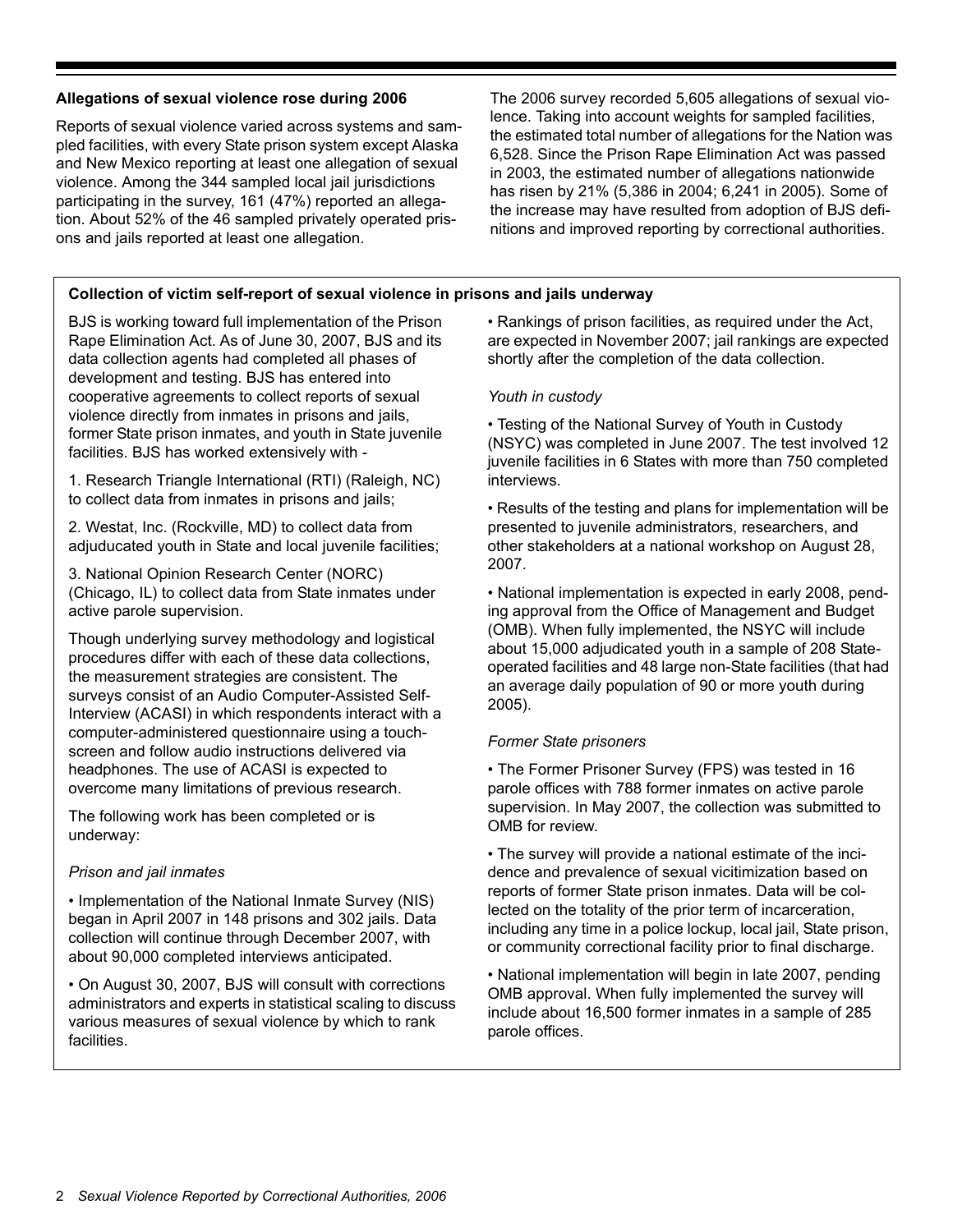# **Allegations of sexual violence rose during 2006**

Reports of sexual violence varied across systems and sampled facilities, with every State prison system except Alaska and New Mexico reporting at least one allegation of sexual violence. Among the 344 sampled local jail jurisdictions participating in the survey, 161 (47%) reported an allegation. About 52% of the 46 sampled privately operated prisons and jails reported at least one allegation.

The 2006 survey recorded 5,605 allegations of sexual violence. Taking into account weights for sampled facilities, the estimated total number of allegations for the Nation was 6,528. Since the Prison Rape Elimination Act was passed in 2003, the estimated number of allegations nationwide has risen by 21% (5,386 in 2004; 6,241 in 2005). Some of the increase may have resulted from adoption of BJS definitions and improved reporting by correctional authorities.

# **Collection of victim self-report of sexual violence in prisons and jails underway**

BJS is working toward full implementation of the Prison Rape Elimination Act. As of June 30, 2007, BJS and its data collection agents had completed all phases of development and testing. BJS has entered into cooperative agreements to collect reports of sexual violence directly from inmates in prisons and jails, former State prison inmates, and youth in State juvenile facilities. BJS has worked extensively with -

1. Research Triangle International (RTI) (Raleigh, NC) to collect data from inmates in prisons and jails;

2. Westat, Inc. (Rockville, MD) to collect data from adjuducated youth in State and local juvenile facilities;

3. National Opinion Research Center (NORC) (Chicago, IL) to collect data from State inmates under active parole supervision.

Though underlying survey methodology and logistical procedures differ with each of these data collections, the measurement strategies are consistent. The surveys consist of an Audio Computer-Assisted Self-Interview (ACASI) in which respondents interact with a computer-administered questionnaire using a touchscreen and follow audio instructions delivered via headphones. The use of ACASI is expected to overcome many limitations of previous research.

The following work has been completed or is underway:

#### *Prison and jail inmates*

• Implementation of the National Inmate Survey (NIS) began in April 2007 in 148 prisons and 302 jails. Data collection will continue through December 2007, with about 90,000 completed interviews anticipated.

• On August 30, 2007, BJS will consult with corrections administrators and experts in statistical scaling to discuss various measures of sexual violence by which to rank facilities.

• Rankings of prison facilities, as required under the Act, are expected in November 2007; jail rankings are expected shortly after the completion of the data collection.

# *Youth in custody*

• Testing of the National Survey of Youth in Custody (NSYC) was completed in June 2007. The test involved 12 juvenile facilities in 6 States with more than 750 completed interviews.

• Results of the testing and plans for implementation will be presented to juvenile administrators, researchers, and other stakeholders at a national workshop on August 28, 2007.

• National implementation is expected in early 2008, pending approval from the Office of Management and Budget (OMB). When fully implemented, the NSYC will include about 15,000 adjudicated youth in a sample of 208 Stateoperated facilities and 48 large non-State facilities (that had an average daily population of 90 or more youth during 2005).

#### *Former State prisoners*

• The Former Prisoner Survey (FPS) was tested in 16 parole offices with 788 former inmates on active parole supervision. In May 2007, the collection was submitted to OMB for review.

• The survey will provide a national estimate of the incidence and prevalence of sexual vicitimization based on reports of former State prison inmates. Data will be collected on the totality of the prior term of incarceration, including any time in a police lockup, local jail, State prison, or community correctional facility prior to final discharge.

• National implementation will begin in late 2007, pending OMB approval. When fully implemented the survey will include about 16,500 former inmates in a sample of 285 parole offices.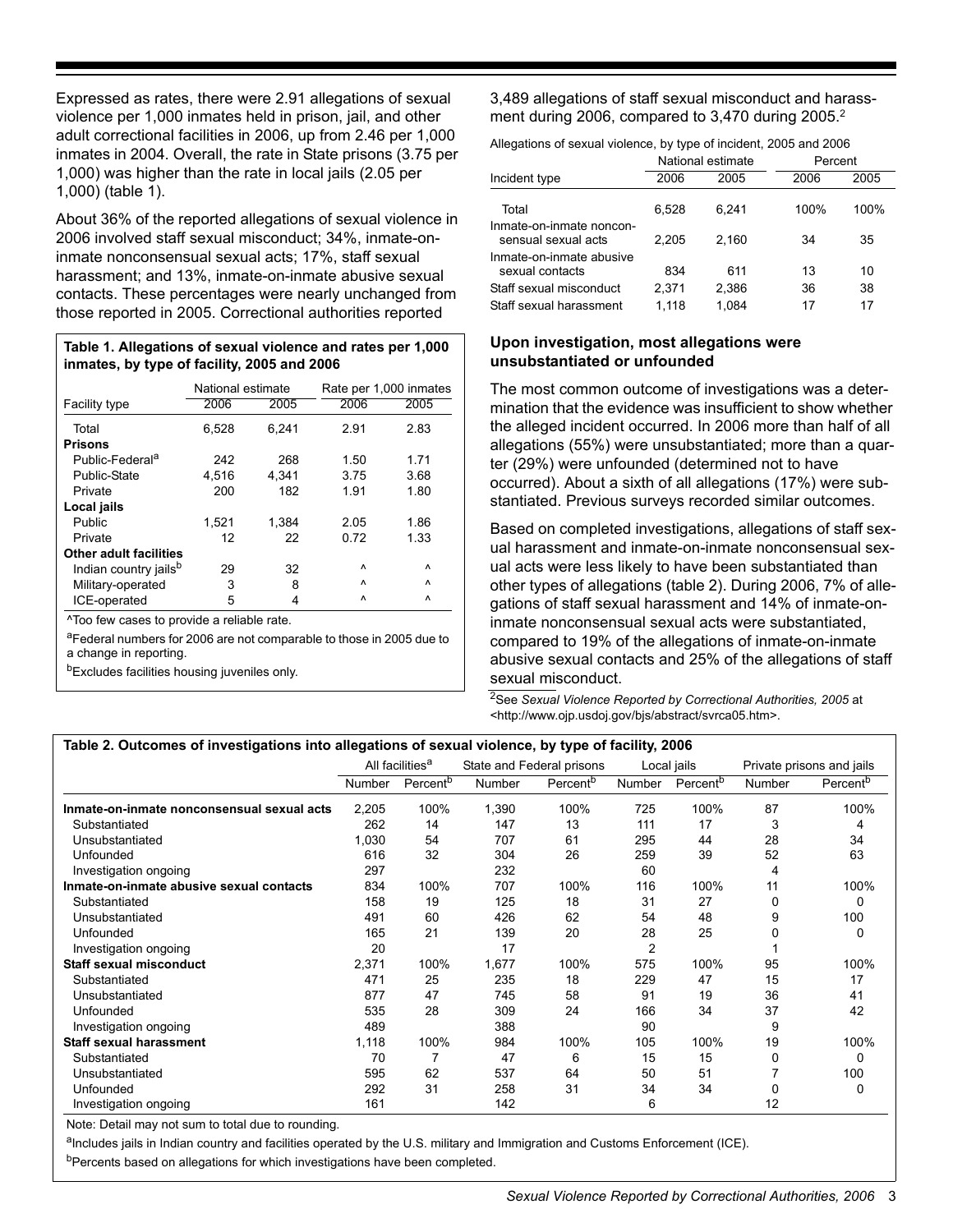Expressed as rates, there were 2.91 allegations of sexual violence per 1,000 inmates held in prison, jail, and other adult correctional facilities in 2006, up from 2.46 per 1,000 inmates in 2004. Overall, the rate in State prisons (3.75 per 1,000) was higher than the rate in local jails (2.05 per 1,000) (table 1).

About 36% of the reported allegations of sexual violence in 2006 involved staff sexual misconduct; 34%, inmate-oninmate nonconsensual sexual acts; 17%, staff sexual harassment; and 13%, inmate-on-inmate abusive sexual contacts. These percentages were nearly unchanged from those reported in 2005. Correctional authorities reported

#### **Table 1. Allegations of sexual violence and rates per 1,000 inmates, by type of facility, 2005 and 2006**

|                                   | National estimate |       |           | Rate per 1,000 inmates |
|-----------------------------------|-------------------|-------|-----------|------------------------|
| Facility type                     | 2006              | 2005  | 2006      | 2005                   |
| Total                             | 6,528             | 6.241 | 2.91      | 2.83                   |
| <b>Prisons</b>                    |                   |       |           |                        |
| Public-Federal <sup>a</sup>       | 242               | 268   | 1.50      | 1.71                   |
| Public-State                      | 4,516             | 4.341 | 3.75      | 3.68                   |
| Private                           | 200               | 182   | 1.91      | 1.80                   |
| Local jails                       |                   |       |           |                        |
| Public                            | 1,521             | 1,384 | 2.05      | 1.86                   |
| Private                           | 12                | 22    | 0.72      | 1.33                   |
| <b>Other adult facilities</b>     |                   |       |           |                        |
| Indian country jails <sup>b</sup> | 29                | 32    | Λ         | Λ                      |
| Military-operated                 | 3                 | 8     | $\lambda$ | $\lambda$              |
| ICE-operated                      | 5                 | 4     | ٨         | ٨                      |

^Too few cases to provide a reliable rate.

aFederal numbers for 2006 are not comparable to those in 2005 due to a change in reporting.

**bExcludes facilities housing juveniles only.** 

3,489 allegations of staff sexual misconduct and harassment during 2006, compared to 3,470 during 2005.<sup>2</sup>

Allegations of sexual violence, by type of incident, 2005 and 2006

|                                                 | National estimate |       | Percent |      |
|-------------------------------------------------|-------------------|-------|---------|------|
| Incident type                                   | 2006              | 2005  | 2006    | 2005 |
| Total                                           | 6.528             | 6.241 | 100%    | 100% |
| Inmate-on-inmate noncon-<br>sensual sexual acts | 2.205             | 2.160 | 34      | 35   |
| Inmate-on-inmate abusive<br>sexual contacts     | 834               | 611   | 13      | 10   |
| Staff sexual misconduct                         | 2.371             | 2,386 | 36      | 38   |
| Staff sexual harassment                         | 1.118             | 1.084 | 17      | 17   |

# **Upon investigation, most allegations were unsubstantiated or unfounded**

The most common outcome of investigations was a determination that the evidence was insufficient to show whether the alleged incident occurred. In 2006 more than half of all allegations (55%) were unsubstantiated; more than a quarter (29%) were unfounded (determined not to have occurred). About a sixth of all allegations (17%) were substantiated. Previous surveys recorded similar outcomes.

Based on completed investigations, allegations of staff sexual harassment and inmate-on-inmate nonconsensual sexual acts were less likely to have been substantiated than other types of allegations (table 2). During 2006, 7% of allegations of staff sexual harassment and 14% of inmate-oninmate nonconsensual sexual acts were substantiated, compared to 19% of the allegations of inmate-on-inmate abusive sexual contacts and 25% of the allegations of staff sexual misconduct.

2See *Sexual Violence Reported by Correctional Authorities, 2005* at <http://www.ojp.usdoj.gov/bjs/abstract/svrca05.htm>.

| Table 2. Outcomes of investigations into allegations of sexual violence, by type of facility, 2006 |               |                             |               |                           |                |                      |          |                           |
|----------------------------------------------------------------------------------------------------|---------------|-----------------------------|---------------|---------------------------|----------------|----------------------|----------|---------------------------|
|                                                                                                    |               | All facilities <sup>a</sup> |               | State and Federal prisons |                | Local jails          |          | Private prisons and jails |
|                                                                                                    | <b>Number</b> | Percent <sup>b</sup>        | <b>Number</b> | Percent <sup>b</sup>      | <b>Number</b>  | Percent <sup>b</sup> | Number   | Percent <sup>p</sup>      |
| Inmate-on-inmate nonconsensual sexual acts                                                         | 2,205         | 100%                        | 1,390         | 100%                      | 725            | 100%                 | 87       | 100%                      |
| Substantiated                                                                                      | 262           | 14                          | 147           | 13                        | 111            | 17                   | 3        | 4                         |
| Unsubstantiated                                                                                    | 1,030         | 54                          | 707           | 61                        | 295            | 44                   | 28       | 34                        |
| Unfounded                                                                                          | 616           | 32                          | 304           | 26                        | 259            | 39                   | 52       | 63                        |
| Investigation ongoing                                                                              | 297           |                             | 232           |                           | 60             |                      | 4        |                           |
| Inmate-on-inmate abusive sexual contacts                                                           | 834           | 100%                        | 707           | 100%                      | 116            | 100%                 | 11       | 100%                      |
| Substantiated                                                                                      | 158           | 19                          | 125           | 18                        | 31             | 27                   | 0        | 0                         |
| Unsubstantiated                                                                                    | 491           | 60                          | 426           | 62                        | 54             | 48                   | 9        | 100                       |
| Unfounded                                                                                          | 165           | 21                          | 139           | 20                        | 28             | 25                   | 0        | 0                         |
| Investigation ongoing                                                                              | 20            |                             | 17            |                           | $\overline{2}$ |                      |          |                           |
| <b>Staff sexual misconduct</b>                                                                     | 2,371         | 100%                        | 1,677         | 100%                      | 575            | 100%                 | 95       | 100%                      |
| Substantiated                                                                                      | 471           | 25                          | 235           | 18                        | 229            | 47                   | 15       | 17                        |
| Unsubstantiated                                                                                    | 877           | 47                          | 745           | 58                        | 91             | 19                   | 36       | 41                        |
| Unfounded                                                                                          | 535           | 28                          | 309           | 24                        | 166            | 34                   | 37       | 42                        |
| Investigation ongoing                                                                              | 489           |                             | 388           |                           | 90             |                      | 9        |                           |
| <b>Staff sexual harassment</b>                                                                     | 1,118         | 100%                        | 984           | 100%                      | 105            | 100%                 | 19       | 100%                      |
| Substantiated                                                                                      | 70            |                             | 47            | 6                         | 15             | 15                   | $\Omega$ | 0                         |
| Unsubstantiated                                                                                    | 595           | 62                          | 537           | 64                        | 50             | 51                   |          | 100                       |
| Unfounded                                                                                          | 292           | 31                          | 258           | 31                        | 34             | 34                   | $\Omega$ | 0                         |
| Investigation ongoing                                                                              | 161           |                             | 142           |                           | 6              |                      | 12       |                           |

Note: Detail may not sum to total due to rounding.

aIncludes jails in Indian country and facilities operated by the U.S. military and Immigration and Customs Enforcement (ICE). bPercents based on allegations for which investigations have been completed.

*Sexual Violence Reported by Correctional Authorities, 2006* 3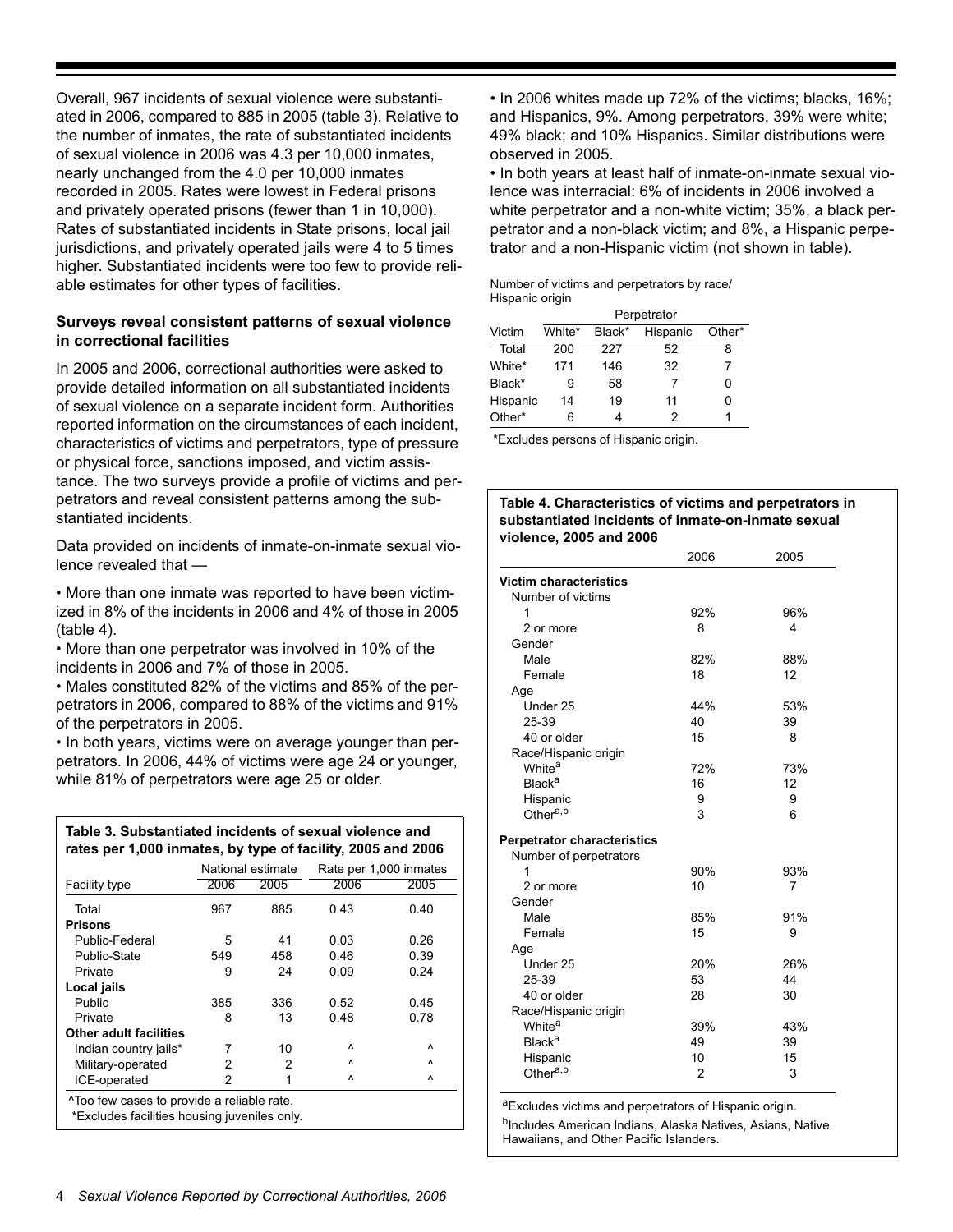Overall, 967 incidents of sexual violence were substantiated in 2006, compared to 885 in 2005 (table 3). Relative to the number of inmates, the rate of substantiated incidents of sexual violence in 2006 was 4.3 per 10,000 inmates, nearly unchanged from the 4.0 per 10,000 inmates recorded in 2005. Rates were lowest in Federal prisons and privately operated prisons (fewer than 1 in 10,000). Rates of substantiated incidents in State prisons, local jail jurisdictions, and privately operated jails were 4 to 5 times higher. Substantiated incidents were too few to provide reliable estimates for other types of facilities.

#### **Surveys reveal consistent patterns of sexual violence in correctional facilities**

In 2005 and 2006, correctional authorities were asked to provide detailed information on all substantiated incidents of sexual violence on a separate incident form. Authorities reported information on the circumstances of each incident, characteristics of victims and perpetrators, type of pressure or physical force, sanctions imposed, and victim assistance. The two surveys provide a profile of victims and perpetrators and reveal consistent patterns among the substantiated incidents.

Data provided on incidents of inmate-on-inmate sexual violence revealed that —

• More than one inmate was reported to have been victimized in 8% of the incidents in 2006 and 4% of those in 2005 (table 4).

• More than one perpetrator was involved in 10% of the incidents in 2006 and 7% of those in 2005.

• Males constituted 82% of the victims and 85% of the perpetrators in 2006, compared to 88% of the victims and 91% of the perpetrators in 2005.

• In both years, victims were on average younger than perpetrators. In 2006, 44% of victims were age 24 or younger, while 81% of perpetrators were age 25 or older.

| Table 3. Substantiated incidents of sexual violence and     |  |
|-------------------------------------------------------------|--|
| rates per 1,000 inmates, by type of facility, 2005 and 2006 |  |

|                                            |      | National estimate | Rate per 1,000 inmates |      |
|--------------------------------------------|------|-------------------|------------------------|------|
| <b>Facility type</b>                       | 2006 | 2005              | 2006                   | 2005 |
| Total                                      | 967  | 885               | 0.43                   | 0.40 |
| <b>Prisons</b>                             |      |                   |                        |      |
| Public-Federal                             | 5    | 41                | 0.03                   | 0.26 |
| <b>Public-State</b>                        | 549  | 458               | 0.46                   | 0.39 |
| Private                                    | 9    | 24                | 0.09                   | 0.24 |
| Local jails                                |      |                   |                        |      |
| Public                                     | 385  | 336               | 0.52                   | 0.45 |
| Private                                    | 8    | 13                | 0.48                   | 0.78 |
| <b>Other adult facilities</b>              |      |                   |                        |      |
| Indian country jails*                      |      | 10                | Λ                      | Λ    |
| Military-operated                          | 2    | 2                 | Λ                      | ٨    |
| ICE-operated                               | 2    | 1                 | Λ                      | ٨    |
| ^Too few cases to provide a reliable rate. |      |                   |                        |      |

\*Excludes facilities housing juveniles only.

• In 2006 whites made up 72% of the victims; blacks, 16%; and Hispanics, 9%. Among perpetrators, 39% were white; 49% black; and 10% Hispanics. Similar distributions were observed in 2005.

• In both years at least half of inmate-on-inmate sexual violence was interracial: 6% of incidents in 2006 involved a white perpetrator and a non-white victim; 35%, a black perpetrator and a non-black victim; and 8%, a Hispanic perpetrator and a non-Hispanic victim (not shown in table).

Number of victims and perpetrators by race/ Hispanic origin

|          | Perpetrator |        |          |        |  |  |
|----------|-------------|--------|----------|--------|--|--|
| Victim   | White*      | Black* | Hispanic | Other* |  |  |
| Total    | 200         | 227    | 52       | 8      |  |  |
| White*   | 171         | 146    | 32       | 7      |  |  |
| Black*   | 9           | 58     | 7        | ი      |  |  |
| Hispanic | 14          | 19     | 11       | ი      |  |  |
| Other*   | 6           |        | 2        |        |  |  |

\*Excludes persons of Hispanic origin.

#### **Table 4. Characteristics of victims and perpetrators in substantiated incidents of inmate-on-inmate sexual violence, 2005 and 2006**

|                                    | 2006 | 2005 |
|------------------------------------|------|------|
| <b>Victim characteristics</b>      |      |      |
| Number of victims                  |      |      |
| 1                                  | 92%  | 96%  |
| 2 or more                          | 8    | 4    |
| Gender                             |      |      |
| Male                               | 82%  | 88%  |
| Female                             | 18   | 12   |
| Age                                |      |      |
| Under 25                           | 44%  | 53%  |
| 25-39                              | 40   | 39   |
| 40 or older                        | 15   | 8    |
| Race/Hispanic origin               |      |      |
| White <sup>a</sup>                 | 72%  | 73%  |
| <b>Black<sup>a</sup></b>           | 16   | 12   |
| Hispanic                           | 9    | 9    |
| Other <sup>a,b</sup>               | 3    | 6    |
| <b>Perpetrator characteristics</b> |      |      |
| Number of perpetrators             |      |      |
| 1                                  | 90%  | 93%  |
| 2 or more                          | 10   | 7    |
| Gender                             |      |      |
| Male                               | 85%  | 91%  |
| Female                             | 15   | 9    |
| Age                                |      |      |
| Under 25                           | 20%  | 26%  |
| 25-39                              | 53   | 44   |
| 40 or older                        | 28   | 30   |
| Race/Hispanic origin               |      |      |
| White <sup>a</sup>                 | 39%  | 43%  |
| <b>Black<sup>a</sup></b>           | 49   | 39   |
| Hispanic                           | 10   | 15   |
| Other <sup>a,b</sup>               | 2    | 3    |
|                                    |      |      |

aExcludes victims and perpetrators of Hispanic origin.

b<sub>Includes</sub> American Indians, Alaska Natives, Asians, Native Hawaiians, and Other Pacific Islanders.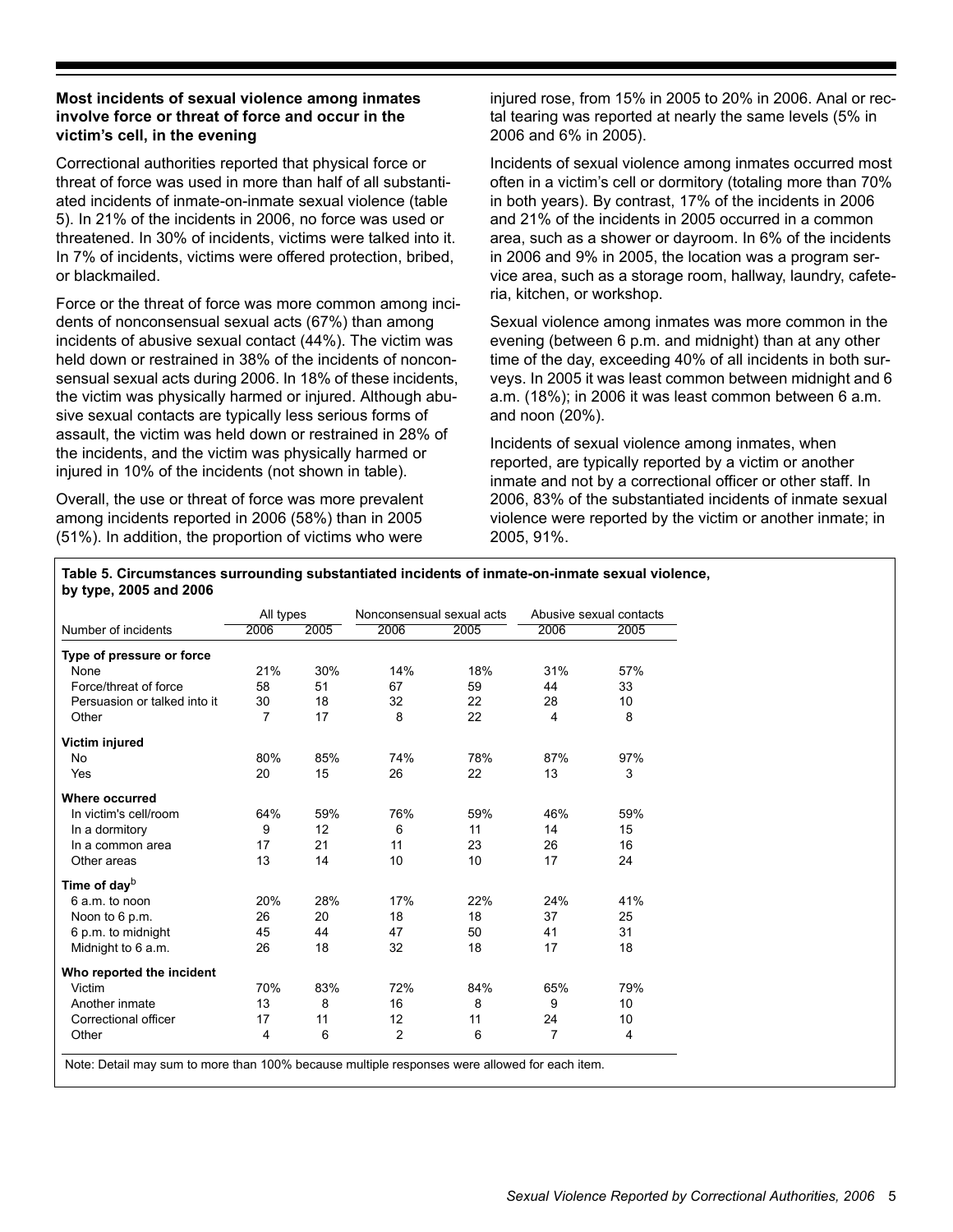## **Most incidents of sexual violence among inmates involve force or threat of force and occur in the victim's cell, in the evening**

Correctional authorities reported that physical force or threat of force was used in more than half of all substantiated incidents of inmate-on-inmate sexual violence (table 5). In 21% of the incidents in 2006, no force was used or threatened. In 30% of incidents, victims were talked into it. In 7% of incidents, victims were offered protection, bribed, or blackmailed.

Force or the threat of force was more common among incidents of nonconsensual sexual acts (67%) than among incidents of abusive sexual contact (44%). The victim was held down or restrained in 38% of the incidents of nonconsensual sexual acts during 2006. In 18% of these incidents, the victim was physically harmed or injured. Although abusive sexual contacts are typically less serious forms of assault, the victim was held down or restrained in 28% of the incidents, and the victim was physically harmed or injured in 10% of the incidents (not shown in table).

Overall, the use or threat of force was more prevalent among incidents reported in 2006 (58%) than in 2005 (51%). In addition, the proportion of victims who were injured rose, from 15% in 2005 to 20% in 2006. Anal or rectal tearing was reported at nearly the same levels (5% in 2006 and 6% in 2005).

Incidents of sexual violence among inmates occurred most often in a victim's cell or dormitory (totaling more than 70% in both years). By contrast, 17% of the incidents in 2006 and 21% of the incidents in 2005 occurred in a common area, such as a shower or dayroom. In 6% of the incidents in 2006 and 9% in 2005, the location was a program service area, such as a storage room, hallway, laundry, cafeteria, kitchen, or workshop.

Sexual violence among inmates was more common in the evening (between 6 p.m. and midnight) than at any other time of the day, exceeding 40% of all incidents in both surveys. In 2005 it was least common between midnight and 6 a.m. (18%); in 2006 it was least common between 6 a.m. and noon (20%).

Incidents of sexual violence among inmates, when reported, are typically reported by a victim or another inmate and not by a correctional officer or other staff. In 2006, 83% of the substantiated incidents of inmate sexual violence were reported by the victim or another inmate; in 2005, 91%.

**Table 5. Circumstances surrounding substantiated incidents of inmate-on-inmate sexual violence, by type, 2005 and 2006** 

|                              | All types |      | Nonconsensual sexual acts |      |                | Abusive sexual contacts |
|------------------------------|-----------|------|---------------------------|------|----------------|-------------------------|
| Number of incidents          | 2006      | 2005 | 2006                      | 2005 | 2006           | 2005                    |
| Type of pressure or force    |           |      |                           |      |                |                         |
| None                         | 21%       | 30%  | 14%                       | 18%  | 31%            | 57%                     |
| Force/threat of force        | 58        | 51   | 67                        | 59   | 44             | 33                      |
| Persuasion or talked into it | 30        | 18   | 32                        | 22   | 28             | 10                      |
| Other                        | 7         | 17   | 8                         | 22   | 4              | 8                       |
| Victim injured               |           |      |                           |      |                |                         |
| <b>No</b>                    | 80%       | 85%  | 74%                       | 78%  | 87%            | 97%                     |
| Yes                          | 20        | 15   | 26                        | 22   | 13             | 3                       |
| Where occurred               |           |      |                           |      |                |                         |
| In victim's cell/room        | 64%       | 59%  | 76%                       | 59%  | 46%            | 59%                     |
| In a dormitory               | 9         | 12   | 6                         | 11   | 14             | 15                      |
| In a common area             | 17        | 21   | 11                        | 23   | 26             | 16                      |
| Other areas                  | 13        | 14   | 10                        | 10   | 17             | 24                      |
| Time of day <sup>b</sup>     |           |      |                           |      |                |                         |
| 6 a.m. to noon               | 20%       | 28%  | 17%                       | 22%  | 24%            | 41%                     |
| Noon to 6 p.m.               | 26        | 20   | 18                        | 18   | 37             | 25                      |
| 6 p.m. to midnight           | 45        | 44   | 47                        | 50   | 41             | 31                      |
| Midnight to 6 a.m.           | 26        | 18   | 32                        | 18   | 17             | 18                      |
| Who reported the incident    |           |      |                           |      |                |                         |
| Victim                       | 70%       | 83%  | 72%                       | 84%  | 65%            | 79%                     |
| Another inmate               | 13        | 8    | 16                        | 8    | 9              | 10                      |
| Correctional officer         | 17        | 11   | 12                        | 11   | 24             | 10                      |
| Other                        | 4         | 6    | $\overline{2}$            | 6    | $\overline{7}$ | 4                       |

Note: Detail may sum to more than 100% because multiple responses were allowed for each item.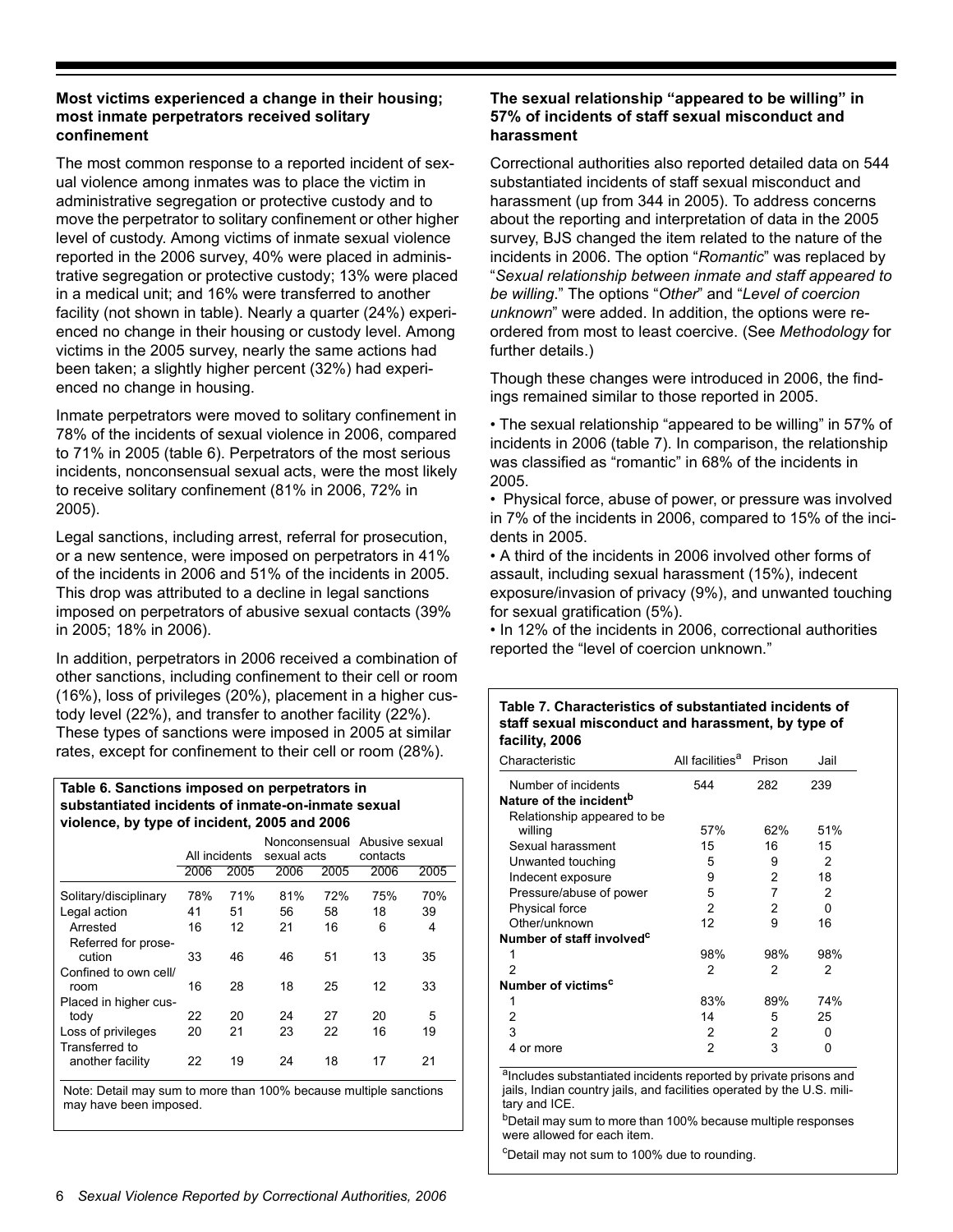# **Most victims experienced a change in their housing; most inmate perpetrators received solitary confinement**

The most common response to a reported incident of sexual violence among inmates was to place the victim in administrative segregation or protective custody and to move the perpetrator to solitary confinement or other higher level of custody. Among victims of inmate sexual violence reported in the 2006 survey, 40% were placed in administrative segregation or protective custody; 13% were placed in a medical unit; and 16% were transferred to another facility (not shown in table). Nearly a quarter (24%) experienced no change in their housing or custody level. Among victims in the 2005 survey, nearly the same actions had been taken; a slightly higher percent (32%) had experienced no change in housing.

Inmate perpetrators were moved to solitary confinement in 78% of the incidents of sexual violence in 2006, compared to 71% in 2005 (table 6). Perpetrators of the most serious incidents, nonconsensual sexual acts, were the most likely to receive solitary confinement (81% in 2006, 72% in 2005).

Legal sanctions, including arrest, referral for prosecution, or a new sentence, were imposed on perpetrators in 41% of the incidents in 2006 and 51% of the incidents in 2005. This drop was attributed to a decline in legal sanctions imposed on perpetrators of abusive sexual contacts (39% in 2005; 18% in 2006).

In addition, perpetrators in 2006 received a combination of other sanctions, including confinement to their cell or room (16%), loss of privileges (20%), placement in a higher custody level (22%), and transfer to another facility (22%). These types of sanctions were imposed in 2005 at similar rates, except for confinement to their cell or room (28%).

#### **Table 6. Sanctions imposed on perpetrators in substantiated incidents of inmate-on-inmate sexual violence, by type of incident, 2005 and 2006**

|                       | All incidents |      | Nonconsensual Abusive sexual<br>sexual acts |      | contacts |      |
|-----------------------|---------------|------|---------------------------------------------|------|----------|------|
|                       | 2006          | 2005 | 2006                                        | 2005 | 2006     | 2005 |
| Solitary/disciplinary | 78%           | 71%  | 81%                                         | 72%  | 75%      | 70%  |
| Legal action          | 41            | 51   | 56                                          | 58   | 18       | 39   |
| Arrested              | 16            | 12   | 21                                          | 16   | 6        | 4    |
| Referred for prose-   |               |      |                                             |      |          |      |
| cution                | 33            | 46   | 46                                          | 51   | 13       | 35   |
| Confined to own cell/ |               |      |                                             |      |          |      |
| room                  | 16            | 28   | 18                                          | 25   | 12       | 33   |
| Placed in higher cus- |               |      |                                             |      |          |      |
| tody                  | 22            | 20   | 24                                          | 27   | 20       | 5    |
| Loss of privileges    | 20            | 21   | 23                                          | 22   | 16       | 19   |
| Transferred to        |               |      |                                             |      |          |      |
| another facility      | 22            | 19   | 24                                          | 18   | 17       | 21   |
|                       |               |      |                                             |      |          |      |

Note: Detail may sum to more than 100% because multiple sanctions may have been imposed.

# **The sexual relationship "appeared to be willing" in 57% of incidents of staff sexual misconduct and harassment**

Correctional authorities also reported detailed data on 544 substantiated incidents of staff sexual misconduct and harassment (up from 344 in 2005). To address concerns about the reporting and interpretation of data in the 2005 survey, BJS changed the item related to the nature of the incidents in 2006. The option "*Romantic*" was replaced by "*Sexual relationship between inmate and staff appeared to be willing*." The options "*Other*" and "*Level of coercion unknown*" were added. In addition, the options were reordered from most to least coercive. (See *Methodology* for further details.)

Though these changes were introduced in 2006, the findings remained similar to those reported in 2005.

• The sexual relationship "appeared to be willing" in 57% of incidents in 2006 (table 7). In comparison, the relationship was classified as "romantic" in 68% of the incidents in 2005.

• Physical force, abuse of power, or pressure was involved in 7% of the incidents in 2006, compared to 15% of the incidents in 2005.

• A third of the incidents in 2006 involved other forms of assault, including sexual harassment (15%), indecent exposure/invasion of privacy (9%), and unwanted touching for sexual gratification (5%).

• In 12% of the incidents in 2006, correctional authorities reported the "level of coercion unknown."

#### **Table 7. Characteristics of substantiated incidents of staff sexual misconduct and harassment, by type of facility, 2006**

| Characteristic                        | All facilities <sup>a</sup> | Prison | Jail |
|---------------------------------------|-----------------------------|--------|------|
| Number of incidents                   | 544                         | 282    | 239  |
| Nature of the incident <sup>b</sup>   |                             |        |      |
| Relationship appeared to be           |                             |        |      |
| willing                               | 57%                         | 62%    | 51%  |
| Sexual harassment                     | 15                          | 16     | 15   |
| Unwanted touching                     | 5                           | 9      | 2    |
| Indecent exposure                     | 9                           | 2      | 18   |
| Pressure/abuse of power               | 5                           | 7      | 2    |
| <b>Physical force</b>                 | 2                           | 2      | 0    |
| Other/unknown                         | 12                          | 9      | 16   |
| Number of staff involved <sup>c</sup> |                             |        |      |
|                                       | 98%                         | 98%    | 98%  |
| 2                                     | 2                           | 2      | 2    |
| Number of victims <sup>c</sup>        |                             |        |      |
| 1                                     | 83%                         | 89%    | 74%  |
| 2                                     | 14                          | 5      | 25   |
| 3                                     | 2                           | 2      | ŋ    |
| or more<br>4                          | $\overline{2}$              | 3      | ŋ    |

alncludes substantiated incidents reported by private prisons and jails, Indian country jails, and facilities operated by the U.S. military and ICE.

bDetail may sum to more than 100% because multiple responses were allowed for each item.

<sup>c</sup>Detail may not sum to 100% due to rounding.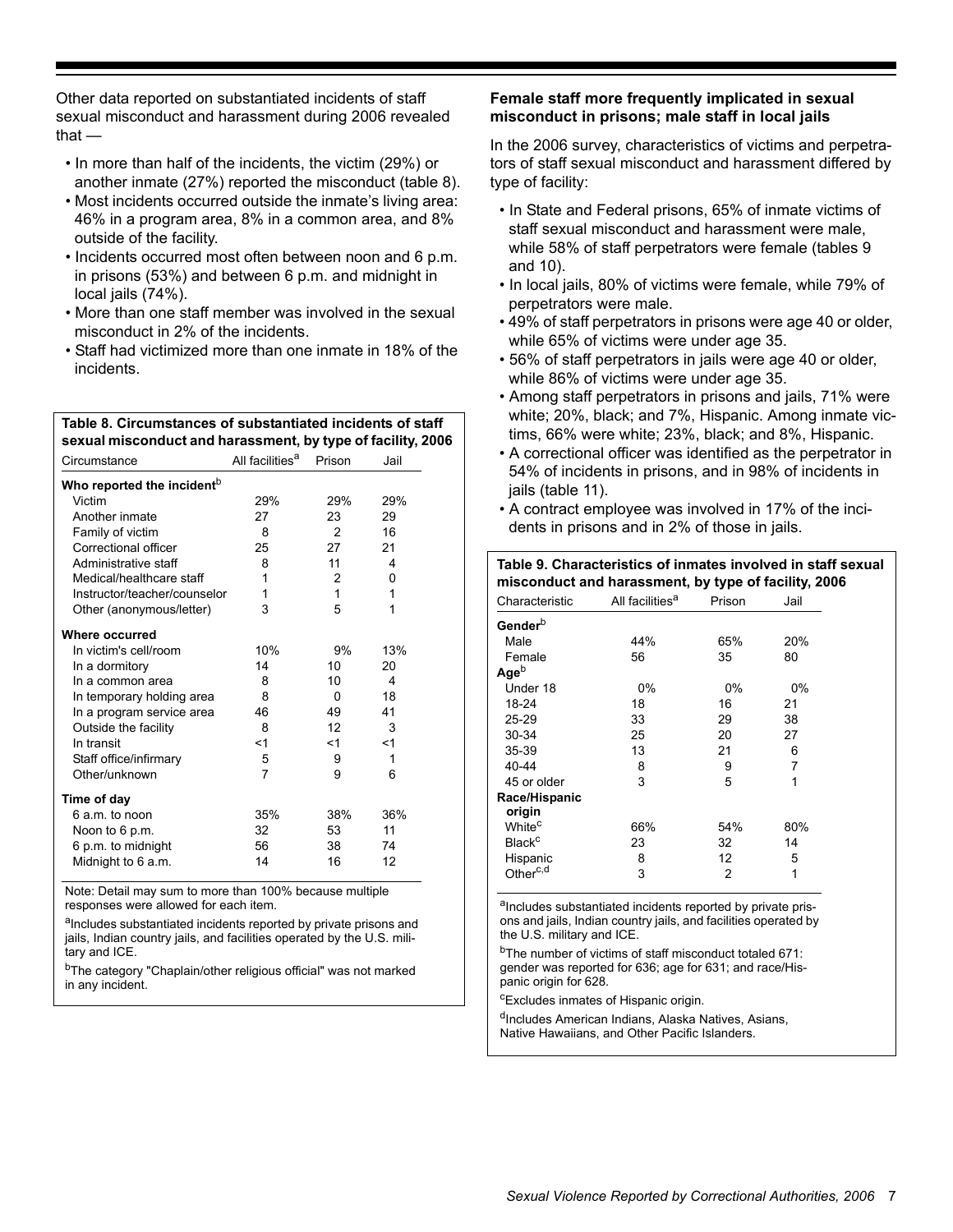Other data reported on substantiated incidents of staff sexual misconduct and harassment during 2006 revealed that —

- In more than half of the incidents, the victim (29%) or another inmate (27%) reported the misconduct (table 8).
- Most incidents occurred outside the inmate's living area: 46% in a program area, 8% in a common area, and 8% outside of the facility.
- Incidents occurred most often between noon and 6 p.m. in prisons (53%) and between 6 p.m. and midnight in local jails (74%).
- More than one staff member was involved in the sexual misconduct in 2% of the incidents.
- Staff had victimized more than one inmate in 18% of the incidents.

#### **Table 8. Circumstances of substantiated incidents of staff sexual misconduct and harassment, by type of facility, 2006**

| Circumstance                           | All facilities <sup>a</sup> | Prison | Jail |
|----------------------------------------|-----------------------------|--------|------|
| Who reported the incident <sup>b</sup> |                             |        |      |
| Victim                                 | 29%                         | 29%    | 29%  |
| Another inmate                         | 27                          | 23     | 29   |
| Family of victim                       | 8                           | 2      | 16   |
| Correctional officer                   | 25                          | 27     | 21   |
| Administrative staff                   | 8                           | 11     | 4    |
| Medical/healthcare staff               | 1                           | 2      | 0    |
| Instructor/teacher/counselor           | 1                           | 1      | 1    |
| Other (anonymous/letter)               | 3                           | 5      | 1    |
| Where occurred                         |                             |        |      |
| In victim's cell/room                  | 10%                         | 9%     | 13%  |
| In a dormitory                         | 14                          | 10     | 20   |
| In a common area                       | 8                           | 10     | 4    |
| In temporary holding area              | 8                           | 0      | 18   |
| In a program service area              | 46                          | 49     | 41   |
| Outside the facility                   | 8                           | 12     | 3    |
| In transit                             | <1                          | <1     | <1   |
| Staff office/infirmary                 | 5                           | 9      | 1    |
| Other/unknown                          | 7                           | 9      | 6    |
| Time of day                            |                             |        |      |
| 6 a.m. to noon                         | 35%                         | 38%    | 36%  |
| Noon to 6 p.m.                         | 32                          | 53     | 11   |
| 6 p.m. to midnight                     | 56                          | 38     | 74   |
| Midnight to 6 a.m.                     | 14                          | 16     | 12   |

Note: Detail may sum to more than 100% because multiple responses were allowed for each item.

alncludes substantiated incidents reported by private prisons and jails, Indian country jails, and facilities operated by the U.S. military and ICE.

<sup>b</sup>The category "Chaplain/other religious official" was not marked in any incident.

# **Female staff more frequently implicated in sexual misconduct in prisons; male staff in local jails**

In the 2006 survey, characteristics of victims and perpetrators of staff sexual misconduct and harassment differed by type of facility:

- In State and Federal prisons, 65% of inmate victims of staff sexual misconduct and harassment were male, while 58% of staff perpetrators were female (tables 9 and 10).
- In local jails, 80% of victims were female, while 79% of perpetrators were male.
- 49% of staff perpetrators in prisons were age 40 or older, while 65% of victims were under age 35.
- 56% of staff perpetrators in jails were age 40 or older, while 86% of victims were under age 35.
- Among staff perpetrators in prisons and jails, 71% were white; 20%, black; and 7%, Hispanic. Among inmate victims, 66% were white; 23%, black; and 8%, Hispanic.
- A correctional officer was identified as the perpetrator in 54% of incidents in prisons, and in 98% of incidents in jails (table 11).
- A contract employee was involved in 17% of the incidents in prisons and in 2% of those in jails.

| Table 9. Characteristics of inmates involved in staff sexual<br>misconduct and harassment, by type of facility, 2006 |                             |        |            |  |  |  |
|----------------------------------------------------------------------------------------------------------------------|-----------------------------|--------|------------|--|--|--|
| Characteristic                                                                                                       | All facilities <sup>a</sup> | Prison | Jail       |  |  |  |
| Gender <sup>b</sup>                                                                                                  |                             |        |            |  |  |  |
| Male                                                                                                                 | 44%                         | 65%    | <b>20%</b> |  |  |  |
| Female                                                                                                               | 56                          | 35     | 80         |  |  |  |
| Ageb                                                                                                                 |                             |        |            |  |  |  |
| Under 18                                                                                                             | $0\%$                       | $0\%$  | 0%         |  |  |  |
| 18-24                                                                                                                | 18                          | 16     | 21         |  |  |  |
| $25 - 29$                                                                                                            | 33                          | 29     | 38         |  |  |  |
| 30-34                                                                                                                | 25                          | 20     | 27         |  |  |  |
| 35-39                                                                                                                | 13                          | 21     | 6          |  |  |  |
| 40-44                                                                                                                | 8                           | 9      | 7          |  |  |  |
| 45 or older                                                                                                          | 3                           | 5      | 1          |  |  |  |
| Race/Hispanic<br>origin                                                                                              |                             |        |            |  |  |  |
| White <sup>c</sup>                                                                                                   | 66%                         | 54%    | 80%        |  |  |  |
| <b>Black<sup>c</sup></b>                                                                                             | 23                          | 32     | 14         |  |  |  |
| Hispanic                                                                                                             | 8                           | 12     | 5          |  |  |  |
| Other <sup>c,d</sup>                                                                                                 | 3                           | 2      | 1          |  |  |  |

aIncludes substantiated incidents reported by private prisons and jails, Indian country jails, and facilities operated by the U.S. military and ICE.

<sup>b</sup>The number of victims of staff misconduct totaled 671: gender was reported for 636; age for 631; and race/Hispanic origin for 628.

cExcludes inmates of Hispanic origin.

<sup>d</sup>Includes American Indians, Alaska Natives, Asians, Native Hawaiians, and Other Pacific Islanders.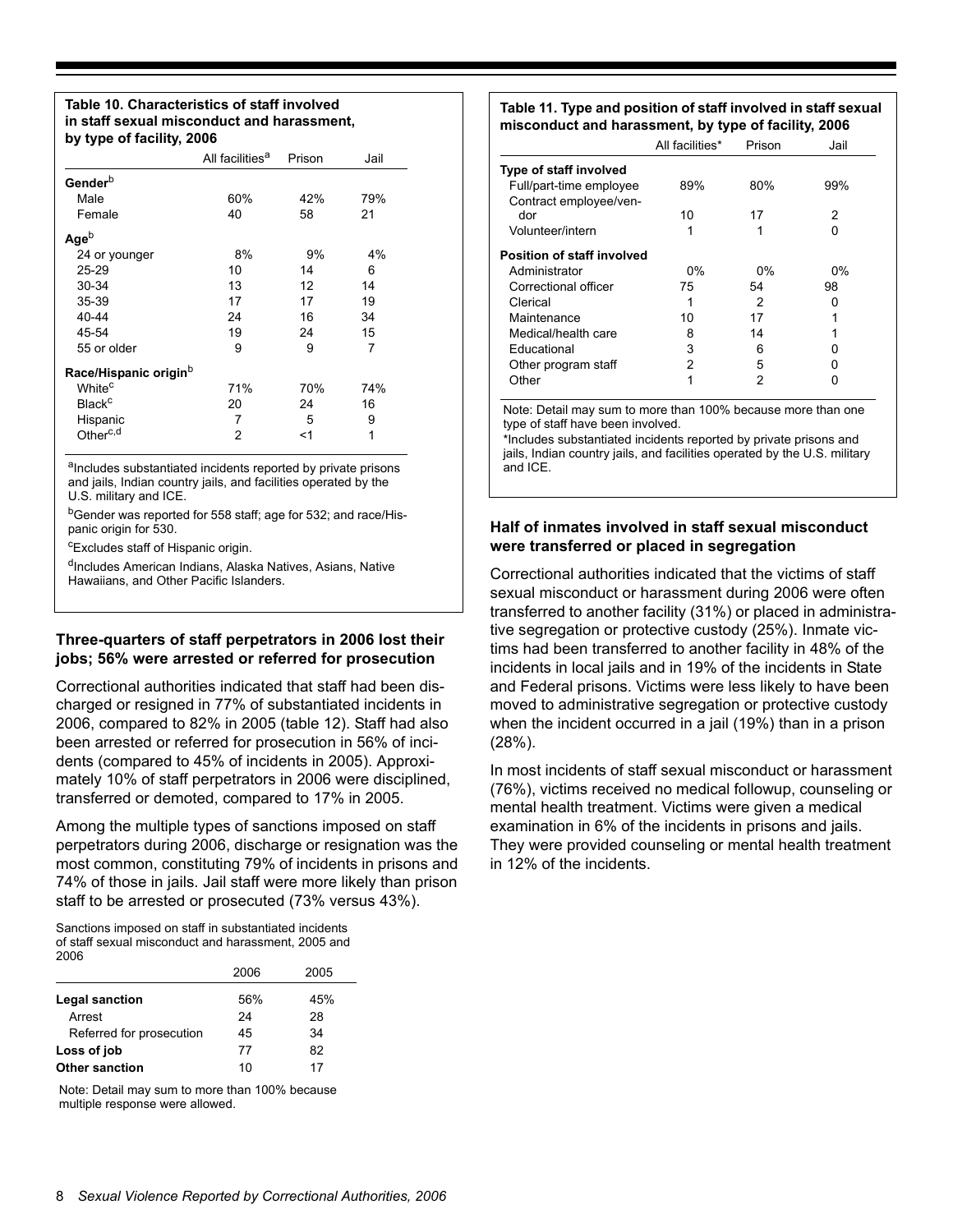#### **Table 10. Characteristics of staff involved in staff sexual misconduct and harassment, by type of facility, 2006**

| $\sim$ , $\sim$ , $\sim$ . $\sim$ . $\sim$ . $\sim$ . $\sim$ . |                             |        |      |
|----------------------------------------------------------------|-----------------------------|--------|------|
|                                                                | All facilities <sup>a</sup> | Prison | Jail |
| Gender <sup>b</sup>                                            |                             |        |      |
| Male                                                           | 60%                         | 42%    | 79%  |
| Female                                                         | 40                          | 58     | 21   |
| $Age^b$                                                        |                             |        |      |
| 24 or younger                                                  | 8%                          | 9%     | 4%   |
| $25 - 29$                                                      | 10                          | 14     | 6    |
| 30-34                                                          | 13                          | 12     | 14   |
| $35 - 39$                                                      | 17                          | 17     | 19   |
| 40-44                                                          | 24                          | 16     | 34   |
| 45-54                                                          | 19                          | 24     | 15   |
| 55 or older                                                    | 9                           | 9      | 7    |
| Race/Hispanic origin <sup>b</sup>                              |                             |        |      |
| White <sup>c</sup>                                             | 71%                         | 70%    | 74%  |
| <b>Black<sup>c</sup></b>                                       | 20                          | 24     | 16   |
| Hispanic                                                       | 7                           | 5      | 9    |
| Other <sup>c,d</sup>                                           | 2                           | <1     | 1    |
|                                                                |                             |        |      |

alncludes substantiated incidents reported by private prisons and jails, Indian country jails, and facilities operated by the U.S. military and ICE.

bGender was reported for 558 staff; age for 532; and race/Hispanic origin for 530.

<sup>c</sup>Excludes staff of Hispanic origin.

dIncludes American Indians, Alaska Natives, Asians, Native Hawaiians, and Other Pacific Islanders.

#### **Three-quarters of staff perpetrators in 2006 lost their jobs; 56% were arrested or referred for prosecution**

Correctional authorities indicated that staff had been discharged or resigned in 77% of substantiated incidents in 2006, compared to 82% in 2005 (table 12). Staff had also been arrested or referred for prosecution in 56% of incidents (compared to 45% of incidents in 2005). Approximately 10% of staff perpetrators in 2006 were disciplined, transferred or demoted, compared to 17% in 2005.

Among the multiple types of sanctions imposed on staff perpetrators during 2006, discharge or resignation was the most common, constituting 79% of incidents in prisons and 74% of those in jails. Jail staff were more likely than prison staff to be arrested or prosecuted (73% versus 43%).

Sanctions imposed on staff in substantiated incidents of staff sexual misconduct and harassment, 2005 and 2006

|                          | 2006 | 2005 |
|--------------------------|------|------|
| Legal sanction           | 56%  | 45%  |
| Arrest                   | 24   | 28   |
| Referred for prosecution | 45   | 34   |
| Loss of job              | 77   | 82   |
| <b>Other sanction</b>    | 10   | 17   |

Note: Detail may sum to more than 100% because multiple response were allowed.

#### **Table 11. Type and position of staff involved in staff sexual misconduct and harassment, by type of facility, 2006**

|                                                   | All facilities* | Prison | Jail |
|---------------------------------------------------|-----------------|--------|------|
| Type of staff involved                            |                 |        |      |
| Full/part-time employee<br>Contract employee/ven- | 89%             | 80%    | 99%  |
| dor                                               | 10              | 17     | 2    |
| Volunteer/intern                                  |                 |        |      |
| <b>Position of staff involved</b>                 |                 |        |      |
| Administrator                                     | $0\%$           | $0\%$  | 0%   |
| Correctional officer                              | 75              | 54     | 98   |
| Clerical                                          |                 | 2      | 0    |
| Maintenance                                       | 10              | 17     |      |
| Medical/health care                               | 8               | 14     |      |
| Educational                                       | 3               | 6      |      |
| Other program staff                               | 2               | 5      |      |
| Other                                             |                 | 2      |      |
|                                                   |                 |        |      |

Note: Detail may sum to more than 100% because more than one type of staff have been involved.

\*Includes substantiated incidents reported by private prisons and jails, Indian country jails, and facilities operated by the U.S. military and ICE.

# **Half of inmates involved in staff sexual misconduct were transferred or placed in segregation**

Correctional authorities indicated that the victims of staff sexual misconduct or harassment during 2006 were often transferred to another facility (31%) or placed in administrative segregation or protective custody (25%). Inmate victims had been transferred to another facility in 48% of the incidents in local jails and in 19% of the incidents in State and Federal prisons. Victims were less likely to have been moved to administrative segregation or protective custody when the incident occurred in a jail (19%) than in a prison (28%).

In most incidents of staff sexual misconduct or harassment (76%), victims received no medical followup, counseling or mental health treatment. Victims were given a medical examination in 6% of the incidents in prisons and jails. They were provided counseling or mental health treatment in 12% of the incidents.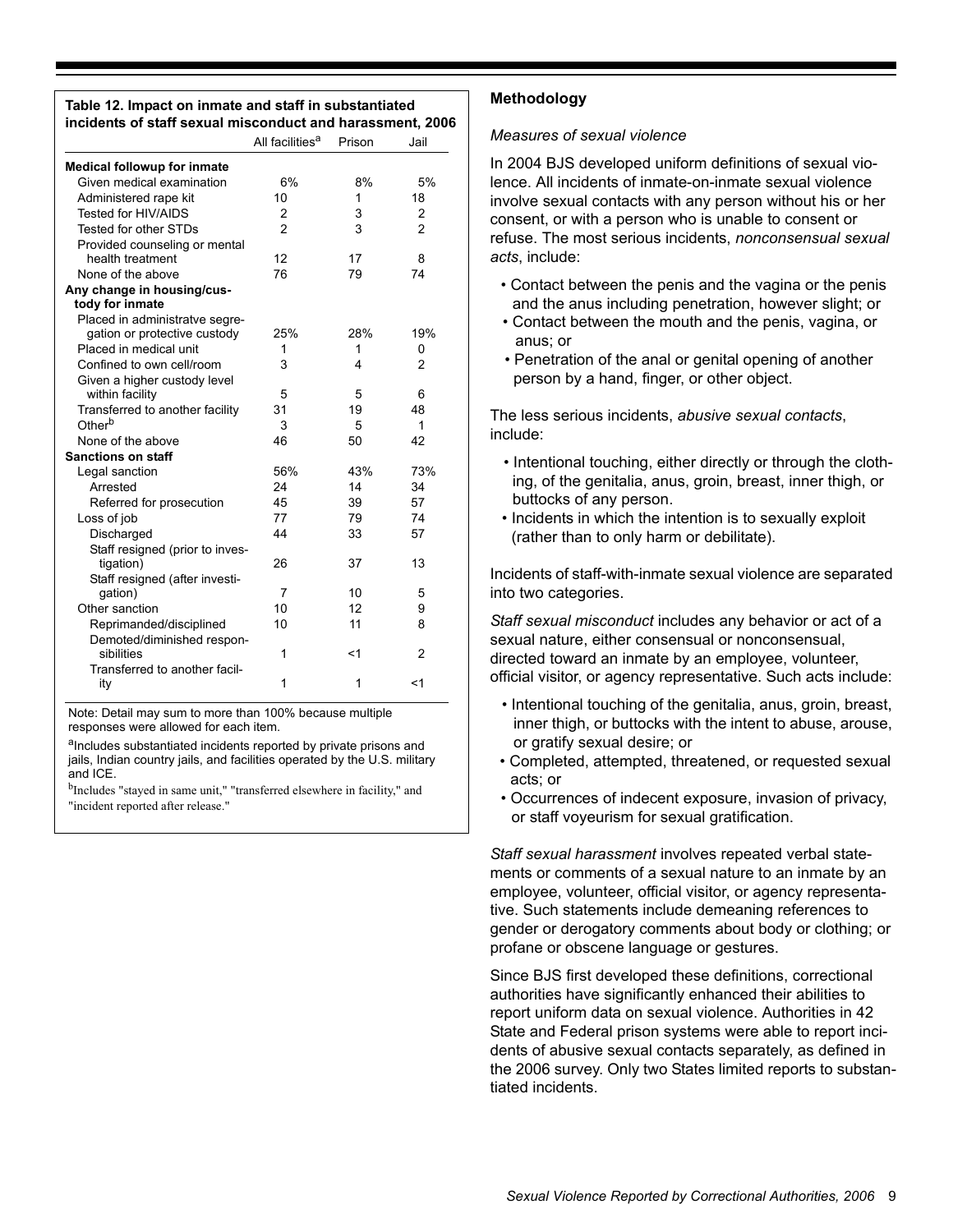| Table 12. Impact on inmate and staff in substantiated     |  |
|-----------------------------------------------------------|--|
| incidents of staff sexual misconduct and harassment, 2006 |  |

|                                               | All facilities <sup>a</sup> | Prison | Jail           |
|-----------------------------------------------|-----------------------------|--------|----------------|
| Medical followup for inmate                   |                             |        |                |
| Given medical examination                     | 6%                          | 8%     | 5%             |
| Administered rape kit                         | 10                          | 1      | 18             |
| <b>Tested for HIV/AIDS</b>                    | $\overline{2}$              | 3      | $\overline{2}$ |
| Tested for other STDs                         | $\mathfrak{p}$              | 3      | $\mathfrak{p}$ |
| Provided counseling or mental                 |                             |        |                |
| health treatment                              | 12                          | 17     | 8              |
| None of the above                             | 76                          | 79     | 74             |
| Any change in housing/cus-<br>tody for inmate |                             |        |                |
| Placed in administratve segre-                |                             |        |                |
| gation or protective custody                  | 25%                         | 28%    | 19%            |
| Placed in medical unit                        | 1                           | 1      | 0              |
| Confined to own cell/room                     | 3                           | 4      | 2              |
| Given a higher custody level                  |                             |        |                |
| within facility                               | 5                           | 5      | 6              |
| Transferred to another facility               | 31                          | 19     | 48             |
| Other <sup>b</sup>                            | 3                           | 5      | 1              |
| None of the above                             | 46                          | 50     | 42             |
| <b>Sanctions on staff</b>                     |                             |        |                |
| Legal sanction                                | 56%                         | 43%    | 73%            |
| Arrested                                      | 24                          | 14     | 34             |
| Referred for prosecution                      | 45                          | 39     | 57             |
| Loss of job                                   | 77                          | 79     | 74             |
| Discharged                                    | 44                          | 33     | 57             |
| Staff resigned (prior to inves-               |                             |        |                |
| tigation)                                     | 26                          | 37     | 13             |
| Staff resigned (after investi-                |                             |        |                |
| qation)                                       | 7                           | 10     | 5              |
| Other sanction                                | 10                          | 12     | 9              |
| Reprimanded/disciplined                       | 10                          | 11     | 8              |
| Demoted/diminished respon-<br>sibilities      | 1                           | < 1    | 2              |
| Transferred to another facil-<br>ity          | 1                           | 1      | <1             |

Note: Detail may sum to more than 100% because multiple responses were allowed for each item.

aIncludes substantiated incidents reported by private prisons and jails, Indian country jails, and facilities operated by the U.S. military and ICE.

bIncludes "stayed in same unit," "transferred elsewhere in facility," and "incident reported after release."

# **Methodology**

#### *Measures of sexual violence*

In 2004 BJS developed uniform definitions of sexual violence. All incidents of inmate-on-inmate sexual violence involve sexual contacts with any person without his or her consent, or with a person who is unable to consent or refuse. The most serious incidents, *nonconsensual sexual acts*, include:

- Contact between the penis and the vagina or the penis and the anus including penetration, however slight; or
- Contact between the mouth and the penis, vagina, or anus; or
- Penetration of the anal or genital opening of another person by a hand, finger, or other object.

The less serious incidents, *abusive sexual contacts*, include:

- Intentional touching, either directly or through the clothing, of the genitalia, anus, groin, breast, inner thigh, or buttocks of any person.
- Incidents in which the intention is to sexually exploit (rather than to only harm or debilitate).

Incidents of staff-with-inmate sexual violence are separated into two categories.

*Staff sexual misconduct* includes any behavior or act of a sexual nature, either consensual or nonconsensual, directed toward an inmate by an employee, volunteer, official visitor, or agency representative. Such acts include:

- Intentional touching of the genitalia, anus, groin, breast, inner thigh, or buttocks with the intent to abuse, arouse, or gratify sexual desire; or
- Completed, attempted, threatened, or requested sexual acts; or
- Occurrences of indecent exposure, invasion of privacy, or staff voyeurism for sexual gratification.

*Staff sexual harassment* involves repeated verbal statements or comments of a sexual nature to an inmate by an employee, volunteer, official visitor, or agency representative. Such statements include demeaning references to gender or derogatory comments about body or clothing; or profane or obscene language or gestures.

Since BJS first developed these definitions, correctional authorities have significantly enhanced their abilities to report uniform data on sexual violence. Authorities in 42 State and Federal prison systems were able to report incidents of abusive sexual contacts separately, as defined in the 2006 survey. Only two States limited reports to substantiated incidents.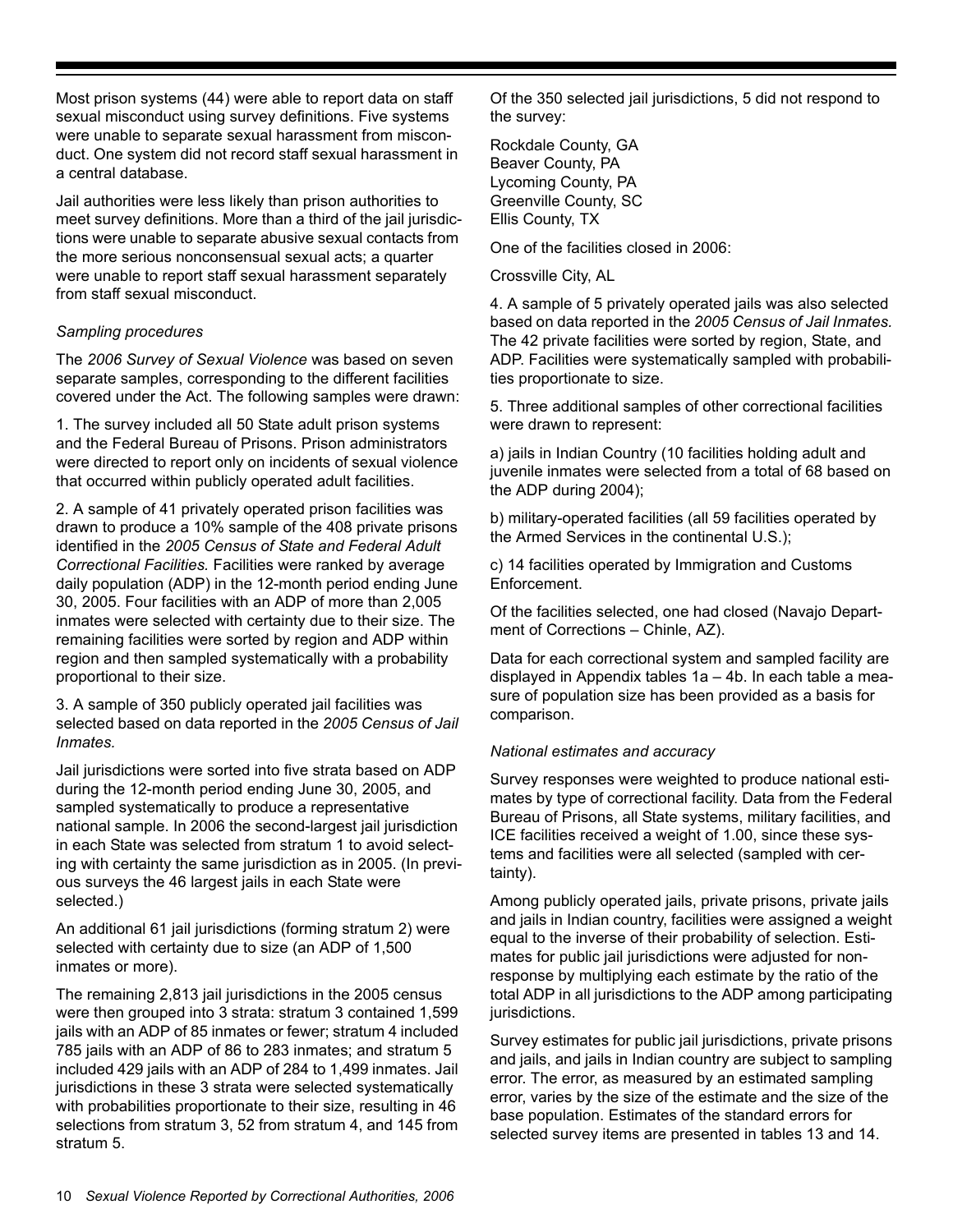Most prison systems (44) were able to report data on staff sexual misconduct using survey definitions. Five systems were unable to separate sexual harassment from misconduct. One system did not record staff sexual harassment in a central database.

Jail authorities were less likely than prison authorities to meet survey definitions. More than a third of the jail jurisdictions were unable to separate abusive sexual contacts from the more serious nonconsensual sexual acts; a quarter were unable to report staff sexual harassment separately from staff sexual misconduct.

# *Sampling procedures*

The *2006 Survey of Sexual Violence* was based on seven separate samples, corresponding to the different facilities covered under the Act. The following samples were drawn:

1. The survey included all 50 State adult prison systems and the Federal Bureau of Prisons. Prison administrators were directed to report only on incidents of sexual violence that occurred within publicly operated adult facilities.

2. A sample of 41 privately operated prison facilities was drawn to produce a 10% sample of the 408 private prisons identified in the *2005 Census of State and Federal Adult Correctional Facilities.* Facilities were ranked by average daily population (ADP) in the 12-month period ending June 30, 2005. Four facilities with an ADP of more than 2,005 inmates were selected with certainty due to their size. The remaining facilities were sorted by region and ADP within region and then sampled systematically with a probability proportional to their size.

3. A sample of 350 publicly operated jail facilities was selected based on data reported in the *2005 Census of Jail Inmates.*

Jail jurisdictions were sorted into five strata based on ADP during the 12-month period ending June 30, 2005, and sampled systematically to produce a representative national sample. In 2006 the second-largest jail jurisdiction in each State was selected from stratum 1 to avoid selecting with certainty the same jurisdiction as in 2005. (In previous surveys the 46 largest jails in each State were selected.)

An additional 61 jail jurisdictions (forming stratum 2) were selected with certainty due to size (an ADP of 1,500 inmates or more).

The remaining 2,813 jail jurisdictions in the 2005 census were then grouped into 3 strata: stratum 3 contained 1,599 jails with an ADP of 85 inmates or fewer; stratum 4 included 785 jails with an ADP of 86 to 283 inmates; and stratum 5 included 429 jails with an ADP of 284 to 1,499 inmates. Jail jurisdictions in these 3 strata were selected systematically with probabilities proportionate to their size, resulting in 46 selections from stratum 3, 52 from stratum 4, and 145 from stratum 5.

Of the 350 selected jail jurisdictions, 5 did not respond to the survey:

Rockdale County, GA Beaver County, PA Lycoming County, PA Greenville County, SC Ellis County, TX

One of the facilities closed in 2006:

Crossville City, AL

4. A sample of 5 privately operated jails was also selected based on data reported in the *2005 Census of Jail Inmates.* The 42 private facilities were sorted by region, State, and ADP. Facilities were systematically sampled with probabilities proportionate to size.

5. Three additional samples of other correctional facilities were drawn to represent:

a) jails in Indian Country (10 facilities holding adult and juvenile inmates were selected from a total of 68 based on the ADP during 2004);

b) military-operated facilities (all 59 facilities operated by the Armed Services in the continental U.S.);

c) 14 facilities operated by Immigration and Customs Enforcement.

Of the facilities selected, one had closed (Navajo Department of Corrections – Chinle, AZ).

Data for each correctional system and sampled facility are displayed in Appendix tables 1a – 4b. In each table a measure of population size has been provided as a basis for comparison.

#### *National estimates and accuracy*

Survey responses were weighted to produce national estimates by type of correctional facility. Data from the Federal Bureau of Prisons, all State systems, military facilities, and ICE facilities received a weight of 1.00, since these systems and facilities were all selected (sampled with certainty).

Among publicly operated jails, private prisons, private jails and jails in Indian country, facilities were assigned a weight equal to the inverse of their probability of selection. Estimates for public jail jurisdictions were adjusted for nonresponse by multiplying each estimate by the ratio of the total ADP in all jurisdictions to the ADP among participating jurisdictions.

Survey estimates for public jail jurisdictions, private prisons and jails, and jails in Indian country are subject to sampling error. The error, as measured by an estimated sampling error, varies by the size of the estimate and the size of the base population. Estimates of the standard errors for selected survey items are presented in tables 13 and 14.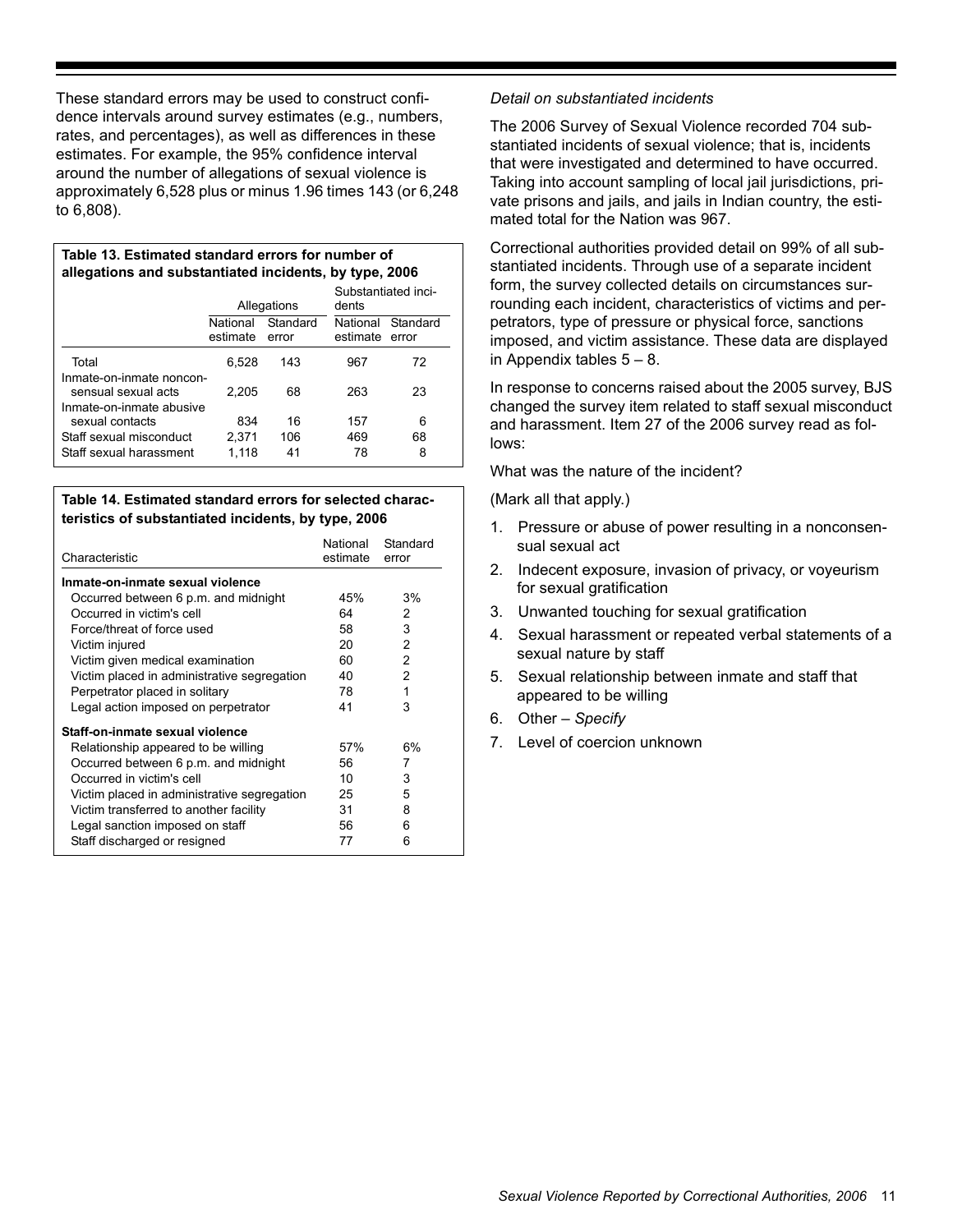These standard errors may be used to construct confidence intervals around survey estimates (e.g., numbers, rates, and percentages), as well as differences in these estimates. For example, the 95% confidence interval around the number of allegations of sexual violence is approximately 6,528 plus or minus 1.96 times 143 (or 6,248 to 6,808).

**Table 13. Estimated standard errors for number of allegations and substantiated incidents, by type, 2006** 

|                                                                             |                      | Allegations       | Substantiated inci-<br>dents |                   |  |  |
|-----------------------------------------------------------------------------|----------------------|-------------------|------------------------------|-------------------|--|--|
|                                                                             | National<br>estimate | Standard<br>error |                              | Standard<br>error |  |  |
| Total                                                                       | 6,528                | 143               | 967                          | 72                |  |  |
| Inmate-on-inmate noncon-<br>sensual sexual acts<br>Inmate-on-inmate abusive | 2.205                | 68                | 263                          | 23                |  |  |
| sexual contacts                                                             | 834                  | 16                | 157                          | 6                 |  |  |
| Staff sexual misconduct                                                     | 2,371                | 106               | 469                          | 68                |  |  |
| Staff sexual harassment                                                     | 1.118                | 41                | 78                           | 8                 |  |  |

#### **Table 14. Estimated standard errors for selected characteristics of substantiated incidents, by type, 2006**

| Characteristic                              | National<br>estimate | Standard<br>error |
|---------------------------------------------|----------------------|-------------------|
| Inmate-on-inmate sexual violence            |                      |                   |
| Occurred between 6 p.m. and midnight        | 45%                  | 3%                |
| Occurred in victim's cell                   | 64                   | 2                 |
| Force/threat of force used                  | 58                   | 3                 |
| Victim injured                              | 20                   | $\mathcal{P}$     |
| Victim given medical examination            | 60                   | $\mathcal{P}$     |
| Victim placed in administrative segregation | 40                   | $\mathcal{P}$     |
| Perpetrator placed in solitary              | 78                   | 1                 |
| Legal action imposed on perpetrator         | 41                   | 3                 |
| Staff-on-inmate sexual violence             |                      |                   |
| Relationship appeared to be willing         | 57%                  | 6%                |
| Occurred between 6 p.m. and midnight        | 56                   | 7                 |
| Occurred in victim's cell                   | 10                   | 3                 |
| Victim placed in administrative segregation | 25                   | 5                 |
| Victim transferred to another facility      | 31                   | 8                 |
| Legal sanction imposed on staff             | 56                   | 6                 |
| Staff discharged or resigned                | 77                   | 6                 |

# *Detail on substantiated incidents*

The 2006 Survey of Sexual Violence recorded 704 substantiated incidents of sexual violence; that is, incidents that were investigated and determined to have occurred. Taking into account sampling of local jail jurisdictions, private prisons and jails, and jails in Indian country, the estimated total for the Nation was 967.

Correctional authorities provided detail on 99% of all substantiated incidents. Through use of a separate incident form, the survey collected details on circumstances surrounding each incident, characteristics of victims and perpetrators, type of pressure or physical force, sanctions imposed, and victim assistance. These data are displayed in Appendix tables  $5 - 8$ .

In response to concerns raised about the 2005 survey, BJS changed the survey item related to staff sexual misconduct and harassment. Item 27 of the 2006 survey read as follows:

What was the nature of the incident?

(Mark all that apply.)

- 1. Pressure or abuse of power resulting in a nonconsensual sexual act
- 2. Indecent exposure, invasion of privacy, or voyeurism for sexual gratification
- 3. Unwanted touching for sexual gratification
- 4. Sexual harassment or repeated verbal statements of a sexual nature by staff
- 5. Sexual relationship between inmate and staff that appeared to be willing
- 6. Other *Specify*
- 7. Level of coercion unknown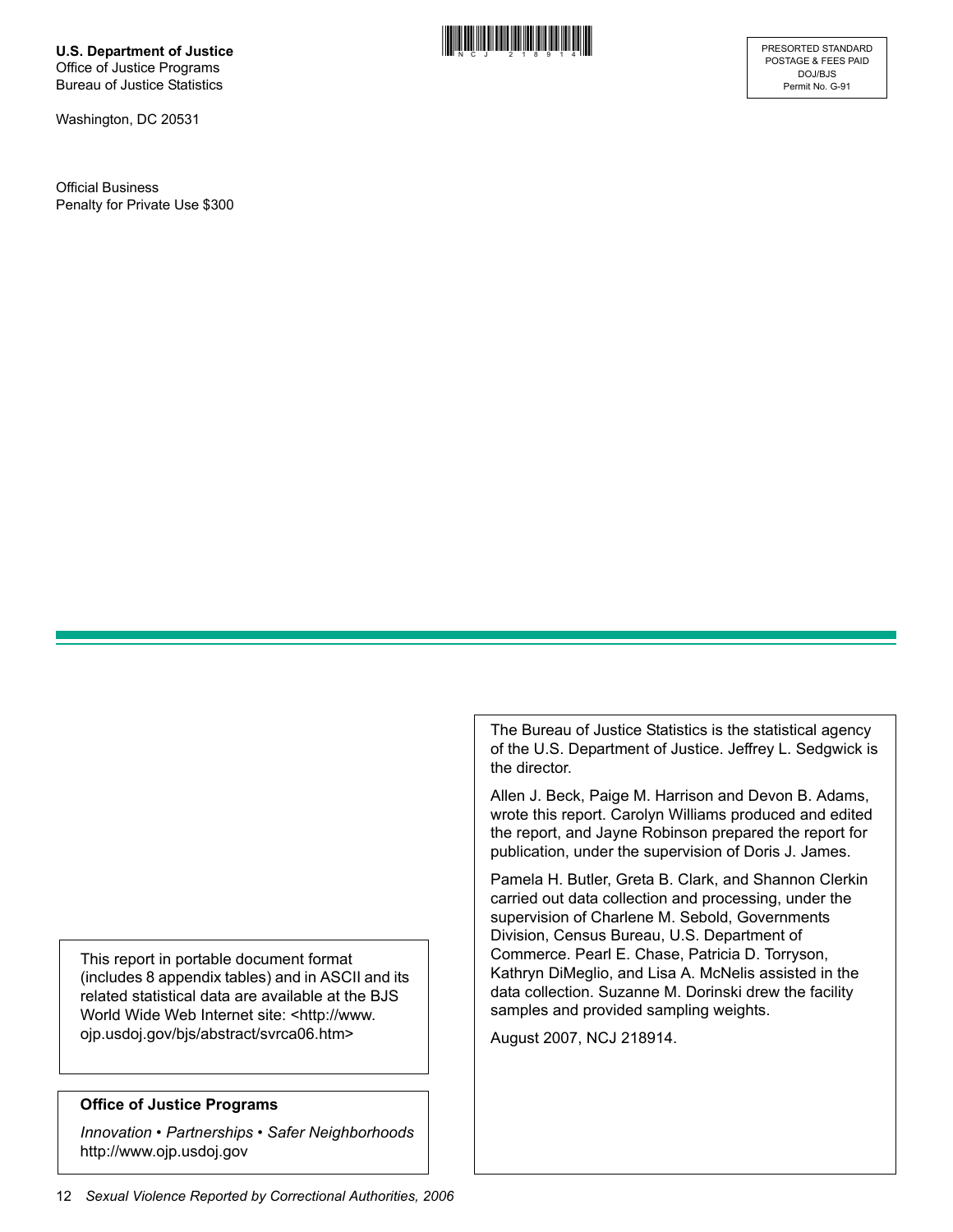**U.S. Department of Justice** Office of Justice Programs Bureau of Justice Statistics

Washington, DC 20531

Official Business Penalty for Private Use \$300



This report in portable document format (includes 8 appendix tables) and in ASCII and its related statistical data are available at the BJS World Wide Web Internet site: <http://www. ojp.usdoj.gov/bjs/abstract/svrca06.htm>

#### **Office of Justice Programs**

*Innovation • Partnerships • Safer Neighborhoods* http://www.ojp.usdoj.gov

Pamela H. Butler, Greta B. Clark, and Shannon Clerkin carried out data collection and processing, under the supervision of Charlene M. Sebold, Governments Division, Census Bureau, U.S. Department of

the director.

Commerce. Pearl E. Chase, Patricia D. Torryson, Kathryn DiMeglio, and Lisa A. McNelis assisted in the data collection. Suzanne M. Dorinski drew the facility samples and provided sampling weights.

The Bureau of Justice Statistics is the statistical agency of the U.S. Department of Justice. Jeffrey L. Sedgwick is

Allen J. Beck, Paige M. Harrison and Devon B. Adams, wrote this report. Carolyn Williams produced and edited the report, and Jayne Robinson prepared the report for publication, under the supervision of Doris J. James.

August 2007, NCJ 218914.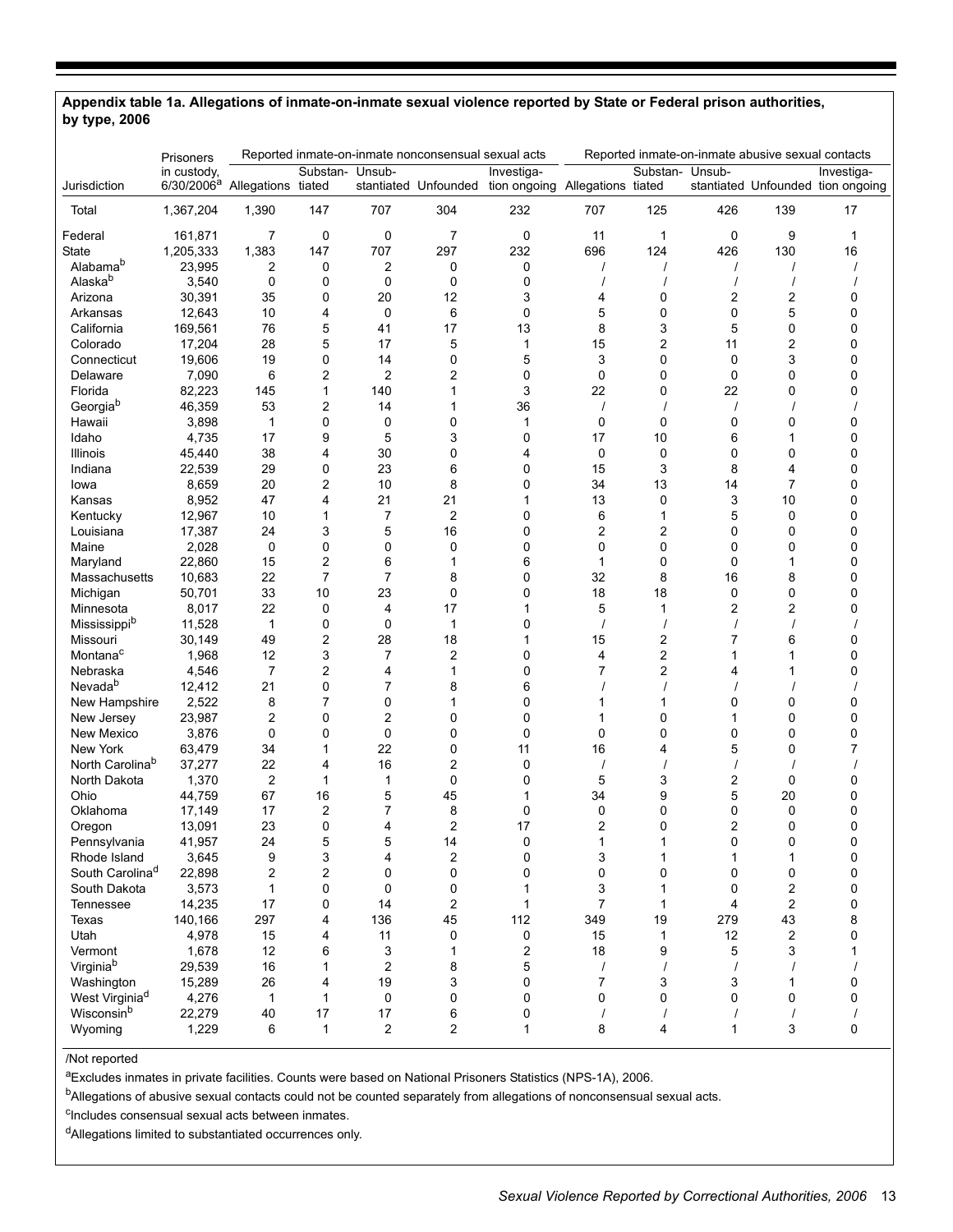#### **Appendix table 1a. Allegations of inmate-on-inmate sexual violence reported by State or Federal prison authorities, by type, 2006**

|                             | Prisoners                             |                    |                 |                | Reported inmate-on-inmate nonconsensual sexual acts |                                                                    |                         |                 |                | Reported inmate-on-inmate abusive sexual contacts |                                                 |
|-----------------------------|---------------------------------------|--------------------|-----------------|----------------|-----------------------------------------------------|--------------------------------------------------------------------|-------------------------|-----------------|----------------|---------------------------------------------------|-------------------------------------------------|
| Jurisdiction                | in custody,<br>6/30/2006 <sup>a</sup> | Allegations tiated | Substan- Unsub- |                |                                                     | Investiga-<br>stantiated Unfounded tion ongoing Allegations tiated |                         | Substan- Unsub- |                |                                                   | Investiga-<br>stantiated Unfounded tion ongoing |
| Total                       | 1,367,204                             | 1,390              | 147             | 707            | 304                                                 | 232                                                                | 707                     | 125             | 426            | 139                                               | 17                                              |
| Federal                     | 161,871                               | 7                  | 0               | 0              | 7                                                   | 0                                                                  | 11                      | 1               | 0              | 9                                                 | 1                                               |
| State                       | 1,205,333                             | 1,383              | 147             | 707            | 297                                                 | 232                                                                | 696                     | 124             | 426            | 130                                               | 16                                              |
| Alabama <sup>b</sup>        | 23,995                                | 2                  | 0               | 2              | 0                                                   | 0                                                                  | $\prime$                | $\prime$        | $\prime$       |                                                   |                                                 |
| Alaskab                     | 3,540                                 | 0                  | 0               | 0              | 0                                                   | 0                                                                  |                         |                 |                |                                                   |                                                 |
| Arizona                     | 30,391                                | 35                 | 0               | 20             | 12                                                  | 3                                                                  | 4                       | 0               | $\overline{c}$ | 2                                                 | 0                                               |
| Arkansas                    | 12,643                                | 10                 | 4               | 0              | 6                                                   | 0                                                                  | 5                       | 0               | 0              | 5                                                 | 0                                               |
| California                  | 169,561                               | 76                 | 5               | 41             | 17                                                  | 13                                                                 | 8                       | 3               | 5              | 0                                                 | 0                                               |
| Colorado                    | 17,204                                | 28                 | 5               | 17             | 5                                                   | 1                                                                  | 15                      | 2               | 11             | 2                                                 | 0                                               |
| Connecticut                 | 19,606                                | 19                 | 0               | 14             | 0                                                   | 5                                                                  | 3                       | 0               | 0              | 3                                                 | 0                                               |
| Delaware                    | 7,090                                 | 6                  | 2               | $\overline{2}$ | $\overline{c}$                                      | 0                                                                  | 0                       | 0               | 0              | 0                                                 | 0                                               |
| Florida                     | 82,223                                | 145                | 1               | 140            | $\mathbf{1}$                                        | 3                                                                  | 22                      | 0               | 22             | 0                                                 | 0                                               |
| Georgiab                    | 46,359                                | 53                 | 2               | 14             | 1                                                   | 36                                                                 | $\prime$                |                 | $\prime$       |                                                   |                                                 |
| Hawaii                      | 3,898                                 | 1                  | $\mathbf 0$     | 0              | $\mathbf 0$                                         | $\mathbf 1$                                                        | 0                       | 0               | 0              | 0                                                 | 0                                               |
| Idaho                       | 4,735                                 | 17                 | 9               | 5              | 3                                                   | 0                                                                  | 17                      | 10              | 6              | 1                                                 | 0                                               |
| <b>Illinois</b>             | 45,440                                | 38                 | 4               | 30             | 0                                                   | 4                                                                  | 0                       | 0               | 0              | 0                                                 | 0                                               |
| Indiana                     | 22,539                                | 29                 | 0               | 23             | 6                                                   | 0                                                                  | 15                      | 3               | 8              | 4                                                 | 0                                               |
| lowa                        | 8,659                                 | 20                 | 2               | 10             | 8                                                   | 0                                                                  | 34                      | 13              | 14             | $\overline{7}$                                    | 0                                               |
| Kansas                      | 8,952                                 | 47                 | 4               | 21             | 21                                                  | 1                                                                  | 13                      | 0               | 3              | 10                                                | 0                                               |
| Kentucky                    | 12,967                                | 10                 | 1               | 7              | $\overline{c}$                                      | $\mathbf 0$                                                        | 6                       | 1               | 5              | 0                                                 | 0                                               |
| Louisiana                   | 17,387                                | 24                 | 3               | 5              | 16                                                  | 0                                                                  | $\overline{\mathbf{c}}$ | 2               | 0              | 0                                                 | 0                                               |
| Maine                       | 2,028                                 | 0                  | 0               | 0              | 0                                                   | 0                                                                  | 0                       | 0               | 0              | 0                                                 | 0                                               |
| Maryland                    | 22,860                                | 15                 | 2               | 6              | $\mathbf{1}$                                        | 6                                                                  | 1                       | $\mathbf 0$     | 0              | 1                                                 | 0                                               |
| Massachusetts               | 10,683                                | 22                 | $\overline{7}$  | 7              | 8                                                   | 0                                                                  | 32                      | 8               | 16             | 8                                                 | 0                                               |
| Michigan                    | 50,701                                | 33                 | 10              | 23             | 0                                                   | 0                                                                  | 18                      | 18              | 0              | 0                                                 | 0                                               |
| Minnesota                   | 8,017                                 | 22                 | $\mathbf 0$     | 4              | 17                                                  | 1                                                                  | 5                       | 1               | $\overline{2}$ | $\overline{c}$                                    | 0                                               |
| Mississippib                | 11,528                                | 1                  | 0               | 0              | $\mathbf{1}$                                        | 0                                                                  | $\overline{1}$          |                 |                | $\overline{1}$                                    |                                                 |
| Missouri                    | 30,149                                | 49                 | 2               | 28             | 18                                                  | 1                                                                  | 15                      | 2               | 7              | 6                                                 | 0                                               |
| Montana <sup>c</sup>        | 1,968                                 | 12                 | 3               | 7              | $\overline{c}$                                      | $\mathbf 0$                                                        | 4                       | 2               | 1              | 1                                                 | 0                                               |
| Nebraska                    | 4,546                                 | 7                  | 2               | 4              | 1                                                   | 0                                                                  | 7                       | 2               | 4              | 1                                                 | 0                                               |
| Nevada <sup>b</sup>         | 12,412                                | 21                 | 0               | 7              | 8                                                   | 6                                                                  |                         |                 |                |                                                   |                                                 |
| New Hampshire               | 2,522                                 | 8                  | $\overline{7}$  | 0              | 1                                                   | $\mathbf 0$                                                        | 1                       | 1               | 0              | 0                                                 | 0                                               |
| New Jersey                  | 23,987                                | 2                  | 0               | $\overline{c}$ | 0                                                   | 0                                                                  | 1                       | 0               | 1              | 0                                                 | 0                                               |
| New Mexico                  | 3,876                                 | 0                  | 0               | $\mathbf 0$    | 0                                                   | 0                                                                  | 0                       | 0               | 0              | 0                                                 | 0                                               |
| New York                    | 63,479                                | 34                 | 1               | 22             | 0                                                   | 11                                                                 | 16                      | 4               | 5              | 0                                                 | 7                                               |
| North Carolinab             | 37,277                                | 22                 | 4               | 16             | 2                                                   | 0                                                                  |                         |                 |                |                                                   |                                                 |
| North Dakota                | 1,370                                 | $\overline{2}$     | 1               | 1              | 0                                                   | 0                                                                  | 5                       | 3               | $\overline{c}$ | 0                                                 | 0                                               |
| Ohio                        | 44,759                                | 67                 | 16              | 5              | 45                                                  | 1                                                                  | 34                      | 9               | 5              | 20                                                | 0                                               |
| Oklahoma                    | 17,149                                | 17                 | 2               | 7              | 8                                                   | 0                                                                  | 0                       | 0               | 0              | 0                                                 | 0                                               |
| Oregon                      | 13,091                                | 23                 | 0               | 4              | 2                                                   | 17                                                                 | 2                       | 0               | $\overline{2}$ | $\mathbf 0$                                       | 0                                               |
| Pennsylvania                | 41,957                                | 24                 | 5               | 5              | 14                                                  | 0                                                                  | 1                       |                 | 0              | 0                                                 |                                                 |
| Rhode Island                | 3,645                                 | 9                  | 3               | 4              | $\overline{\mathbf{c}}$                             | 0                                                                  | 3                       | 1               | $\mathbf{1}$   | 1                                                 | 0                                               |
| South Carolina <sup>d</sup> | 22,898                                | $\overline{c}$     | 2               | 0              | $\mathbf 0$                                         | 0                                                                  | $\pmb{0}$               | 0               | 0              | 0                                                 | 0                                               |
| South Dakota                | 3,573                                 | $\mathbf{1}$       | $\mathbf 0$     | 0              | 0                                                   | 1                                                                  | 3                       | 1               | 0              | $\overline{c}$                                    | 0                                               |
| Tennessee                   | 14,235                                | 17                 | 0               | 14             | $\overline{c}$                                      | 1                                                                  | $\overline{7}$          | 1               | 4              | $\overline{c}$                                    | 0                                               |
| Texas                       | 140,166                               | 297                | 4               | 136            | 45                                                  | 112                                                                | 349                     | 19              | 279            | 43                                                | 8                                               |
| Utah                        | 4,978                                 | 15                 | 4               | 11             | 0                                                   | 0                                                                  | 15                      | 1               | 12             | 2                                                 | 0                                               |
| Vermont                     | 1,678                                 | 12                 | 6               | 3              | 1                                                   | $\overline{\mathbf{c}}$                                            | 18                      | 9               | 5              | 3                                                 | 1                                               |
| Virginiab                   | 29,539                                | 16                 | 1               | $\overline{2}$ | 8                                                   | 5                                                                  | $\prime$                | $\prime$        | $\prime$       |                                                   |                                                 |
| Washington                  | 15,289                                | 26                 | 4               | 19             | 3                                                   | 0                                                                  | $\overline{7}$          | 3               | 3              | 1                                                 | 0                                               |
| West Virginia <sup>d</sup>  | 4,276                                 | $\mathbf{1}$       | $\mathbf{1}$    | 0              | 0                                                   | 0                                                                  | 0                       | 0               | 0              | 0                                                 | 0                                               |
| Wisconsinb                  | 22,279                                | 40                 | 17              | 17             | 6                                                   | 0                                                                  | $\prime$                | $\prime$        |                |                                                   |                                                 |
| Wyoming                     | 1,229                                 | 6                  | $\mathbf{1}$    | $\overline{2}$ | $\overline{2}$                                      | $\mathbf{1}$                                                       | 8                       | 4               | $\mathbf{1}$   | 3                                                 | 0                                               |

/Not reported

aExcludes inmates in private facilities. Counts were based on National Prisoners Statistics (NPS-1A), 2006.

<sup>b</sup>Allegations of abusive sexual contacts could not be counted separately from allegations of nonconsensual sexual acts.

<sup>c</sup>Includes consensual sexual acts between inmates.

dAllegations limited to substantiated occurrences only.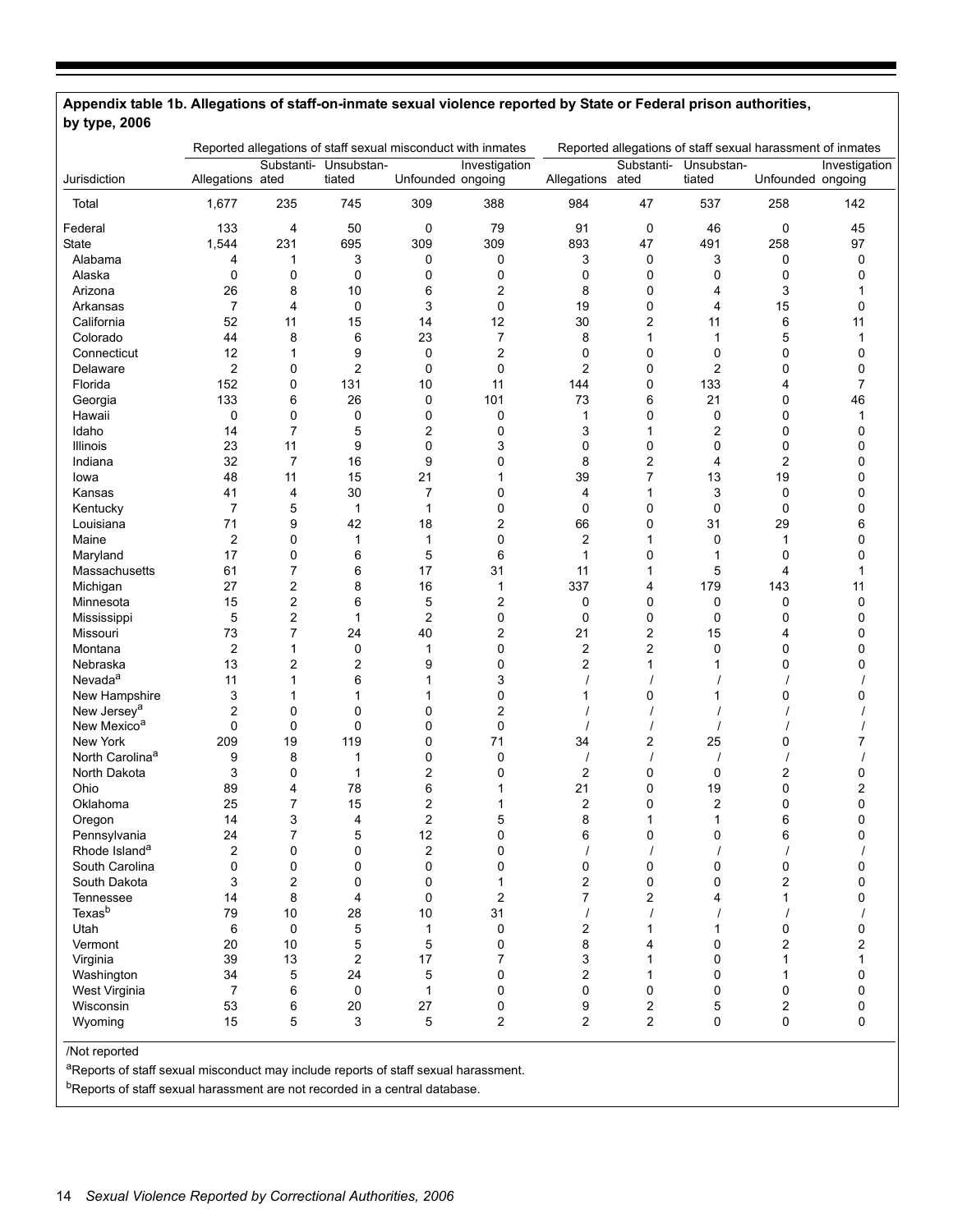|                                         | Reported allegations of staff sexual misconduct with inmates |                         |                         | Reported allegations of staff sexual harassment of inmates |                |                      |                         |                |                   |               |
|-----------------------------------------|--------------------------------------------------------------|-------------------------|-------------------------|------------------------------------------------------------|----------------|----------------------|-------------------------|----------------|-------------------|---------------|
| Jurisdiction                            |                                                              | Substanti-              | Unsubstan-              |                                                            | Investigation  |                      | Substanti-              | Unsubstan-     | Unfounded ongoing | Investigation |
|                                         | Allegations ated                                             |                         | tiated                  | Unfounded ongoing                                          |                | Allegations          | ated                    | tiated         |                   |               |
| Total                                   | 1,677                                                        | 235                     | 745                     | 309                                                        | 388            | 984                  | 47                      | 537            | 258               | 142           |
| Federal                                 | 133                                                          | 4                       | 50                      | 0                                                          | 79             | 91                   | 0                       | 46             | 0                 | 45            |
| State                                   | 1,544                                                        | 231                     | 695                     | 309                                                        | 309            | 893                  | 47                      | 491            | 258               | 97            |
| Alabama                                 | 4                                                            | 1                       | 3                       | 0                                                          | 0              | 3                    | 0                       | 3              | 0                 | 0             |
| Alaska                                  | 0                                                            | 0                       | $\mathbf 0$             | 0                                                          | 0              | 0                    | 0                       | 0              | 0                 | 0             |
| Arizona                                 | 26                                                           | 8                       | 10                      | 6                                                          | 2              | 8                    | 0                       | 4              | 3                 |               |
| Arkansas                                | 7                                                            | 4                       | 0                       | 3                                                          | 0              | 19                   | 0                       | 4              | 15                | 0             |
| California                              | 52                                                           | 11                      | 15                      | 14                                                         | 12             | 30                   | $\overline{c}$          | 11             | 6                 | 11            |
| Colorado                                | 44                                                           | 8                       | 6                       | 23                                                         | 7              | 8                    | $\mathbf{1}$            | 1              | 5                 | 1             |
| Connecticut                             | 12                                                           | 1                       | 9                       | 0                                                          | $\overline{c}$ | 0                    | 0                       | 0              | 0                 | 0             |
| Delaware                                | $\overline{2}$                                               | 0                       | $\overline{c}$          | 0                                                          | 0              | $\overline{2}$       | 0                       | $\overline{c}$ | $\mathbf 0$       | 0             |
| Florida                                 | 152                                                          | 0                       | 131                     | 10                                                         | 11             | 144                  | 0                       | 133            | 4                 | 7             |
| Georgia                                 | 133                                                          | 6                       | 26                      | 0                                                          | 101            | 73                   | 6                       | 21             | 0                 | 46            |
| Hawaii                                  | 0                                                            | 0                       | $\mathbf 0$             | 0                                                          | 0              | 1                    | 0                       | $\mathbf 0$    | 0                 | 1             |
| Idaho                                   | 14                                                           | 7                       | 5                       | 2                                                          | 0              | 3                    | 1                       | 2              | 0                 | 0             |
| Illinois                                | 23                                                           | 11                      | 9                       | 0                                                          | 3              | $\mathbf 0$          | 0                       | 0              | 0                 | 0             |
| Indiana                                 | 32                                                           | 7                       | 16                      | 9                                                          | 0              | 8                    | $\overline{c}$          | 4              | $\overline{2}$    | 0             |
| Iowa                                    | 48                                                           | 11                      | 15                      | 21                                                         | 1              | 39                   | 7                       | 13             | 19                | 0             |
| Kansas                                  | 41                                                           | 4                       | 30                      | $\overline{7}$                                             | 0              | 4                    | 1                       | 3              | 0                 | 0             |
| Kentucky                                | $\overline{7}$                                               | 5                       | $\mathbf{1}$            | $\mathbf 1$                                                | 0              | 0                    | 0                       | $\mathbf 0$    | 0                 | 0             |
| Louisiana                               | 71                                                           | 9                       | 42                      | 18                                                         | 2              | 66                   | 0                       | 31             | 29                | 6             |
| Maine                                   | $\overline{2}$                                               | 0                       | 1                       | $\mathbf 1$                                                | 0              | $\overline{2}$       | 1                       | 0              | 1                 | 0             |
| Maryland                                | 17                                                           | 0                       | 6                       | 5                                                          | 6              | 1                    | 0                       | 1              | 0                 | 0             |
| Massachusetts                           | 61                                                           | 7                       | 6                       | 17                                                         | 31             | 11                   | 1                       | 5              | 4                 | 1             |
| Michigan                                | 27                                                           | $\overline{c}$          | 8                       | 16                                                         | $\mathbf{1}$   | 337                  | 4                       | 179            | 143               | 11            |
| Minnesota                               | 15                                                           | $\overline{\mathbf{c}}$ | 6                       | 5                                                          | 2              | 0                    | 0                       | 0              | 0                 | 0             |
| Mississippi                             | 5                                                            | $\overline{\mathbf{c}}$ | $\mathbf{1}$            | $\overline{2}$                                             | 0              | 0                    | 0                       | 0              | 0                 | 0             |
| Missouri                                | 73                                                           | $\overline{7}$          | 24                      | 40                                                         | 2              | 21                   | $\overline{\mathbf{c}}$ | 15             | 4                 | 0             |
| Montana                                 | $\overline{2}$                                               | $\mathbf{1}$            | 0                       | 1                                                          | 0              | $\overline{2}$       | $\overline{c}$          | 0              | $\mathbf 0$       | 0             |
| Nebraska                                | 13                                                           | 2                       | $\overline{\mathbf{c}}$ | 9                                                          | 0              | 2                    | $\mathbf{1}$            | 1              | 0                 | 0             |
| Nevada <sup>a</sup>                     | 11                                                           | 1                       | 6                       | 1                                                          | 3              |                      |                         |                |                   |               |
| New Hampshire                           | 3                                                            | 1                       | 1                       | 1                                                          | 0              |                      | 0                       | 1              | 0                 | 0             |
| New Jersey <sup>a</sup>                 | 2                                                            | 0                       | 0                       | 0                                                          | 2              |                      |                         |                |                   |               |
| New Mexico <sup>a</sup>                 | 0                                                            | 0                       | 0                       | 0                                                          | 0              |                      |                         |                |                   |               |
|                                         | 209                                                          |                         | 119                     |                                                            | 71             |                      |                         | 25             |                   |               |
| New York<br>North Carolina <sup>a</sup> |                                                              | 19                      |                         | 0<br>0                                                     |                | 34                   | $\overline{c}$          |                | 0                 | 7             |
|                                         | 9                                                            | 8                       | 1                       | $\overline{c}$                                             | 0<br>0         |                      |                         |                |                   | 0             |
| North Dakota                            | 3                                                            | 0                       | 1<br>78                 | 6                                                          |                | $\overline{2}$<br>21 | 0<br>0                  | 0              | 2<br>$\mathbf 0$  |               |
| Ohio                                    | 89<br>25                                                     | 4                       |                         |                                                            | 1              |                      |                         | 19             |                   | 2             |
| Oklahoma                                |                                                              | 7                       | 15                      | 2                                                          | 1              | 2                    | 0                       | 2              | 0                 | 0             |
| Oregon                                  | 14                                                           | 3                       | 4                       | $\overline{c}$                                             | 5              | 8                    | 1                       | 1              | 6                 | 0             |
| Pennsylvania                            | 24                                                           |                         | 5                       | 12                                                         | 0              | 6                    | 0                       | 0              | 6                 |               |
| Rhode Island <sup>a</sup>               | 2                                                            | 0                       | 0                       | $\overline{\mathbf{c}}$                                    | 0              |                      |                         |                |                   |               |
| South Carolina                          | 0                                                            | 0                       | 0                       | 0                                                          | 0              | 0                    | 0                       | 0              | 0                 | 0             |
| South Dakota                            | 3                                                            | $\overline{c}$          | $\mathbf 0$             | 0                                                          | 1              | 2                    | 0                       | 0              | 2                 | 0             |
| Tennessee                               | 14                                                           | 8                       | 4                       | 0                                                          | 2              | $\overline{7}$       | $\overline{2}$          | 4              | 1                 | 0             |
| Texas <sup>b</sup>                      | 79                                                           | 10                      | 28                      | 10                                                         | 31             |                      |                         |                |                   |               |
| Utah                                    | 6                                                            | $\pmb{0}$               | 5                       | $\mathbf{1}$                                               | 0              | 2                    | 1                       | 1              | 0                 | 0             |
| Vermont                                 | 20                                                           | 10                      | 5                       | 5                                                          | 0              | 8                    | 4                       | 0              | 2                 | 2             |
| Virginia                                | 39                                                           | 13                      | $\overline{c}$          | 17                                                         | $\overline{7}$ | 3                    | 1                       | 0              | 1                 |               |
| Washington                              | 34                                                           | 5                       | 24                      | 5                                                          | 0              | $\overline{2}$       | 1                       | $\mathbf 0$    | 1                 | 0             |
| West Virginia                           | $\overline{7}$                                               | 6                       | 0                       | 1                                                          | 0              | $\mathbf 0$          | 0                       | 0              | 0                 | 0             |
| Wisconsin                               | 53                                                           | 6                       | 20                      | 27                                                         | 0              | 9                    | $\overline{c}$          | 5              | $\overline{2}$    | 0             |
| Wyoming                                 | 15                                                           | 5                       | 3                       | 5                                                          | $\overline{c}$ | $\overline{2}$       | $\overline{2}$          | $\mathbf 0$    | 0                 | 0             |
|                                         |                                                              |                         |                         |                                                            |                |                      |                         |                |                   |               |

# **Appendix table 1b. Allegations of staff-on-inmate sexual violence reported by State or Federal prison authorities, by type, 2006**

/Not reported

aReports of staff sexual misconduct may include reports of staff sexual harassment.

bReports of staff sexual harassment are not recorded in a central database.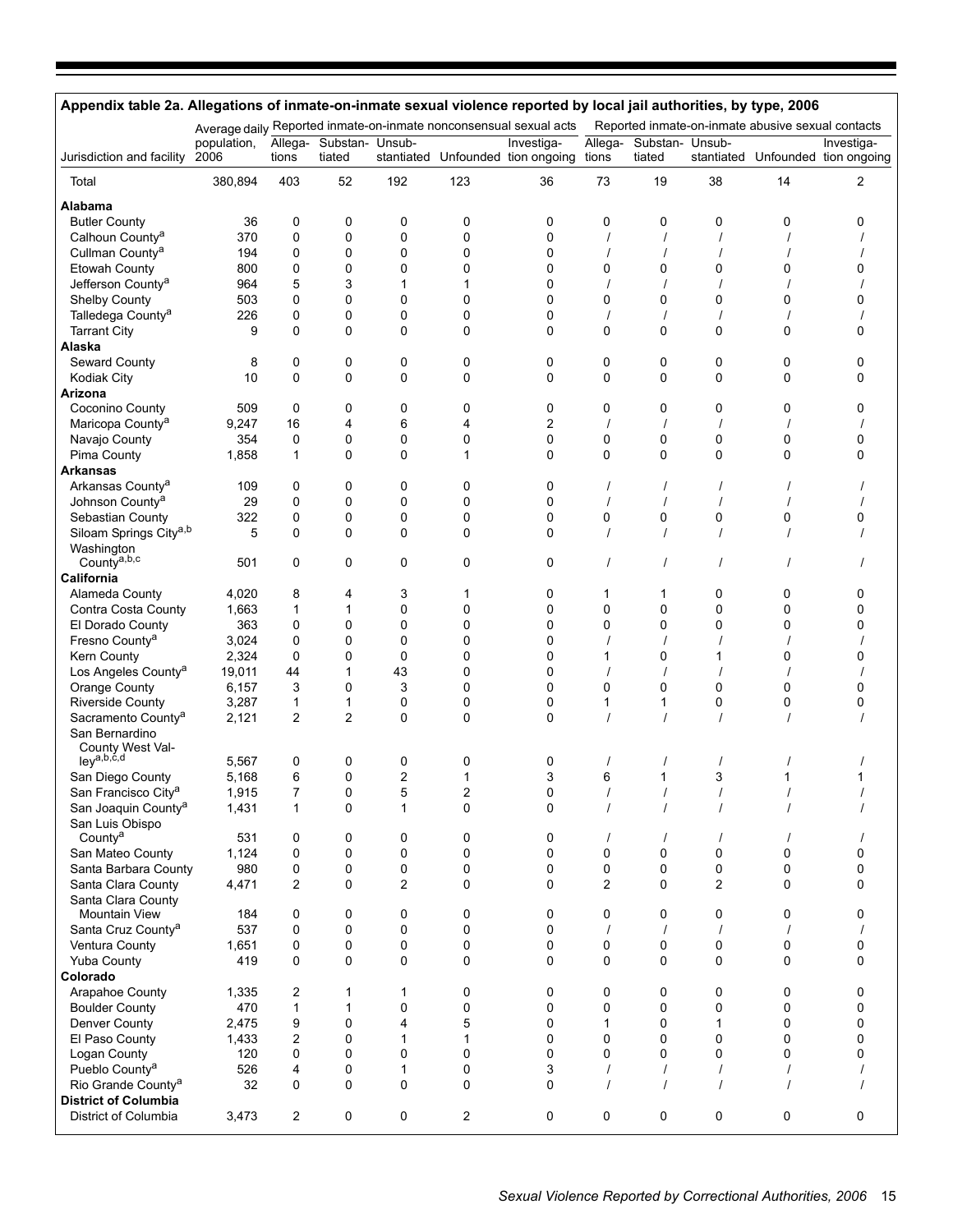| Appendix table 2a. Allegations of inmate-on-inmate sexual violence reported by local jail authorities, by type, 2006 |                     |                  |                           |             |             |                                                                   |                |                           |              |                                                   |                                                 |
|----------------------------------------------------------------------------------------------------------------------|---------------------|------------------|---------------------------|-------------|-------------|-------------------------------------------------------------------|----------------|---------------------------|--------------|---------------------------------------------------|-------------------------------------------------|
|                                                                                                                      |                     |                  |                           |             |             | Average daily Reported inmate-on-inmate nonconsensual sexual acts |                |                           |              | Reported inmate-on-inmate abusive sexual contacts |                                                 |
| Jurisdiction and facility                                                                                            | population,<br>2006 | Allega-<br>tions | Substan- Unsub-<br>tiated | stantiated  |             | Investiga-<br>Unfounded tion ongoing tions                        | Allega-        | Substan- Unsub-<br>tiated |              |                                                   | Investiga-<br>stantiated Unfounded tion ongoing |
| Total                                                                                                                | 380,894             | 403              | 52                        | 192         | 123         | 36                                                                | 73             | 19                        | 38           | 14                                                | 2                                               |
| Alabama                                                                                                              |                     |                  |                           |             |             |                                                                   |                |                           |              |                                                   |                                                 |
| <b>Butler County</b>                                                                                                 | 36                  | 0                | 0                         | 0           | 0           | 0                                                                 | 0              | 0                         | 0            | 0                                                 | 0                                               |
| Calhoun County <sup>a</sup>                                                                                          | 370                 | 0                | 0                         | 0           | 0           | $\mathbf 0$                                                       |                |                           |              |                                                   |                                                 |
| Cullman County <sup>a</sup>                                                                                          | 194                 | 0                | 0                         | 0           | 0           | 0                                                                 |                |                           |              |                                                   |                                                 |
| <b>Etowah County</b>                                                                                                 | 800                 | 0                | 0                         | 0           | 0           | 0                                                                 | 0              | 0                         | 0            | $\mathbf 0$                                       | 0                                               |
| Jefferson County <sup>a</sup>                                                                                        | 964                 | 5                | 3                         | 1           | 1           | 0                                                                 |                |                           |              |                                                   |                                                 |
| Shelby County                                                                                                        | 503                 | 0                | 0                         | 0           | 0           | 0                                                                 | 0              | 0                         | 0            | 0                                                 | 0                                               |
| Talledega County <sup>a</sup>                                                                                        | 226                 | 0                | 0                         | 0           | 0           | 0                                                                 |                |                           |              |                                                   |                                                 |
| <b>Tarrant City</b>                                                                                                  | 9                   | $\Omega$         | 0                         | 0           | $\Omega$    | 0                                                                 | $\Omega$       | 0                         | 0            | $\Omega$                                          | 0                                               |
| Alaska                                                                                                               |                     |                  |                           |             |             |                                                                   |                |                           |              |                                                   |                                                 |
| Seward County                                                                                                        | 8                   | $\mathbf 0$      | 0                         | 0           | 0           | 0                                                                 | 0              | 0                         | 0            | 0                                                 | 0                                               |
| Kodiak City                                                                                                          | 10                  | $\Omega$         | $\mathbf 0$               | 0           | 0           | 0                                                                 | 0              | 0                         | 0            | 0                                                 | 0                                               |
| Arizona                                                                                                              |                     |                  |                           |             |             |                                                                   |                |                           |              |                                                   |                                                 |
| Coconino County                                                                                                      | 509                 | 0                | 0                         | 0           | 0           | 0                                                                 | 0              | 0                         | 0            | 0                                                 | 0                                               |
| Maricopa County <sup>a</sup>                                                                                         | 9,247               | 16               | 4                         | 6           | 4           | 2                                                                 |                |                           |              |                                                   |                                                 |
| Navajo County                                                                                                        | 354                 | 0                | 0                         | 0           | 0           | 0                                                                 | 0              | 0                         | 0            | 0                                                 | 0                                               |
| Pima County                                                                                                          | 1,858               | $\mathbf 1$      | $\mathbf 0$               | 0           | 1           | $\mathbf 0$                                                       | 0              | 0                         | 0            | 0                                                 | 0                                               |
| Arkansas                                                                                                             |                     |                  |                           |             |             |                                                                   |                |                           |              |                                                   |                                                 |
| Arkansas County <sup>a</sup>                                                                                         | 109                 | 0                | 0                         | 0           | 0           | 0                                                                 |                |                           |              |                                                   |                                                 |
| Johnson County <sup>a</sup>                                                                                          | 29                  | 0                | 0                         | 0           | 0           | 0                                                                 |                |                           |              |                                                   |                                                 |
| Sebastian County                                                                                                     | 322                 | 0                | 0                         | 0           | 0           | 0                                                                 | 0              | 0                         | 0            | 0                                                 | 0                                               |
| Siloam Springs City <sup>a,b</sup>                                                                                   | 5                   | 0                | $\mathbf 0$               | 0           | 0           | 0                                                                 |                |                           |              |                                                   |                                                 |
| Washington                                                                                                           |                     |                  |                           |             |             |                                                                   |                |                           |              |                                                   |                                                 |
| County <sup>a,b,c</sup>                                                                                              | 501                 | 0                | 0                         | 0           | 0           | 0                                                                 | $\prime$       | $\prime$                  | $\prime$     | $\prime$                                          |                                                 |
| California                                                                                                           |                     |                  |                           |             |             |                                                                   |                |                           |              |                                                   |                                                 |
| Alameda County                                                                                                       | 4,020               | 8                | 4                         | 3           | 1           | 0                                                                 | 1              | 1                         | 0            | 0                                                 | 0                                               |
| Contra Costa County                                                                                                  | 1,663               | 1                | $\mathbf{1}$              | 0           | 0           | 0                                                                 | 0              | 0                         | 0            | 0                                                 | 0                                               |
| El Dorado County                                                                                                     | 363                 | 0                | 0                         | 0           | 0           | 0                                                                 | 0              | 0                         | 0            | 0                                                 | 0                                               |
| Fresno County <sup>a</sup>                                                                                           | 3,024               | 0                | 0                         | 0           | 0           | 0                                                                 |                |                           |              |                                                   |                                                 |
| Kern County                                                                                                          | 2,324               | $\mathbf 0$      | 0                         | 0           | 0           | $\mathbf 0$                                                       | 1              | 0                         | 1            | 0                                                 | 0                                               |
| Los Angeles County <sup>a</sup>                                                                                      | 19,011              | 44               | 1                         | 43          | 0           | 0                                                                 |                |                           |              |                                                   |                                                 |
| Orange County                                                                                                        | 6,157               | 3                | 0                         | 3           | 0           | 0                                                                 | 0              | 0                         | 0            | $\mathbf 0$                                       | 0                                               |
| <b>Riverside County</b>                                                                                              | 3,287               | 1                | 1                         | 0           | 0           | 0                                                                 | 1              | 1                         | 0            | 0                                                 | 0                                               |
| Sacramento County <sup>a</sup>                                                                                       | 2,121               | $\overline{2}$   | 2                         | 0           | 0           | 0                                                                 |                |                           |              |                                                   |                                                 |
| San Bernardino<br>County West Val-                                                                                   |                     |                  |                           |             |             |                                                                   |                |                           |              |                                                   |                                                 |
| ley <sup>a,b,c,d</sup>                                                                                               | 5,567               | 0                | 0                         | 0           | 0           | 0                                                                 |                |                           |              |                                                   |                                                 |
| San Diego County                                                                                                     | 5,168               | 6                | 0                         | 2           | 1           | 3                                                                 | 6              | 1                         | 3            | 1                                                 |                                                 |
| San Francisco City <sup>a</sup>                                                                                      | 1,915               | 7                | 0                         | 5           | 2           | 0                                                                 |                |                           |              |                                                   |                                                 |
| San Joaquin County <sup>a</sup>                                                                                      | 1,431               | $\mathbf{1}$     | 0                         | 1           | 0           | 0                                                                 |                |                           |              |                                                   |                                                 |
| San Luis Obispo                                                                                                      |                     |                  |                           |             |             |                                                                   |                |                           |              |                                                   |                                                 |
| County <sup>a</sup>                                                                                                  | 531                 | 0                | 0                         | 0           | 0           | 0                                                                 | $\prime$       | $\prime$                  |              |                                                   |                                                 |
| San Mateo County                                                                                                     | 1,124               | $\mathbf 0$      | 0                         | 0           | $\Omega$    | 0                                                                 | 0              | 0                         | 0            | 0                                                 | 0                                               |
| Santa Barbara County                                                                                                 | 980                 | 0                | $\pmb{0}$                 | $\pmb{0}$   | 0           | 0                                                                 | 0              | 0                         | $\pmb{0}$    | 0                                                 | 0                                               |
| Santa Clara County                                                                                                   | 4,471               | 2                | 0                         | 2           | 0           | 0                                                                 | $\overline{2}$ | 0                         | 2            | 0                                                 | 0                                               |
| Santa Clara County                                                                                                   |                     |                  |                           |             |             |                                                                   |                |                           |              |                                                   |                                                 |
| Mountain View                                                                                                        | 184                 | 0                | 0                         | 0           | 0           | 0                                                                 | 0              | 0                         | 0            | 0                                                 | 0                                               |
| Santa Cruz County <sup>a</sup>                                                                                       | 537                 | $\mathbf 0$      | $\pmb{0}$                 | 0           | 0           | 0                                                                 | $\prime$       | $\prime$                  |              |                                                   |                                                 |
| Ventura County                                                                                                       | 1,651               | $\mathbf 0$      | 0                         | 0           | 0           | 0                                                                 | 0              | 0                         | 0            | 0                                                 | 0                                               |
| Yuba County                                                                                                          | 419                 | $\Omega$         | 0                         | 0           | 0           | 0                                                                 | 0              | 0                         | 0            | 0                                                 | 0                                               |
| Colorado                                                                                                             |                     |                  |                           |             |             |                                                                   |                |                           |              |                                                   |                                                 |
| Arapahoe County                                                                                                      | 1,335               | 2                | 1                         | 1           | 0           | 0                                                                 | 0              | 0                         | 0            | 0                                                 | 0                                               |
| <b>Boulder County</b>                                                                                                | 470                 | $\mathbf{1}$     | 1                         | 0           | 0           | 0                                                                 | 0              | 0                         | 0            | 0                                                 | 0                                               |
| Denver County                                                                                                        | 2,475               | 9                | 0                         | 4           | 5           | 0                                                                 | 1              | 0                         | $\mathbf{1}$ | 0                                                 | 0                                               |
| El Paso County                                                                                                       | 1,433               | $\overline{2}$   | 0                         | 1           | $\mathbf 1$ | $\mathbf 0$                                                       | 0              | 0                         | $\mathbf 0$  | 0                                                 | 0                                               |
| Logan County                                                                                                         | 120                 | 0                | $\mathbf 0$               | 0           | 0           | 0                                                                 | 0              | 0                         | 0            | 0                                                 | 0                                               |
| Pueblo County <sup>a</sup>                                                                                           | 526                 | 4                | 0                         | 1           | 0           | 3                                                                 |                | $\prime$                  |              |                                                   |                                                 |
| Rio Grande County <sup>a</sup>                                                                                       | 32                  | $\Omega$         | $\mathbf 0$               | $\mathbf 0$ | $\Omega$    | 0                                                                 |                | $\prime$                  |              |                                                   |                                                 |
| <b>District of Columbia</b>                                                                                          |                     |                  |                           |             |             |                                                                   |                |                           |              |                                                   |                                                 |
| District of Columbia                                                                                                 | 3,473               | $\overline{2}$   | 0                         | 0           | 2           | 0                                                                 | 0              | 0                         | 0            | 0                                                 | 0                                               |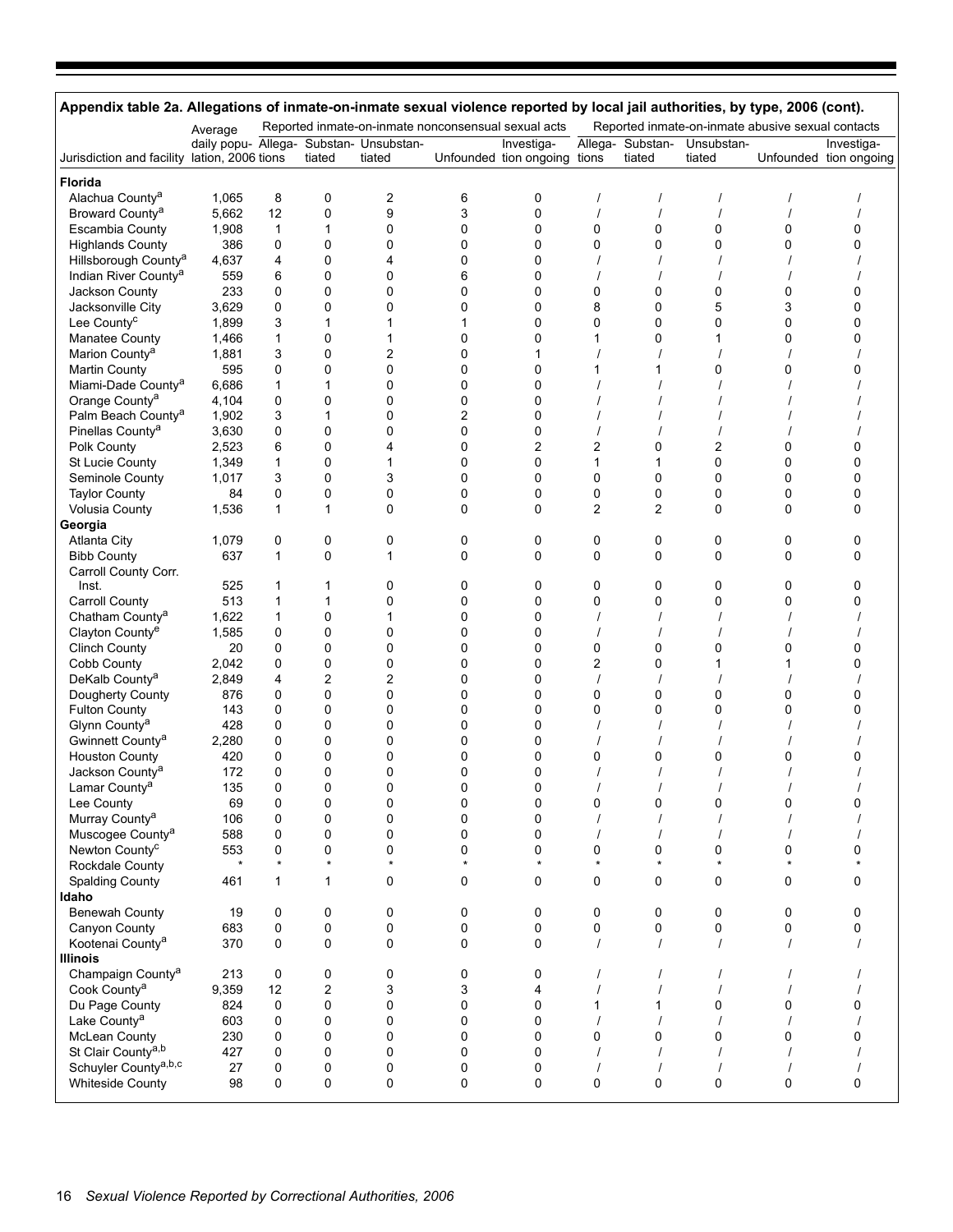| Appendix table 2a. Allegations of inmate-on-inmate sexual violence reported by local jail authorities, by type, 2006 (cont). |              |              |                         |                                                     |               |                              |                     |                |                                                   |          |                        |
|------------------------------------------------------------------------------------------------------------------------------|--------------|--------------|-------------------------|-----------------------------------------------------|---------------|------------------------------|---------------------|----------------|---------------------------------------------------|----------|------------------------|
|                                                                                                                              | Average      |              |                         | Reported inmate-on-inmate nonconsensual sexual acts |               |                              |                     |                | Reported inmate-on-inmate abusive sexual contacts |          |                        |
|                                                                                                                              |              |              |                         | daily popu- Allega- Substan- Unsubstan-             |               | Investiga-                   | Allega-             | Substan-       | Unsubstan-                                        |          | Investiga-             |
| Jurisdiction and facility lation, 2006 tions                                                                                 |              |              | tiated                  | tiated                                              |               | Unfounded tion ongoing tions |                     | tiated         | tiated                                            |          | Unfounded tion ongoing |
| Florida                                                                                                                      |              |              |                         |                                                     |               |                              |                     |                |                                                   |          |                        |
| Alachua County <sup>a</sup>                                                                                                  | 1,065        | 8            | 0                       | $\overline{\mathbf{c}}$                             | 6             | 0                            |                     |                |                                                   |          |                        |
| Broward County <sup>a</sup>                                                                                                  | 5,662        | 12           | 0                       | 9                                                   | 3             | 0                            |                     | $\prime$       |                                                   |          |                        |
| <b>Escambia County</b>                                                                                                       | 1,908        | $\mathbf 1$  | $\mathbf{1}$            | $\mathbf 0$                                         | 0             | 0                            | 0                   | 0              | 0                                                 | 0        | 0                      |
| <b>Highlands County</b>                                                                                                      | 386          | 0            | 0                       | 0                                                   | 0             | 0                            | 0                   | 0              | 0                                                 | 0        | 0                      |
| Hillsborough County <sup>a</sup>                                                                                             | 4,637        | 4            | 0                       | $\overline{4}$                                      | $\Omega$      | 0                            |                     |                |                                                   |          |                        |
| Indian River County <sup>a</sup>                                                                                             | 559          | 6            | 0                       | $\mathbf 0$                                         | 6             | 0                            |                     |                |                                                   |          |                        |
| Jackson County<br>Jacksonville City                                                                                          | 233<br>3,629 | 0<br>0       | 0<br>0                  | 0<br>0                                              | 0<br>0        | 0<br>0                       | 0<br>8              | 0<br>0         | 0<br>5                                            | 0<br>3   | 0<br>0                 |
| Lee County <sup>c</sup>                                                                                                      | 1,899        | 3            | $\mathbf{1}$            | 1                                                   | 1             | 0                            | 0                   | 0              | 0                                                 | 0        | $\mathbf{0}$           |
| Manatee County                                                                                                               | 1,466        | $\mathbf{1}$ | 0                       | 1                                                   | 0             | 0                            | 1                   | 0              | 1                                                 | 0        | 0                      |
| Marion County <sup>a</sup>                                                                                                   | 1,881        | 3            | 0                       | $\overline{2}$                                      | $\Omega$      | 1                            |                     |                |                                                   |          |                        |
| <b>Martin County</b>                                                                                                         | 595          | 0            | 0                       | $\mathbf 0$                                         | 0             | 0                            | 1                   | 1              | 0                                                 | 0        | n                      |
| Miami-Dade County <sup>a</sup>                                                                                               | 6,686        | $\mathbf{1}$ | $\mathbf{1}$            | 0                                                   | 0             | 0                            |                     |                |                                                   |          |                        |
| Orange County <sup>a</sup>                                                                                                   | 4,104        | 0            | 0                       | 0                                                   | 0             | 0                            |                     |                |                                                   |          |                        |
| Palm Beach County <sup>a</sup>                                                                                               | 1,902        | 3            | $\mathbf{1}$            | $\mathbf 0$                                         | 2             | 0                            |                     |                |                                                   |          |                        |
| Pinellas County <sup>a</sup>                                                                                                 | 3,630        | 0            | 0                       | 0                                                   | $\mathbf 0$   | 0                            |                     |                |                                                   |          |                        |
| Polk County                                                                                                                  | 2,523        | 6            | 0                       | 4                                                   | 0             | 2                            | 2                   | 0              | $\overline{c}$                                    | 0        | 0                      |
| St Lucie County                                                                                                              | 1,349        | $\mathbf{1}$ | 0                       | $\mathbf{1}$                                        | 0             | 0                            | 1                   | 1              | 0                                                 | 0        | $\mathbf{0}$           |
| Seminole County                                                                                                              | 1,017        | 3            | 0                       | 3                                                   | $\mathbf 0$   | 0                            | 0                   | 0              | 0                                                 | 0        | 0                      |
| <b>Taylor County</b>                                                                                                         | 84           | 0            | 0                       | 0                                                   | 0             | 0                            | 0                   | 0              | 0                                                 | 0        | 0                      |
| Volusia County                                                                                                               | 1,536        | $\mathbf{1}$ | $\mathbf{1}$            | $\mathbf 0$                                         | $\Omega$      | 0                            | $\overline{c}$      | $\overline{2}$ | 0                                                 | 0        | $\Omega$               |
| Georgia                                                                                                                      |              |              |                         |                                                     |               |                              |                     |                |                                                   |          |                        |
| <b>Atlanta City</b>                                                                                                          | 1,079        | 0            | 0                       | 0                                                   | 0             | 0                            | 0                   | 0              | 0                                                 | 0        | 0                      |
| <b>Bibb County</b>                                                                                                           | 637          | $\mathbf{1}$ | 0                       | $\mathbf{1}$                                        | 0             | 0                            | 0                   | $\mathbf 0$    | 0                                                 | 0        | $\Omega$               |
| Carroll County Corr.                                                                                                         |              |              |                         |                                                     |               |                              |                     |                |                                                   |          |                        |
| Inst.                                                                                                                        | 525          | 1            | 1                       | 0                                                   | 0             | 0                            | 0                   | 0              | 0                                                 | 0        | 0                      |
| <b>Carroll County</b>                                                                                                        | 513          | $\mathbf{1}$ | 1                       | 0                                                   | 0             | 0                            | 0                   | 0              | 0                                                 | 0        | $\Omega$               |
| Chatham County <sup>a</sup>                                                                                                  | 1,622        | $\mathbf{1}$ | 0                       | 1                                                   | $\mathbf 0$   | 0                            |                     | $\prime$       |                                                   |          |                        |
| Clayton County <sup>e</sup>                                                                                                  | 1,585        | 0            | 0                       | $\mathbf 0$<br>0                                    | $\Omega$<br>0 | 0<br>0                       |                     |                | 0                                                 |          | 0                      |
| <b>Clinch County</b><br>Cobb County                                                                                          | 20<br>2,042  | 0<br>0       | 0<br>0                  | $\mathbf 0$                                         | $\mathbf 0$   | 0                            | 0<br>$\overline{c}$ | 0<br>0         | 1                                                 | 0<br>1   | $\mathbf{0}$           |
| DeKalb County <sup>a</sup>                                                                                                   | 2,849        | 4            | $\overline{\mathbf{c}}$ | $\overline{\mathbf{c}}$                             | 0             | 0                            |                     |                |                                                   |          |                        |
| Dougherty County                                                                                                             | 876          | 0            | 0                       | 0                                                   | 0             | 0                            | 0                   | 0              | 0                                                 | 0        | 0                      |
| <b>Fulton County</b>                                                                                                         | 143          | 0            | 0                       | $\mathbf 0$                                         | $\mathbf 0$   | 0                            | 0                   | 0              | 0                                                 | 0        | $\Omega$               |
| Glynn County <sup>a</sup>                                                                                                    | 428          | 0            | 0                       | $\mathbf 0$                                         | $\Omega$      | 0                            |                     |                |                                                   |          |                        |
| Gwinnett County <sup>a</sup>                                                                                                 | 2,280        | 0            | 0                       | 0                                                   | 0             | 0                            |                     |                |                                                   |          |                        |
| <b>Houston County</b>                                                                                                        | 420          | 0            | 0                       | $\mathbf 0$                                         | 0             | 0                            | 0                   | 0              | 0                                                 | 0        | 0                      |
| Jackson County <sup>a</sup>                                                                                                  | 172          | 0            | 0                       | $\mathbf 0$                                         | $\Omega$      | 0                            |                     |                |                                                   |          |                        |
| Lamar County <sup>a</sup>                                                                                                    | 135          | 0            | 0                       | 0                                                   | υ             | 0                            |                     |                |                                                   |          |                        |
| Lee County                                                                                                                   | 69           | 0            | 0                       | $\pmb{0}$                                           | 0             | 0                            | 0                   | 0              | 0                                                 | 0        | 0                      |
| Murray County <sup>a</sup>                                                                                                   | 106          | 0            | 0                       | 0                                                   | 0             | 0                            |                     |                |                                                   |          |                        |
| Muscogee County <sup>a</sup>                                                                                                 | 588          | 0            | 0                       | 0                                                   | 0             | 0                            |                     |                |                                                   |          |                        |
| Newton County <sup>c</sup>                                                                                                   | 553          | 0            | 0                       | 0                                                   | $\mathbf 0$   | 0                            | 0                   | 0              | 0                                                 | 0        | $\mathbf{0}$           |
| Rockdale County                                                                                                              | $\star$      | $\star$      | $\star$                 |                                                     |               | $\star$                      | $\star$             | $\star$        |                                                   | $\star$  |                        |
| Spalding County                                                                                                              | 461          | 1            | 1                       | 0                                                   | 0             | 0                            | 0                   | 0              | 0                                                 | 0        | 0                      |
| Idaho                                                                                                                        |              |              |                         |                                                     |               |                              |                     |                |                                                   |          |                        |
| <b>Benewah County</b>                                                                                                        | 19           | 0            | 0                       | 0                                                   | 0             | 0                            | 0                   | 0              | 0                                                 | 0        | 0                      |
| Canyon County                                                                                                                | 683          | 0            | 0                       | $\pmb{0}$                                           | 0             | 0                            | 0                   | 0              | 0                                                 | 0        | 0                      |
| Kootenai County <sup>a</sup>                                                                                                 | 370          | 0            | 0                       | 0                                                   | $\pmb{0}$     | 0                            | $\prime$            | $\prime$       |                                                   | $\prime$ |                        |
| <b>Illinois</b>                                                                                                              |              |              |                         |                                                     |               |                              |                     |                |                                                   |          |                        |
| Champaign County <sup>a</sup>                                                                                                | 213          | 0            | 0                       | 0                                                   | 0             | 0                            |                     | $\prime$       |                                                   |          |                        |
| Cook County <sup>a</sup>                                                                                                     | 9,359        | 12           | $\overline{c}$          | 3                                                   | 3             | 4                            |                     | $\prime$       |                                                   |          |                        |
| Du Page County                                                                                                               | 824          | 0            | 0                       | $\mathbf 0$                                         | 0             | 0                            | 1                   | 1              | 0                                                 | 0        | 0                      |
| Lake County <sup>a</sup>                                                                                                     | 603          | 0            | 0                       | 0                                                   | 0             | 0                            |                     | $\prime$       |                                                   |          |                        |
| McLean County                                                                                                                | 230          | 0            | 0                       | 0                                                   | $\mathbf 0$   | 0                            | 0                   | 0              | 0                                                 | 0        | $\mathbf{0}$           |
| St Clair County <sup>a,b</sup><br>Schuyler County <sup>a,b,c</sup>                                                           | 427          | 0<br>0       | 0                       | $\mathbf 0$                                         | $\mathbf 0$   | 0<br>0                       |                     | $\prime$       |                                                   |          |                        |
| <b>Whiteside County</b>                                                                                                      | 27<br>98     | 0            | 0<br>0                  | 0<br>0                                              | 0<br>0        | 0                            | 0                   | $\mathbf 0$    | 0                                                 | 0        | $\pmb{0}$              |
|                                                                                                                              |              |              |                         |                                                     |               |                              |                     |                |                                                   |          |                        |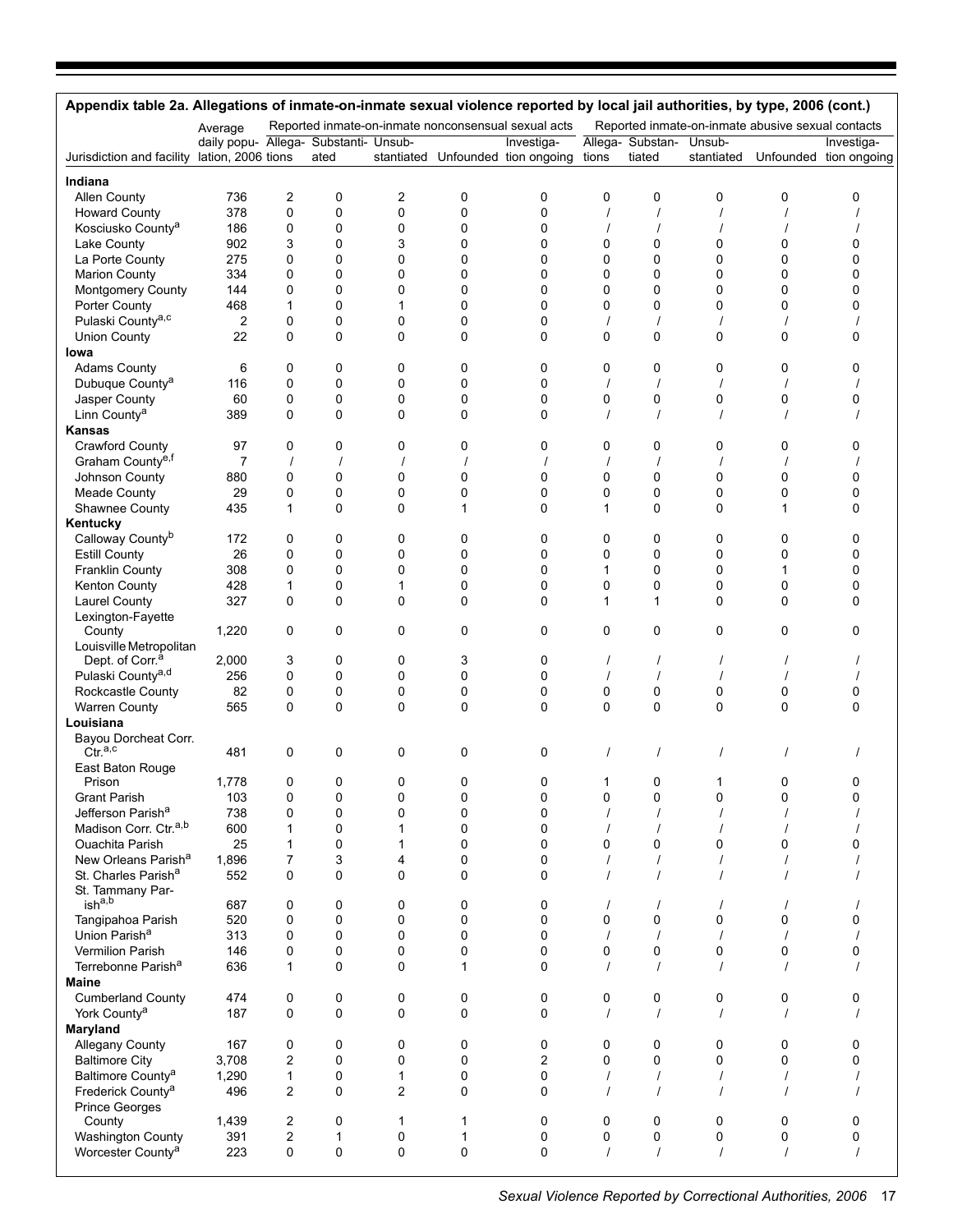|                                                        | Average                               |                         |                  |             |              | Reported inmate-on-inmate nonconsensual sexual acts |               |                            |               | Reported inmate-on-inmate abusive sexual contacts |                                                 |
|--------------------------------------------------------|---------------------------------------|-------------------------|------------------|-------------|--------------|-----------------------------------------------------|---------------|----------------------------|---------------|---------------------------------------------------|-------------------------------------------------|
| Jurisdiction and facility lation, 2006 tions           | daily popu- Allega- Substanti- Unsub- |                         | ated             |             |              | Investiga-<br>stantiated Unfounded tion ongoing     | tions         | Allega- Substan-<br>tiated | Unsub-        |                                                   | Investiga-<br>stantiated Unfounded tion ongoing |
|                                                        |                                       |                         |                  |             |              |                                                     |               |                            |               |                                                   |                                                 |
| Indiana                                                |                                       |                         |                  |             |              |                                                     |               |                            |               |                                                   |                                                 |
| Allen County<br><b>Howard County</b>                   | 736<br>378                            | 2<br>0                  | 0<br>$\mathbf 0$ | 2<br>0      | 0<br>0       | 0<br>$\mathbf 0$                                    | 0<br>$\prime$ | 0<br>$\prime$              | 0<br>$\prime$ | 0                                                 | 0                                               |
| Kosciusko County <sup>a</sup>                          | 186                                   | 0                       | 0                | 0           | 0            | 0                                                   |               |                            |               |                                                   |                                                 |
| Lake County                                            | 902                                   | 3                       | 0                | 3           | 0            | 0                                                   | 0             | 0                          | 0             | 0                                                 | 0                                               |
| La Porte County                                        | 275                                   | 0                       | 0                | 0           | 0            | 0                                                   | 0             | 0                          | 0             | 0                                                 | 0                                               |
| <b>Marion County</b>                                   | 334                                   | 0                       | 0                | 0           | 0            | 0                                                   | 0             | 0                          | 0             | 0                                                 | $\Omega$                                        |
| Montgomery County                                      | 144                                   | 0                       | 0                | 0           | 0            | 0                                                   | 0             | 0                          | 0             | 0                                                 | 0                                               |
| Porter County                                          | 468                                   | $\mathbf{1}$            | $\mathbf 0$      | 1           | 0            | 0                                                   | 0             | $\mathbf 0$                | 0             | 0                                                 | 0                                               |
| Pulaski County <sup>a,c</sup>                          | 2                                     | 0                       | 0                | 0           | 0            | 0                                                   |               |                            |               |                                                   |                                                 |
| <b>Union County</b>                                    | 22                                    | 0                       | $\mathbf 0$      | 0           | 0            | $\mathbf 0$                                         | 0             | $\mathbf 0$                | 0             | 0                                                 | 0                                               |
| lowa                                                   |                                       |                         |                  |             |              |                                                     |               |                            |               |                                                   |                                                 |
| <b>Adams County</b>                                    | 6                                     | 0                       | 0                | 0           | 0            | $\mathbf 0$                                         | 0             | $\mathbf 0$                | 0             | 0                                                 | $\Omega$                                        |
| Dubuque County <sup>a</sup>                            | 116                                   | 0                       | 0                | 0           | 0            | 0                                                   | $\prime$      | $\prime$                   | $\prime$      |                                                   |                                                 |
| Jasper County                                          | 60                                    | 0                       | 0                | 0           | 0            | 0                                                   | 0             | 0                          | 0             | 0                                                 | 0                                               |
| Linn County <sup>a</sup>                               | 389                                   | 0                       | 0                | $\Omega$    | $\Omega$     | $\Omega$                                            |               |                            |               |                                                   |                                                 |
| <b>Kansas</b>                                          |                                       |                         |                  |             |              |                                                     |               |                            |               |                                                   |                                                 |
| <b>Crawford County</b>                                 | 97                                    | 0                       | 0                | 0           | 0            | 0                                                   | 0             | 0                          | 0             | 0                                                 | 0                                               |
| Graham County <sup>e,f</sup>                           | 7                                     |                         |                  |             |              |                                                     |               |                            |               |                                                   |                                                 |
| Johnson County                                         | 880                                   | 0                       | 0                | 0           | 0            | 0                                                   | 0             | 0                          | 0             | 0                                                 | 0                                               |
| <b>Meade County</b>                                    | 29                                    | 0                       | $\mathbf 0$      | 0           | 0            | 0                                                   | 0             | 0                          | 0             | 0                                                 | 0                                               |
| Shawnee County                                         | 435                                   | 1                       | $\Omega$         | $\Omega$    | 1            | $\Omega$                                            | 1             | $\Omega$                   | 0             | 1                                                 | $\Omega$                                        |
| Kentucky                                               |                                       |                         |                  |             |              |                                                     |               |                            |               |                                                   |                                                 |
| Calloway Countyb                                       | 172                                   | 0                       | 0                | 0           | 0            | 0                                                   | 0             | 0                          | 0             | 0                                                 | 0                                               |
| <b>Estill County</b>                                   | 26                                    | 0                       | $\mathbf 0$      | 0           | 0            | $\mathbf 0$                                         | 0             | $\mathbf 0$                | 0             | 0                                                 | 0                                               |
| Franklin County                                        | 308                                   | 0                       | 0                | 0           | 0            | 0                                                   | 1             | $\mathbf 0$                | 0             | 1                                                 | 0                                               |
| Kenton County                                          | 428                                   | $\mathbf{1}$            | $\mathbf 0$      | 1           | 0            | 0                                                   | 0             | $\mathbf 0$                | 0             | 0                                                 | $\Omega$                                        |
| Laurel County                                          | 327                                   | 0                       | $\mathbf{0}$     | $\Omega$    | $\Omega$     | $\Omega$                                            | 1             | 1                          | 0             | 0                                                 | $\Omega$                                        |
| Lexington-Fayette                                      |                                       |                         |                  |             |              |                                                     |               |                            |               |                                                   |                                                 |
| County                                                 | 1,220                                 | 0                       | 0                | 0           | 0            | 0                                                   | 0             | $\mathbf 0$                | 0             | 0                                                 | 0                                               |
| Louisville Metropolitan<br>Dept. of Corr. <sup>a</sup> | 2,000                                 | 3                       | 0                | 0           | 3            | 0                                                   | $\prime$      |                            |               |                                                   |                                                 |
| Pulaski County <sup>a,d</sup>                          | 256                                   | 0                       | $\mathbf 0$      | 0           | 0            | $\mathbf 0$                                         |               |                            |               |                                                   |                                                 |
| Rockcastle County                                      | 82                                    | 0                       | 0                | 0           | 0            | 0                                                   | 0             | 0                          | 0             | 0                                                 | 0                                               |
| <b>Warren County</b>                                   | 565                                   | 0                       | 0                | $\Omega$    | $\mathbf{0}$ | 0                                                   | $\Omega$      | $\mathbf 0$                | 0             | 0                                                 | 0                                               |
| Louisiana                                              |                                       |                         |                  |             |              |                                                     |               |                            |               |                                                   |                                                 |
| Bayou Dorcheat Corr.                                   |                                       |                         |                  |             |              |                                                     |               |                            |               |                                                   |                                                 |
| $\text{Ctr.}^{\mathsf{a},\mathsf{c}}$                  | 481                                   | 0                       | 0                | 0           | 0            | 0                                                   |               |                            |               |                                                   |                                                 |
| East Baton Rouge                                       |                                       |                         |                  |             |              |                                                     |               |                            |               |                                                   |                                                 |
| Prison                                                 | 1,778                                 |                         |                  | 0           |              |                                                     |               |                            |               |                                                   |                                                 |
| <b>Grant Parish</b>                                    | 103                                   | 0                       | 0                | 0           | 0            | 0                                                   | 0             | 0                          | 0             | 0                                                 | 0                                               |
| Jefferson Parish <sup>a</sup>                          | 738                                   | 0                       | 0                | 0           | 0            | 0                                                   |               |                            |               |                                                   |                                                 |
| Madison Corr. Ctr. <sup>a,b</sup>                      | 600                                   | 1                       | 0                | 1           | 0            | 0                                                   |               |                            |               |                                                   |                                                 |
| <b>Ouachita Parish</b>                                 | 25                                    | 1                       | 0                | 1           | 0            | $\Omega$                                            | 0             | 0                          | 0             | 0                                                 | n                                               |
| New Orleans Parish <sup>a</sup>                        | 1,896                                 | $\overline{7}$          | 3                | 4           | 0            | 0                                                   |               | $\prime$                   |               |                                                   |                                                 |
| St. Charles Parish <sup>a</sup>                        | 552                                   | 0                       | 0                | 0           | 0            | $\mathbf 0$                                         |               |                            |               |                                                   |                                                 |
| St. Tammany Par-                                       |                                       |                         |                  |             |              |                                                     |               |                            |               |                                                   |                                                 |
| ish <sup>a,b</sup>                                     | 687                                   | 0                       | 0                | 0           | 0            | 0                                                   |               |                            |               |                                                   |                                                 |
| Tangipahoa Parish                                      | 520                                   | 0                       | 0                | 0           | 0            | $\mathbf 0$                                         | 0             | $\mathbf 0$                | 0             | 0                                                 | 0                                               |
| Union Parish <sup>a</sup>                              | 313                                   | 0                       | 0                | $\mathbf 0$ | 0            | $\mathbf 0$                                         | $\prime$      | $\prime$                   |               |                                                   |                                                 |
| Vermilion Parish                                       | 146                                   | 0                       | 0                | 0           | 0            | 0                                                   | 0             | 0                          | 0             | 0                                                 | 0                                               |
| Terrebonne Parish <sup>a</sup>                         | 636                                   | 1                       | 0                | 0           | 1            | $\Omega$                                            |               |                            |               |                                                   |                                                 |
| Maine                                                  |                                       |                         |                  |             |              |                                                     |               |                            |               |                                                   |                                                 |
| <b>Cumberland County</b>                               | 474                                   | 0                       | 0                | 0           | 0            | 0                                                   | 0             | 0                          | 0             | 0                                                 | 0                                               |
| York County <sup>a</sup>                               | 187                                   | 0                       | 0                | 0           | 0            | $\mathbf 0$                                         |               |                            |               |                                                   |                                                 |
| Maryland                                               |                                       |                         |                  |             |              |                                                     |               |                            |               |                                                   |                                                 |
| <b>Allegany County</b>                                 | 167                                   | 0                       | 0                | 0           | 0            | 0                                                   | 0             | 0                          | 0             | 0                                                 | 0                                               |
| <b>Baltimore City</b>                                  | 3,708                                 | $\overline{c}$          | 0                | 0           | 0            | 2                                                   | 0             | 0                          | 0             | 0                                                 | 0                                               |
| Baltimore County <sup>a</sup>                          | 1,290                                 | 1                       | 0                | 1           | 0            | 0                                                   | $\prime$      |                            |               |                                                   |                                                 |
| Frederick County <sup>a</sup>                          | 496                                   | $\overline{2}$          | 0                | 2           | 0            | $\mathbf 0$                                         | $\prime$      |                            |               |                                                   |                                                 |
| Prince Georges                                         |                                       | 2                       | 0                | 1           | 1            | 0                                                   | 0             | 0                          | 0             | 0                                                 | 0                                               |
| County<br>Washington County                            | 1,439<br>391                          | $\overline{\mathbf{c}}$ | 1                | 0           | 1            | 0                                                   | 0             | 0                          | 0             | 0                                                 | 0                                               |
| Worcester County <sup>a</sup>                          | 223                                   | 0                       | 0                | 0           | 0            | $\mathbf 0$                                         | $\prime$      |                            |               |                                                   |                                                 |
|                                                        |                                       |                         |                  |             |              |                                                     |               |                            |               |                                                   |                                                 |
|                                                        |                                       |                         |                  |             |              |                                                     |               |                            |               |                                                   |                                                 |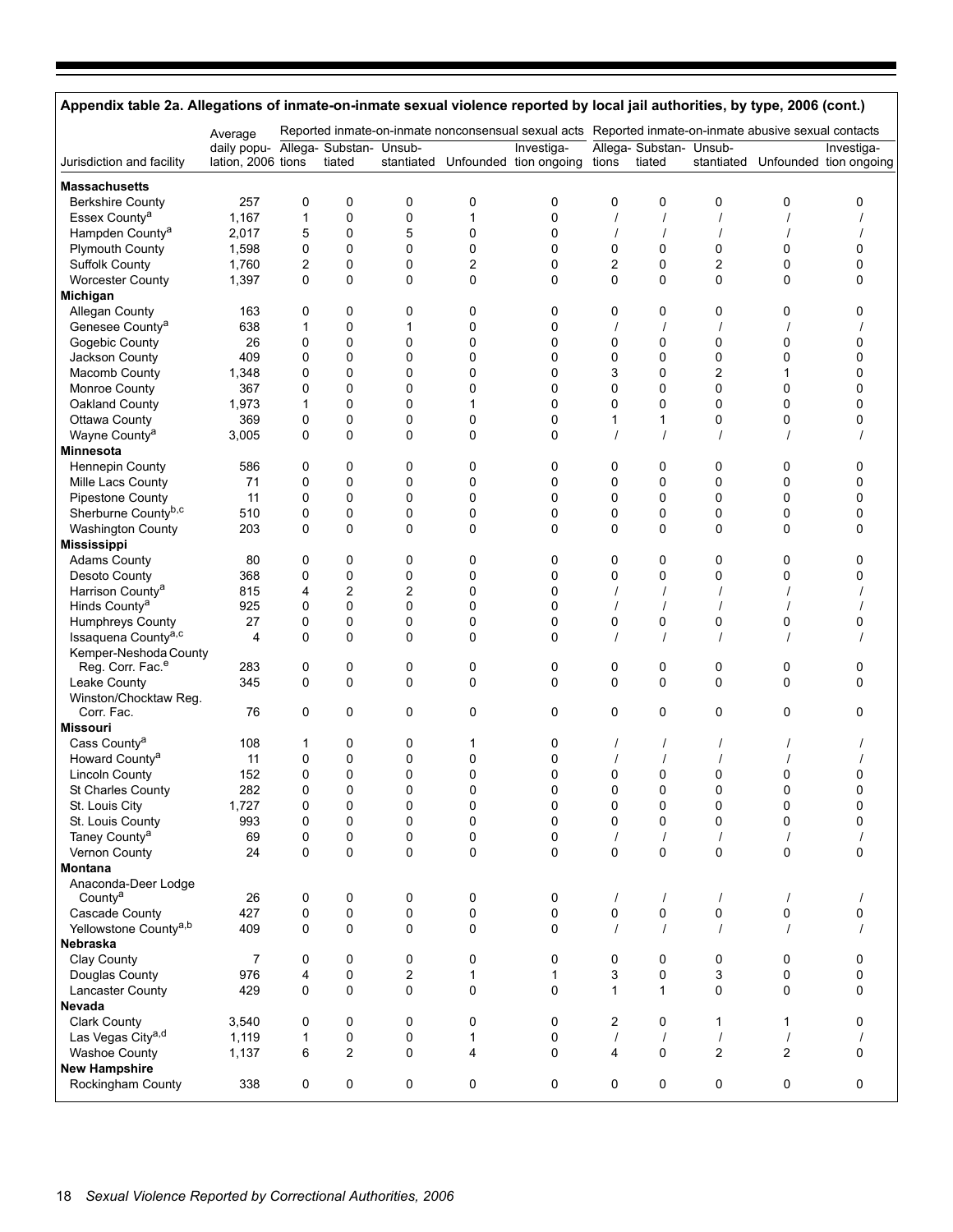| Appendix table 2a. Allegations of inmate-on-inmate sexual violence reported by local jail authorities, by type, 2006 (cont.) |                                                           |                  |                |                         |                |                                                                                                       |                               |                                   |                |                |                                                 |
|------------------------------------------------------------------------------------------------------------------------------|-----------------------------------------------------------|------------------|----------------|-------------------------|----------------|-------------------------------------------------------------------------------------------------------|-------------------------------|-----------------------------------|----------------|----------------|-------------------------------------------------|
|                                                                                                                              | Average                                                   |                  |                |                         |                | Reported inmate-on-inmate nonconsensual sexual acts Reported inmate-on-inmate abusive sexual contacts |                               |                                   |                |                |                                                 |
| Jurisdiction and facility                                                                                                    | daily popu- Allega- Substan- Unsub-<br>lation, 2006 tions |                  | tiated         |                         |                | Investiga-<br>stantiated Unfounded tion ongoing                                                       | tions                         | Allega- Substan- Unsub-<br>tiated |                |                | Investiga-<br>stantiated Unfounded tion ongoing |
|                                                                                                                              |                                                           |                  |                |                         |                |                                                                                                       |                               |                                   |                |                |                                                 |
| <b>Massachusetts</b>                                                                                                         |                                                           |                  |                |                         |                |                                                                                                       |                               |                                   |                |                |                                                 |
| <b>Berkshire County</b>                                                                                                      | 257                                                       | 0                | 0              | 0                       | 0              | 0                                                                                                     | 0                             | 0                                 | 0              | 0              | 0                                               |
| Essex County <sup>a</sup>                                                                                                    | 1,167                                                     | $\mathbf 1$      | $\pmb{0}$      | $\pmb{0}$               | $\mathbf{1}$   | 0                                                                                                     |                               |                                   |                |                |                                                 |
| Hampden County <sup>a</sup>                                                                                                  | 2,017                                                     | 5                | 0              | 5                       | 0              | 0                                                                                                     |                               |                                   |                |                |                                                 |
| <b>Plymouth County</b>                                                                                                       | 1,598                                                     | 0                | 0              | 0                       | 0              | 0                                                                                                     | 0                             | 0                                 | 0              | 0              | 0<br>0                                          |
| Suffolk County                                                                                                               | 1,760                                                     | 2                | $\pmb{0}$      | 0                       | $\overline{c}$ | 0                                                                                                     | $\overline{c}$<br>$\mathbf 0$ | 0                                 | $\overline{c}$ | 0              |                                                 |
| <b>Worcester County</b>                                                                                                      | 1,397                                                     | 0                | $\mathbf 0$    | 0                       | 0              | 0                                                                                                     |                               | 0                                 | 0              | 0              | 0                                               |
| Michigan<br>Allegan County                                                                                                   |                                                           |                  | 0              | 0                       |                |                                                                                                       | 0                             |                                   |                |                |                                                 |
| Genesee County <sup>a</sup>                                                                                                  | 163<br>638                                                | 0                |                |                         | 0              | 0<br>0                                                                                                |                               | 0                                 | 0              | 0              | 0                                               |
|                                                                                                                              | 26                                                        | 1<br>$\mathbf 0$ | 0<br>0         | $\mathbf{1}$<br>0       | 0<br>0         | 0                                                                                                     | 0                             | 0                                 | 0              | 0              | 0                                               |
| Gogebic County                                                                                                               | 409                                                       | $\mathbf 0$      | $\mathbf 0$    | $\mathbf 0$             | 0              |                                                                                                       | 0                             |                                   |                | 0              | 0                                               |
| Jackson County                                                                                                               |                                                           |                  |                |                         |                | 0                                                                                                     |                               | 0                                 | 0              |                |                                                 |
| Macomb County                                                                                                                | 1,348<br>367                                              | $\mathbf 0$      | 0              | 0<br>0                  | 0<br>0         | 0                                                                                                     | 3<br>0                        | 0                                 | 2<br>0         | 1<br>0         | 0<br>0                                          |
| Monroe County                                                                                                                |                                                           | 0                | 0              |                         |                | 0                                                                                                     |                               | 0                                 |                |                | 0                                               |
| Oakland County                                                                                                               | 1,973                                                     | 1                | $\mathbf 0$    | 0                       | 1              | 0                                                                                                     | 0                             | 0                                 | 0              | 0              |                                                 |
| Ottawa County                                                                                                                | 369                                                       | 0                | 0              | 0<br>$\mathbf 0$        | 0<br>0         | 0<br>0                                                                                                | $\mathbf{1}$                  | 1                                 | 0              | 0              | 0                                               |
| Wayne County <sup>a</sup><br><b>Minnesota</b>                                                                                | 3,005                                                     | 0                | 0              |                         |                |                                                                                                       |                               |                                   |                |                |                                                 |
|                                                                                                                              |                                                           |                  |                |                         |                |                                                                                                       |                               |                                   |                |                |                                                 |
| Hennepin County<br>Mille Lacs County                                                                                         | 586<br>71                                                 | 0<br>0           | 0<br>0         | 0<br>0                  | 0<br>0         | 0<br>0                                                                                                | 0<br>0                        | 0<br>0                            | 0<br>0         | 0<br>0         | 0<br>0                                          |
| <b>Pipestone County</b>                                                                                                      | 11                                                        | $\mathbf 0$      | $\pmb{0}$      | $\pmb{0}$               | 0              | 0                                                                                                     | 0                             | 0                                 | 0              | 0              | 0                                               |
| Sherburne Countyb,c                                                                                                          | 510                                                       | 0                | $\mathbf 0$    | 0                       | 0              | 0                                                                                                     | 0                             | 0                                 | 0              | 0              | 0                                               |
| Washington County                                                                                                            | 203                                                       | 0                | 0              | $\mathbf 0$             | 0              | 0                                                                                                     | $\Omega$                      | 0                                 | 0              | 0              | 0                                               |
| <b>Mississippi</b>                                                                                                           |                                                           |                  |                |                         |                |                                                                                                       |                               |                                   |                |                |                                                 |
|                                                                                                                              | 80                                                        | 0                | 0              | 0                       |                | 0                                                                                                     | 0                             | 0                                 | 0              | 0              | 0                                               |
| <b>Adams County</b><br>Desoto County                                                                                         | 368                                                       | 0                | 0              | 0                       | 0<br>0         | 0                                                                                                     | 0                             | 0                                 | 0              | 0              | 0                                               |
| Harrison County <sup>a</sup>                                                                                                 | 815                                                       | 4                | $\overline{c}$ | $\overline{c}$          | 0              | 0                                                                                                     |                               |                                   |                |                |                                                 |
| Hinds County <sup>a</sup>                                                                                                    | 925                                                       | 0                | $\mathbf 0$    | 0                       | 0              | 0                                                                                                     |                               | $\prime$                          |                |                |                                                 |
| Humphreys County                                                                                                             | 27                                                        | 0                | 0              | 0                       | 0              | 0                                                                                                     | 0                             | 0                                 | 0              | 0              | 0                                               |
| Issaquena County <sup>a,c</sup>                                                                                              | 4                                                         | $\mathbf 0$      | $\mathbf 0$    | $\mathbf 0$             | 0              | 0                                                                                                     |                               |                                   |                |                |                                                 |
|                                                                                                                              |                                                           |                  |                |                         |                |                                                                                                       |                               |                                   |                |                |                                                 |
| Kemper-Neshoda County<br>Reg. Corr. Fac. <sup>e</sup>                                                                        | 283                                                       | 0                | 0              | 0                       | 0              | 0                                                                                                     | 0                             | 0                                 | 0              | 0              | 0                                               |
| Leake County                                                                                                                 | 345                                                       | 0                | $\mathbf 0$    | 0                       | 0              | 0                                                                                                     | $\mathbf 0$                   | 0                                 | 0              | 0              | 0                                               |
| Winston/Chocktaw Reg.                                                                                                        |                                                           |                  |                |                         |                |                                                                                                       |                               |                                   |                |                |                                                 |
| Corr. Fac.                                                                                                                   | 76                                                        | 0                | 0              | $\mathbf 0$             | 0              | 0                                                                                                     | 0                             | 0                                 | 0              | 0              | 0                                               |
| <b>Missouri</b>                                                                                                              |                                                           |                  |                |                         |                |                                                                                                       |                               |                                   |                |                |                                                 |
| Cass County <sup>a</sup>                                                                                                     | 108                                                       | 1                | 0              | 0                       | 1              | 0                                                                                                     |                               |                                   |                |                |                                                 |
| Howard County <sup>a</sup>                                                                                                   | 11                                                        | 0                | $\mathbf 0$    | $\pmb{0}$               | 0              | 0                                                                                                     |                               |                                   |                |                |                                                 |
| <b>Lincoln County</b>                                                                                                        | 152                                                       | 0                | 0              | 0                       | 0              | 0                                                                                                     | 0                             | 0                                 | 0              | 0              | 0                                               |
| St Charles County                                                                                                            | 282                                                       | 0                | $\Omega$       | $\Omega$                | $\Omega$       | $\Omega$                                                                                              | 0                             | 0                                 | 0              | 0              | U                                               |
| St. Louis City                                                                                                               | 1,727                                                     | 0                | 0              | 0                       | 0              | 0                                                                                                     | $\pmb{0}$                     | 0                                 | 0              | 0              | 0                                               |
| St. Louis County                                                                                                             | 993                                                       | 0                | 0              | 0                       | 0              | 0                                                                                                     | 0                             | 0                                 | 0              | 0              | 0                                               |
| Taney County <sup>a</sup>                                                                                                    | 69                                                        | 0                | 0              | 0                       | 0              | 0                                                                                                     |                               |                                   |                |                |                                                 |
| Vernon County                                                                                                                | 24                                                        | 0                | $\pmb{0}$      | 0                       | 0              | 0                                                                                                     | 0                             | 0                                 | 0              | 0              | 0                                               |
| Montana                                                                                                                      |                                                           |                  |                |                         |                |                                                                                                       |                               |                                   |                |                |                                                 |
| Anaconda-Deer Lodge                                                                                                          |                                                           |                  |                |                         |                |                                                                                                       |                               |                                   |                |                |                                                 |
| County <sup>a</sup>                                                                                                          | 26                                                        | 0                | 0              | 0                       | 0              | 0                                                                                                     |                               | $\prime$                          | $\prime$       | $\prime$       |                                                 |
| Cascade County                                                                                                               | 427                                                       | 0                | $\pmb{0}$      | 0                       | 0              | 0                                                                                                     | 0                             | 0                                 | 0              | 0              | 0                                               |
| Yellowstone County <sup>a,b</sup>                                                                                            | 409                                                       | 0                | 0              | $\Omega$                | 0              | 0                                                                                                     |                               | $\prime$                          |                |                |                                                 |
| Nebraska                                                                                                                     |                                                           |                  |                |                         |                |                                                                                                       |                               |                                   |                |                |                                                 |
| Clay County                                                                                                                  | $\overline{7}$                                            | 0                | 0              | 0                       | 0              | 0                                                                                                     | 0                             | 0                                 | 0              | 0              | 0                                               |
| Douglas County                                                                                                               | 976                                                       | 4                | 0              | $\overline{\mathbf{c}}$ | 1              | 1                                                                                                     | 3                             | 0                                 | 3              | 0              | 0                                               |
| Lancaster County                                                                                                             | 429                                                       | 0                | 0              | 0                       | 0              | 0                                                                                                     | $\mathbf{1}$                  | $\mathbf{1}$                      | 0              | 0              | 0                                               |
| Nevada                                                                                                                       |                                                           |                  |                |                         |                |                                                                                                       |                               |                                   |                |                |                                                 |
| <b>Clark County</b>                                                                                                          | 3,540                                                     | 0                | 0              | 0                       | 0              | 0                                                                                                     | 2                             | 0                                 | 1              | 1              | 0                                               |
| Las Vegas City <sup>a,d</sup>                                                                                                | 1,119                                                     | 1                | $\pmb{0}$      | 0                       | $\mathbf{1}$   | 0                                                                                                     | $\prime$                      | $\prime$                          | $\prime$       | $\prime$       |                                                 |
| <b>Washoe County</b>                                                                                                         | 1,137                                                     | 6                | $\overline{2}$ | $\mathbf 0$             | 4              | 0                                                                                                     | 4                             | 0                                 | 2              | $\overline{c}$ | 0                                               |
| <b>New Hampshire</b>                                                                                                         |                                                           |                  |                |                         |                |                                                                                                       |                               |                                   |                |                |                                                 |
| Rockingham County                                                                                                            | 338                                                       | 0                | $\pmb{0}$      | 0                       | 0              | 0                                                                                                     | 0                             | 0                                 | 0              | 0              | 0                                               |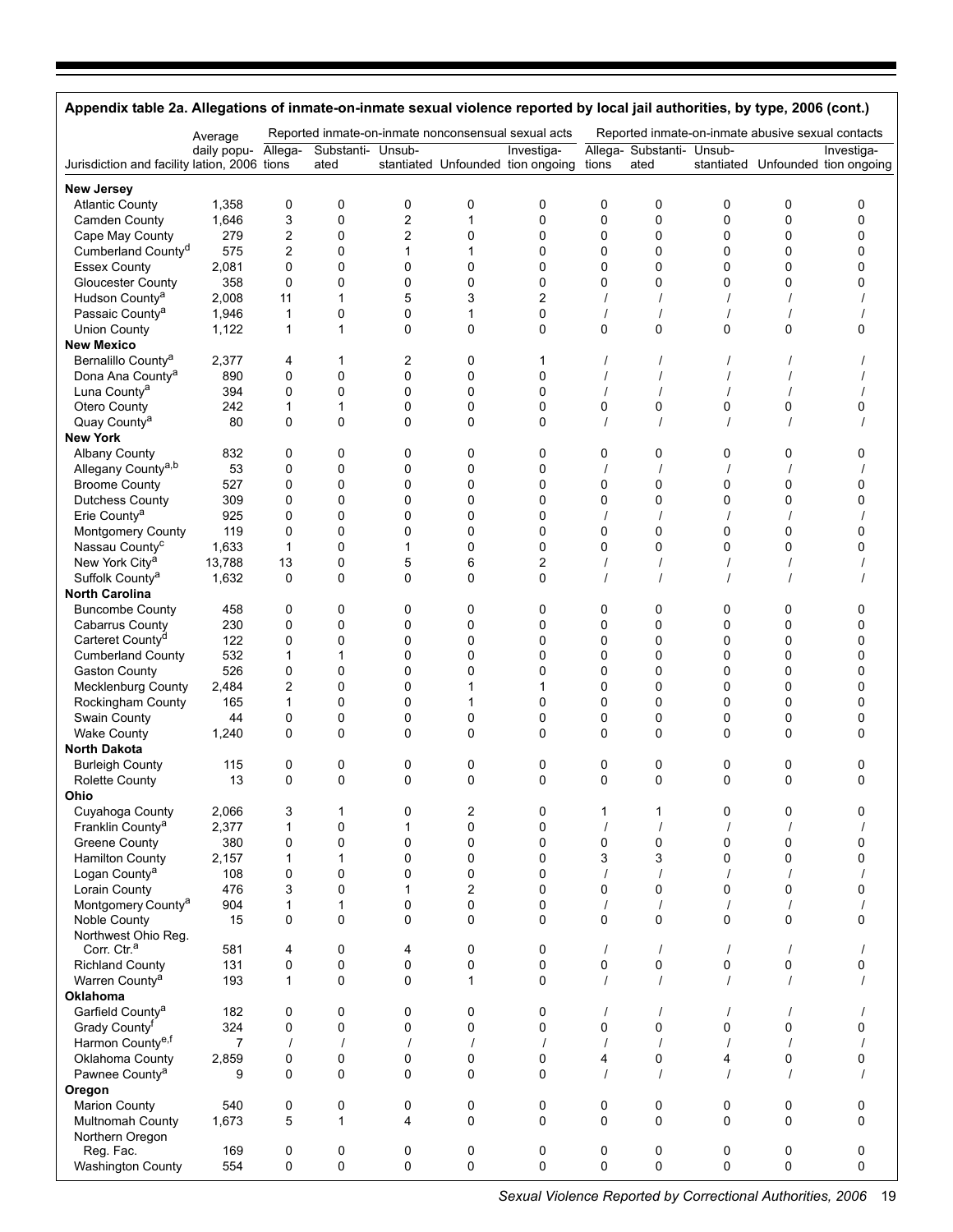| Appendix table 2a. Allegations of inmate-on-inmate sexual violence reported by local jail authorities, by type, 2006 (cont.) |                |                     |                   |                                |                |                                                     |               |                           |          |                                                   |                                   |
|------------------------------------------------------------------------------------------------------------------------------|----------------|---------------------|-------------------|--------------------------------|----------------|-----------------------------------------------------|---------------|---------------------------|----------|---------------------------------------------------|-----------------------------------|
|                                                                                                                              | Average        |                     |                   |                                |                | Reported inmate-on-inmate nonconsensual sexual acts |               |                           |          | Reported inmate-on-inmate abusive sexual contacts |                                   |
|                                                                                                                              | daily popu-    | Allega-             | Substanti- Unsub- |                                |                | Investiga-                                          |               | Allega- Substanti- Unsub- |          |                                                   | Investiga-                        |
| Jurisdiction and facility lation, 2006 tions                                                                                 |                |                     | ated              |                                |                | stantiated Unfounded tion ongoing                   | tions         | ated                      |          |                                                   | stantiated Unfounded tion ongoing |
| <b>New Jersey</b>                                                                                                            |                |                     |                   |                                |                |                                                     |               |                           |          |                                                   |                                   |
| <b>Atlantic County</b>                                                                                                       | 1,358          | 0                   | 0                 | 0                              | 0              | 0                                                   | 0             | 0                         | 0        | 0                                                 | 0                                 |
| Camden County                                                                                                                | 1,646          | 3                   | 0                 | 2                              | 1              | 0                                                   | 0             | 0                         | 0        | $\mathbf 0$                                       | 0                                 |
| Cape May County<br>Cumberland County <sup>d</sup>                                                                            | 279<br>575     | 2<br>$\overline{c}$ | 0<br>0            | $\overline{2}$<br>$\mathbf{1}$ | 0<br>1         | 0<br>0                                              | 0<br>0        | 0<br>0                    | 0<br>0   | $\mathbf 0$<br>$\mathbf 0$                        | 0<br>$\Omega$                     |
| <b>Essex County</b>                                                                                                          | 2,081          | 0                   | 0                 | 0                              | 0              | 0                                                   | 0             | 0                         | 0        | 0                                                 | 0                                 |
| <b>Gloucester County</b>                                                                                                     | 358            | 0                   | 0                 | 0                              | 0              | 0                                                   | 0             | 0                         | 0        | $\Omega$                                          | 0                                 |
| Hudson County <sup>a</sup>                                                                                                   | 2,008          | 11                  | 1                 | 5                              | 3              | $\overline{2}$                                      |               |                           |          | $\prime$                                          |                                   |
| Passaic County <sup>a</sup>                                                                                                  | 1,946          | 1                   | 0                 | 0                              | 1              | 0                                                   |               |                           |          |                                                   |                                   |
| <b>Union County</b>                                                                                                          | 1,122          | 1                   | 1                 | 0                              | 0              | 0                                                   | 0             | 0                         | 0        | 0                                                 | 0                                 |
| <b>New Mexico</b>                                                                                                            |                |                     |                   |                                |                |                                                     |               |                           |          |                                                   |                                   |
| Bernalillo County <sup>a</sup>                                                                                               | 2,377          | 4                   | 1                 | 2                              | 0              | 1                                                   |               |                           |          |                                                   |                                   |
| Dona Ana County <sup>a</sup>                                                                                                 | 890            | 0                   | 0                 | 0                              | 0              | 0                                                   |               |                           |          |                                                   |                                   |
| Luna County <sup>a</sup>                                                                                                     | 394            | 0                   | $\mathbf 0$       | 0                              | 0              | 0                                                   |               |                           |          |                                                   |                                   |
| Otero County                                                                                                                 | 242            | 1                   | 1                 | 0                              | 0              | 0                                                   | 0             | 0                         | 0        | 0                                                 | 0                                 |
| Quay County <sup>a</sup><br><b>New York</b>                                                                                  | 80             | 0                   | $\Omega$          | 0                              | 0              | 0                                                   |               |                           |          |                                                   |                                   |
| <b>Albany County</b>                                                                                                         | 832            | 0                   | 0                 | 0                              | 0              | 0                                                   | 0             | 0                         | 0        | 0                                                 | 0                                 |
| Allegany County <sup>a,b</sup>                                                                                               | 53             | 0                   | 0                 | 0                              | 0              | 0                                                   |               |                           |          |                                                   |                                   |
| <b>Broome County</b>                                                                                                         | 527            | 0                   | 0                 | 0                              | 0              | 0                                                   | 0             | 0                         | 0        | 0                                                 | 0                                 |
| <b>Dutchess County</b>                                                                                                       | 309            | 0                   | 0                 | 0                              | 0              | 0                                                   | 0             | 0                         | 0        | 0                                                 | 0                                 |
| Erie County <sup>a</sup>                                                                                                     | 925            | 0                   | 0                 | 0                              | 0              | 0                                                   |               |                           |          |                                                   |                                   |
| Montgomery County                                                                                                            | 119            | 0                   | 0                 | 0                              | 0              | 0                                                   | 0             | 0                         | 0        | 0                                                 | $\Omega$                          |
| Nassau County <sup>c</sup>                                                                                                   | 1,633          | $\mathbf{1}$        | 0                 | 1                              | 0              | 0                                                   | 0             | 0                         | 0        | 0                                                 |                                   |
| New York City <sup>a</sup>                                                                                                   | 13,788         | 13                  | 0                 | 5                              | 6              | $\overline{2}$                                      |               |                           |          |                                                   |                                   |
| Suffolk County <sup>a</sup>                                                                                                  | 1,632          | 0                   | 0                 | 0                              | 0              | 0                                                   |               |                           |          |                                                   |                                   |
| <b>North Carolina</b>                                                                                                        |                |                     |                   |                                |                |                                                     |               |                           |          |                                                   |                                   |
| <b>Buncombe County</b>                                                                                                       | 458            | 0                   | 0                 | 0                              | 0              | 0                                                   | 0             | 0                         | 0        | 0                                                 | 0                                 |
| <b>Cabarrus County</b>                                                                                                       | 230<br>122     | 0<br>0              | $\mathbf 0$<br>0  | 0<br>0                         | 0<br>0         | 0<br>0                                              | 0<br>0        | 0<br>0                    | 0<br>0   | 0<br>$\mathbf 0$                                  | 0<br>0                            |
| Carteret County <sup>d</sup><br><b>Cumberland County</b>                                                                     | 532            | 1                   | 1                 | 0                              | 0              | 0                                                   | 0             | 0                         | 0        | $\mathbf 0$                                       | 0                                 |
| <b>Gaston County</b>                                                                                                         | 526            | 0                   | 0                 | 0                              | 0              | 0                                                   | 0             | 0                         | 0        | $\mathbf 0$                                       | 0                                 |
| <b>Mecklenburg County</b>                                                                                                    | 2,484          | 2                   | 0                 | 0                              | 1              | 1                                                   | 0             | 0                         | 0        | $\mathbf 0$                                       | 0                                 |
| Rockingham County                                                                                                            | 165            | 1                   | 0                 | 0                              | 1              | 0                                                   | 0             | 0                         | 0        | $\mathbf 0$                                       | 0                                 |
| Swain County                                                                                                                 | 44             | 0                   | 0                 | 0                              | 0              | 0                                                   | 0             | 0                         | 0        | 0                                                 | $\Omega$                          |
| <b>Wake County</b>                                                                                                           | 1,240          | 0                   | $\Omega$          | 0                              | $\Omega$       | 0                                                   | 0             | $\Omega$                  | 0        | $\Omega$                                          | 0                                 |
| <b>North Dakota</b>                                                                                                          |                |                     |                   |                                |                |                                                     |               |                           |          |                                                   |                                   |
| <b>Burleigh County</b>                                                                                                       | 115            | 0                   | 0                 | 0                              | 0              | 0                                                   | 0             | 0                         | 0        | 0                                                 | 0                                 |
| <b>Rolette County</b>                                                                                                        | 13             | 0                   | $\Omega$          | 0                              | 0              | $\Omega$                                            | 0             | $\Omega$                  | 0        | $\Omega$                                          | $\Omega$                          |
| Ohio                                                                                                                         |                |                     |                   |                                |                |                                                     |               |                           |          |                                                   |                                   |
| Cuyahoga County<br>Franklin County <sup>a</sup>                                                                              | 2,066          | 3<br>1              | 1<br>0            | 0<br>$\mathbf{1}$              | 2<br>0         | 0<br>0                                              | 1<br>$\prime$ | 1                         | 0        | 0<br>$\prime$                                     | 0                                 |
| Greene County                                                                                                                | 2,377<br>380   | 0                   | $\mathbf 0$       | 0                              | 0              | 0                                                   | 0             | 0                         | 0        | 0                                                 | 0                                 |
| <b>Hamilton County</b>                                                                                                       | 2,157          | 1                   | $\mathbf{1}$      | 0                              | 0              | 0                                                   | 3             | 3                         | 0        | $\mathbf 0$                                       | $\Omega$                          |
| Logan County <sup>a</sup>                                                                                                    | 108            | 0                   | 0                 | 0                              | 0              | 0                                                   | $\prime$      |                           |          |                                                   |                                   |
| Lorain County                                                                                                                | 476            | 3                   | 0                 | 1                              | $\overline{c}$ | 0                                                   | 0             | 0                         | 0        | 0                                                 | 0                                 |
| Montgomery County <sup>a</sup>                                                                                               | 904            | 1                   | 1                 | 0                              | $\mathbf 0$    | 0                                                   | $\prime$      |                           |          | $\prime$                                          |                                   |
| Noble County                                                                                                                 | 15             | 0                   | 0                 | 0                              | 0              | 0                                                   | 0             | 0                         | 0        | $\mathbf 0$                                       | 0                                 |
| Northwest Ohio Rea.                                                                                                          |                |                     |                   |                                |                |                                                     |               |                           |          |                                                   |                                   |
| Corr. Ctr. <sup>a</sup>                                                                                                      | 581            | 4                   | $\mathbf 0$       | 4                              | 0              | 0                                                   | $\prime$      |                           | $\prime$ | $\prime$                                          |                                   |
| <b>Richland County</b>                                                                                                       | 131            | 0                   | $\pmb{0}$         | 0                              | 0              | 0                                                   | 0<br>$\prime$ | 0                         | 0        | $\pmb{0}$<br>$\prime$                             | 0                                 |
| Warren County <sup>a</sup><br><b>Oklahoma</b>                                                                                | 193            | 1                   | $\Omega$          | 0                              | 1              | 0                                                   |               |                           |          |                                                   |                                   |
| Garfield County <sup>a</sup>                                                                                                 | 182            | 0                   | 0                 | 0                              | 0              | 0                                                   | $\prime$      |                           |          | $\prime$                                          |                                   |
| Grady County <sup>f</sup>                                                                                                    | 324            | 0                   | 0                 | 0                              | 0              | 0                                                   | 0             | 0                         | $\Omega$ | $\mathbf 0$                                       | 0                                 |
| Harmon Countye,f                                                                                                             | $\overline{7}$ | $\prime$            | $\prime$          | $\prime$                       | $\prime$       | $\prime$                                            | $\prime$      |                           |          | $\prime$                                          |                                   |
| Oklahoma County                                                                                                              | 2,859          | 0                   | 0                 | 0                              | 0              | 0                                                   | 4             | 0                         | 4        | 0                                                 | 0                                 |
| Pawnee County <sup>a</sup>                                                                                                   | 9              | $\Omega$            | $\Omega$          | $\Omega$                       | $\Omega$       | $\Omega$                                            |               |                           |          |                                                   |                                   |
| Oregon                                                                                                                       |                |                     |                   |                                |                |                                                     |               |                           |          |                                                   |                                   |
| <b>Marion County</b>                                                                                                         | 540            | 0                   | 0                 | 0                              | 0              | 0                                                   | 0             | 0                         | 0        | 0                                                 | 0                                 |
| <b>Multnomah County</b>                                                                                                      | 1,673          | 5                   | 1                 | 4                              | $\Omega$       | $\Omega$                                            | $\Omega$      | $\Omega$                  | $\Omega$ | $\Omega$                                          | 0                                 |
| Northern Oregon                                                                                                              |                |                     |                   |                                |                |                                                     |               |                           |          |                                                   |                                   |
| Reg. Fac.                                                                                                                    | 169<br>554     | 0<br>0              | 0<br>$\mathbf 0$  | 0<br>0                         | 0<br>0         | 0<br>0                                              | 0<br>0        | 0<br>0                    | 0<br>0   | 0<br>0                                            | 0<br>0                            |
| <b>Washington County</b>                                                                                                     |                |                     |                   |                                |                |                                                     |               |                           |          |                                                   |                                   |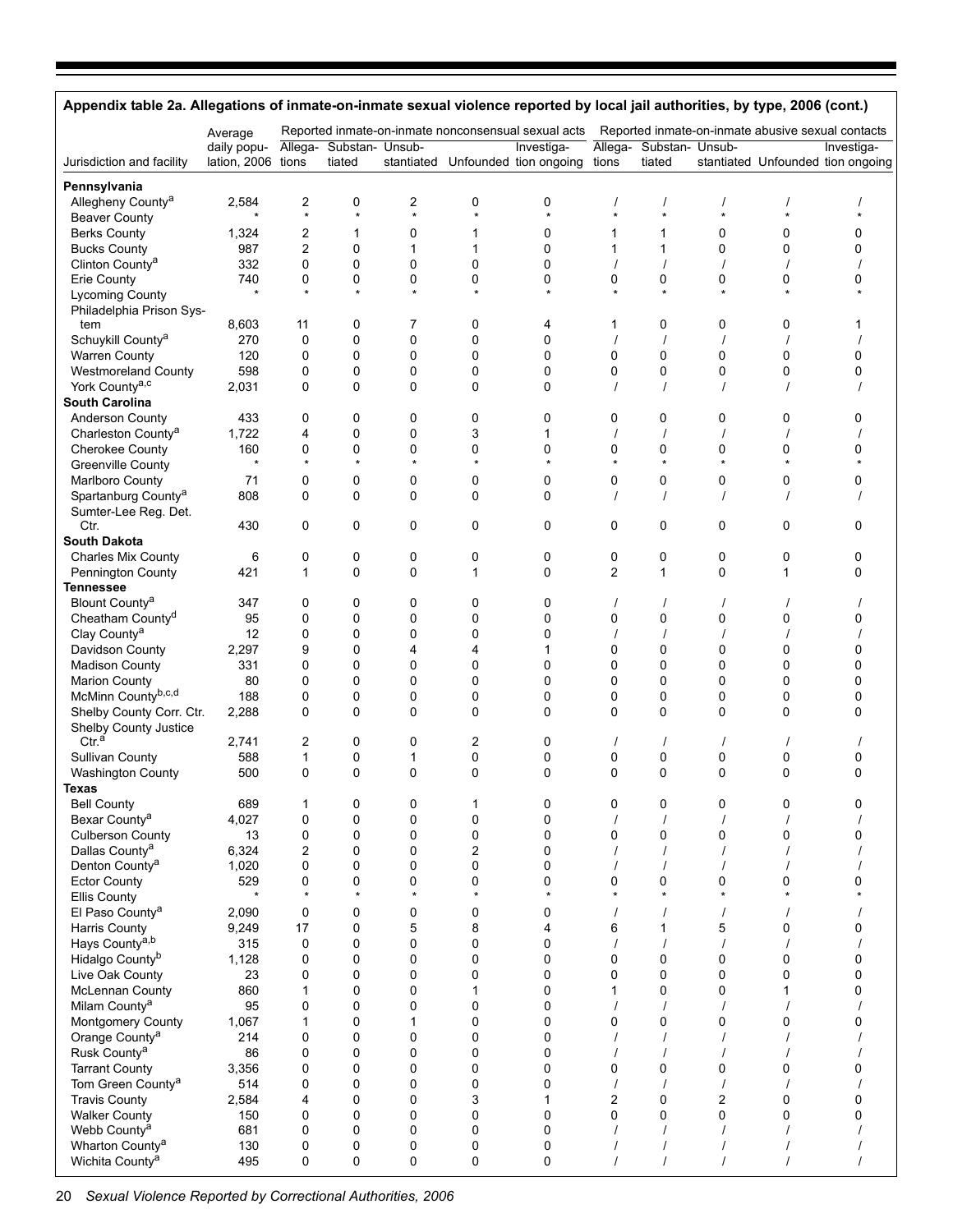| Appendix table 2a. Allegations of inmate-on-inmate sexual violence reported by local jail authorities, by type, 2006 (cont.) |                                   |                |                                   |                  |                  |                                                     |                |                                   |                  |          |                                                   |
|------------------------------------------------------------------------------------------------------------------------------|-----------------------------------|----------------|-----------------------------------|------------------|------------------|-----------------------------------------------------|----------------|-----------------------------------|------------------|----------|---------------------------------------------------|
|                                                                                                                              | Average                           |                |                                   |                  |                  | Reported inmate-on-inmate nonconsensual sexual acts |                |                                   |                  |          | Reported inmate-on-inmate abusive sexual contacts |
| Jurisdiction and facility                                                                                                    | daily popu-<br>lation, 2006 tions |                | Allega- Substan- Unsub-<br>tiated |                  |                  | Investiga-<br>stantiated Unfounded tion ongoing     | tions          | Allega- Substan- Unsub-<br>tiated |                  |          | Investiga-<br>stantiated Unfounded tion ongoing   |
| Pennsylvania                                                                                                                 |                                   |                |                                   |                  |                  |                                                     |                |                                   |                  |          |                                                   |
| Allegheny County <sup>a</sup>                                                                                                | 2,584                             | 2              | 0                                 | 2                | 0                | 0                                                   |                |                                   |                  |          |                                                   |
| <b>Beaver County</b>                                                                                                         |                                   | $\star$        | $\star$                           | $\star$          | $\star$          | $\star$                                             | $\star$        |                                   |                  | $\star$  |                                                   |
| <b>Berks County</b>                                                                                                          | 1,324                             | 2              | 1                                 | 0                | 1                | 0                                                   | 1              | 1                                 | $\mathbf 0$      | 0        | 0                                                 |
| <b>Bucks County</b>                                                                                                          | 987                               | $\overline{c}$ | 0                                 | $\mathbf{1}$     | 1                | 0                                                   | 1              | 1                                 | $\mathbf 0$      | 0        | 0                                                 |
| Clinton County <sup>a</sup>                                                                                                  | 332                               | 0              | 0                                 | $\Omega$         | 0                | 0                                                   |                |                                   |                  |          |                                                   |
| Erie County<br><b>Lycoming County</b>                                                                                        | 740<br>$\star$                    | 0<br>$\star$   | 0<br>$\star$                      | 0                | 0<br>$\star$     | 0                                                   | 0              | 0<br>$\star$                      | 0                | 0        | 0                                                 |
| Philadelphia Prison Sys-                                                                                                     |                                   |                |                                   |                  |                  |                                                     |                |                                   |                  |          |                                                   |
| tem                                                                                                                          | 8,603                             | 11             | 0                                 | 7                | 0                | 4                                                   | 1              | 0                                 | 0                | 0        |                                                   |
| Schuykill County <sup>a</sup>                                                                                                | 270                               | 0              | 0                                 | 0                | $\mathbf 0$      | 0                                                   |                |                                   |                  |          |                                                   |
| <b>Warren County</b>                                                                                                         | 120                               | 0              | 0                                 | $\mathbf 0$      | $\mathbf 0$      | 0                                                   | 0              | 0                                 | $\mathbf 0$      | 0        | 0                                                 |
| <b>Westmoreland County</b>                                                                                                   | 598                               | 0              | 0                                 | 0                | 0                | 0                                                   | 0              | 0                                 | $\mathbf 0$      | 0        | 0                                                 |
| York County <sup>a,c</sup>                                                                                                   | 2,031                             | 0              | 0                                 | $\mathbf 0$      | $\mathbf 0$      | 0                                                   |                |                                   |                  |          |                                                   |
| <b>South Carolina</b>                                                                                                        |                                   |                |                                   |                  |                  |                                                     |                |                                   |                  |          |                                                   |
| Anderson County                                                                                                              | 433                               | 0              | 0                                 | 0                | 0                | 0                                                   | 0              | 0                                 | 0                | 0        | 0                                                 |
| Charleston County <sup>a</sup><br><b>Cherokee County</b>                                                                     | 1,722<br>160                      | 4<br>0         | 0<br>0                            | $\mathbf 0$<br>0 | 3<br>$\mathbf 0$ | 1<br>0                                              | 0              | $\mathbf 0$                       | $\mathbf 0$      | 0        | 0                                                 |
| <b>Greenville County</b>                                                                                                     | $\star$                           | $\star$        | $\star$                           | $\star$          | $\star$          | $\star$                                             | $\star$        | $\star$                           |                  | $\star$  |                                                   |
| Marlboro County                                                                                                              | 71                                | 0              | 0                                 | 0                | 0                | 0                                                   | 0              | 0                                 | $\mathbf 0$      | 0        | 0                                                 |
| Spartanburg County <sup>a</sup>                                                                                              | 808                               | $\Omega$       | 0                                 | $\Omega$         | $\mathbf 0$      | 0                                                   |                | $\prime$                          |                  |          |                                                   |
| Sumter-Lee Reg. Det.                                                                                                         |                                   |                |                                   |                  |                  |                                                     |                |                                   |                  |          |                                                   |
| Ctr.                                                                                                                         | 430                               | 0              | 0                                 | $\mathbf 0$      | $\mathbf 0$      | 0                                                   | $\mathbf 0$    | 0                                 | $\mathbf 0$      | 0        | 0                                                 |
| <b>South Dakota</b>                                                                                                          |                                   |                |                                   |                  |                  |                                                     |                |                                   |                  |          |                                                   |
| <b>Charles Mix County</b>                                                                                                    | 6                                 | 0              | 0                                 | 0                | 0                | 0                                                   | 0              | 0                                 | 0                | 0        | 0                                                 |
| Pennington County                                                                                                            | 421                               | $\mathbf{1}$   | $\mathbf 0$                       | $\Omega$         | $\mathbf{1}$     | $\Omega$                                            | $\overline{2}$ | $\mathbf{1}$                      | $\Omega$         | 1        | 0                                                 |
| <b>Tennessee</b>                                                                                                             |                                   |                |                                   |                  |                  |                                                     |                |                                   |                  |          |                                                   |
| Blount County <sup>a</sup><br>Cheatham County <sup>d</sup>                                                                   | 347<br>95                         | 0<br>0         | 0<br>0                            | 0<br>$\mathbf 0$ | 0<br>$\mathbf 0$ | 0<br>0                                              | 0              | $\prime$<br>0                     | $\mathbf 0$      | 0        | 0                                                 |
| Clay County <sup>a</sup>                                                                                                     | 12                                | 0              | 0                                 | $\mathbf 0$      | 0                | 0                                                   | $\prime$       | $\prime$                          | $\prime$         |          |                                                   |
| Davidson County                                                                                                              | 2,297                             | 9              | 0                                 | 4                | 4                | 1                                                   | 0              | $\mathbf 0$                       | $\mathbf 0$      | 0        | 0                                                 |
| <b>Madison County</b>                                                                                                        | 331                               | 0              | 0                                 | $\mathbf 0$      | $\mathbf 0$      | 0                                                   | $\mathbf{0}$   | 0                                 | $\mathbf 0$      | 0        | 0                                                 |
| <b>Marion County</b>                                                                                                         | 80                                | 0              | 0                                 | $\mathbf 0$      | $\mathbf 0$      | 0                                                   | 0              | $\mathbf 0$                       | $\mathbf 0$      | 0        | 0                                                 |
| McMinn Countyb,c,d                                                                                                           | 188                               | 0              | 0                                 | $\mathbf 0$      | $\mathbf 0$      | 0                                                   | 0              | 0                                 | $\mathbf 0$      | 0        | 0                                                 |
| Shelby County Corr. Ctr.                                                                                                     | 2,288                             | 0              | 0                                 | $\Omega$         | $\Omega$         | $\Omega$                                            | $\Omega$       | $\mathbf 0$                       | $\Omega$         | $\Omega$ | 0                                                 |
| Shelby County Justice                                                                                                        |                                   |                |                                   |                  |                  |                                                     |                |                                   |                  |          |                                                   |
| Ctr. <sup>a</sup>                                                                                                            | 2,741                             | 2              | 0                                 | 0                | 2                | 0                                                   | $\prime$       | $\prime$                          |                  |          |                                                   |
| Sullivan County                                                                                                              | 588                               | $\mathbf{1}$   | $\mathbf 0$                       | $\mathbf{1}$     | $\pmb{0}$        | 0                                                   | 0              | 0                                 | 0                | 0        | 0                                                 |
| <b>Washington County</b>                                                                                                     | 500                               | 0              | 0                                 | 0                | $\Omega$         | 0                                                   | $\Omega$       | $\Omega$                          | $\Omega$         | $\Omega$ | 0                                                 |
| <b>Texas</b><br><b>Bell County</b>                                                                                           | 689                               | 1              | 0                                 | 0                | 1                | 0                                                   | 0              | 0                                 | 0                | 0        | 0                                                 |
| Bexar County <sup>a</sup>                                                                                                    | 4,027                             | 0              | 0                                 | 0                | 0                | 0                                                   |                | $\overline{1}$                    |                  |          |                                                   |
| <b>Culberson County</b>                                                                                                      | 13                                | 0              | 0                                 | 0                | 0                | 0                                                   | 0              | 0                                 | $\mathbf 0$      | 0        | 0                                                 |
| Dallas County <sup>a</sup>                                                                                                   | 6,324                             | 2              | 0                                 | $\mathbf 0$      | $\overline{2}$   | 0                                                   |                |                                   |                  |          |                                                   |
| Denton County <sup>a</sup>                                                                                                   | 1,020                             | 0              | 0                                 | 0                | $\pmb{0}$        | 0                                                   |                | $\overline{1}$                    |                  |          |                                                   |
| <b>Ector County</b>                                                                                                          | 529                               | 0              | 0                                 | 0                | 0                | 0                                                   | 0              | 0                                 | 0                | 0        | 0                                                 |
| Ellis County                                                                                                                 | $\star$                           | $\star$        | $\star$                           | $\star$          | $\star$          | $\star$                                             | $\star$        | $\star$                           | $\star$          | $\star$  |                                                   |
| El Paso County <sup>a</sup>                                                                                                  | 2,090                             | 0              | 0                                 | 0                | 0                | 0                                                   |                |                                   |                  |          |                                                   |
| Harris County                                                                                                                | 9,249                             | 17             | 0                                 | 5                | 8                | 4                                                   | 6              | 1                                 | 5                | 0        | 0                                                 |
| Hays County <sup>a,b</sup>                                                                                                   | 315                               | 0              | 0                                 | $\mathbf 0$      | $\mathbf 0$      | 0                                                   |                |                                   |                  |          |                                                   |
| Hidalgo County <sup>b</sup><br>Live Oak County                                                                               | 1,128<br>23                       | 0<br>0         | 0<br>0                            | 0<br>0           | 0<br>0           | 0<br>0                                              | 0<br>0         | $\pmb{0}$<br>0                    | 0<br>$\mathbf 0$ | 0<br>0   | 0<br>0                                            |
| <b>McLennan County</b>                                                                                                       | 860                               | $\mathbf{1}$   | 0                                 | $\mathbf 0$      | $\mathbf{1}$     | 0                                                   | 1              | $\mathbf 0$                       | $\mathbf 0$      | 1        | 0                                                 |
| Milam County <sup>a</sup>                                                                                                    | 95                                | 0              | 0                                 | 0                | 0                | 0                                                   |                | $\overline{1}$                    |                  |          |                                                   |
| Montgomery County                                                                                                            | 1,067                             | $\mathbf{1}$   | 0                                 | 1                | 0                | 0                                                   | 0              | 0                                 | $\mathbf 0$      | 0        | 0                                                 |
| Orange County <sup>a</sup>                                                                                                   | 214                               | 0              | 0                                 | $\mathbf 0$      | 0                | 0                                                   |                |                                   |                  |          |                                                   |
| Rusk County <sup>a</sup>                                                                                                     | 86                                | 0              | 0                                 | 0                | 0                | 0                                                   |                | $\overline{1}$                    |                  |          |                                                   |
| <b>Tarrant County</b>                                                                                                        | 3,356                             | 0              | 0                                 | 0                | 0                | 0                                                   | 0              | 0                                 | 0                | 0        | 0                                                 |
| Tom Green County <sup>a</sup>                                                                                                | 514                               | 0              | 0                                 | $\mathbf 0$      | $\mathbf 0$      | 0                                                   |                |                                   |                  |          |                                                   |
| <b>Travis County</b>                                                                                                         | 2,584                             | 4              | 0                                 | 0                | 3                | 1                                                   | 2              | $\pmb{0}$                         | $\overline{c}$   | 0        | 0                                                 |
| <b>Walker County</b>                                                                                                         | 150                               | 0              | 0                                 | 0                | $\mathbf 0$      | 0                                                   | 0              | 0                                 | $\mathbf 0$      | 0        | 0                                                 |
| Webb County <sup>a</sup>                                                                                                     | 681                               | 0              | 0                                 | $\mathbf 0$      | $\mathbf 0$      | 0                                                   |                |                                   |                  |          |                                                   |
| Wharton County <sup>a</sup><br>Wichita County <sup>a</sup>                                                                   | 130<br>495                        | 0<br>0         | 0<br>0                            | 0<br>0           | 0<br>0           | 0<br>0                                              |                | $\cal I$<br>$\prime$              |                  |          |                                                   |
|                                                                                                                              |                                   |                |                                   |                  |                  |                                                     |                |                                   |                  |          |                                                   |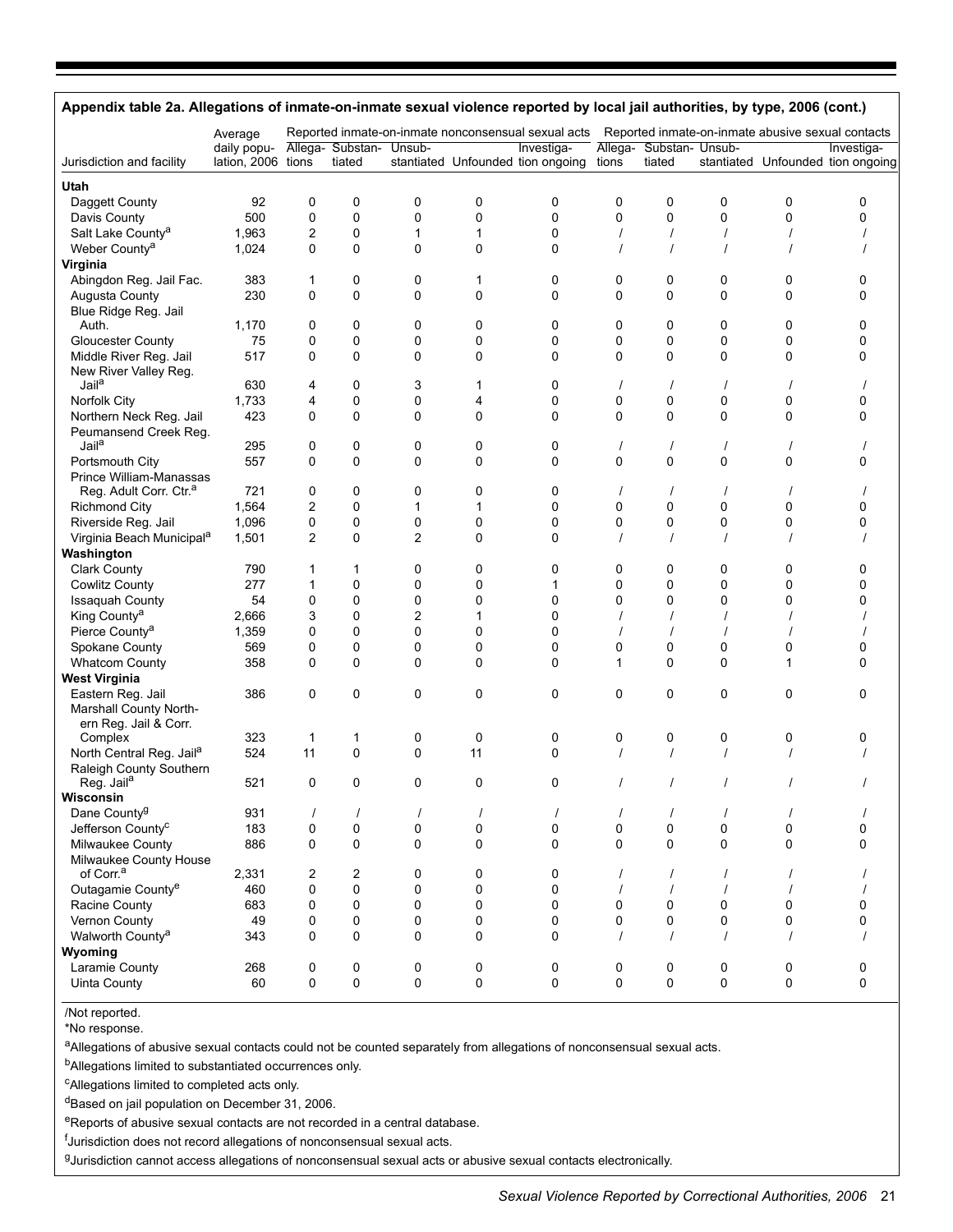| Appendix table 2a. Allegations of inmate-on-inmate sexual violence reported by local jail authorities, by type, 2006 (cont.) |              |                |                         |             |             |                                                                                                       |          |                         |           |          |                                   |
|------------------------------------------------------------------------------------------------------------------------------|--------------|----------------|-------------------------|-------------|-------------|-------------------------------------------------------------------------------------------------------|----------|-------------------------|-----------|----------|-----------------------------------|
|                                                                                                                              | Average      |                |                         |             |             | Reported inmate-on-inmate nonconsensual sexual acts Reported inmate-on-inmate abusive sexual contacts |          |                         |           |          |                                   |
|                                                                                                                              | daily popu-  |                | Allega- Substan- Unsub- |             |             | Investiga-                                                                                            |          | Allega- Substan- Unsub- |           |          | Investiga-                        |
| Jurisdiction and facility                                                                                                    | lation, 2006 | tions          | tiated                  |             |             | stantiated Unfounded tion ongoing                                                                     | tions    | tiated                  |           |          | stantiated Unfounded tion ongoing |
| Utah                                                                                                                         |              |                |                         |             |             |                                                                                                       |          |                         |           |          |                                   |
| Daggett County                                                                                                               | 92           | 0              | 0                       | 0           | 0           | 0                                                                                                     | 0        | 0                       | 0         | 0        | 0                                 |
| Davis County                                                                                                                 | 500          | 0              | 0                       | 0           | 0           | 0                                                                                                     | 0        | 0                       | 0         | 0        | 0                                 |
| Salt Lake County <sup>a</sup>                                                                                                | 1,963        | 2              | 0                       | 1           | 1           | $\mathbf 0$                                                                                           |          |                         |           |          |                                   |
| Weber County <sup>a</sup>                                                                                                    | 1,024        | 0              | 0                       | 0           | $\mathbf 0$ | $\mathbf 0$                                                                                           |          | $\prime$                |           |          |                                   |
| Virginia                                                                                                                     |              |                |                         |             |             |                                                                                                       |          |                         |           |          |                                   |
| Abingdon Reg. Jail Fac.                                                                                                      | 383          | 1              | 0                       | 0           | 1           | 0                                                                                                     | 0        | 0                       | 0         | 0        | 0                                 |
| Augusta County                                                                                                               | 230          | 0              | 0                       | $\mathbf 0$ | $\mathbf 0$ | 0                                                                                                     | $\Omega$ | 0                       | 0         | 0        | 0                                 |
| Blue Ridge Reg. Jail                                                                                                         |              |                |                         |             |             |                                                                                                       |          |                         |           |          |                                   |
| Auth.                                                                                                                        | 1,170        | 0              | 0                       | 0           | 0           | 0                                                                                                     | 0        | 0                       | 0         | 0        | 0                                 |
| <b>Gloucester County</b>                                                                                                     | 75           | 0              | 0                       | 0           | 0           | 0                                                                                                     | 0        | 0                       | 0         | 0        | 0                                 |
| Middle River Reg. Jail                                                                                                       | 517          | 0              | 0                       | 0           | $\mathbf 0$ | 0                                                                                                     | 0        | 0                       | 0         | 0        | 0                                 |
| New River Valley Reg.                                                                                                        |              |                |                         |             |             |                                                                                                       |          |                         |           |          |                                   |
| Jail <sup>a</sup>                                                                                                            | 630          | 4              | 0                       | 3           | 1           | 0                                                                                                     |          | $\prime$                |           |          | $\prime$                          |
| Norfolk City                                                                                                                 | 1,733        | 4              | 0                       | 0           | 4           | $\mathbf 0$                                                                                           | 0        | 0                       | 0         | 0        | 0                                 |
| Northern Neck Reg. Jail                                                                                                      | 423          | 0              | 0                       | $\mathbf 0$ | $\mathbf 0$ | $\mathbf 0$                                                                                           | 0        | 0                       | 0         | 0        | 0                                 |
| Peumansend Creek Reg.                                                                                                        |              |                |                         |             |             |                                                                                                       |          |                         |           |          |                                   |
| Jail <sup>a</sup>                                                                                                            | 295          | 0              | 0                       | 0           | 0           | 0                                                                                                     | $\prime$ | $\prime$                | $\prime$  |          |                                   |
| Portsmouth City                                                                                                              | 557          | 0              | 0                       | 0           | 0           | 0                                                                                                     | 0        | 0                       | 0         | 0        | 0                                 |
| Prince William-Manassas                                                                                                      |              |                |                         |             |             |                                                                                                       |          |                         |           |          |                                   |
| Reg. Adult Corr. Ctr. <sup>a</sup>                                                                                           | 721          | 0              | 0                       | 0           | 0           | 0                                                                                                     |          | $\prime$                |           |          |                                   |
| <b>Richmond City</b>                                                                                                         | 1,564        | $\overline{c}$ | 0                       | 1           | 1           | 0                                                                                                     | 0        | 0                       | 0         | 0        | 0                                 |
| Riverside Reg. Jail                                                                                                          | 1,096        | 0              | 0                       | 0           | $\pmb{0}$   | 0                                                                                                     | 0        | 0                       | 0         | 0        | 0                                 |
| Virginia Beach Municipal <sup>a</sup>                                                                                        | 1,501        | $\overline{c}$ | 0                       | 2           | $\mathbf 0$ | $\mathbf 0$                                                                                           |          | $\prime$                |           |          |                                   |
| Washington                                                                                                                   |              |                |                         |             |             |                                                                                                       |          |                         |           |          |                                   |
| <b>Clark County</b>                                                                                                          | 790          | 1              | 1                       | 0           | 0           | 0                                                                                                     | 0        | 0                       | 0         | 0        | 0                                 |
| Cowlitz County                                                                                                               | 277          | $\mathbf 1$    | 0                       | 0           | 0           | 1                                                                                                     | 0        | 0                       | 0         | 0        | 0                                 |
| <b>Issaquah County</b>                                                                                                       | 54           | 0              | 0                       | 0           | 0           | $\mathbf 0$                                                                                           | 0        | 0                       | 0         | 0        | 0                                 |
| King County <sup>a</sup>                                                                                                     | 2,666        | 3              | 0                       | 2           | 1           | $\mathbf 0$                                                                                           |          |                         |           |          |                                   |
| Pierce County <sup>a</sup>                                                                                                   | 1,359        | 0              | 0                       | 0           | 0           | 0                                                                                                     |          | $\prime$                |           |          |                                   |
| Spokane County                                                                                                               | 569          | 0              | 0                       | 0           | 0           | 0                                                                                                     | 0        | 0                       | 0         | 0        | 0                                 |
| <b>Whatcom County</b>                                                                                                        | 358          | 0              | 0                       | 0           | 0           | $\mathbf 0$                                                                                           | 1        | 0                       | 0         | 1        | 0                                 |
| <b>West Virginia</b>                                                                                                         |              |                |                         |             |             |                                                                                                       |          |                         |           |          |                                   |
| Eastern Reg. Jail                                                                                                            | 386          | 0              | 0                       | 0           | 0           | 0                                                                                                     | 0        | 0                       | 0         | 0        | 0                                 |
| Marshall County North-                                                                                                       |              |                |                         |             |             |                                                                                                       |          |                         |           |          |                                   |
| ern Reg. Jail & Corr.                                                                                                        |              |                |                         |             |             |                                                                                                       |          |                         |           |          |                                   |
| Complex                                                                                                                      | 323          | $\mathbf 1$    | 1                       | 0           | 0           | 0                                                                                                     | 0        | 0                       | 0         | 0        | 0                                 |
| North Central Reg. Jail <sup>a</sup>                                                                                         | 524          | 11             | 0                       | 0           | 11          | $\mathbf 0$                                                                                           | $\prime$ | $\prime$                |           |          |                                   |
| Raleigh County Southern                                                                                                      |              |                |                         |             |             |                                                                                                       |          |                         |           |          |                                   |
| Reg. Jail <sup>a</sup>                                                                                                       | 521          | 0              | 0                       | 0           | $\mathbf 0$ | 0                                                                                                     |          | $\prime$                |           | $\prime$ |                                   |
| Wisconsin                                                                                                                    |              |                |                         |             |             |                                                                                                       |          |                         |           |          |                                   |
| Dane County <sup>g</sup>                                                                                                     | 931          | $\prime$       | $\prime$                | $\prime$    | $\prime$    |                                                                                                       | $\prime$ | $\prime$                | $\prime$  | $\prime$ |                                   |
| Jefferson County <sup>C</sup>                                                                                                | 183          | 0              | 0                       | 0           | $\pmb{0}$   | $\pmb{0}$                                                                                             | 0        | 0                       | $\pmb{0}$ | 0        | 0                                 |
| Milwaukee County                                                                                                             | 886          | 0              | 0                       | 0           | 0           | 0                                                                                                     | 0        | 0                       | 0         | 0        | 0                                 |
| Milwaukee County House                                                                                                       |              |                |                         |             |             |                                                                                                       |          |                         |           |          |                                   |
| of Corr. <sup>a</sup>                                                                                                        | 2,331        | $\overline{c}$ | 2                       | 0           | 0           | 0                                                                                                     | $\prime$ | $\prime$                | $\prime$  | $\prime$ |                                   |
| Outagamie County <sup>e</sup>                                                                                                | 460          | 0              | 0                       | 0           | $\pmb{0}$   | $\pmb{0}$                                                                                             | $\prime$ | $\sqrt{ }$              |           | $\prime$ | $\prime$                          |
| Racine County                                                                                                                | 683          | 0              | 0                       | 0           | 0           | 0                                                                                                     | 0        | 0                       | 0         | 0        | 0                                 |
| Vernon County                                                                                                                | 49           | 0              | 0                       | 0           | 0           | 0                                                                                                     | 0        | 0                       | 0         | 0        | 0                                 |
| Walworth County <sup>a</sup>                                                                                                 | 343          | 0              | 0                       | 0           | 0           | $\pmb{0}$                                                                                             | $\prime$ | $\prime$                |           |          |                                   |
| Wyoming                                                                                                                      |              |                |                         |             |             |                                                                                                       |          |                         |           |          |                                   |
| Laramie County                                                                                                               | 268          | 0              | 0                       | 0           | 0           | 0                                                                                                     | 0        | 0                       | 0         | 0        | 0                                 |
| Uinta County                                                                                                                 | 60           | 0              | 0                       | 0           | $\mathbf 0$ | 0                                                                                                     | 0        | 0                       | 0         | 0        | 0                                 |
|                                                                                                                              |              |                |                         |             |             |                                                                                                       |          |                         |           |          |                                   |

/Not reported.

\*No response.

aAllegations of abusive sexual contacts could not be counted separately from allegations of nonconsensual sexual acts.

b<sub>Allegations</sub> limited to substantiated occurrences only.

cAllegations limited to completed acts only.

<sup>d</sup>Based on jail population on December 31, 2006.

eReports of abusive sexual contacts are not recorded in a central database.

<sup>f</sup>Jurisdiction does not record allegations of nonconsensual sexual acts.

gJurisdiction cannot access allegations of nonconsensual sexual acts or abusive sexual contacts electronically.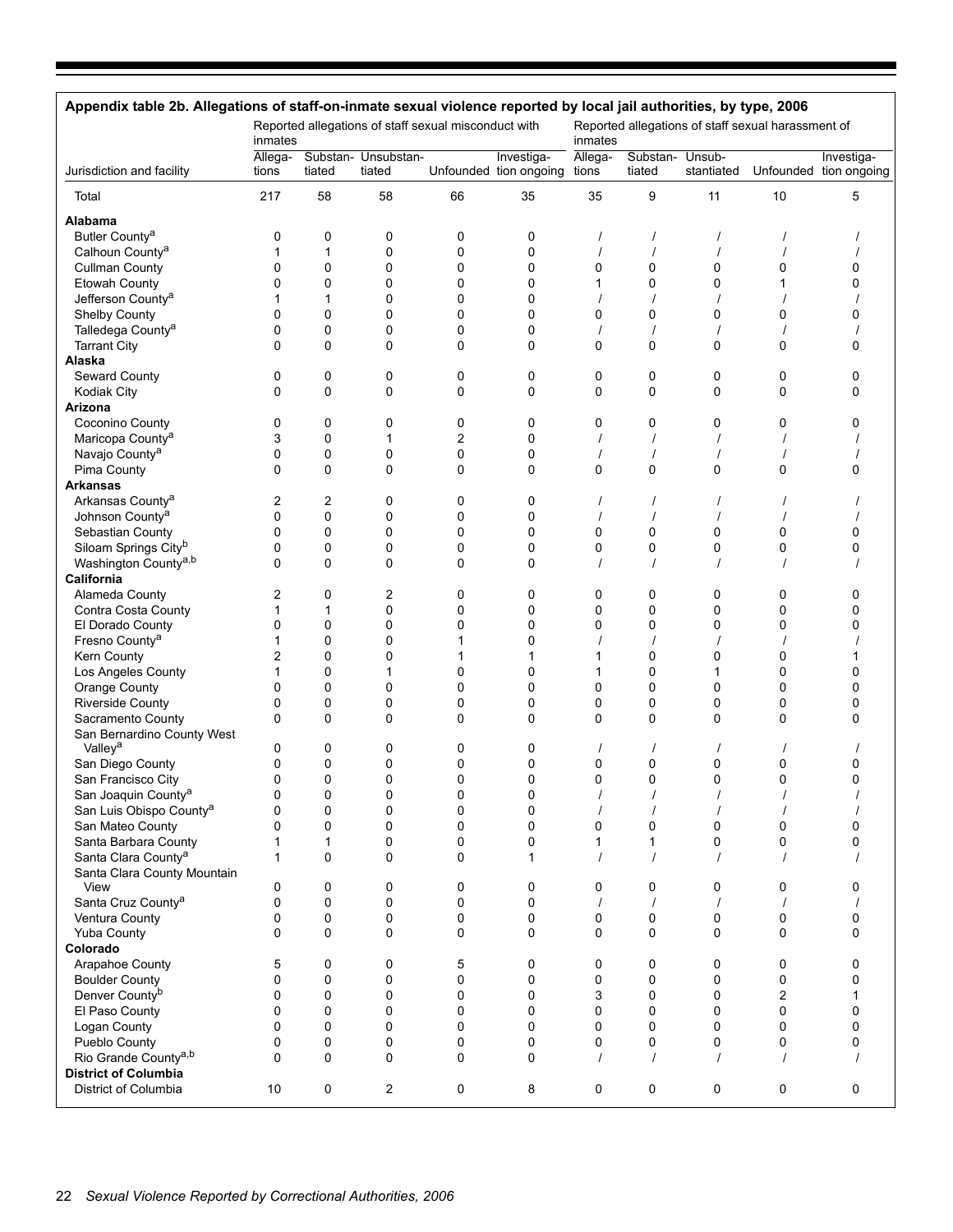| Appendix table 2b. Allegations of staff-on-inmate sexual violence reported by local jail authorities, by type, 2006 |                  |             |                                                      |             |                                      |                  |                    |                      |                                                    |                                      |
|---------------------------------------------------------------------------------------------------------------------|------------------|-------------|------------------------------------------------------|-------------|--------------------------------------|------------------|--------------------|----------------------|----------------------------------------------------|--------------------------------------|
|                                                                                                                     | inmates          |             | Reported allegations of staff sexual misconduct with |             |                                      | inmates          |                    |                      | Reported allegations of staff sexual harassment of |                                      |
| Jurisdiction and facility                                                                                           | Allega-<br>tions | tiated      | Substan- Unsubstan-<br>tiated                        |             | Investiga-<br>Unfounded tion ongoing | Allega-<br>tions | Substan-<br>tiated | Unsub-<br>stantiated |                                                    | Investiga-<br>Unfounded tion ongoing |
| Total                                                                                                               | 217              | 58          | 58                                                   | 66          | 35                                   | 35               | 9                  | 11                   | 10                                                 | 5                                    |
| <b>Alabama</b>                                                                                                      |                  |             |                                                      |             |                                      |                  |                    |                      |                                                    |                                      |
| Butler County <sup>a</sup>                                                                                          | 0                | 0           | 0                                                    | 0           | 0                                    |                  |                    |                      |                                                    |                                      |
| Calhoun County <sup>a</sup>                                                                                         | 1                | 1           | 0                                                    | $\mathbf 0$ | 0                                    |                  |                    |                      |                                                    |                                      |
| <b>Cullman County</b>                                                                                               | 0                | 0           | 0                                                    | 0           | 0                                    | 0                | 0                  | 0                    | 0                                                  | 0                                    |
| <b>Etowah County</b>                                                                                                | 0                | 0           | 0                                                    | 0           | 0                                    | 1                | $\Omega$           | 0                    | 1                                                  | 0                                    |
| Jefferson County <sup>a</sup>                                                                                       |                  | 1           | $\Omega$                                             | $\mathbf 0$ | $\Omega$                             |                  |                    |                      |                                                    |                                      |
| Shelby County                                                                                                       | 0                | 0           | 0                                                    | 0           | 0                                    | 0                | 0                  | 0                    | 0                                                  | 0                                    |
| Talledega County <sup>a</sup>                                                                                       | 0                | 0           | 0                                                    | 0           | 0                                    |                  | $\prime$           | $\prime$             |                                                    |                                      |
| <b>Tarrant City</b>                                                                                                 | $\Omega$         | $\mathbf 0$ | 0                                                    | $\mathbf 0$ | $\Omega$                             | 0                | $\Omega$           | 0                    | 0                                                  | 0                                    |
| Alaska                                                                                                              |                  |             |                                                      |             |                                      |                  |                    |                      |                                                    |                                      |
| Seward County                                                                                                       | 0                | 0           | 0                                                    | 0           | 0                                    | 0                | 0                  | 0                    | 0                                                  | 0                                    |
| Kodiak City                                                                                                         | 0                | $\mathbf 0$ | $\Omega$                                             | $\mathbf 0$ | 0                                    | 0                | $\mathbf 0$        | 0                    | 0                                                  | 0                                    |
| Arizona                                                                                                             |                  |             |                                                      |             |                                      |                  |                    |                      |                                                    |                                      |
| Coconino County                                                                                                     | 0                | 0           | 0                                                    | 0           | 0                                    | 0                | $\mathbf 0$        | 0                    | 0                                                  | 0                                    |
| Maricopa County <sup>a</sup>                                                                                        | 3                | $\mathbf 0$ | 1                                                    | 2           | 0                                    |                  |                    |                      |                                                    |                                      |
| Navajo County <sup>a</sup>                                                                                          | 0                | 0           | 0                                                    | $\pmb{0}$   | 0                                    |                  | $\prime$           | $\prime$             |                                                    |                                      |
| Pima County                                                                                                         | 0                | $\mathbf 0$ | 0                                                    | 0           | 0                                    | 0                | 0                  | 0                    | 0                                                  | $\Omega$                             |
| Arkansas                                                                                                            |                  |             |                                                      |             |                                      |                  |                    |                      |                                                    |                                      |
| Arkansas County <sup>a</sup>                                                                                        | 2                | 2           | 0                                                    | 0           | 0                                    |                  | $\prime$           | $\prime$             |                                                    |                                      |
| Johnson County <sup>a</sup>                                                                                         | 0                | 0           | 0                                                    | 0           | 0                                    |                  | $\prime$           | $\prime$             |                                                    |                                      |
| Sebastian County                                                                                                    | 0                | 0           | $\Omega$                                             | $\mathbf 0$ | 0                                    | 0                | $\Omega$           | 0                    | 0                                                  | 0                                    |
| Siloam Springs City <sup>b</sup>                                                                                    | 0                | 0           | 0                                                    | 0           | 0                                    | 0                | 0                  | 0                    | 0                                                  | 0                                    |
| Washington County <sup>a,b</sup>                                                                                    | 0                | $\mathbf 0$ | $\Omega$                                             | $\mathbf 0$ | 0                                    |                  | $\prime$           | $\prime$             |                                                    |                                      |
| California                                                                                                          |                  |             |                                                      |             |                                      |                  |                    |                      |                                                    |                                      |
| Alameda County                                                                                                      | 2                | 0           | 2                                                    | 0           | 0                                    | 0                | 0                  | 0                    | 0                                                  | 0                                    |
| Contra Costa County                                                                                                 | 1                | 1           | 0                                                    | 0           | 0                                    | 0                | 0                  | 0                    | 0                                                  | 0                                    |
| El Dorado County                                                                                                    | 0                | 0           | 0                                                    | 0           | $\mathbf 0$                          | 0                | $\Omega$           | 0                    | 0                                                  | 0                                    |
| Fresno County <sup>a</sup>                                                                                          | 1                | 0           | 0                                                    | 1           | 0                                    |                  | $\prime$           | $\prime$             |                                                    |                                      |
| Kern County                                                                                                         | 2                | 0           | 0                                                    | 1           | 1                                    | 1                | 0                  | 0                    | 0                                                  |                                      |
| Los Angeles County                                                                                                  | 1                | 0           | 1                                                    | 0           | 0                                    |                  | $\Omega$           | 1                    | 0                                                  | 0                                    |
| Orange County                                                                                                       | 0                | 0           | 0                                                    | 0           | 0                                    | 0                | $\mathbf 0$        | 0                    | 0                                                  | 0                                    |
| <b>Riverside County</b>                                                                                             | 0                | 0           | 0                                                    | 0           | 0                                    | 0                | 0                  | 0                    | 0                                                  | 0                                    |
| Sacramento County                                                                                                   | $\Omega$         | 0           | 0                                                    | 0           | $\mathbf{0}$                         | $\Omega$         | $\Omega$           | 0                    | 0                                                  | $\Omega$                             |
| San Bernardino County West                                                                                          |                  |             |                                                      |             |                                      |                  |                    |                      |                                                    |                                      |
| Valley <sup>a</sup>                                                                                                 | 0                | 0           | 0                                                    | 0           | 0                                    |                  |                    | $\prime$             |                                                    |                                      |
| San Diego County                                                                                                    | 0                | 0           | 0                                                    | 0           | 0                                    | 0                | 0                  | 0                    | 0                                                  | 0                                    |
| San Francisco City                                                                                                  | 0                | 0           | $\Omega$                                             | 0           | $\mathbf 0$                          | 0                | $\Omega$           | 0                    | 0                                                  | $\Omega$                             |
| San Joaquin County <sup>a</sup>                                                                                     | 0                | 0           | 0                                                    | 0           | 0                                    | $\prime$         | $\prime$           | $\prime$             | $\prime$                                           |                                      |
| San Luis Obispo County <sup>a</sup>                                                                                 | 0                | 0           | 0                                                    | $\pmb{0}$   | 0                                    |                  |                    | $\prime$             |                                                    |                                      |
| San Mateo County                                                                                                    | $\mathbf{0}$     | 0           | 0                                                    | $\pmb{0}$   | 0                                    | 0                | 0                  | 0                    | 0                                                  | $\Omega$                             |
| Santa Barbara County                                                                                                | 1                | 1           | 0                                                    | $\pmb{0}$   | 0                                    | 1                | 1                  | 0                    | 0                                                  | $\Omega$                             |
| Santa Clara County <sup>a</sup>                                                                                     | $\mathbf{1}$     | 0           | 0                                                    | 0           | 1                                    |                  | $\prime$           | $\prime$             | $\prime$                                           |                                      |
| Santa Clara County Mountain                                                                                         |                  |             |                                                      |             |                                      |                  |                    |                      |                                                    |                                      |
| View                                                                                                                | 0                | 0           | 0                                                    | 0           | 0                                    | 0                | 0                  | 0                    | 0                                                  | 0                                    |
| Santa Cruz County <sup>a</sup>                                                                                      | $\mathbf 0$      | 0           | 0                                                    | $\pmb{0}$   | 0                                    | $\prime$         | $\prime$           | $\prime$             | $\prime$                                           |                                      |
| Ventura County                                                                                                      | 0                | 0           | 0                                                    | 0           | 0                                    | 0                | $\mathbf 0$        | 0                    | 0                                                  | 0                                    |
| <b>Yuba County</b>                                                                                                  | $\Omega$         | $\mathbf 0$ | $\Omega$                                             | $\mathbf 0$ | $\Omega$                             | $\Omega$         | $\Omega$           | $\Omega$             | $\Omega$                                           | $\Omega$                             |
| Colorado                                                                                                            |                  |             |                                                      |             |                                      |                  |                    |                      |                                                    |                                      |
| Arapahoe County                                                                                                     | 5                | 0           | 0                                                    | 5           | 0                                    | 0                | 0                  | 0                    | 0                                                  | 0                                    |
| <b>Boulder County</b>                                                                                               | $\mathbf{0}$     | $\pmb{0}$   | 0                                                    | 0           | 0                                    | 0                | 0                  | 0                    | 0                                                  | $\Omega$                             |
| Denver County <sup>b</sup>                                                                                          | 0                | 0           | 0                                                    | 0           | 0                                    | 3                | 0                  | 0                    | 2                                                  | 1                                    |
| El Paso County                                                                                                      | $\mathbf{0}$     | $\mathbf 0$ | 0                                                    | 0           | 0                                    | 0                | $\Omega$           | 0                    | $\mathbf 0$                                        | 0                                    |
| Logan County                                                                                                        | $\mathbf{0}$     | $\mathbf 0$ | $\Omega$                                             | $\mathbf 0$ | 0                                    | $\Omega$         | $\Omega$           | $\Omega$             | 0                                                  | $\mathbf 0$                          |
| Pueblo County                                                                                                       | 0                | 0           | 0                                                    | $\pmb{0}$   | 0                                    | 0                | 0                  | 0                    | $\pmb{0}$                                          | 0                                    |
| Rio Grande County <sup>a,b</sup>                                                                                    | $\mathbf{0}$     | 0           | 0                                                    | 0           | 0                                    | $\prime$         | $\prime$           | $\prime$             |                                                    |                                      |
| <b>District of Columbia</b>                                                                                         |                  |             |                                                      |             |                                      |                  |                    |                      |                                                    |                                      |
| District of Columbia                                                                                                | 10               | 0           | 2                                                    | 0           | 8                                    | 0                | 0                  | 0                    | 0                                                  | 0                                    |
|                                                                                                                     |                  |             |                                                      |             |                                      |                  |                    |                      |                                                    |                                      |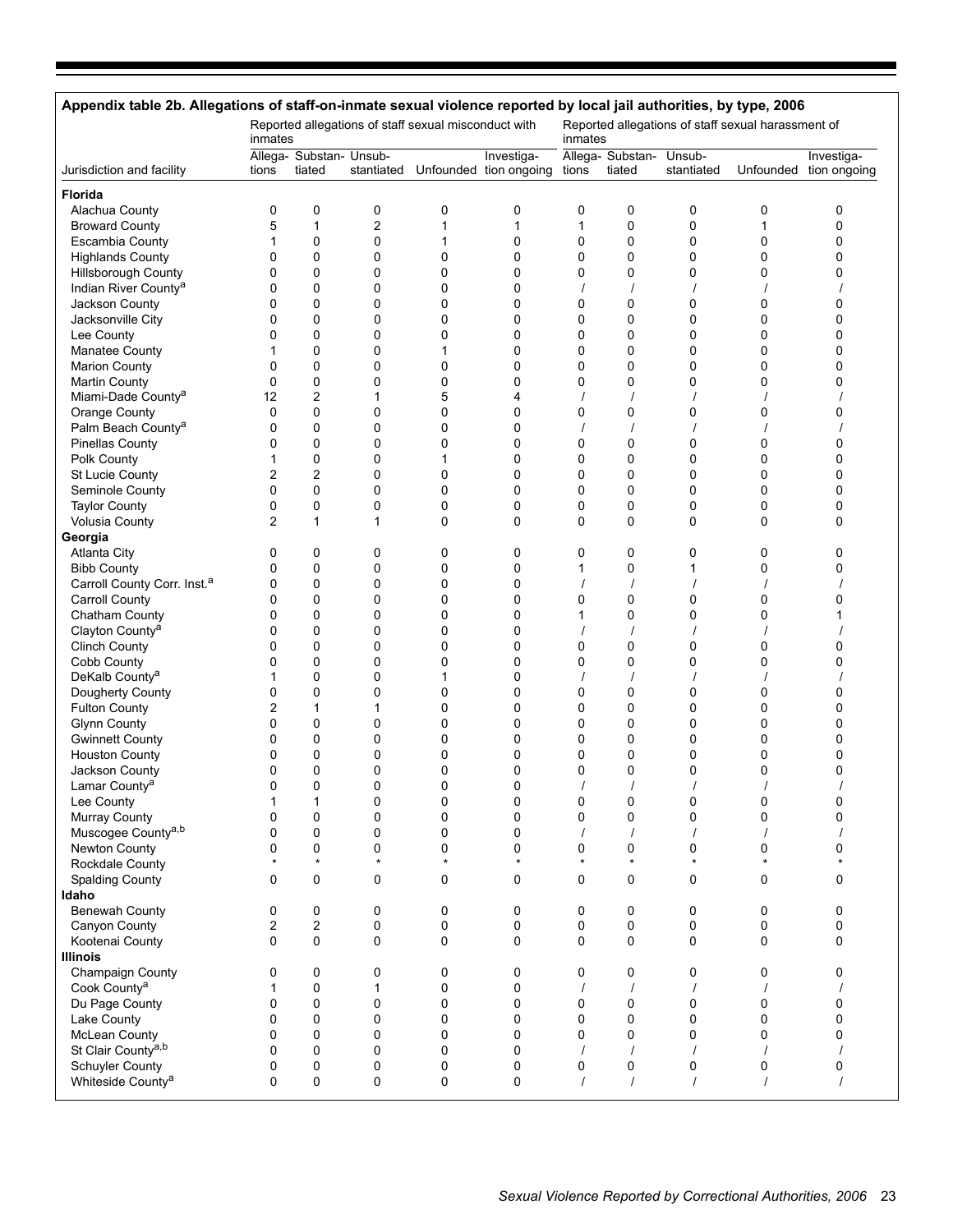# **Appendix table 2b. Allegations of staff-on-inmate sexual violence reported by local jail authorities, by type, 2006**

|                                         | Reported allegations of staff sexual misconduct with<br>inmates<br>inmates<br>Allega- Substan- Unsub-<br>Investiga-<br>stantiated Unfounded tion ongoing |                         |                         |             |         |          |                                   |             | Reported allegations of staff sexual harassment of |                            |
|-----------------------------------------|----------------------------------------------------------------------------------------------------------------------------------------------------------|-------------------------|-------------------------|-------------|---------|----------|-----------------------------------|-------------|----------------------------------------------------|----------------------------|
| Jurisdiction and facility               | tions                                                                                                                                                    | tiated                  |                         |             |         | tions    | Allega- Substan- Unsub-<br>tiated | stantiated  | Unfounded                                          | Investiga-<br>tion ongoing |
| <b>Florida</b>                          |                                                                                                                                                          |                         |                         |             |         |          |                                   |             |                                                    |                            |
| Alachua County                          | 0                                                                                                                                                        | 0                       | 0                       | 0           | 0       | 0        | 0                                 | 0           | 0                                                  | 0                          |
| <b>Broward County</b>                   | 5                                                                                                                                                        | $\mathbf{1}$            | $\overline{\mathbf{c}}$ | 1           | 1       | 1        | 0                                 | 0           | 1                                                  | 0                          |
| <b>Escambia County</b>                  | 1                                                                                                                                                        | 0                       | 0                       | 1           | 0       | 0        | 0                                 | 0           | 0                                                  | 0                          |
| <b>Highlands County</b>                 | 0                                                                                                                                                        | $\mathbf 0$             | $\mathbf 0$             | 0           | 0       | 0        | 0                                 | $\mathbf 0$ | 0                                                  | 0                          |
| Hillsborough County                     | 0                                                                                                                                                        | $\mathbf 0$             | 0                       | 0           | 0       | 0        | 0                                 | 0           | 0                                                  | 0                          |
| Indian River County <sup>a</sup>        | 0                                                                                                                                                        | $\mathbf 0$             | 0                       | 0           | 0       | $\prime$ | $\prime$                          |             |                                                    |                            |
| Jackson County                          | 0                                                                                                                                                        | $\mathbf 0$             | $\mathbf 0$             | 0           | 0       | 0        | 0                                 | 0           | 0                                                  | 0                          |
| Jacksonville City                       | 0                                                                                                                                                        | $\mathbf 0$             | $\mathbf 0$             | $\Omega$    | 0       | 0        | 0                                 | $\mathbf 0$ | 0                                                  | 0                          |
| Lee County                              | 0                                                                                                                                                        | 0                       | 0                       | 0           | 0       | 0        | 0                                 | 0           | 0                                                  | 0                          |
| Manatee County                          |                                                                                                                                                          | $\mathbf 0$             | $\mathbf 0$             | 1           | 0       | 0        | 0                                 | $\mathbf 0$ | 0                                                  | 0                          |
| <b>Marion County</b>                    | 0                                                                                                                                                        | $\mathbf 0$             | 0                       | 0           | 0       | 0        | 0                                 | $\mathbf 0$ | 0                                                  | 0                          |
| <b>Martin County</b>                    | 0                                                                                                                                                        | 0                       | 0                       | 0           | 0       | 0        | 0                                 | 0           | 0                                                  | 0                          |
| Miami-Dade County <sup>a</sup>          | 12                                                                                                                                                       | $\overline{2}$          | 1                       | 5           | 4       |          |                                   |             |                                                    |                            |
| Orange County                           | 0                                                                                                                                                        | $\mathbf 0$             | $\mathbf 0$             | $\Omega$    | 0       | 0        | 0                                 | $\mathbf 0$ | 0                                                  | 0                          |
| Palm Beach County <sup>a</sup>          | 0                                                                                                                                                        | 0                       | $\mathbf 0$             | 0           | 0       | $\prime$ |                                   |             |                                                    |                            |
| <b>Pinellas County</b>                  | 0                                                                                                                                                        | $\mathbf 0$             | $\mathbf 0$             | 0           | 0       | 0        | 0                                 | $\mathbf 0$ | 0                                                  | 0                          |
| Polk County                             |                                                                                                                                                          | 0                       | 0                       |             | 0       | 0        | 0                                 | $\mathbf 0$ | 0                                                  | 0                          |
| St Lucie County                         |                                                                                                                                                          | $\overline{2}$          | 0                       | 0           | 0       | 0        | 0                                 | 0           |                                                    | 0                          |
| Seminole County                         | 2<br>0                                                                                                                                                   | $\mathbf 0$             | 0                       | $\mathbf 0$ | 0       | 0        | 0                                 | $\mathbf 0$ | 0<br>0                                             | 0                          |
|                                         |                                                                                                                                                          |                         |                         |             | 0       |          |                                   |             |                                                    |                            |
| <b>Taylor County</b>                    | 0                                                                                                                                                        | 0                       | 0                       | 0           |         | 0        | 0                                 | 0           | 0                                                  | 0                          |
| Volusia County                          | 2                                                                                                                                                        | $\mathbf{1}$            | $\mathbf{1}$            | $\Omega$    | 0       | 0        | 0                                 | 0           | 0                                                  | 0                          |
| Georgia                                 |                                                                                                                                                          |                         |                         |             |         |          |                                   |             |                                                    |                            |
| <b>Atlanta City</b>                     | 0                                                                                                                                                        | 0                       | 0                       | 0           | 0       | 0        | 0                                 | 0           | 0                                                  | 0                          |
| <b>Bibb County</b>                      | 0                                                                                                                                                        | 0                       | 0                       | 0           | 0       | 1        | 0                                 | 1           | 0                                                  | 0                          |
| Carroll County Corr. Inst. <sup>a</sup> | 0                                                                                                                                                        | $\mathbf 0$             | 0                       | $\mathbf 0$ | 0       | $\prime$ |                                   |             |                                                    |                            |
| <b>Carroll County</b>                   | 0                                                                                                                                                        | $\mathbf 0$             | $\mathbf 0$             | 0           | 0       | 0        | 0                                 | $\mathbf 0$ | 0                                                  | 0                          |
| Chatham County                          | 0                                                                                                                                                        | 0                       | 0                       | 0           | 0       | 1        | 0                                 | 0           | 0                                                  |                            |
| Clayton County <sup>a</sup>             | 0                                                                                                                                                        | $\mathbf 0$             | $\mathbf 0$             | 0           | 0       |          |                                   |             |                                                    |                            |
| <b>Clinch County</b>                    | 0                                                                                                                                                        | $\mathbf 0$             | 0                       | 0           | 0       | 0        | 0                                 | $\mathbf 0$ | 0                                                  | 0                          |
| Cobb County                             | 0                                                                                                                                                        | $\mathbf 0$             | 0                       | 0           | 0       | 0        | 0                                 | 0           | 0                                                  | 0                          |
| DeKalb County <sup>a</sup>              | 1                                                                                                                                                        | $\mathbf 0$             | $\mathbf 0$             | 1           | 0       | $\prime$ |                                   |             |                                                    |                            |
| Dougherty County                        | 0                                                                                                                                                        | $\mathbf 0$             | $\mathbf 0$             | 0           | 0       | 0        | 0                                 | 0           | 0                                                  | 0                          |
| <b>Fulton County</b>                    | 2                                                                                                                                                        | 1                       | 1                       | 0           | 0       | 0        | 0                                 | 0           | 0                                                  | 0                          |
| <b>Glynn County</b>                     | 0                                                                                                                                                        | $\mathbf 0$             | $\mathbf 0$             | 0           | 0       | 0        | 0                                 | 0           | 0                                                  | 0                          |
| <b>Gwinnett County</b>                  | 0                                                                                                                                                        | $\mathbf 0$             | $\mathbf 0$             | 0           | 0       | 0        | 0                                 | $\mathbf 0$ | 0                                                  | 0                          |
| <b>Houston County</b>                   | 0                                                                                                                                                        | $\mathbf 0$             | 0                       | 0           | 0       | 0        | 0                                 | 0           | 0                                                  | 0                          |
| Jackson County                          | 0                                                                                                                                                        | $\mathbf 0$             | 0                       | 0           | 0       | 0        | 0                                 | $\mathbf 0$ | 0                                                  | 0                          |
| Lamar County <sup>a</sup>               | 0                                                                                                                                                        | 0                       | $\mathbf 0$             | 0           | 0       |          |                                   |             |                                                    |                            |
| Lee County                              | 1                                                                                                                                                        | 1                       | 0                       | 0           | 0       | 0        | 0                                 | 0           | 0                                                  | 0                          |
| Murray County                           | U                                                                                                                                                        | 0                       | 0                       | 0           | 0       | 0        | 0                                 | 0           | 0                                                  | U                          |
| Muscogee County <sup>a,b</sup>          | 0                                                                                                                                                        | 0                       | 0                       | 0           | 0       |          |                                   |             |                                                    |                            |
| Newton County                           | 0                                                                                                                                                        | 0                       | 0                       | 0           | 0       | 0        | 0                                 | 0           | 0                                                  | 0                          |
| Rockdale County                         |                                                                                                                                                          | $\star$                 | $\star$                 | $\star$     | $\star$ | $\star$  | $\star$                           | $\star$     | $\star$                                            |                            |
| <b>Spalding County</b>                  | 0                                                                                                                                                        | 0                       | 0                       | 0           | 0       | 0        | 0                                 | 0           | 0                                                  | 0                          |
| Idaho                                   |                                                                                                                                                          |                         |                         |             |         |          |                                   |             |                                                    |                            |
| Benewah County                          | 0                                                                                                                                                        | 0                       | 0                       | 0           | 0       | 0        | 0                                 | 0           | 0                                                  | 0                          |
| Canyon County                           | 2                                                                                                                                                        | $\overline{\mathbf{c}}$ | 0                       | 0           | 0       | 0        | 0                                 | 0           | 0                                                  | 0                          |
| Kootenai County                         | 0                                                                                                                                                        | 0                       | $\mathbf 0$             | $\mathbf 0$ | 0       | 0        | 0                                 | 0           | 0                                                  | 0                          |
| <b>Illinois</b>                         |                                                                                                                                                          |                         |                         |             |         |          |                                   |             |                                                    |                            |
| Champaign County                        | 0                                                                                                                                                        | 0                       | 0                       | 0           | 0       | 0        | 0                                 | 0           | 0                                                  | 0                          |
| Cook County <sup>a</sup>                | 1                                                                                                                                                        | 0                       | 1                       | 0           | 0       | $\prime$ | $\prime$                          |             |                                                    |                            |
| Du Page County                          | 0                                                                                                                                                        | $\pmb{0}$               | 0                       | $\mathbf 0$ | 0       | 0        | 0                                 | 0           | 0                                                  | 0                          |
| Lake County                             | 0                                                                                                                                                        | $\mathbf 0$             | $\mathbf 0$             | $\Omega$    | 0       | 0        | 0                                 | 0           | $\mathbf{0}$                                       | 0                          |
| McLean County                           | 0                                                                                                                                                        | 0                       | $\mathbf 0$             | 0           | 0       | 0        | 0                                 | 0           | 0                                                  | 0                          |
| St Clair County <sup>a,b</sup>          | 0                                                                                                                                                        | $\mathbf 0$             | 0                       | $\mathbf 0$ | 0       |          |                                   |             |                                                    |                            |
| Schuyler County                         | 0                                                                                                                                                        | 0                       | 0                       | 0           | 0       | 0        | 0                                 | 0           | 0                                                  | 0                          |
| Whiteside County <sup>a</sup>           | 0                                                                                                                                                        | 0                       | 0                       | 0           | 0       | $\prime$ | $\prime$                          | $\prime$    | $\prime$                                           | $\prime$                   |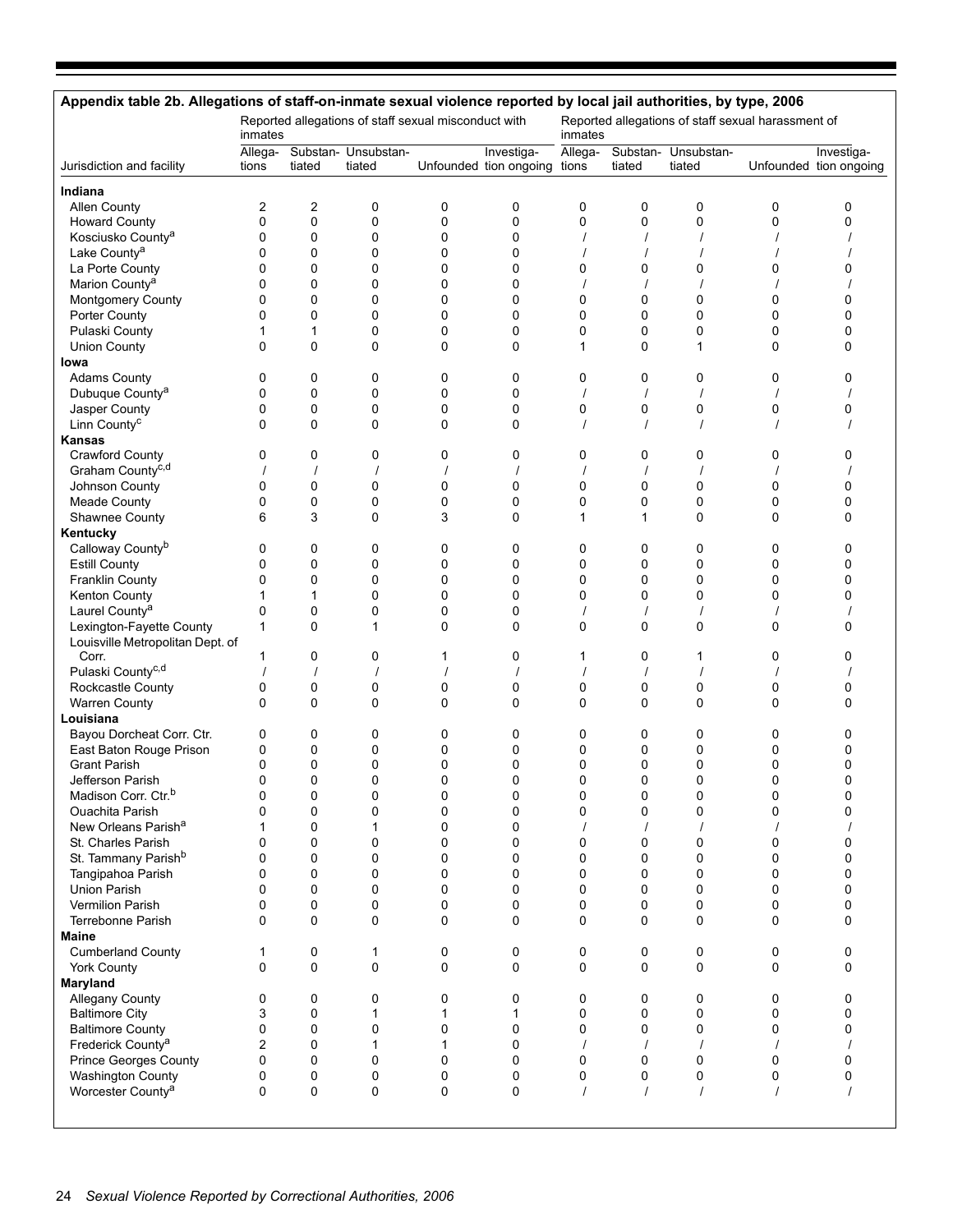| Appendix table 2b. Allegations of staff-on-inmate sexual violence reported by local jail authorities, by type, 2006 |                  |                |                                                      |   |                                            |              |              |                                                    |              |                                      |
|---------------------------------------------------------------------------------------------------------------------|------------------|----------------|------------------------------------------------------|---|--------------------------------------------|--------------|--------------|----------------------------------------------------|--------------|--------------------------------------|
|                                                                                                                     | inmates          |                | Reported allegations of staff sexual misconduct with |   |                                            | inmates      |              | Reported allegations of staff sexual harassment of |              |                                      |
| Jurisdiction and facility                                                                                           | Allega-<br>tions | tiated         | Substan- Unsubstan-<br>tiated                        |   | Investiga-<br>Unfounded tion ongoing tions | Allega-      | tiated       | Substan- Unsubstan-<br>tiated                      |              | Investiga-<br>Unfounded tion ongoing |
| Indiana                                                                                                             |                  |                |                                                      |   |                                            |              |              |                                                    |              |                                      |
| Allen County                                                                                                        | $\overline{c}$   | 2              | 0                                                    | 0 | 0                                          | 0            | 0            | 0                                                  | 0            | 0                                    |
| <b>Howard County</b>                                                                                                | 0                | 0              | $\mathbf 0$                                          | 0 | 0                                          | $\mathbf 0$  | $\mathbf 0$  | 0                                                  | 0            | 0                                    |
| Kosciusko County <sup>a</sup>                                                                                       | 0                | 0              | 0                                                    | 0 | 0                                          |              |              |                                                    |              |                                      |
| Lake County <sup>a</sup>                                                                                            | 0                | 0              | 0                                                    | 0 | 0                                          |              |              |                                                    |              |                                      |
| La Porte County                                                                                                     | $\Omega$         | 0              | 0                                                    | 0 | 0                                          | 0            | 0            | 0                                                  | 0            | 0                                    |
| Marion County <sup>a</sup>                                                                                          | 0                | 0              | 0                                                    | 0 | 0                                          | $\prime$     |              |                                                    |              |                                      |
| Montgomery County                                                                                                   | 0                | 0              | 0                                                    | 0 | 0                                          | $\mathbf 0$  | 0            | 0                                                  | 0            | 0                                    |
| Porter County                                                                                                       | 0                | 0              | 0                                                    | 0 | 0                                          | $\mathbf 0$  | 0            | 0                                                  | 0            | 0                                    |
| Pulaski County                                                                                                      | 1                | 1              | $\mathbf 0$                                          | 0 | 0                                          | $\mathbf 0$  | $\mathbf 0$  | 0                                                  | 0            | 0                                    |
| <b>Union County</b>                                                                                                 | $\mathbf 0$      | 0              | 0                                                    | 0 | 0                                          | $\mathbf{1}$ | $\mathbf 0$  | $\mathbf{1}$                                       | 0            | 0                                    |
| lowa                                                                                                                |                  |                |                                                      |   |                                            |              |              |                                                    |              |                                      |
| <b>Adams County</b>                                                                                                 | 0                | 0              | 0                                                    | 0 | 0                                          | 0            | 0            | 0                                                  | 0            | 0                                    |
| Dubuque County <sup>a</sup>                                                                                         | 0                | 0              | 0                                                    | 0 | 0                                          |              |              |                                                    |              |                                      |
| Jasper County                                                                                                       | 0                | 0              | 0                                                    | 0 | 0                                          | $\mathbf 0$  | 0            | 0                                                  | 0            | 0                                    |
| Linn County <sup>c</sup>                                                                                            | $\Omega$         | 0              | 0                                                    | 0 | 0                                          | $\prime$     |              |                                                    |              |                                      |
| Kansas                                                                                                              |                  |                |                                                      |   |                                            |              |              |                                                    |              |                                      |
| Crawford County                                                                                                     | 0                | 0              | 0                                                    | 0 | 0                                          | 0            | 0            | 0                                                  | 0            | 0                                    |
| Graham County <sup>c,d</sup>                                                                                        |                  | $\overline{1}$ |                                                      |   | $\prime$                                   | $\prime$     |              |                                                    |              |                                      |
| Johnson County                                                                                                      | 0                | 0              | 0                                                    | 0 | 0                                          | $\mathbf 0$  | 0            | 0                                                  | 0            | 0                                    |
| Meade County                                                                                                        | 0                | 0              | 0                                                    | 0 | 0                                          | $\mathbf 0$  | 0            | 0                                                  | 0            | 0                                    |
| Shawnee County                                                                                                      | 6                | 3              | $\mathbf 0$                                          | 3 | 0                                          | $\mathbf{1}$ | $\mathbf{1}$ | $\mathbf 0$                                        | 0            | 0                                    |
| Kentucky                                                                                                            |                  |                |                                                      |   |                                            |              |              |                                                    |              |                                      |
| Calloway County <sup>b</sup>                                                                                        | 0                | 0              | 0                                                    | 0 | 0                                          | 0            | 0            | 0                                                  | 0            | 0                                    |
| <b>Estill County</b>                                                                                                | 0                | 0              | 0                                                    | 0 | 0                                          | $\mathbf 0$  | $\mathbf 0$  | $\mathbf 0$                                        | 0            | 0                                    |
|                                                                                                                     |                  | 0              | 0                                                    |   | 0                                          | $\mathbf 0$  |              |                                                    |              | 0                                    |
| Franklin County                                                                                                     | 0                | 1              |                                                      | 0 |                                            |              | 0            | 0<br>0                                             | 0            |                                      |
| Kenton County                                                                                                       | 1                |                | 0                                                    | 0 | 0                                          | 0            | 0            |                                                    | 0            | 0                                    |
| Laurel County <sup>a</sup>                                                                                          | 0                | 0              | 0                                                    | 0 | 0                                          | $\prime$     |              |                                                    |              |                                      |
| Lexington-Fayette County                                                                                            | 1                | 0              | $\mathbf 1$                                          | 0 | 0                                          | $\mathbf 0$  | $\mathbf 0$  | 0                                                  | 0            | 0                                    |
| Louisville Metropolitan Dept. of                                                                                    | 1                |                |                                                      |   | 0                                          |              |              |                                                    |              |                                      |
| Corr.                                                                                                               |                  | 0              | 0                                                    | 1 |                                            | 1            | 0            | 1                                                  | 0            | 0                                    |
| Pulaski County <sup>c,d</sup>                                                                                       |                  |                |                                                      |   |                                            |              |              |                                                    |              |                                      |
| Rockcastle County                                                                                                   | 0                | 0              | 0                                                    | 0 | 0                                          | $\mathbf 0$  | $\mathbf 0$  | $\mathbf 0$                                        | 0            | 0                                    |
| <b>Warren County</b>                                                                                                | 0                | $\mathbf 0$    | 0                                                    | 0 | 0                                          | 0            | 0            | $\mathbf 0$                                        | 0            | 0                                    |
| Louisiana                                                                                                           |                  |                |                                                      |   |                                            |              |              |                                                    |              |                                      |
| Bayou Dorcheat Corr. Ctr.                                                                                           | 0                | 0              | 0                                                    | 0 | 0                                          | 0            | 0            | 0                                                  | 0            | 0                                    |
| East Baton Rouge Prison                                                                                             | 0                | 0              | 0                                                    | 0 | 0                                          | 0            | 0            | 0                                                  | 0            | 0                                    |
| <b>Grant Parish</b>                                                                                                 | 0                | 0              | 0                                                    | 0 | 0                                          | $\mathbf 0$  | $\mathbf 0$  | 0                                                  | 0            | 0                                    |
| Jefferson Parish                                                                                                    | $\Omega$         | 0              | $\Omega$                                             | 0 | $\Omega$                                   | $\Omega$     | $\Omega$     | $\Omega$                                           | <sup>0</sup> |                                      |
| Madison Corr. Ctr. <sup>b</sup>                                                                                     | 0                | 0              | 0                                                    | 0 | 0                                          | 0            | 0            | 0                                                  | 0            | 0                                    |
| <b>Ouachita Parish</b>                                                                                              | $\mathbf 0$      | 0              | 0                                                    | 0 | 0                                          | 0            | 0            | 0                                                  | 0            | 0                                    |
| New Orleans Parish <sup>a</sup>                                                                                     |                  | $\mathbf{0}$   | 1                                                    | 0 | 0                                          |              |              |                                                    |              |                                      |
| St. Charles Parish                                                                                                  | 0                | 0              | 0                                                    | 0 | 0                                          | $\mathbf 0$  | 0            | 0                                                  | 0            | 0                                    |
| St. Tammany Parish <sup>b</sup>                                                                                     | $\mathbf 0$      | 0              | 0                                                    | 0 | 0                                          | $\mathbf 0$  | 0            | 0                                                  | 0            | 0                                    |
| Tangipahoa Parish                                                                                                   | $\Omega$         | $\mathbf{0}$   | $\mathbf 0$                                          | 0 | 0                                          | $\mathbf 0$  | $\mathbf 0$  | 0                                                  | 0            | 0                                    |
| <b>Union Parish</b>                                                                                                 | 0                | 0              | 0                                                    | 0 | 0                                          | $\mathbf 0$  | $\mathbf 0$  | 0                                                  | 0            | 0                                    |
| <b>Vermilion Parish</b>                                                                                             | $\mathbf 0$      | 0              | $\pmb{0}$                                            | 0 | 0                                          | $\mathbf 0$  | 0            | 0                                                  | 0            | 0                                    |
| Terrebonne Parish                                                                                                   | $\Omega$         | $\Omega$       | $\mathbf 0$                                          | 0 | 0                                          | $\mathbf 0$  | $\mathbf 0$  | 0                                                  | 0            | 0                                    |
| Maine                                                                                                               |                  |                |                                                      |   |                                            |              |              |                                                    |              |                                      |
| <b>Cumberland County</b>                                                                                            | 1                | 0              | 1                                                    | 0 | 0                                          | 0            | 0            | 0                                                  | 0            | 0                                    |
| York County                                                                                                         | $\Omega$         | $\Omega$       | 0                                                    | 0 | $\Omega$                                   | $\Omega$     | $\Omega$     | $\mathbf 0$                                        | 0            | 0                                    |
| Maryland                                                                                                            |                  |                |                                                      |   |                                            |              |              |                                                    |              |                                      |
| Allegany County                                                                                                     | 0                | 0              | 0                                                    | 0 | 0                                          | 0            | 0            | 0                                                  | 0            | 0                                    |
| <b>Baltimore City</b>                                                                                               | 3                | 0              | 1                                                    | 1 | 1                                          | $\mathbf 0$  | $\mathbf 0$  | 0                                                  | 0            | $\Omega$                             |
| <b>Baltimore County</b>                                                                                             | 0                | $\mathbf 0$    | 0                                                    | 0 | 0                                          | $\mathbf 0$  | 0            | 0                                                  | 0            | 0                                    |
| Frederick County <sup>a</sup>                                                                                       | 2                | 0              | $\mathbf{1}$                                         | 1 | 0                                          |              |              |                                                    |              |                                      |
| Prince Georges County                                                                                               | $\Omega$         | $\mathbf{0}$   | $\mathbf 0$                                          | 0 | $\Omega$                                   | $\mathbf 0$  | $\mathbf 0$  | $\mathbf 0$                                        | 0            | 0                                    |
| Washington County                                                                                                   | 0                | 0              | 0                                                    | 0 | 0                                          | 0            | 0            | 0                                                  | 0            | 0                                    |
| Worcester County <sup>a</sup>                                                                                       | $\mathbf 0$      | 0              | $\mathbf 0$                                          | 0 | $\mathbf 0$                                | $\prime$     | $\prime$     |                                                    |              |                                      |
|                                                                                                                     |                  |                |                                                      |   |                                            |              |              |                                                    |              |                                      |
|                                                                                                                     |                  |                |                                                      |   |                                            |              |              |                                                    |              |                                      |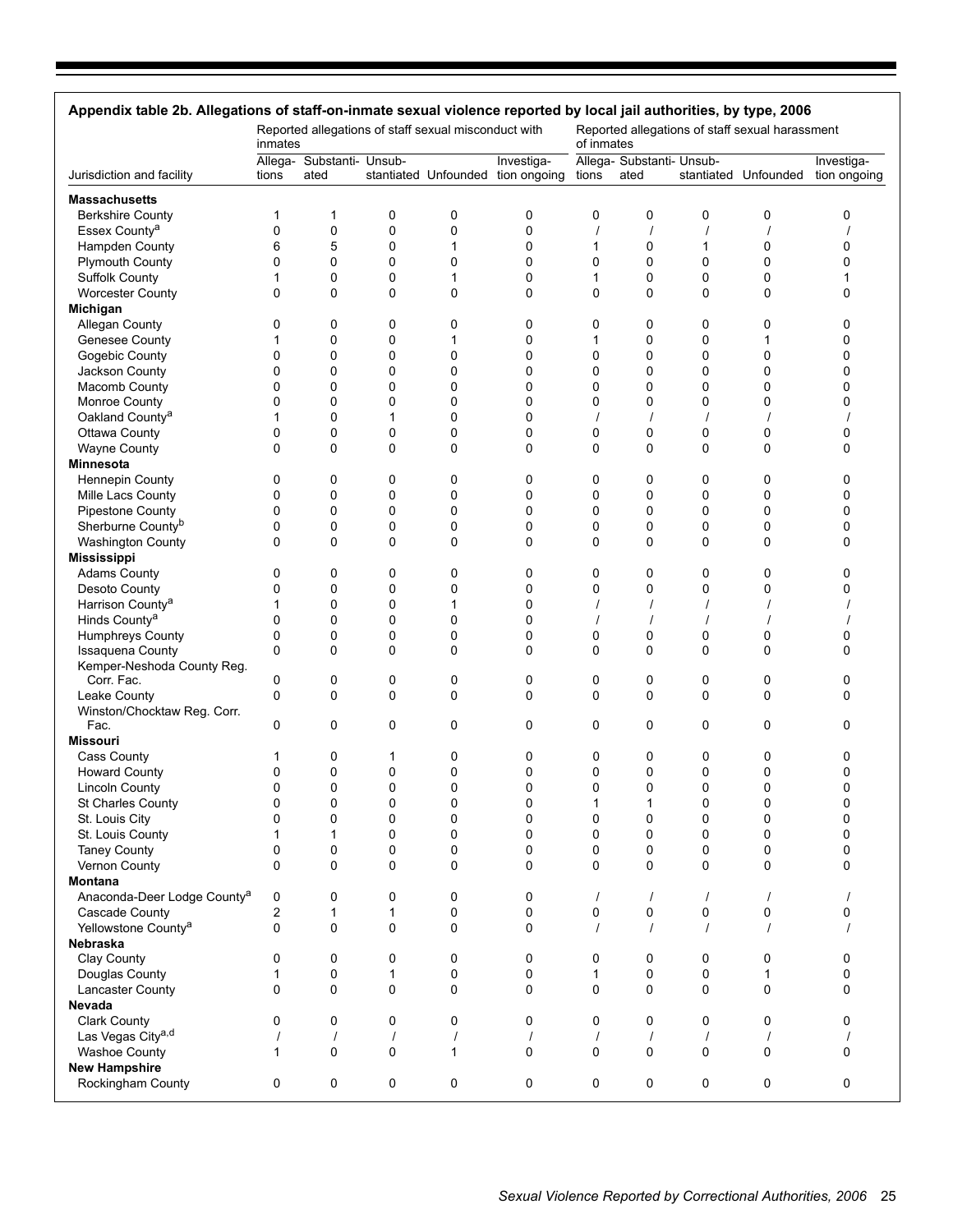| Appendix table 2b. Allegations of staff-on-inmate sexual violence reported by local jail authorities, by type, 2006 | inmates  |                                   |             | Reported allegations of staff sexual misconduct with |                                                 | of inmates   |                                   |             | Reported allegations of staff sexual harassment |                            |
|---------------------------------------------------------------------------------------------------------------------|----------|-----------------------------------|-------------|------------------------------------------------------|-------------------------------------------------|--------------|-----------------------------------|-------------|-------------------------------------------------|----------------------------|
| Jurisdiction and facility                                                                                           | tions    | Allega- Substanti- Unsub-<br>ated |             |                                                      | Investiga-<br>stantiated Unfounded tion ongoing | tions        | Allega- Substanti- Unsub-<br>ated |             | stantiated Unfounded                            | Investiga-<br>tion ongoing |
| <b>Massachusetts</b>                                                                                                |          |                                   |             |                                                      |                                                 |              |                                   |             |                                                 |                            |
| <b>Berkshire County</b>                                                                                             | 1        | 1                                 | 0           | 0                                                    | 0                                               | 0            | 0                                 | 0           | 0                                               | 0                          |
| Essex County <sup>a</sup>                                                                                           | 0        | 0                                 | $\mathbf 0$ | 0                                                    | 0                                               | $\prime$     | $\overline{1}$                    | $\prime$    | $\overline{\phantom{a}}$                        |                            |
| Hampden County                                                                                                      | 6        | 5                                 | 0           | 1                                                    | 0                                               | 1            | 0                                 | 1           | 0                                               | 0                          |
| <b>Plymouth County</b>                                                                                              | 0        | 0                                 | 0           | 0                                                    | 0                                               | 0            | 0                                 | 0           | 0                                               | 0                          |
| <b>Suffolk County</b>                                                                                               | 1        | 0                                 | 0           | 1                                                    | 0                                               | 1            | 0                                 | 0           | 0                                               | 1                          |
| <b>Worcester County</b>                                                                                             | 0        | 0                                 | $\Omega$    | 0                                                    | 0                                               | 0            | 0                                 | 0           | 0                                               | 0                          |
| Michigan                                                                                                            |          |                                   |             |                                                      |                                                 |              |                                   |             |                                                 |                            |
| Allegan County                                                                                                      | 0        | 0                                 | 0           | 0                                                    | 0                                               | 0            | 0                                 | 0           | 0                                               | 0                          |
| Genesee County                                                                                                      | 1        | 0                                 | 0           | 1                                                    | 0                                               | 1            | 0                                 | 0           | 1                                               | 0                          |
| Gogebic County                                                                                                      | 0        | 0                                 | 0           | 0                                                    | 0                                               | 0            | 0                                 | 0           | 0                                               | 0                          |
| Jackson County                                                                                                      | 0        | 0                                 | 0           | 0                                                    | 0                                               | 0            | 0                                 | 0           | 0                                               | 0                          |
| Macomb County                                                                                                       | 0        | 0                                 | 0           | 0                                                    | 0                                               | 0            | 0                                 | 0           | 0                                               | 0                          |
| Monroe County                                                                                                       | 0        | 0                                 | 0           | 0                                                    | 0                                               | 0            | 0                                 | 0           | 0                                               | 0                          |
| Oakland County <sup>a</sup>                                                                                         | 1        | 0                                 | 1           | 0                                                    | 0                                               | $\prime$     | $\overline{1}$                    | $\prime$    | $\overline{1}$                                  |                            |
| Ottawa County                                                                                                       | 0        | 0                                 | $\mathbf 0$ | 0                                                    | 0                                               | 0            | 0                                 | 0           | 0                                               | 0                          |
| <b>Wayne County</b>                                                                                                 | 0        | 0                                 | 0           | 0                                                    | 0                                               | 0            | 0                                 | 0           | 0                                               | 0                          |
| Minnesota                                                                                                           |          |                                   |             |                                                      |                                                 |              |                                   |             |                                                 |                            |
| Hennepin County                                                                                                     | 0        | 0                                 | 0           | 0                                                    | 0                                               | 0            | 0                                 | 0           | 0                                               | 0                          |
|                                                                                                                     | 0        | 0                                 | 0           | 0                                                    | 0                                               | 0            | 0                                 | 0           | 0                                               | 0                          |
| Mille Lacs County                                                                                                   | 0        | 0                                 | 0           | 0                                                    | 0                                               | 0            | 0                                 |             | 0                                               | 0                          |
| <b>Pipestone County</b><br>Sherburne County <sup>b</sup>                                                            |          |                                   |             |                                                      |                                                 | 0            |                                   | 0           |                                                 |                            |
|                                                                                                                     | 0        | 0                                 | 0           | 0                                                    | 0                                               |              | 0                                 | 0           | 0                                               | 0                          |
| Washington County<br><b>Mississippi</b>                                                                             | 0        | 0                                 | 0           | 0                                                    | 0                                               | 0            | 0                                 | 0           | 0                                               | 0                          |
| <b>Adams County</b>                                                                                                 | 0        | 0                                 | 0           | 0                                                    | 0                                               | 0            | 0                                 | 0           | 0                                               | 0                          |
| Desoto County                                                                                                       | 0        | 0                                 | 0           | 0                                                    | 0                                               | 0            | 0                                 | 0           | 0                                               | 0                          |
| Harrison County <sup>a</sup>                                                                                        | 1        | 0                                 | 0           | 1                                                    | 0                                               |              | $\overline{1}$                    | $\prime$    | $\prime$                                        |                            |
| Hinds County <sup>a</sup>                                                                                           | 0        | 0                                 | 0           | 0                                                    | 0                                               |              |                                   |             |                                                 |                            |
| Humphreys County                                                                                                    | 0        | 0                                 | 0           | 0                                                    | 0                                               | 0            | 0                                 | 0           | 0                                               | 0                          |
| <b>Issaquena County</b>                                                                                             | 0        | $\mathbf 0$                       | 0           | 0                                                    | 0                                               | 0            | 0                                 | 0           | 0                                               | 0                          |
| Kemper-Neshoda County Reg.<br>Corr. Fac.                                                                            | 0        | 0                                 | 0           | 0                                                    | 0                                               | 0            | 0                                 | 0           | 0                                               | 0                          |
| Leake County                                                                                                        | 0        | 0                                 | 0           | 0                                                    | 0                                               | 0            | 0                                 | 0           | $\mathbf 0$                                     | 0                          |
| Winston/Chocktaw Reg. Corr.<br>Fac.                                                                                 | 0        | 0                                 | 0           | 0                                                    | 0                                               | 0            | 0                                 | 0           | 0                                               | 0                          |
| <b>Missouri</b>                                                                                                     |          |                                   |             |                                                      |                                                 |              |                                   |             |                                                 |                            |
| <b>Cass County</b>                                                                                                  | 1        | 0                                 | 1           | 0                                                    | 0                                               | 0            | 0                                 | 0           | 0                                               | 0                          |
| <b>Howard County</b>                                                                                                | 0        | 0                                 | 0           | 0                                                    | 0                                               | 0            | 0                                 | 0           | 0                                               | 0                          |
| <b>Lincoln County</b>                                                                                               | 0        | 0                                 | 0           | 0                                                    | 0                                               | 0            | 0                                 | 0           | 0                                               | 0                          |
| St Charles County                                                                                                   | 0        | 0                                 | 0           | 0                                                    | 0                                               |              |                                   | 0           | 0                                               | 0                          |
| St. Louis City                                                                                                      | 0        | 0                                 | 0           | 0                                                    | 0                                               | 0            | 0                                 | $\pmb{0}$   | 0                                               | 0                          |
| St. Louis County                                                                                                    | 1        | 1                                 | $\Omega$    | 0                                                    | 0                                               | 0            | 0                                 | 0           | $\mathbf 0$                                     | 0                          |
| <b>Taney County</b>                                                                                                 | 0        | 0                                 | $\mathbf 0$ | 0                                                    | 0                                               | 0            | 0                                 | 0           | 0                                               | 0                          |
| Vernon County                                                                                                       | 0        | 0                                 | $\mathbf 0$ | 0                                                    | 0                                               | 0            | 0                                 | 0           | 0                                               | 0                          |
| Montana                                                                                                             |          |                                   |             |                                                      |                                                 |              |                                   |             |                                                 |                            |
| Anaconda-Deer Lodge County <sup>a</sup>                                                                             | 0        | 0                                 | 0           | 0                                                    | 0                                               | $\prime$     | $\prime$                          | $\prime$    | $\prime$                                        |                            |
| Cascade County                                                                                                      | 2        | 1                                 | 1           | 0                                                    | 0                                               | 0            | 0                                 | 0           | 0                                               | 0                          |
| Yellowstone County <sup>a</sup>                                                                                     | 0        | $\mathbf 0$                       | $\Omega$    | $\Omega$                                             | 0                                               | $\prime$     | $\prime$                          | $\prime$    | $\overline{1}$                                  |                            |
| Nebraska                                                                                                            |          |                                   |             |                                                      |                                                 |              |                                   |             |                                                 |                            |
| Clay County                                                                                                         | 0        | 0                                 | 0           | 0                                                    | 0                                               | 0            | 0                                 | 0           | 0                                               | 0                          |
| Douglas County                                                                                                      | 1        | 0                                 | 1           | 0                                                    | 0                                               | $\mathbf{1}$ | 0                                 | 0           | 1                                               | 0                          |
| Lancaster County                                                                                                    | 0        | 0                                 | $\mathbf 0$ | 0                                                    | 0                                               | 0            | 0                                 | 0           | 0                                               | 0                          |
| <b>Nevada</b>                                                                                                       |          |                                   |             |                                                      |                                                 |              |                                   |             |                                                 |                            |
| <b>Clark County</b>                                                                                                 | 0        | 0                                 | $\Omega$    | 0                                                    | 0                                               | 0            | 0                                 | 0           | 0                                               | 0                          |
| Las Vegas City <sup>a,d</sup>                                                                                       | $\prime$ | $\prime$                          | $\sqrt{ }$  | $\prime$                                             | $\prime$                                        | $\prime$     | $\prime$                          | $\prime$    | $\prime$                                        |                            |
| <b>Washoe County</b>                                                                                                | 1        | 0                                 | $\mathbf 0$ | $\mathbf{1}$                                         | 0                                               | 0            | 0                                 | $\mathbf 0$ | $\mathbf 0$                                     | 0                          |
| <b>New Hampshire</b>                                                                                                |          |                                   |             |                                                      |                                                 |              |                                   |             |                                                 |                            |
| Rockingham County                                                                                                   | 0        | 0                                 | 0           | 0                                                    | 0                                               | 0            | 0                                 | 0           | 0                                               | 0                          |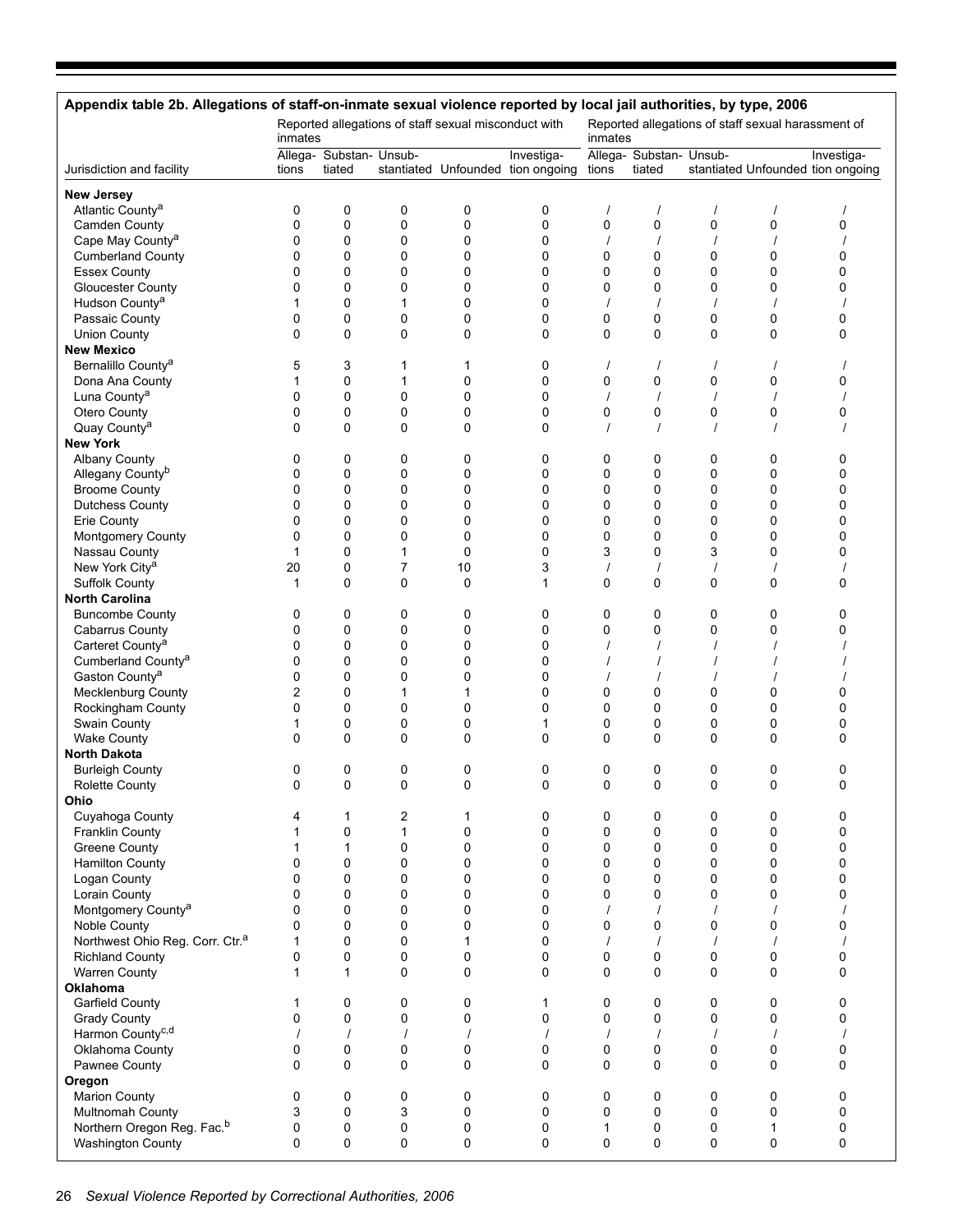| Appendix table 2b. Allegations of staff-on-inmate sexual violence reported by local jail authorities, by type, 2006 |             |                                   |                |                                                      |                                                 |               |                                   |                         |                                                    |                                                 |
|---------------------------------------------------------------------------------------------------------------------|-------------|-----------------------------------|----------------|------------------------------------------------------|-------------------------------------------------|---------------|-----------------------------------|-------------------------|----------------------------------------------------|-------------------------------------------------|
|                                                                                                                     | inmates     |                                   |                | Reported allegations of staff sexual misconduct with |                                                 | inmates       |                                   |                         | Reported allegations of staff sexual harassment of |                                                 |
| Jurisdiction and facility                                                                                           | tions       | Allega- Substan- Unsub-<br>tiated |                |                                                      | Investiga-<br>stantiated Unfounded tion ongoing | tions         | Allega- Substan- Unsub-<br>tiated |                         |                                                    | Investiga-<br>stantiated Unfounded tion ongoing |
| <b>New Jersey</b>                                                                                                   |             |                                   |                |                                                      |                                                 |               |                                   |                         |                                                    |                                                 |
| Atlantic County <sup>a</sup>                                                                                        | 0           | 0                                 | 0              | 0                                                    | 0                                               |               |                                   | $\prime$                |                                                    |                                                 |
| Camden County                                                                                                       | $\Omega$    | 0                                 | 0              | 0                                                    | 0                                               | 0             | 0                                 | $\mathbf 0$             | 0                                                  | 0                                               |
| Cape May County <sup>a</sup>                                                                                        | 0           | 0                                 | 0              | 0                                                    | 0                                               | $\prime$      |                                   | $\prime$                |                                                    |                                                 |
| <b>Cumberland County</b>                                                                                            | 0           | 0                                 | 0              | 0                                                    | 0                                               | 0             | 0                                 | 0                       | 0                                                  | 0                                               |
| <b>Essex County</b>                                                                                                 | $\Omega$    | 0                                 | 0              | 0                                                    | 0                                               | 0             | 0                                 | $\mathbf 0$             | 0                                                  | 0                                               |
| <b>Gloucester County</b><br>Hudson County <sup>a</sup>                                                              | 0<br>1      | 0<br>0                            | 0<br>1         | 0<br>0                                               | 0<br>0                                          | 0             | 0                                 | 0<br>$\prime$           | 0                                                  | 0                                               |
| Passaic County                                                                                                      | $\Omega$    | 0                                 | 0              | 0                                                    | 0                                               | 0             | 0                                 | $\mathbf 0$             | 0                                                  | 0                                               |
| <b>Union County</b>                                                                                                 | 0           | 0                                 | 0              | 0                                                    | 0                                               | 0             | 0                                 | $\mathbf 0$             | 0                                                  | 0                                               |
| <b>New Mexico</b>                                                                                                   |             |                                   |                |                                                      |                                                 |               |                                   |                         |                                                    |                                                 |
| Bernalillo County <sup>a</sup>                                                                                      | 5           | 3                                 | 1              | 1                                                    | 0                                               |               |                                   | $\prime$                |                                                    |                                                 |
| Dona Ana County                                                                                                     | 1           | 0                                 | 1              | 0                                                    | 0                                               | 0             | 0                                 | 0                       | 0                                                  | 0                                               |
| Luna County <sup>a</sup>                                                                                            | 0           | 0                                 | 0              | 0                                                    | 0                                               |               |                                   | $\prime$                |                                                    |                                                 |
| Otero County                                                                                                        | $\Omega$    | 0                                 | 0              | 0                                                    | 0                                               | 0             | 0                                 | $\mathbf 0$             | 0                                                  | 0                                               |
| Quay County <sup>a</sup>                                                                                            | 0           | 0                                 | 0              | 0                                                    | 0                                               |               |                                   | $\prime$                |                                                    |                                                 |
| <b>New York</b>                                                                                                     |             |                                   |                |                                                      |                                                 |               |                                   |                         |                                                    |                                                 |
| <b>Albany County</b>                                                                                                | 0           | 0                                 | 0              | 0                                                    | 0                                               | 0             | 0                                 | 0                       | 0                                                  | 0                                               |
| Allegany County <sup>b</sup>                                                                                        | 0           | 0                                 | 0              | 0                                                    | 0                                               | 0             | 0                                 | 0                       | 0                                                  | 0                                               |
| <b>Broome County</b>                                                                                                | 0           | 0                                 | 0              | 0                                                    | 0                                               | 0             | 0                                 | $\mathbf 0$             | 0                                                  | 0                                               |
| <b>Dutchess County</b>                                                                                              | $\Omega$    | 0                                 | 0              | 0                                                    | 0                                               | $\Omega$      | 0                                 | 0                       | 0                                                  | 0                                               |
| Erie County                                                                                                         | 0<br>0      | 0<br>0                            | 0<br>0         | 0<br>0                                               | 0<br>0                                          | 0<br>0        | 0<br>0                            | 0<br>$\mathbf 0$        | 0<br>0                                             | 0<br>0                                          |
| Montgomery County<br>Nassau County                                                                                  | 1           | 0                                 | 1              | 0                                                    | 0                                               | 3             | 0                                 | 3                       | 0                                                  | 0                                               |
| New York City <sup>a</sup>                                                                                          | 20          | 0                                 | $\overline{7}$ | 10                                                   | 3                                               | $\prime$      | $\prime$                          | $\prime$                |                                                    |                                                 |
| <b>Suffolk County</b>                                                                                               | $\mathbf 1$ | $\mathbf 0$                       | 0              | 0                                                    | $\mathbf{1}$                                    | 0             | 0                                 | $\mathbf 0$             | 0                                                  | 0                                               |
| <b>North Carolina</b>                                                                                               |             |                                   |                |                                                      |                                                 |               |                                   |                         |                                                    |                                                 |
| <b>Buncombe County</b>                                                                                              | 0           | 0                                 | 0              | 0                                                    | 0                                               | 0             | 0                                 | 0                       | 0                                                  | 0                                               |
| <b>Cabarrus County</b>                                                                                              | 0           | 0                                 | 0              | 0                                                    | 0                                               | 0             | 0                                 | $\mathbf 0$             | 0                                                  | 0                                               |
| Carteret County <sup>a</sup>                                                                                        | $\Omega$    | 0                                 | 0              | 0                                                    | 0                                               |               |                                   |                         |                                                    |                                                 |
| Cumberland County <sup>a</sup>                                                                                      | 0           | 0                                 | 0              | 0                                                    | 0                                               |               |                                   |                         |                                                    |                                                 |
| Gaston County <sup>a</sup>                                                                                          | 0           | 0                                 | 0              | 0                                                    | 0                                               |               |                                   |                         |                                                    |                                                 |
| <b>Mecklenburg County</b>                                                                                           | 2           | 0                                 | 1              | 1                                                    | 0                                               | 0             | 0                                 | 0                       | 0                                                  | 0                                               |
| Rockingham County                                                                                                   | 0           | 0                                 | 0              | 0                                                    | 0                                               | 0             | 0                                 | 0                       | 0                                                  | 0                                               |
| Swain County                                                                                                        | 1           | 0                                 | 0              | 0                                                    | 1                                               | 0             | 0                                 | 0                       | 0                                                  | 0                                               |
| <b>Wake County</b><br><b>North Dakota</b>                                                                           | $\Omega$    | 0                                 | $\Omega$       | 0                                                    | 0                                               | $\Omega$      | 0                                 | $\Omega$                | $\Omega$                                           | 0                                               |
| <b>Burleigh County</b>                                                                                              | 0           | 0                                 | 0              | 0                                                    | 0                                               | 0             | 0                                 | 0                       | 0                                                  | 0                                               |
| <b>Rolette County</b>                                                                                               | $\Omega$    | $\Omega$                          | $\Omega$       | 0                                                    | 0                                               | $\Omega$      | $\Omega$                          | $\Omega$                | $\Omega$                                           | 0                                               |
| Ohio                                                                                                                |             |                                   |                |                                                      |                                                 |               |                                   |                         |                                                    |                                                 |
| Cuyahoga County                                                                                                     | 4           | 1                                 | 2              | 1                                                    | 0                                               | 0             | 0                                 | 0                       | 0                                                  | 0                                               |
| <b>Franklin County</b>                                                                                              | 1           | 0                                 | $\mathbf{1}$   | 0                                                    | 0                                               | 0             | 0                                 | $\mathbf 0$             | 0                                                  | 0                                               |
| Greene County                                                                                                       | 1           | 1                                 | 0              | 0                                                    | 0                                               | 0             | 0                                 | $\mathbf 0$             | 0                                                  | 0                                               |
| <b>Hamilton County</b>                                                                                              | $\mathbf 0$ | $\mathbf 0$                       | 0              | 0                                                    | 0                                               | 0             | 0                                 | $\mathbf 0$             | 0                                                  | 0                                               |
| Logan County                                                                                                        | $\Omega$    | 0                                 | 0              | 0                                                    | 0                                               | 0             | 0                                 | $\Omega$                | 0                                                  | 0                                               |
| Lorain County                                                                                                       | $\mathbf 0$ | 0                                 | 0              | 0                                                    | 0                                               | 0             | 0                                 | $\mathbf 0$             | 0                                                  | 0                                               |
| Montgomery County <sup>a</sup>                                                                                      | $\mathbf 0$ | $\mathbf 0$                       | 0              | 0                                                    | 0                                               | $\prime$      | $\prime$                          | $\prime$                | $\prime$                                           |                                                 |
| Noble County                                                                                                        | $\Omega$    | 0                                 | 0              | 0                                                    | 0                                               | 0             | 0                                 | $\mathbf 0$             | 0                                                  | 0                                               |
| Northwest Ohio Reg. Corr. Ctr. <sup>a</sup>                                                                         | 1           | 0                                 | 0              | 1                                                    | 0                                               | $\prime$      | $\prime$                          | $\prime$                | $\prime$                                           |                                                 |
| <b>Richland County</b><br><b>Warren County</b>                                                                      | 0<br>1      | $\mathbf 0$<br>1                  | 0<br>$\Omega$  | 0<br>0                                               | 0<br>0                                          | 0<br>$\Omega$ | 0<br>0                            | $\mathbf 0$<br>$\Omega$ | 0<br>$\Omega$                                      | 0<br>0                                          |
| Oklahoma                                                                                                            |             |                                   |                |                                                      |                                                 |               |                                   |                         |                                                    |                                                 |
| Garfield County                                                                                                     | 1           | 0                                 | 0              | 0                                                    | $\mathbf{1}$                                    | 0             | $\pmb{0}$                         | 0                       | 0                                                  | 0                                               |
| <b>Grady County</b>                                                                                                 | $\Omega$    | 0                                 | 0              | 0                                                    | 0                                               | 0             | 0                                 | $\mathbf 0$             | 0                                                  | 0                                               |
| Harmon County <sup>c,d</sup>                                                                                        |             | $\prime$                          | $\prime$       | $\prime$                                             | $\prime$                                        | $\prime$      | $\prime$                          | $\prime$                | $\prime$                                           |                                                 |
| Oklahoma County                                                                                                     | 0           | $\pmb{0}$                         | 0              | 0                                                    | 0                                               | 0             | $\pmb{0}$                         | $\pmb{0}$               | 0                                                  | 0                                               |
| Pawnee County                                                                                                       | $\Omega$    | $\mathbf 0$                       | $\Omega$       | 0                                                    | $\Omega$                                        | $\Omega$      | 0                                 | $\Omega$                | $\Omega$                                           | 0                                               |
| Oregon                                                                                                              |             |                                   |                |                                                      |                                                 |               |                                   |                         |                                                    |                                                 |
| <b>Marion County</b>                                                                                                | 0           | 0                                 | 0              | 0                                                    | 0                                               | 0             | 0                                 | 0                       | 0                                                  | 0                                               |
| Multnomah County                                                                                                    | 3           | 0                                 | 3              | 0                                                    | 0                                               | 0             | 0                                 | $\mathbf 0$             | 0                                                  | 0                                               |
| Northern Oregon Reg. Fac. <sup>b</sup>                                                                              | 0           | 0                                 | 0              | 0                                                    | 0                                               | 1             | 0                                 | 0                       | 1                                                  | 0                                               |
| <b>Washington County</b>                                                                                            | $\mathbf 0$ | $\mathbf 0$                       | 0              | 0                                                    | 0                                               | 0             | 0                                 | $\mathbf 0$             | 0                                                  | 0                                               |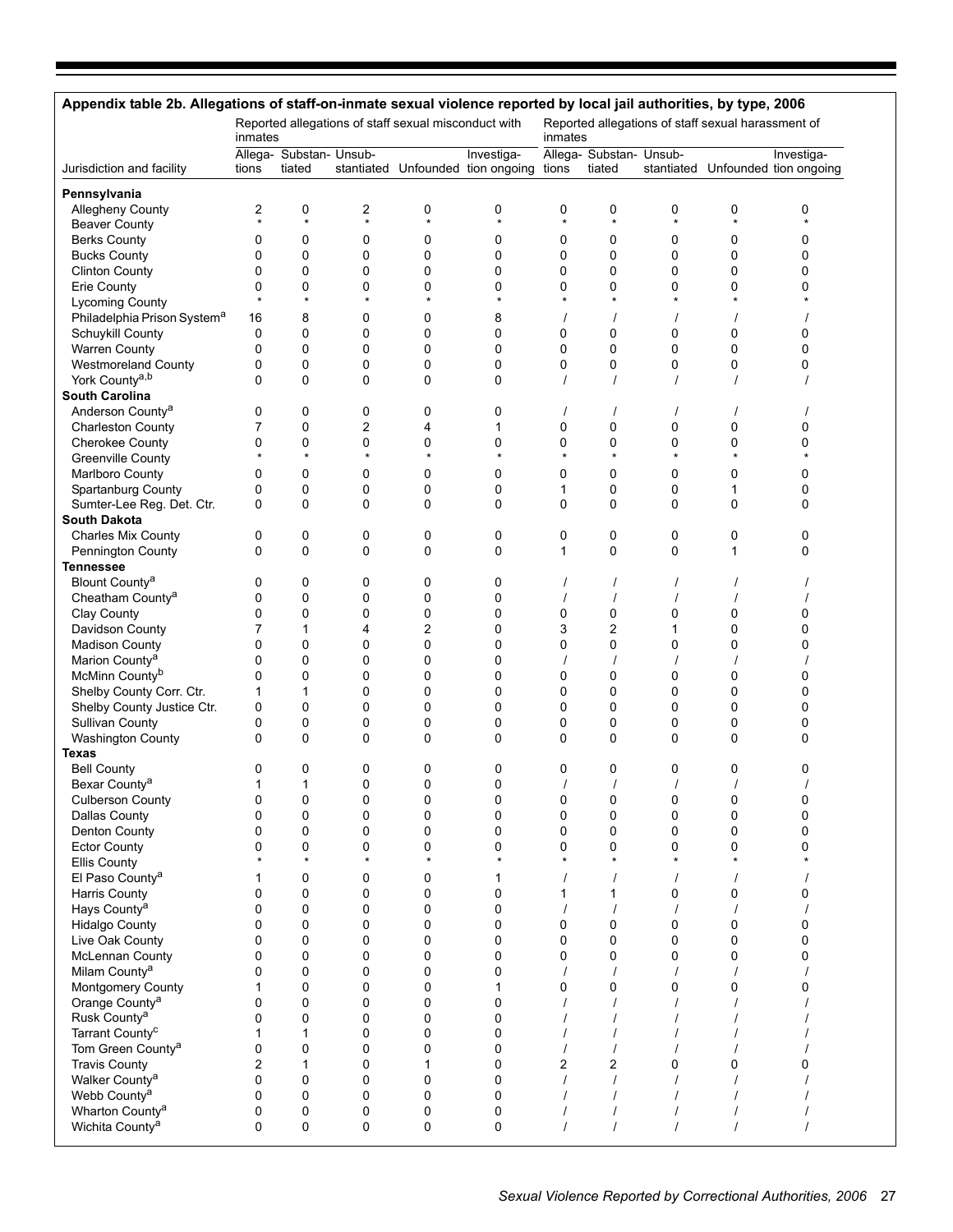|                                             | Appendix table 2b. Allegations of staff-on-inmate sexual violence reported by local jail authorities, by type, 2006<br>Reported allegations of staff sexual misconduct with<br>Reported allegations of staff sexual harassment of |                                   |              |                     |                                                       |              |                                   |                   |              |                                                 |  |
|---------------------------------------------|-----------------------------------------------------------------------------------------------------------------------------------------------------------------------------------------------------------------------------------|-----------------------------------|--------------|---------------------|-------------------------------------------------------|--------------|-----------------------------------|-------------------|--------------|-------------------------------------------------|--|
|                                             | inmates                                                                                                                                                                                                                           |                                   |              |                     |                                                       | inmates      |                                   |                   |              |                                                 |  |
| Jurisdiction and facility                   | tions                                                                                                                                                                                                                             | Allega- Substan- Unsub-<br>tiated |              |                     | Investiga-<br>stantiated Unfounded tion ongoing tions |              | Allega- Substan- Unsub-<br>tiated |                   |              | Investiga-<br>stantiated Unfounded tion ongoing |  |
| Pennsylvania                                |                                                                                                                                                                                                                                   |                                   |              |                     |                                                       |              |                                   |                   |              |                                                 |  |
| Allegheny County                            | 2                                                                                                                                                                                                                                 | 0                                 | 2            | 0                   | 0                                                     | 0            | 0                                 | 0                 | 0            | 0                                               |  |
| <b>Beaver County</b>                        | $\star$                                                                                                                                                                                                                           | $\star$                           | $\star$      | $\star$             | $\star$                                               |              | $\star$                           | $\star$           | $\star$      | $\star$                                         |  |
| <b>Berks County</b>                         | 0                                                                                                                                                                                                                                 | 0                                 | 0            | 0                   | 0                                                     | 0            | 0                                 | 0                 | 0            | 0                                               |  |
| <b>Bucks County</b>                         | 0                                                                                                                                                                                                                                 | 0                                 | 0            | $\mathbf 0$         | 0                                                     | 0            | 0                                 | 0                 | 0            | 0                                               |  |
| <b>Clinton County</b>                       | 0                                                                                                                                                                                                                                 | 0                                 | 0            | 0                   | 0                                                     | 0            | 0                                 | 0                 | 0            | 0                                               |  |
| Erie County                                 | 0<br>$\star$                                                                                                                                                                                                                      | 0<br>$\star$                      | 0<br>$\star$ | 0<br>$\star$        | 0<br>$\star$                                          | 0<br>$\star$ | 0<br>$\star$                      | 0<br>$\star$      | 0<br>$\star$ | 0                                               |  |
| <b>Lycoming County</b>                      |                                                                                                                                                                                                                                   |                                   |              |                     |                                                       |              |                                   |                   |              |                                                 |  |
| Philadelphia Prison System <sup>a</sup>     | 16                                                                                                                                                                                                                                | 8<br>0                            | 0            | 0                   | 8                                                     |              |                                   |                   |              |                                                 |  |
| Schuykill County<br><b>Warren County</b>    | 0<br>0                                                                                                                                                                                                                            | 0                                 | 0<br>0       | 0<br>$\mathbf 0$    | 0<br>0                                                | 0<br>0       | 0<br>$\mathbf 0$                  | 0<br>0            | 0<br>0       | 0<br>0                                          |  |
| <b>Westmoreland County</b>                  | 0                                                                                                                                                                                                                                 | 0                                 | 0            | 0                   | $\mathbf 0$                                           | $\mathbf 0$  | 0                                 | 0                 | 0            | 0                                               |  |
| York County <sup>a,b</sup>                  | $\Omega$                                                                                                                                                                                                                          | 0                                 | 0            | 0                   | $\Omega$                                              |              | $\prime$                          | $\prime$          |              |                                                 |  |
| <b>South Carolina</b>                       |                                                                                                                                                                                                                                   |                                   |              |                     |                                                       |              |                                   |                   |              |                                                 |  |
| Anderson County <sup>a</sup>                | 0                                                                                                                                                                                                                                 | 0                                 | 0            | 0                   | 0                                                     |              |                                   |                   |              |                                                 |  |
| <b>Charleston County</b>                    | 7                                                                                                                                                                                                                                 | 0                                 | 2            | 4                   | 1                                                     | 0            | 0                                 | 0                 | 0            | 0                                               |  |
| <b>Cherokee County</b>                      | 0                                                                                                                                                                                                                                 | 0                                 | 0            | 0                   | 0                                                     | 0            | 0                                 | 0                 | 0            | 0                                               |  |
| <b>Greenville County</b>                    |                                                                                                                                                                                                                                   | $\star$                           | $\star$      | $\star$             |                                                       |              | $\star$                           | $\star$           |              | $\star$                                         |  |
| Marlboro County                             | 0                                                                                                                                                                                                                                 | 0                                 | 0            | 0                   | 0                                                     | 0            | 0                                 | 0                 | 0            | 0                                               |  |
| Spartanburg County                          | 0                                                                                                                                                                                                                                 | 0                                 | 0            | 0                   | 0                                                     | 1            | 0                                 | 0                 | 1            | 0                                               |  |
| Sumter-Lee Reg. Det. Ctr.                   | $\Omega$                                                                                                                                                                                                                          | 0                                 | 0            | 0                   | $\Omega$                                              | 0            | $\Omega$                          | 0                 | 0            | 0                                               |  |
| <b>South Dakota</b>                         |                                                                                                                                                                                                                                   |                                   |              |                     |                                                       |              |                                   |                   |              |                                                 |  |
| <b>Charles Mix County</b>                   | 0                                                                                                                                                                                                                                 | 0                                 | 0            | 0                   | 0                                                     | 0            | 0                                 | 0                 | 0            | 0                                               |  |
| <b>Pennington County</b>                    | $\Omega$                                                                                                                                                                                                                          | 0                                 | 0            | 0                   | $\Omega$                                              | 1            | $\Omega$                          | $\mathbf 0$       | 1            | 0                                               |  |
| <b>Tennessee</b>                            |                                                                                                                                                                                                                                   |                                   |              |                     |                                                       |              |                                   |                   |              |                                                 |  |
| Blount County <sup>a</sup>                  | 0                                                                                                                                                                                                                                 | 0                                 | 0            | 0                   | 0                                                     |              | $\prime$                          | $\prime$          |              |                                                 |  |
| Cheatham County <sup>a</sup>                | 0                                                                                                                                                                                                                                 | 0                                 | 0            | 0                   | 0                                                     |              |                                   |                   |              |                                                 |  |
| Clay County<br>Davidson County              | 0<br>7                                                                                                                                                                                                                            | 0<br>1                            | 0<br>4       | 0<br>$\overline{2}$ | 0<br>0                                                | 0<br>3       | 0<br>2                            | 0<br>$\mathbf{1}$ | 0<br>0       | 0<br>0                                          |  |
| <b>Madison County</b>                       | 0                                                                                                                                                                                                                                 | 0                                 | 0            | 0                   | 0                                                     | 0            | 0                                 | 0                 | 0            | 0                                               |  |
| Marion County <sup>a</sup>                  | 0                                                                                                                                                                                                                                 | 0                                 | 0            | 0                   | 0                                                     |              | $\prime$                          | $\prime$          |              |                                                 |  |
| McMinn County <sup>b</sup>                  | 0                                                                                                                                                                                                                                 | 0                                 | 0            | 0                   | 0                                                     | 0            | $\mathbf 0$                       | 0                 | 0            | 0                                               |  |
| Shelby County Corr. Ctr.                    | 1                                                                                                                                                                                                                                 | 1                                 | 0            | 0                   | 0                                                     | 0            | 0                                 | 0                 | 0            | 0                                               |  |
| Shelby County Justice Ctr.                  | 0                                                                                                                                                                                                                                 | 0                                 | 0            | 0                   | 0                                                     | 0            | 0                                 | 0                 | 0            | 0                                               |  |
| Sullivan County                             | 0                                                                                                                                                                                                                                 | 0                                 | 0            | 0                   | 0                                                     | 0            | 0                                 | 0                 | 0            | 0                                               |  |
| Washington County                           | $\Omega$                                                                                                                                                                                                                          | $\mathbf{0}$                      | $\mathbf{0}$ | 0                   | $\Omega$                                              | $\Omega$     | $\Omega$                          | $\Omega$          | $\mathbf{0}$ | 0                                               |  |
| Texas                                       |                                                                                                                                                                                                                                   |                                   |              |                     |                                                       |              |                                   |                   |              |                                                 |  |
| <b>Bell County</b>                          | 0                                                                                                                                                                                                                                 | 0                                 | 0            | 0                   | 0                                                     | 0            | 0                                 | 0                 | 0            | 0                                               |  |
| Bexar County <sup>a</sup>                   |                                                                                                                                                                                                                                   | 1                                 | $\Omega$     | 0                   | $\Omega$                                              |              |                                   |                   |              |                                                 |  |
| <b>Culberson County</b>                     | 0                                                                                                                                                                                                                                 | 0                                 | 0            | 0                   | 0                                                     | 0            | 0                                 | 0                 | 0            | 0                                               |  |
| <b>Dallas County</b>                        | $\mathbf 0$                                                                                                                                                                                                                       | 0                                 | 0            | $\pmb{0}$           | $\mathbf 0$                                           | 0            | 0                                 | 0                 | 0            | 0                                               |  |
| Denton County                               | $\Omega$                                                                                                                                                                                                                          | 0                                 | 0            | 0                   | $\Omega$                                              | $\mathbf 0$  | 0                                 | $\mathbf 0$       | 0            | 0                                               |  |
| <b>Ector County</b>                         | 0                                                                                                                                                                                                                                 | 0<br>$\star$                      | 0<br>$\star$ | 0<br>$\star$        | 0<br>$\star$                                          | 0            | 0                                 | 0<br>$\star$      | 0<br>$\star$ | 0<br>$\star$                                    |  |
| Ellis County<br>El Paso County <sup>a</sup> | 1                                                                                                                                                                                                                                 | 0                                 | 0            | 0                   | 1                                                     |              |                                   | $\prime$          |              |                                                 |  |
| Harris County                               | 0                                                                                                                                                                                                                                 | $\pmb{0}$                         | 0            | 0                   | 0                                                     | 1            | 1                                 | 0                 | 0            | 0                                               |  |
| Hays County <sup>a</sup>                    | $\mathbf 0$                                                                                                                                                                                                                       | 0                                 | 0            | $\pmb{0}$           | 0                                                     |              |                                   | $\prime$          |              |                                                 |  |
| <b>Hidalgo County</b>                       | $\Omega$                                                                                                                                                                                                                          | 0                                 | 0            | 0                   | $\Omega$                                              | $\mathbf 0$  | 0                                 | 0                 | 0            | 0                                               |  |
| Live Oak County                             | 0                                                                                                                                                                                                                                 | 0                                 | 0            | 0                   | 0                                                     | 0            | $\mathbf 0$                       | 0                 | 0            | 0                                               |  |
| McLennan County                             | $\mathbf 0$                                                                                                                                                                                                                       | 0                                 | 0            | $\pmb{0}$           | $\mathbf 0$                                           | 0            | 0                                 | 0                 | 0            | 0                                               |  |
| Milam County <sup>a</sup>                   | $\Omega$                                                                                                                                                                                                                          | 0                                 | 0            | 0                   | $\Omega$                                              |              |                                   |                   |              |                                                 |  |
| Montgomery County                           | 1                                                                                                                                                                                                                                 | 0                                 | 0            | 0                   | 1                                                     | 0            | 0                                 | 0                 | 0            | 0                                               |  |
| Orange County <sup>a</sup>                  | $\mathbf 0$                                                                                                                                                                                                                       | 0                                 | 0            | $\pmb{0}$           | 0                                                     |              |                                   | $\prime$          |              |                                                 |  |
| Rusk County <sup>a</sup>                    | $\mathbf 0$                                                                                                                                                                                                                       | 0                                 | 0            | 0                   | $\Omega$                                              |              |                                   |                   |              |                                                 |  |
| Tarrant County <sup>c</sup>                 | 1                                                                                                                                                                                                                                 | 1                                 | 0            | 0                   | 0                                                     |              |                                   | $\prime$          |              |                                                 |  |
| Tom Green County <sup>a</sup>               | $\mathbf 0$                                                                                                                                                                                                                       | 0                                 | 0            | 0                   | $\mathbf 0$                                           |              |                                   | $\prime$          |              |                                                 |  |
| <b>Travis County</b>                        | $\overline{2}$                                                                                                                                                                                                                    | 1                                 | 0            | 1                   | $\Omega$                                              | 2            | 2                                 | 0                 | 0            | 0                                               |  |
| Walker County <sup>a</sup>                  | 0                                                                                                                                                                                                                                 | 0                                 | 0            | 0                   | 0                                                     |              |                                   | $\prime$          |              |                                                 |  |
| Webb County <sup>a</sup>                    | 0                                                                                                                                                                                                                                 | 0                                 | 0            | 0                   | $\pmb{0}$                                             |              |                                   | $\prime$          |              |                                                 |  |
| Wharton County <sup>a</sup>                 | 0                                                                                                                                                                                                                                 | 0                                 | 0            | 0                   | 0                                                     |              |                                   |                   |              |                                                 |  |
| Wichita County <sup>a</sup>                 | 0                                                                                                                                                                                                                                 | 0                                 | 0            | 0                   | 0                                                     |              |                                   | $\prime$          |              |                                                 |  |

H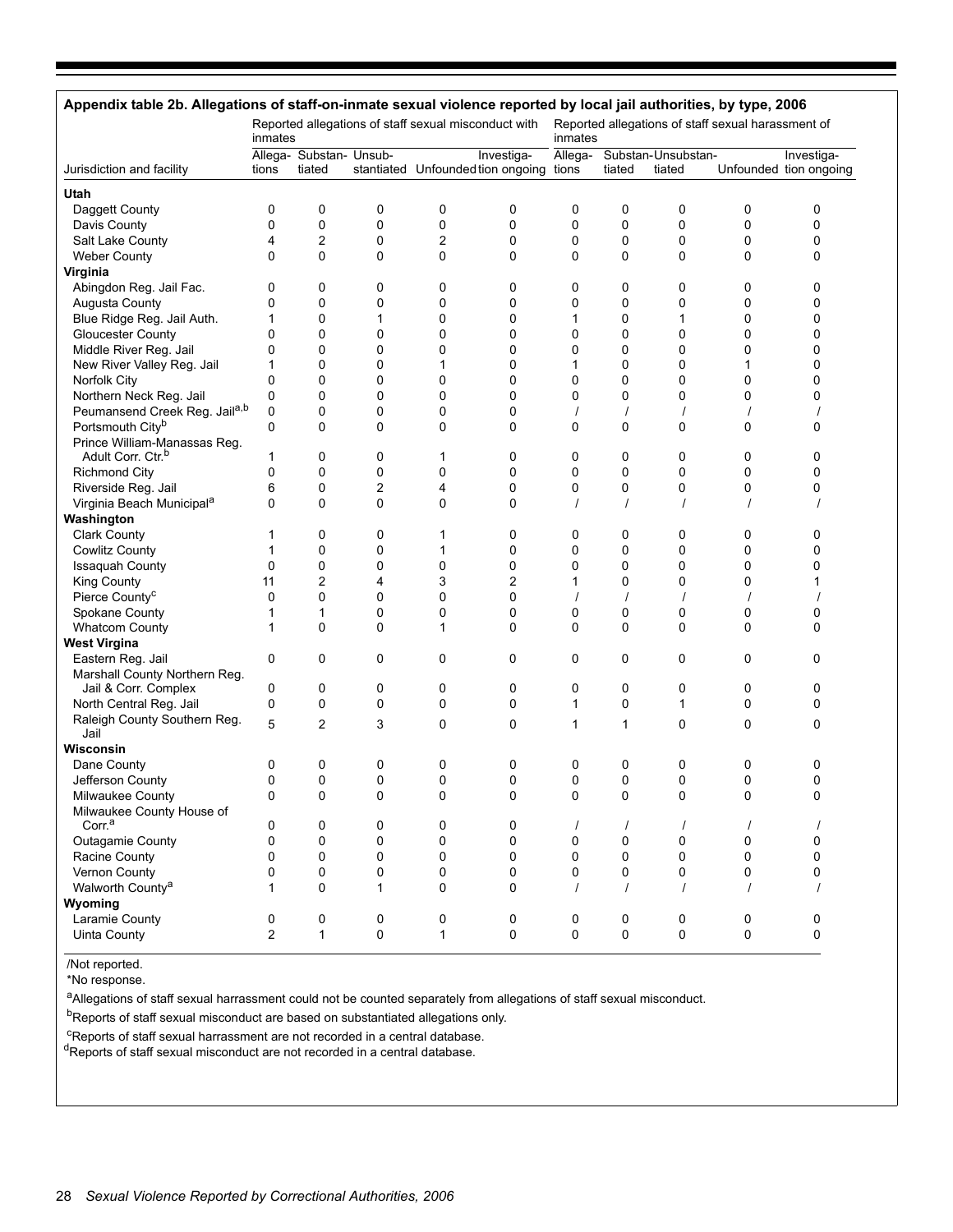# **Appendix table 2b. Allegations of staff-on-inmate sexual violence reported by local jail authorities, by type, 2006**

|                                           | inmates        |                         |              | Reported allegations of staff sexual misconduct with |                                         | inmates  |             | Reported allegations of staff sexual harassment of |             |                        |
|-------------------------------------------|----------------|-------------------------|--------------|------------------------------------------------------|-----------------------------------------|----------|-------------|----------------------------------------------------|-------------|------------------------|
|                                           |                | Allega- Substan- Unsub- |              |                                                      | Investiga-                              | Allega-  |             | Substan-Unsubstan-                                 |             | Investiga-             |
| Jurisdiction and facility                 | tions          | tiated                  |              |                                                      | stantiated Unfounded tion ongoing tions |          | tiated      | tiated                                             |             | Unfounded tion ongoing |
| Utah                                      |                |                         |              |                                                      |                                         |          |             |                                                    |             |                        |
| Daggett County                            | 0              | 0                       | 0            | 0                                                    | 0                                       | 0        | 0           | 0                                                  | 0           | 0                      |
| Davis County                              | $\mathbf 0$    | $\pmb{0}$               | $\mathbf 0$  | $\pmb{0}$                                            | 0                                       | 0        | 0           | $\mathbf 0$                                        | $\mathbf 0$ | $\mathbf 0$            |
| Salt Lake County                          | 4              | $\overline{\mathbf{c}}$ | 0            | 2                                                    | 0                                       | 0        | 0           | 0                                                  | 0           | 0                      |
| <b>Weber County</b>                       | $\Omega$       | 0                       | $\mathbf 0$  | $\mathbf 0$                                          | 0                                       | 0        | $\mathbf 0$ | $\mathbf 0$                                        | 0           | 0                      |
| Virginia                                  |                |                         |              |                                                      |                                         |          |             |                                                    |             |                        |
| Abingdon Reg. Jail Fac.                   | 0              | 0                       | 0            | 0                                                    | 0                                       | 0        | 0           | 0                                                  | 0           | 0                      |
| Augusta County                            | 0              | 0                       | 0            | 0                                                    | 0                                       | 0        | 0           | 0                                                  | 0           | 0                      |
| Blue Ridge Reg. Jail Auth.                | 1              | 0                       | 1            | 0                                                    | 0                                       | 1        | $\mathbf 0$ | 1                                                  | 0           | $\Omega$               |
| <b>Gloucester County</b>                  | $\mathbf 0$    | 0                       | 0            | 0                                                    | 0                                       | 0        | 0           | 0                                                  | 0           | 0                      |
| Middle River Reg. Jail                    | $\mathbf 0$    | 0                       | 0            | 0                                                    | 0                                       | 0        | 0           | 0                                                  | 0           | $\mathbf 0$            |
|                                           |                |                         |              |                                                      |                                         |          |             |                                                    |             |                        |
| New River Valley Reg. Jail                | 1              | 0                       | $\mathbf 0$  | 1                                                    | 0                                       | 1        | $\mathbf 0$ | $\Omega$                                           | 1           | 0                      |
| Norfolk City                              | $\mathbf 0$    | 0                       | 0            | 0                                                    | 0                                       | 0        | 0           | 0                                                  | 0           | 0                      |
| Northern Neck Reg. Jail                   | $\mathbf 0$    | 0                       | 0            | 0                                                    | 0                                       | 0        | 0           | 0                                                  | 0           | 0                      |
| Peumansend Creek Reg. Jail <sup>a,b</sup> | $\mathbf 0$    | 0                       | $\mathbf 0$  | 0                                                    | 0                                       |          | $\prime$    |                                                    |             |                        |
| Portsmouth City <sup>b</sup>              | $\mathbf 0$    | 0                       | $\mathbf 0$  | 0                                                    | 0                                       | 0        | 0           | $\mathbf 0$                                        | 0           | 0                      |
| Prince William-Manassas Reg.              |                |                         |              |                                                      |                                         |          |             |                                                    |             |                        |
| Adult Corr. Ctr. <sup>b</sup>             | 1              | 0                       | 0            | 1                                                    | 0                                       | 0        | 0           | 0                                                  | 0           | 0                      |
| <b>Richmond City</b>                      | $\mathbf 0$    | 0                       | 0            | 0                                                    | 0                                       | 0        | 0           | $\mathbf 0$                                        | 0           | $\Omega$               |
| Riverside Reg. Jail                       | 6              | 0                       | 2            | 4                                                    | 0                                       | 0        | 0           | 0                                                  | 0           | 0                      |
| Virginia Beach Municipal <sup>a</sup>     | $\Omega$       | 0                       | $\Omega$     | $\mathbf 0$                                          | 0                                       | $\prime$ | $\prime$    | $\prime$                                           |             |                        |
| Washington                                |                |                         |              |                                                      |                                         |          |             |                                                    |             |                        |
| <b>Clark County</b>                       | 1              | 0                       | 0            | 1                                                    | 0                                       | 0        | 0           | 0                                                  | 0           | 0                      |
| <b>Cowlitz County</b>                     | 1              | 0                       | 0            | 1                                                    | 0                                       | 0        | 0           | 0                                                  | 0           | $\mathbf 0$            |
| Issaquah County                           | $\Omega$       | 0                       | 0            | 0                                                    | 0                                       | 0        | 0           | 0                                                  | 0           | $\Omega$               |
| King County                               | 11             | $\overline{2}$          | 4            | 3                                                    | $\overline{2}$                          | 1        | 0           | 0                                                  | 0           | 1                      |
| Pierce County <sup>c</sup>                | 0              | 0                       | $\mathbf 0$  | 0                                                    | 0                                       | $\prime$ | $\prime$    |                                                    |             |                        |
| Spokane County                            | 1              | $\mathbf{1}$            | 0            | 0                                                    | 0                                       | 0        | 0           | $\mathbf 0$                                        | 0           | 0                      |
| <b>Whatcom County</b>                     | 1              | 0                       | $\mathbf{0}$ | $\mathbf{1}$                                         | 0                                       | 0        | $\mathbf 0$ | $\Omega$                                           | 0           | 0                      |
| <b>West Virgina</b>                       |                |                         |              |                                                      |                                         |          |             |                                                    |             |                        |
| Eastern Reg. Jail                         | 0              | 0                       | 0            | 0                                                    | 0                                       | 0        | 0           | 0                                                  | 0           | 0                      |
| Marshall County Northern Reg.             |                |                         |              |                                                      |                                         |          |             |                                                    |             |                        |
| Jail & Corr. Complex                      | 0              | 0                       | 0            | 0                                                    | 0                                       | 0        | 0           | 0                                                  | 0           | 0                      |
| North Central Reg. Jail                   | $\mathbf 0$    | 0                       | 0            | 0                                                    | 0                                       | 1        | 0           | 1                                                  | 0           | 0                      |
| Raleigh County Southern Reg.              |                |                         |              |                                                      |                                         |          |             |                                                    |             |                        |
| Jail                                      | 5              | $\overline{2}$          | 3            | $\mathbf 0$                                          | 0                                       | 1        | 1           | 0                                                  | 0           | 0                      |
| Wisconsin                                 |                |                         |              |                                                      |                                         |          |             |                                                    |             |                        |
| Dane County                               | 0              | 0                       | 0            | 0                                                    | 0                                       | 0        | 0           | 0                                                  | 0           | 0                      |
| Jefferson County                          | 0              | 0                       | 0            | 0                                                    | 0                                       | 0        | 0           | 0                                                  | 0           | 0                      |
| Milwaukee County                          | 0              | 0                       | $\mathbf 0$  | $\mathbf 0$                                          | 0                                       | 0        | $\mathbf 0$ | $\mathbf 0$                                        | $\mathbf 0$ | 0                      |
| Milwaukee County House of                 |                |                         |              |                                                      |                                         |          |             |                                                    |             |                        |
| Corr. <sup>a</sup>                        | 0              | 0                       | 0            | 0                                                    | 0                                       | $\prime$ | $\prime$    | $\prime$                                           | $\prime$    | $\prime$               |
| Outagamie County                          | $\mathbf 0$    | 0                       | $\mathbf 0$  | $\mathbf 0$                                          | 0                                       | 0        | 0           | 0                                                  | $\mathbf 0$ | 0                      |
| Racine County                             | 0              | 0                       | 0            | 0                                                    | 0                                       | 0        | 0           | $\mathbf 0$                                        | 0           | 0                      |
| Vernon County                             | 0              | 0                       | 0            | 0                                                    | 0                                       | 0        | 0           | 0                                                  | 0           | 0                      |
| Walworth County <sup>a</sup>              | 1              | 0                       | 1            | $\Omega$                                             | 0                                       |          | $\prime$    |                                                    |             |                        |
|                                           |                |                         |              |                                                      |                                         |          |             |                                                    |             |                        |
| Wyoming                                   |                |                         |              |                                                      |                                         |          |             |                                                    |             |                        |
| Laramie County                            | $\mathsf 0$    | 0                       | 0            | 0                                                    | 0                                       | 0        | 0           | 0<br>$\mathsf{O}\xspace$                           | 0           | 0                      |
| Uinta County                              | $\overline{c}$ | $\mathbf{1}$            | 0            | $\mathbf{1}$                                         | 0                                       | 0        | $\pmb{0}$   |                                                    | 0           | $\pmb{0}$              |

/Not reported.

\*No response.

aAllegations of staff sexual harrassment could not be counted separately from allegations of staff sexual misconduct.

bReports of staff sexual misconduct are based on substantiated allegations only.

cReports of staff sexual harrassment are not recorded in a central database.

dReports of staff sexual misconduct are not recorded in a central database.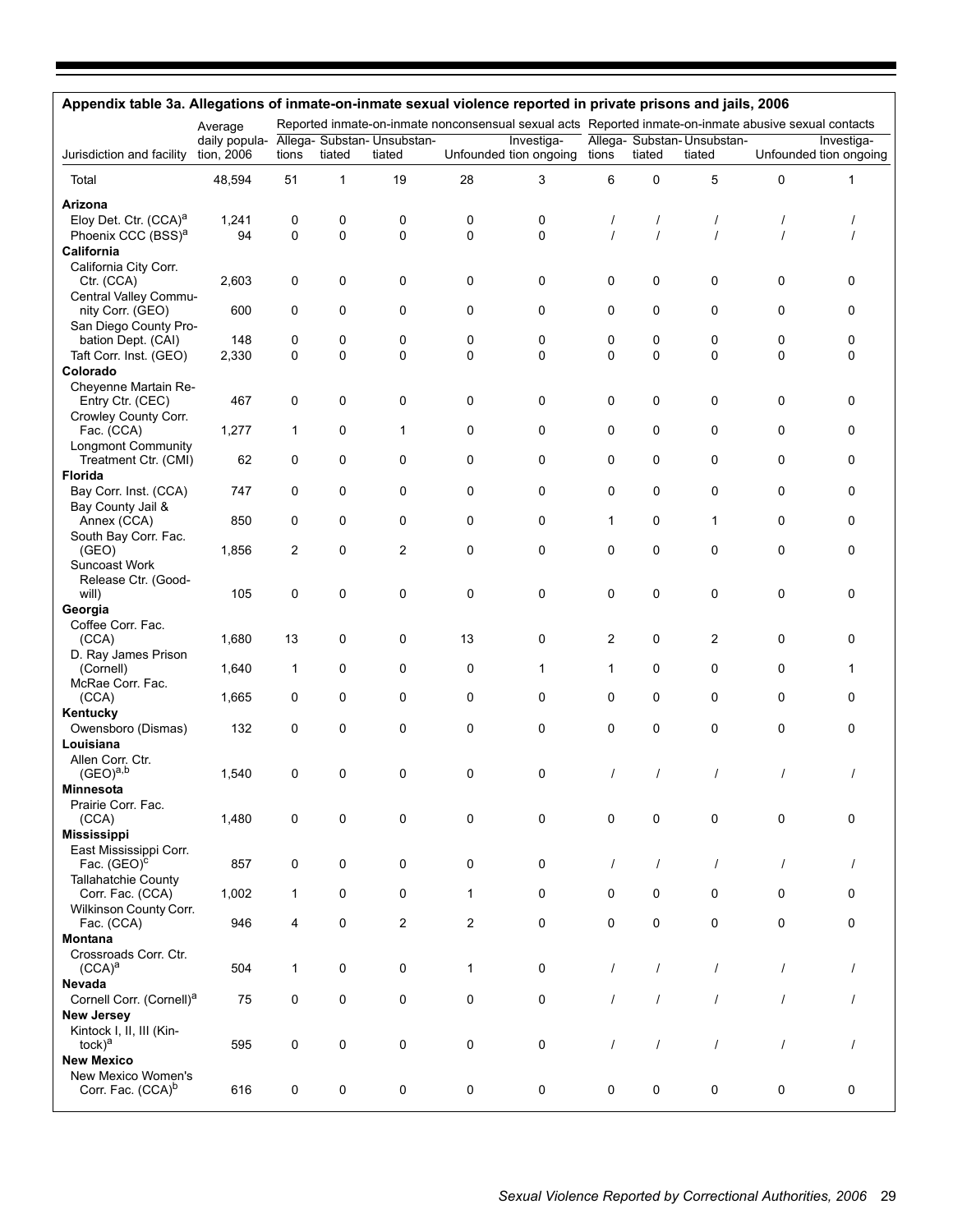| Appendix table 3a. Allegations of inmate-on-inmate sexual violence reported in private prisons and jails, 2006 |                                                         |              |              |                |              |                                                                                                       |              |                |                                      |          |                                      |
|----------------------------------------------------------------------------------------------------------------|---------------------------------------------------------|--------------|--------------|----------------|--------------|-------------------------------------------------------------------------------------------------------|--------------|----------------|--------------------------------------|----------|--------------------------------------|
|                                                                                                                | Average                                                 |              |              |                |              | Reported inmate-on-inmate nonconsensual sexual acts Reported inmate-on-inmate abusive sexual contacts |              |                |                                      |          |                                      |
| Jurisdiction and facility                                                                                      | daily popula- Allega- Substan- Unsubstan-<br>tion, 2006 | tions        | tiated       | tiated         |              | Investiga-<br>Unfounded tion ongoing                                                                  | tions        | tiated         | Allega- Substan-Unsubstan-<br>tiated |          | Investiga-<br>Unfounded tion ongoing |
| Total                                                                                                          | 48,594                                                  | 51           | $\mathbf{1}$ | 19             | 28           | 3                                                                                                     | 6            | 0              | 5                                    | 0        | 1                                    |
| Arizona                                                                                                        |                                                         |              |              |                |              |                                                                                                       |              |                |                                      |          |                                      |
| Eloy Det. Ctr. (CCA) <sup>a</sup>                                                                              | 1,241                                                   | 0            | 0            | 0              | 0            | 0                                                                                                     | $\prime$     | 1              | 1                                    |          |                                      |
| Phoenix CCC (BSS) <sup>a</sup>                                                                                 | 94                                                      | 0            | 0            | 0              | 0            | 0                                                                                                     | $\prime$     | $\prime$       |                                      |          |                                      |
| California<br>California City Corr.                                                                            |                                                         |              |              |                |              |                                                                                                       |              |                |                                      |          |                                      |
| Ctr. (CCA)                                                                                                     | 2,603                                                   | 0            | 0            | 0              | 0            | 0                                                                                                     | 0            | 0              | 0                                    | 0        | 0                                    |
| Central Valley Commu-                                                                                          |                                                         |              |              |                |              |                                                                                                       |              |                |                                      |          |                                      |
| nity Corr. (GEO)                                                                                               | 600                                                     | 0            | 0            | 0              | 0            | 0                                                                                                     | 0            | 0              | 0                                    | 0        | 0                                    |
| San Diego County Pro-                                                                                          |                                                         |              |              |                |              |                                                                                                       |              |                |                                      |          |                                      |
| bation Dept. (CAI)                                                                                             | 148                                                     | 0            | 0            | 0              | 0            | 0                                                                                                     | 0            | 0              | 0                                    | 0        | 0                                    |
| Taft Corr. Inst. (GEO)                                                                                         | 2,330                                                   | 0            | $\Omega$     | 0              | 0            | 0                                                                                                     | $\Omega$     | $\Omega$       | $\Omega$                             | $\Omega$ | 0                                    |
| Colorado<br>Cheyenne Martain Re-                                                                               |                                                         |              |              |                |              |                                                                                                       |              |                |                                      |          |                                      |
| Entry Ctr. (CEC)                                                                                               | 467                                                     | 0            | 0            | 0              | 0            | 0                                                                                                     | 0            | 0              | 0                                    | 0        | 0                                    |
| Crowley County Corr.                                                                                           |                                                         |              |              |                |              |                                                                                                       |              |                |                                      |          |                                      |
| Fac. (CCA)                                                                                                     | 1,277                                                   | $\mathbf{1}$ | 0            | 1              | 0            | 0                                                                                                     | 0            | 0              | 0                                    | 0        | 0                                    |
| <b>Longmont Community</b>                                                                                      |                                                         |              |              |                |              |                                                                                                       |              |                |                                      |          |                                      |
| Treatment Ctr. (CMI)                                                                                           | 62                                                      | 0            | 0            | 0              | 0            | 0                                                                                                     | 0            | 0              | 0                                    | 0        | 0                                    |
| <b>Florida</b>                                                                                                 | 747                                                     | 0            | $\Omega$     | 0              | 0            | 0                                                                                                     | $\Omega$     | 0              | 0                                    | 0        | 0                                    |
| Bay Corr. Inst. (CCA)<br>Bay County Jail &                                                                     |                                                         |              |              |                |              |                                                                                                       |              |                |                                      |          |                                      |
| Annex (CCA)                                                                                                    | 850                                                     | 0            | 0            | 0              | 0            | 0                                                                                                     | 1            | 0              | 1                                    | 0        | 0                                    |
| South Bay Corr. Fac.                                                                                           |                                                         |              |              |                |              |                                                                                                       |              |                |                                      |          |                                      |
| (GEO)                                                                                                          | 1,856                                                   | 2            | 0            | 2              | 0            | 0                                                                                                     | 0            | 0              | 0                                    | 0        | 0                                    |
| Suncoast Work                                                                                                  |                                                         |              |              |                |              |                                                                                                       |              |                |                                      |          |                                      |
| Release Ctr. (Good-                                                                                            | 105                                                     | 0            | 0            | 0              | 0            | 0                                                                                                     | 0            | 0              | 0                                    | 0        | 0                                    |
| will)<br>Georgia                                                                                               |                                                         |              |              |                |              |                                                                                                       |              |                |                                      |          |                                      |
| Coffee Corr. Fac.                                                                                              |                                                         |              |              |                |              |                                                                                                       |              |                |                                      |          |                                      |
| (CCA)                                                                                                          | 1,680                                                   | 13           | 0            | 0              | 13           | 0                                                                                                     | 2            | 0              | 2                                    | 0        | 0                                    |
| D. Ray James Prison                                                                                            |                                                         |              |              |                |              |                                                                                                       |              |                |                                      |          |                                      |
| (Cornell)                                                                                                      | 1,640                                                   | 1            | 0            | 0              | 0            | 1                                                                                                     | $\mathbf{1}$ | 0              | 0                                    | 0        | 1                                    |
| McRae Corr. Fac.                                                                                               |                                                         |              |              |                |              |                                                                                                       |              |                |                                      | 0        |                                      |
| (CCA)<br>Kentucky                                                                                              | 1,665                                                   | 0            | 0            | 0              | 0            | 0                                                                                                     | 0            | 0              | 0                                    |          | 0                                    |
| Owensboro (Dismas)                                                                                             | 132                                                     | 0            | 0            | 0              | 0            | 0                                                                                                     | $\Omega$     | 0              | 0                                    | 0        | 0                                    |
| Louisiana                                                                                                      |                                                         |              |              |                |              |                                                                                                       |              |                |                                      |          |                                      |
| Allen Corr. Ctr.                                                                                               |                                                         |              |              |                |              |                                                                                                       |              |                |                                      |          |                                      |
| $(GEO)^{a,b}$                                                                                                  | 1,540                                                   | 0            | 0            | 0              | 0            | 0                                                                                                     | $\prime$     | $\prime$       | $\prime$                             | $\prime$ | $\prime$                             |
| Minnesota                                                                                                      |                                                         |              |              |                |              |                                                                                                       |              |                |                                      |          |                                      |
| Prairie Corr. Fac.                                                                                             |                                                         |              |              |                |              | $\mathbf 0$                                                                                           |              | 0              | 0                                    | 0        | $\mathbf 0$                          |
| (CCA)<br><b>Mississippi</b>                                                                                    | 1,480                                                   | 0            | 0            | 0              | 0            |                                                                                                       | 0            |                |                                      |          |                                      |
| East Mississippi Corr.                                                                                         |                                                         |              |              |                |              |                                                                                                       |              |                |                                      |          |                                      |
| Fac. $(GEO)^c$                                                                                                 | 857                                                     | 0            | $\mathbf 0$  | 0              | 0            | 0                                                                                                     | $\prime$     | $\overline{1}$ | $\prime$                             | $\prime$ | $\prime$                             |
| <b>Tallahatchie County</b>                                                                                     |                                                         |              |              |                |              |                                                                                                       |              |                |                                      |          |                                      |
| Corr. Fac. (CCA)                                                                                               | 1,002                                                   | $\mathbf{1}$ | 0            | 0              | $\mathbf{1}$ | 0                                                                                                     | 0            | 0              | 0                                    | 0        | 0                                    |
| Wilkinson County Corr.                                                                                         |                                                         |              |              |                |              |                                                                                                       |              |                |                                      |          |                                      |
| Fac. (CCA)<br>Montana                                                                                          | 946                                                     | 4            | 0            | $\overline{2}$ | 2            | 0                                                                                                     | 0            | 0              | 0                                    | 0        | 0                                    |
| Crossroads Corr. Ctr.                                                                                          |                                                         |              |              |                |              |                                                                                                       |              |                |                                      |          |                                      |
| $(CCA)^a$                                                                                                      | 504                                                     | 1            | 0            | 0              | $\mathbf{1}$ | 0                                                                                                     | $\prime$     | $\prime$       | $\prime$                             | $\prime$ | $\prime$                             |
| Nevada                                                                                                         |                                                         |              |              |                |              |                                                                                                       |              |                |                                      |          |                                      |
| Cornell Corr. (Cornell) <sup>a</sup>                                                                           | 75                                                      | 0            | 0            | 0              | 0            | 0                                                                                                     | $\prime$     | $\prime$       | $\prime$                             | $\prime$ | $\prime$                             |
| <b>New Jersey</b>                                                                                              |                                                         |              |              |                |              |                                                                                                       |              |                |                                      |          |                                      |
| Kintock I, II, III (Kin-                                                                                       |                                                         |              |              |                |              |                                                                                                       |              |                |                                      |          |                                      |
| $tock)^a$                                                                                                      | 595                                                     | 0            | 0            | 0              | 0            | $\mathbf 0$                                                                                           | $\prime$     | $\prime$       | $\prime$                             | $\prime$ | $\prime$                             |
| <b>New Mexico</b><br>New Mexico Women's                                                                        |                                                         |              |              |                |              |                                                                                                       |              |                |                                      |          |                                      |
| Corr. Fac. (CCA) <sup>b</sup>                                                                                  | 616                                                     | 0            | 0            | 0              | 0            | 0                                                                                                     | 0            | 0              | 0                                    | 0        | 0                                    |
|                                                                                                                |                                                         |              |              |                |              |                                                                                                       |              |                |                                      |          |                                      |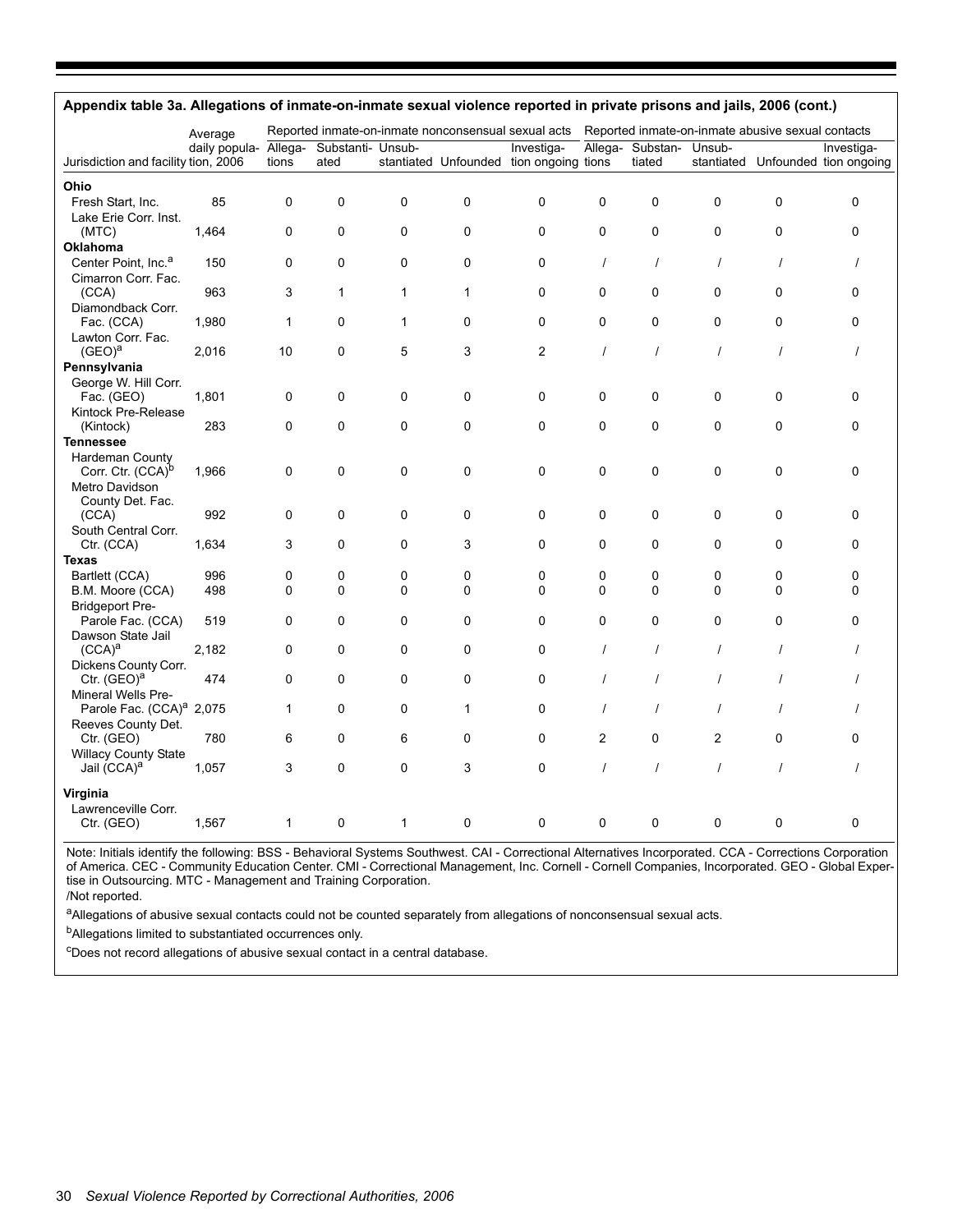| Appendix table 3a. Allegations of inmate-on-inmate sexual violence reported in private prisons and jails, 2006 (cont.) |               |         |                                                                                                          |              |              |                                         |             |                  |                |          |                                   |
|------------------------------------------------------------------------------------------------------------------------|---------------|---------|----------------------------------------------------------------------------------------------------------|--------------|--------------|-----------------------------------------|-------------|------------------|----------------|----------|-----------------------------------|
|                                                                                                                        | Average       |         | Reported inmate-on-inmate nonconsensual sexual acts<br>Reported inmate-on-inmate abusive sexual contacts |              |              |                                         |             |                  |                |          |                                   |
|                                                                                                                        | daily popula- | Allega- | Substanti- Unsub-                                                                                        |              |              | Investiga-                              |             | Allega- Substan- | Unsub-         |          | Investiga-                        |
| Jurisdiction and facility tion, 2006                                                                                   |               | tions   | ated                                                                                                     |              |              | stantiated Unfounded tion ongoing tions |             | tiated           |                |          | stantiated Unfounded tion ongoing |
| Ohio                                                                                                                   |               |         |                                                                                                          |              |              |                                         |             |                  |                |          |                                   |
| Fresh Start, Inc.                                                                                                      | 85            | 0       | 0                                                                                                        | 0            | $\mathbf 0$  | 0                                       | $\Omega$    | 0                | $\mathbf{0}$   | 0        | 0                                 |
| Lake Erie Corr. Inst.                                                                                                  |               |         |                                                                                                          |              |              |                                         |             |                  |                |          |                                   |
| (MTC)                                                                                                                  | 1,464         | 0       | 0                                                                                                        | 0            | $\mathbf 0$  | 0                                       | $\mathbf 0$ | 0                | $\Omega$       | 0        | 0                                 |
| Oklahoma                                                                                                               |               |         |                                                                                                          |              |              |                                         |             |                  |                |          |                                   |
| Center Point, Inc. <sup>a</sup>                                                                                        | 150           | 0       | 0                                                                                                        | 0            | $\mathbf 0$  | 0                                       | $\prime$    | $\prime$         | $\prime$       | $\prime$ | $\prime$                          |
| Cimarron Corr. Fac.                                                                                                    |               |         |                                                                                                          |              |              |                                         |             |                  |                |          |                                   |
| (CCA)                                                                                                                  | 963           | 3       | $\mathbf{1}$                                                                                             | $\mathbf{1}$ | $\mathbf 1$  | 0                                       | $\mathbf 0$ | 0                | 0              | 0        | 0                                 |
| Diamondback Corr.                                                                                                      |               |         |                                                                                                          |              |              |                                         |             |                  |                |          |                                   |
| Fac. (CCA)                                                                                                             | 1,980         | 1       | 0                                                                                                        | $\mathbf{1}$ | $\mathbf 0$  | 0                                       | $\mathbf 0$ | 0                | $\Omega$       | 0        | 0                                 |
| Lawton Corr. Fac.                                                                                                      |               |         |                                                                                                          |              |              |                                         |             |                  |                |          |                                   |
| $(GEO)^a$                                                                                                              | 2,016         | 10      | 0                                                                                                        | 5            | 3            | 2                                       | $\prime$    | $\prime$         | $\prime$       | $\prime$ | $\prime$                          |
| Pennsylvania                                                                                                           |               |         |                                                                                                          |              |              |                                         |             |                  |                |          |                                   |
|                                                                                                                        |               |         |                                                                                                          |              |              |                                         |             |                  |                |          |                                   |
| George W. Hill Corr.<br>Fac. (GEO)                                                                                     | 1,801         | 0       | 0                                                                                                        | 0            | $\mathbf 0$  | 0                                       | $\mathbf 0$ | 0                | 0              | 0        | 0                                 |
|                                                                                                                        |               |         |                                                                                                          |              |              |                                         |             |                  |                |          |                                   |
| Kintock Pre-Release<br>(Kintock)                                                                                       | 283           | 0       | 0                                                                                                        | 0            | $\mathbf 0$  | 0                                       | 0           | 0                | 0              | 0        | 0                                 |
|                                                                                                                        |               |         |                                                                                                          |              |              |                                         |             |                  |                |          |                                   |
| <b>Tennessee</b>                                                                                                       |               |         |                                                                                                          |              |              |                                         |             |                  |                |          |                                   |
| <b>Hardeman County</b>                                                                                                 |               |         |                                                                                                          |              |              |                                         |             |                  |                |          |                                   |
| Corr. Ctr. (CCA) <sup>b</sup>                                                                                          | 1,966         | 0       | 0                                                                                                        | 0            | 0            | 0                                       | 0           | 0                | 0              | 0        | 0                                 |
| Metro Davidson                                                                                                         |               |         |                                                                                                          |              |              |                                         |             |                  |                |          |                                   |
| County Det. Fac.                                                                                                       |               |         |                                                                                                          |              |              |                                         |             |                  |                |          |                                   |
| (CCA)                                                                                                                  | 992           | 0       | 0                                                                                                        | 0            | 0            | 0                                       | 0           | 0                | 0              | 0        | 0                                 |
| South Central Corr.                                                                                                    |               |         |                                                                                                          |              |              |                                         |             |                  |                |          |                                   |
| Ctr. (CCA)                                                                                                             | 1,634         | 3       | 0                                                                                                        | 0            | 3            | 0                                       | $\mathbf 0$ | 0                | 0              | 0        | 0                                 |
| <b>Texas</b>                                                                                                           |               |         |                                                                                                          |              |              |                                         |             |                  |                |          |                                   |
| Bartlett (CCA)                                                                                                         | 996           | 0       | 0                                                                                                        | 0            | $\mathbf 0$  | 0                                       | 0           | 0                | 0              | 0        | 0                                 |
| B.M. Moore (CCA)                                                                                                       | 498           | 0       | 0                                                                                                        | $\Omega$     | $\mathbf 0$  | $\Omega$                                | $\Omega$    | $\Omega$         | $\Omega$       | 0        | 0                                 |
| <b>Bridgeport Pre-</b>                                                                                                 |               |         |                                                                                                          |              |              |                                         |             |                  |                |          |                                   |
| Parole Fac. (CCA)                                                                                                      | 519           | 0       | 0                                                                                                        | 0            | $\mathbf 0$  | 0                                       | $\mathbf 0$ | 0                | 0              | 0        | 0                                 |
| Dawson State Jail                                                                                                      |               |         |                                                                                                          |              |              |                                         |             |                  |                |          |                                   |
| $(CCA)^a$                                                                                                              | 2,182         | 0       | 0                                                                                                        | 0            | 0            | 0                                       | $\prime$    | $\prime$         | $\prime$       | $\prime$ |                                   |
| Dickens County Corr.                                                                                                   |               |         |                                                                                                          |              |              |                                         |             |                  |                |          |                                   |
| Ctr. $(GEO)^a$                                                                                                         | 474           | 0       | 0                                                                                                        | 0            | $\mathbf 0$  | 0                                       | $\prime$    | $\prime$         | $\prime$       | $\prime$ |                                   |
| Mineral Wells Pre-                                                                                                     |               |         |                                                                                                          |              |              |                                         |             |                  |                |          |                                   |
| Parole Fac. (CCA) <sup>a</sup> 2,075                                                                                   |               | 1       | 0                                                                                                        | 0            | $\mathbf{1}$ | 0                                       | $\prime$    | $\prime$         | $\prime$       | $\prime$ |                                   |
| Reeves County Det.                                                                                                     |               |         |                                                                                                          |              |              |                                         |             |                  |                |          |                                   |
| Ctr. (GEO)                                                                                                             | 780           | 6       | 0                                                                                                        | 6            | 0            | 0                                       | 2           | 0                | $\overline{2}$ | 0        | 0                                 |
| <b>Willacy County State</b>                                                                                            |               |         |                                                                                                          |              |              |                                         |             |                  |                |          |                                   |
| Jail (CCA) <sup>a</sup>                                                                                                | 1,057         | 3       | $\Omega$                                                                                                 | 0            | 3            | 0                                       | $\prime$    | $\prime$         | $\prime$       | $\prime$ | $\prime$                          |
| Virginia                                                                                                               |               |         |                                                                                                          |              |              |                                         |             |                  |                |          |                                   |
| Lawrenceville Corr.                                                                                                    |               |         |                                                                                                          |              |              |                                         |             |                  |                |          |                                   |
| Ctr. (GEO)                                                                                                             | 1,567         | 1       | 0                                                                                                        | 1            | 0            | 0                                       | 0           | 0                | 0              | 0        | 0                                 |
|                                                                                                                        |               |         |                                                                                                          |              |              |                                         |             |                  |                |          |                                   |

Note: Initials identify the following: BSS - Behavioral Systems Southwest. CAI - Correctional Alternatives Incorporated. CCA - Corrections Corporation of America. CEC - Community Education Center. CMI - Correctional Management, Inc. Cornell - Cornell Companies, Incorporated. GEO - Global Expertise in Outsourcing. MTC - Management and Training Corporation.

/Not reported.

aAllegations of abusive sexual contacts could not be counted separately from allegations of nonconsensual sexual acts.

bAllegations limited to substantiated occurrences only.

cDoes not record allegations of abusive sexual contact in a central database.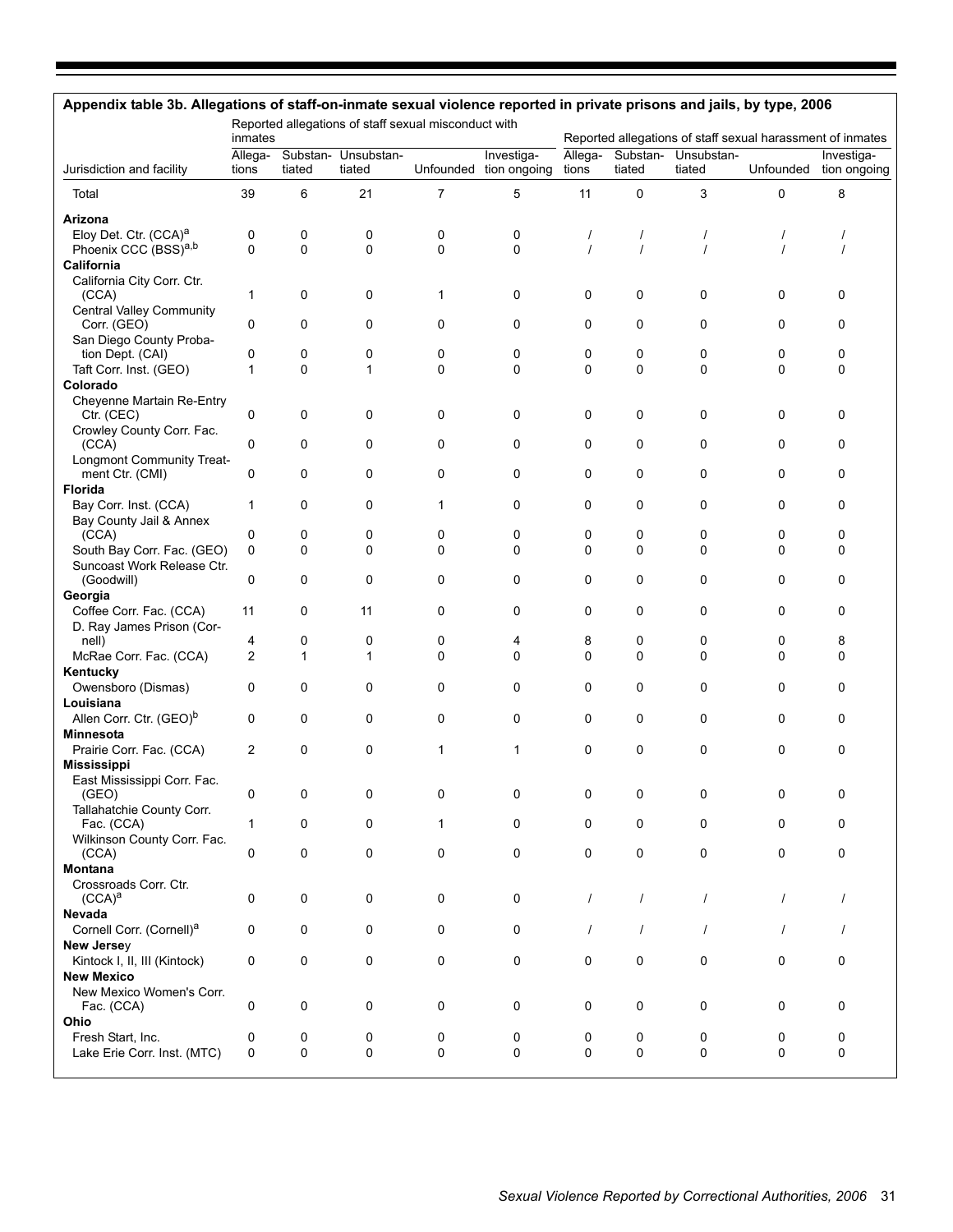| Appendix table 3b. Allegations of staff-on-inmate sexual violence reported in private prisons and jails, by type, 2006 | inmates          |        |                               | Reported allegations of staff sexual misconduct with |                                      |                  |          |                               |              | Reported allegations of staff sexual harassment of inmates |
|------------------------------------------------------------------------------------------------------------------------|------------------|--------|-------------------------------|------------------------------------------------------|--------------------------------------|------------------|----------|-------------------------------|--------------|------------------------------------------------------------|
| Jurisdiction and facility                                                                                              | Allega-<br>tions | tiated | Substan- Unsubstan-<br>tiated |                                                      | Investiga-<br>Unfounded tion ongoing | Allega-<br>tions | tiated   | Substan- Unsubstan-<br>tiated | Unfounded    | Investiga-<br>tion ongoing                                 |
| Total                                                                                                                  | 39               | 6      | 21                            | 7                                                    | 5                                    | 11               | 0        | 3                             | $\mathbf 0$  | 8                                                          |
| Arizona                                                                                                                |                  |        |                               |                                                      |                                      |                  |          |                               |              |                                                            |
| Eloy Det. Ctr. (CCA) <sup>a</sup>                                                                                      | 0                | 0      | 0                             | 0                                                    | 0                                    | $\prime$         | 1        | $\prime$                      | $\prime$     |                                                            |
| Phoenix CCC (BSS)a,b                                                                                                   | $\mathbf 0$      | 0      | $\mathbf 0$                   | $\mathbf 0$                                          | 0                                    | $\prime$         | $\prime$ |                               | $\prime$     | $\prime$                                                   |
| California<br>California City Corr. Ctr.                                                                               |                  |        |                               |                                                      |                                      |                  |          |                               |              |                                                            |
| (CCA)                                                                                                                  | 1                | 0      | 0                             | 1                                                    | 0                                    | 0                | 0        | 0                             | 0            | 0                                                          |
| <b>Central Valley Community</b>                                                                                        |                  |        |                               |                                                      |                                      |                  |          |                               |              |                                                            |
| Corr. (GEO)                                                                                                            | 0                | 0      | 0                             | 0                                                    | 0                                    | 0                | 0        | 0                             | 0            | 0                                                          |
| San Diego County Proba-                                                                                                | 0                | 0      |                               |                                                      |                                      |                  |          |                               |              |                                                            |
| tion Dept. (CAI)<br>Taft Corr. Inst. (GEO)                                                                             | 1                | 0      | 0<br>1                        | 0<br>$\mathbf 0$                                     | 0<br>$\mathbf 0$                     | 0<br>$\mathbf 0$ | 0<br>0   | 0<br>0                        | 0<br>0       | 0<br>0                                                     |
| Colorado                                                                                                               |                  |        |                               |                                                      |                                      |                  |          |                               |              |                                                            |
| Cheyenne Martain Re-Entry                                                                                              |                  |        |                               |                                                      |                                      |                  |          |                               |              |                                                            |
| Ctr. (CEC)                                                                                                             | 0                | 0      | 0                             | 0                                                    | 0                                    | 0                | 0        | 0                             | 0            | 0                                                          |
| Crowley County Corr. Fac.                                                                                              |                  |        |                               |                                                      |                                      |                  |          |                               |              |                                                            |
| (CCA)                                                                                                                  | 0                | 0      | 0                             | 0                                                    | 0                                    | 0                | 0        | 0                             | 0            | 0                                                          |
| <b>Longmont Community Treat-</b><br>ment Ctr. (CMI)                                                                    | 0                | 0      | 0                             | 0                                                    | 0                                    | 0                | 0        | 0                             | 0            | 0                                                          |
| <b>Florida</b>                                                                                                         |                  |        |                               |                                                      |                                      |                  |          |                               |              |                                                            |
| Bay Corr. Inst. (CCA)                                                                                                  | 1                | 0      | 0                             | $\mathbf{1}$                                         | 0                                    | 0                | 0        | 0                             | 0            | 0                                                          |
| Bay County Jail & Annex                                                                                                |                  |        |                               |                                                      |                                      |                  |          |                               |              |                                                            |
| (CCA)                                                                                                                  | 0                | 0      | 0                             | 0                                                    | 0                                    | 0                | 0        | 0                             | 0            | 0                                                          |
| South Bay Corr. Fac. (GEO)                                                                                             | $\mathbf 0$      | 0      | 0                             | 0                                                    | 0                                    | 0                | 0        | $\Omega$                      | $\mathbf{0}$ | 0                                                          |
| Suncoast Work Release Ctr.<br>(Goodwill)                                                                               | 0                | 0      | 0                             | 0                                                    | 0                                    | 0                | 0        | 0                             | 0            | 0                                                          |
| Georgia                                                                                                                |                  |        |                               |                                                      |                                      |                  |          |                               |              |                                                            |
| Coffee Corr. Fac. (CCA)                                                                                                | 11               | 0      | 11                            | 0                                                    | 0                                    | 0                | 0        | 0                             | 0            | 0                                                          |
| D. Ray James Prison (Cor-                                                                                              |                  |        |                               |                                                      |                                      |                  |          |                               |              |                                                            |
| nell)                                                                                                                  | 4                | 0      | 0                             | 0                                                    | 4                                    | 8                | 0        | 0                             | 0            | 8                                                          |
| McRae Corr. Fac. (CCA)                                                                                                 | $\overline{2}$   | 1      | 1                             | 0                                                    | 0                                    | $\Omega$         | 0        | 0                             | 0            | 0                                                          |
| Kentucky                                                                                                               |                  |        |                               |                                                      |                                      |                  |          |                               |              |                                                            |
| Owensboro (Dismas)<br>Louisiana                                                                                        | 0                | 0      | 0                             | 0                                                    | 0                                    | 0                | 0        | 0                             | 0            | 0                                                          |
| Allen Corr. Ctr. (GEO) <sup>b</sup>                                                                                    | 0                | 0      | 0                             | 0                                                    | 0                                    | 0                | 0        | 0                             | 0            | 0                                                          |
| <b>Minnesota</b>                                                                                                       |                  |        |                               |                                                      |                                      |                  |          |                               |              |                                                            |
| Prairie Corr. Fac. (CCA)                                                                                               | $\overline{2}$   | 0      | 0                             | 1                                                    | $\mathbf 1$                          | 0                | 0        | 0                             | 0            | 0                                                          |
| <b>Mississippi</b>                                                                                                     |                  |        |                               |                                                      |                                      |                  |          |                               |              |                                                            |
| East Mississippi Corr. Fac.                                                                                            |                  |        |                               |                                                      |                                      |                  |          |                               |              |                                                            |
| (GEO)                                                                                                                  | 0                | 0      | 0                             | 0                                                    | 0                                    | 0                | 0        | 0                             | $\Omega$     | 0                                                          |
| Tallahatchie County Corr.<br>Fac. (CCA)                                                                                | 1                | 0      | 0                             | $\mathbf{1}$                                         | 0                                    | $\mathbf 0$      | 0        | 0                             | 0            | 0                                                          |
| Wilkinson County Corr. Fac.                                                                                            |                  |        |                               |                                                      |                                      |                  |          |                               |              |                                                            |
| (CCA)                                                                                                                  | 0                | 0      | 0                             | 0                                                    | 0                                    | 0                | 0        | 0                             | 0            | 0                                                          |
| Montana                                                                                                                |                  |        |                               |                                                      |                                      |                  |          |                               |              |                                                            |
| Crossroads Corr. Ctr.                                                                                                  |                  |        |                               |                                                      |                                      |                  |          |                               |              |                                                            |
| $(CCA)^a$<br>Nevada                                                                                                    | 0                | 0      | 0                             | 0                                                    | 0                                    | $\prime$         | $\prime$ | $\prime$                      | $\prime$     | $\prime$                                                   |
| Cornell Corr. (Cornell) <sup>a</sup>                                                                                   | 0                | 0      | 0                             | 0                                                    | 0                                    | $\prime$         | $\prime$ | $\prime$                      | $\prime$     | $\prime$                                                   |
| New Jersey                                                                                                             |                  |        |                               |                                                      |                                      |                  |          |                               |              |                                                            |
| Kintock I, II, III (Kintock)                                                                                           | $\mathbf 0$      | 0      | 0                             | 0                                                    | 0                                    | 0                | 0        | 0                             | 0            | 0                                                          |
| <b>New Mexico</b>                                                                                                      |                  |        |                               |                                                      |                                      |                  |          |                               |              |                                                            |
| New Mexico Women's Corr.                                                                                               |                  |        |                               |                                                      |                                      |                  |          |                               |              |                                                            |
| Fac. (CCA)                                                                                                             | 0                | 0      | 0                             | 0                                                    | 0                                    | 0                | 0        | 0                             | 0            | 0                                                          |
| Ohio                                                                                                                   |                  |        |                               |                                                      |                                      |                  |          |                               |              |                                                            |
| Fresh Start, Inc.<br>Lake Erie Corr. Inst. (MTC)                                                                       | 0<br>0           | 0<br>0 | 0<br>0                        | 0<br>0                                               | 0<br>0                               | 0<br>0           | 0<br>0   | 0<br>0                        | 0<br>0       | 0<br>0                                                     |
|                                                                                                                        |                  |        |                               |                                                      |                                      |                  |          |                               |              |                                                            |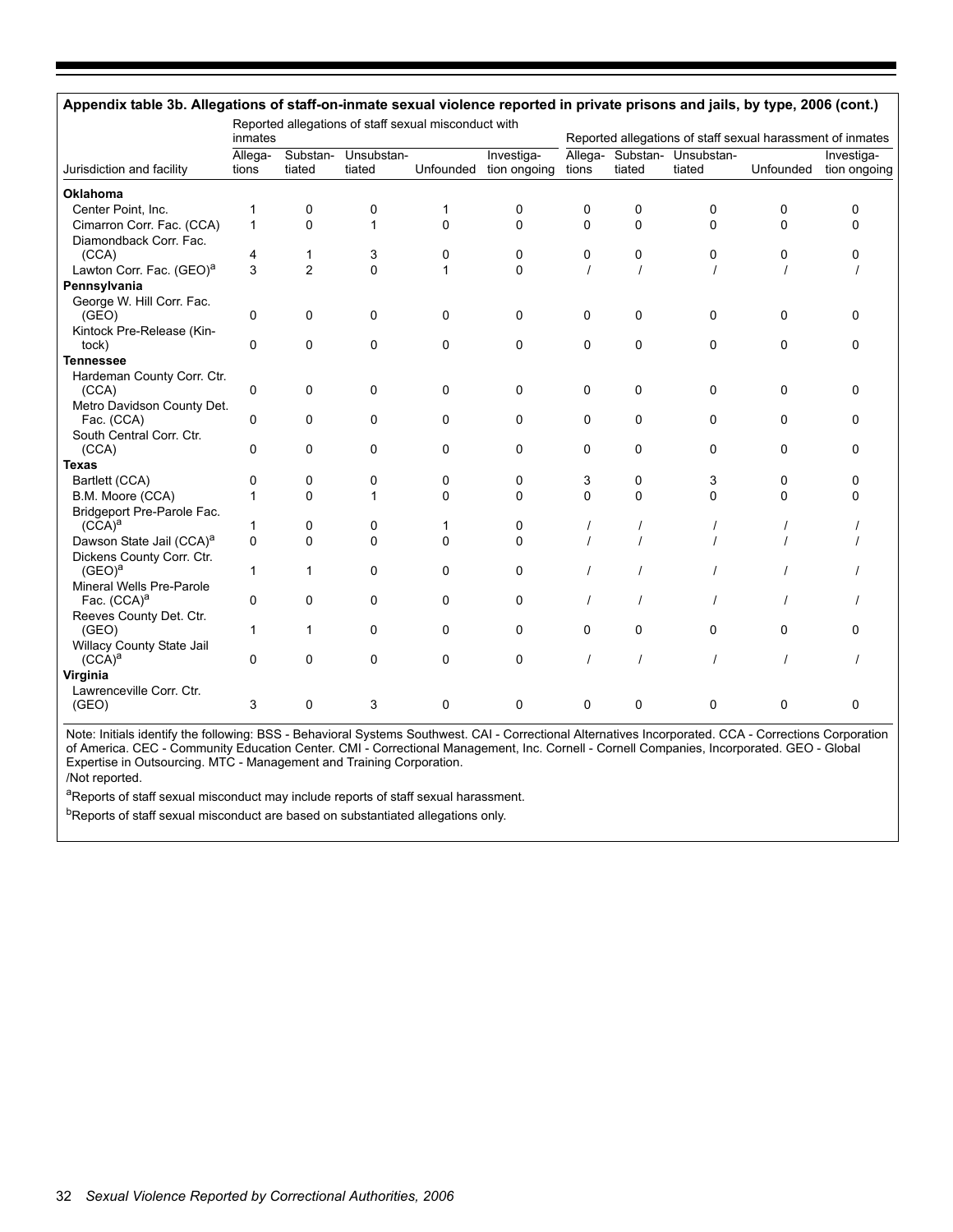|                                      | Reported allegations of staff sexual misconduct with<br>inmates |                |                               |             |                                      |             | Reported allegations of staff sexual harassment of inmates |                                       |           |                            |  |  |
|--------------------------------------|-----------------------------------------------------------------|----------------|-------------------------------|-------------|--------------------------------------|-------------|------------------------------------------------------------|---------------------------------------|-----------|----------------------------|--|--|
| Jurisdiction and facility            | Allega-<br>tions                                                | tiated         | Substan- Unsubstan-<br>tiated |             | Investiga-<br>Unfounded tion ongoing | tions       | tiated                                                     | Allega- Substan- Unsubstan-<br>tiated | Unfounded | Investiga-<br>tion ongoing |  |  |
| <b>Oklahoma</b>                      |                                                                 |                |                               |             |                                      |             |                                                            |                                       |           |                            |  |  |
| Center Point, Inc.                   | 1                                                               | 0              | 0                             | 1           | 0                                    | 0           | 0                                                          | 0                                     | 0         | 0                          |  |  |
| Cimarron Corr. Fac. (CCA)            | $\mathbf{1}$                                                    | $\Omega$       | 1                             | $\Omega$    | $\Omega$                             | $\mathbf 0$ | $\Omega$                                                   | $\Omega$                              | $\Omega$  | 0                          |  |  |
| Diamondback Corr. Fac.               |                                                                 |                |                               |             |                                      |             |                                                            |                                       |           |                            |  |  |
| (CCA)                                | 4                                                               | $\mathbf{1}$   | 3                             | 0           | 0                                    | 0           | 0                                                          | 0                                     | 0         | 0                          |  |  |
| Lawton Corr. Fac. (GEO) <sup>a</sup> | 3                                                               | $\overline{2}$ | 0                             | 1           | $\Omega$                             |             |                                                            |                                       |           |                            |  |  |
| Pennsylvania                         |                                                                 |                |                               |             |                                      |             |                                                            |                                       |           |                            |  |  |
| George W. Hill Corr. Fac.            |                                                                 |                |                               |             |                                      |             |                                                            |                                       |           |                            |  |  |
| (GEO)                                | 0                                                               | 0              | 0                             | 0           | 0                                    | 0           | 0                                                          | 0                                     | 0         | 0                          |  |  |
| Kintock Pre-Release (Kin-            |                                                                 |                |                               |             |                                      |             |                                                            |                                       |           |                            |  |  |
| tock)                                | 0                                                               | 0              | 0                             | 0           | 0                                    | 0           | 0                                                          | 0                                     | 0         | 0                          |  |  |
| <b>Tennessee</b>                     |                                                                 |                |                               |             |                                      |             |                                                            |                                       |           |                            |  |  |
| Hardeman County Corr. Ctr.           |                                                                 |                |                               |             |                                      |             |                                                            |                                       |           |                            |  |  |
| (CCA)                                | 0                                                               | 0              | 0                             | $\mathbf 0$ | 0                                    | 0           | 0                                                          | 0                                     | $\Omega$  | 0                          |  |  |
| Metro Davidson County Det.           |                                                                 |                |                               |             |                                      |             |                                                            |                                       |           |                            |  |  |
| Fac. (CCA)                           | 0                                                               | 0              | 0                             | 0           | 0                                    | 0           | 0                                                          | 0                                     | 0         | 0                          |  |  |
| South Central Corr. Ctr.             |                                                                 |                |                               |             |                                      |             |                                                            |                                       |           |                            |  |  |
| (CCA)                                | 0                                                               | 0              | 0                             | $\mathbf 0$ | 0                                    | $\Omega$    | 0                                                          | 0                                     | $\Omega$  | 0                          |  |  |
| <b>Texas</b>                         |                                                                 |                |                               |             |                                      |             |                                                            |                                       |           |                            |  |  |
| Bartlett (CCA)                       | 0                                                               | 0              | 0                             | 0           | 0                                    | 3           | 0                                                          | 3                                     | $\Omega$  | 0                          |  |  |
| B.M. Moore (CCA)                     | 1                                                               | 0              | 1                             | $\Omega$    | $\Omega$                             | $\Omega$    | $\Omega$                                                   | $\Omega$                              | $\Omega$  | 0                          |  |  |
| Bridgeport Pre-Parole Fac.           |                                                                 |                |                               |             |                                      |             |                                                            |                                       |           |                            |  |  |
| $(CCA)^a$                            | 1                                                               | 0              | 0                             | 1           | 0                                    |             |                                                            |                                       |           |                            |  |  |
| Dawson State Jail (CCA) <sup>a</sup> | 0                                                               | 0              | 0                             | $\mathbf 0$ | $\mathbf{0}$                         |             |                                                            |                                       |           |                            |  |  |
| Dickens County Corr. Ctr.            |                                                                 |                |                               |             |                                      |             |                                                            |                                       |           |                            |  |  |
| $(GEO)^a$                            | $\mathbf{1}$                                                    | 1              | 0                             | $\mathbf 0$ | $\Omega$                             |             |                                                            |                                       |           |                            |  |  |
| Mineral Wells Pre-Parole             |                                                                 |                |                               |             |                                      |             |                                                            |                                       |           |                            |  |  |
| Fac. (CCA) <sup>a</sup>              | 0                                                               | 0              | 0                             | 0           | 0                                    |             |                                                            |                                       |           |                            |  |  |
| Reeves County Det. Ctr.              |                                                                 |                |                               |             |                                      |             |                                                            |                                       |           |                            |  |  |
| (GEO)                                | $\mathbf{1}$                                                    | 1              | 0                             | 0           | 0                                    | $\Omega$    | 0                                                          | 0                                     | $\Omega$  | 0                          |  |  |
| Willacy County State Jail            |                                                                 |                |                               |             |                                      |             |                                                            |                                       |           |                            |  |  |
| $(CCA)^a$                            | 0                                                               | 0              | 0                             | $\mathbf 0$ | 0                                    |             |                                                            |                                       |           |                            |  |  |
| Virginia                             |                                                                 |                |                               |             |                                      |             |                                                            |                                       |           |                            |  |  |
| Lawrenceville Corr. Ctr.             |                                                                 |                |                               |             |                                      |             |                                                            |                                       |           |                            |  |  |
| (GEO)                                | 3                                                               | 0              | 3                             | 0           | 0                                    | 0           | 0                                                          | 0                                     | 0         | 0                          |  |  |

Note: Initials identify the following: BSS - Behavioral Systems Southwest. CAI - Correctional Alternatives Incorporated. CCA - Corrections Corporation of America. CEC - Community Education Center. CMI - Correctional Management, Inc. Cornell - Cornell Companies, Incorporated. GEO - Global Expertise in Outsourcing. MTC - Management and Training Corporation. /Not reported.

aReports of staff sexual misconduct may include reports of staff sexual harassment.

 $b$ Reports of staff sexual misconduct are based on substantiated allegations only.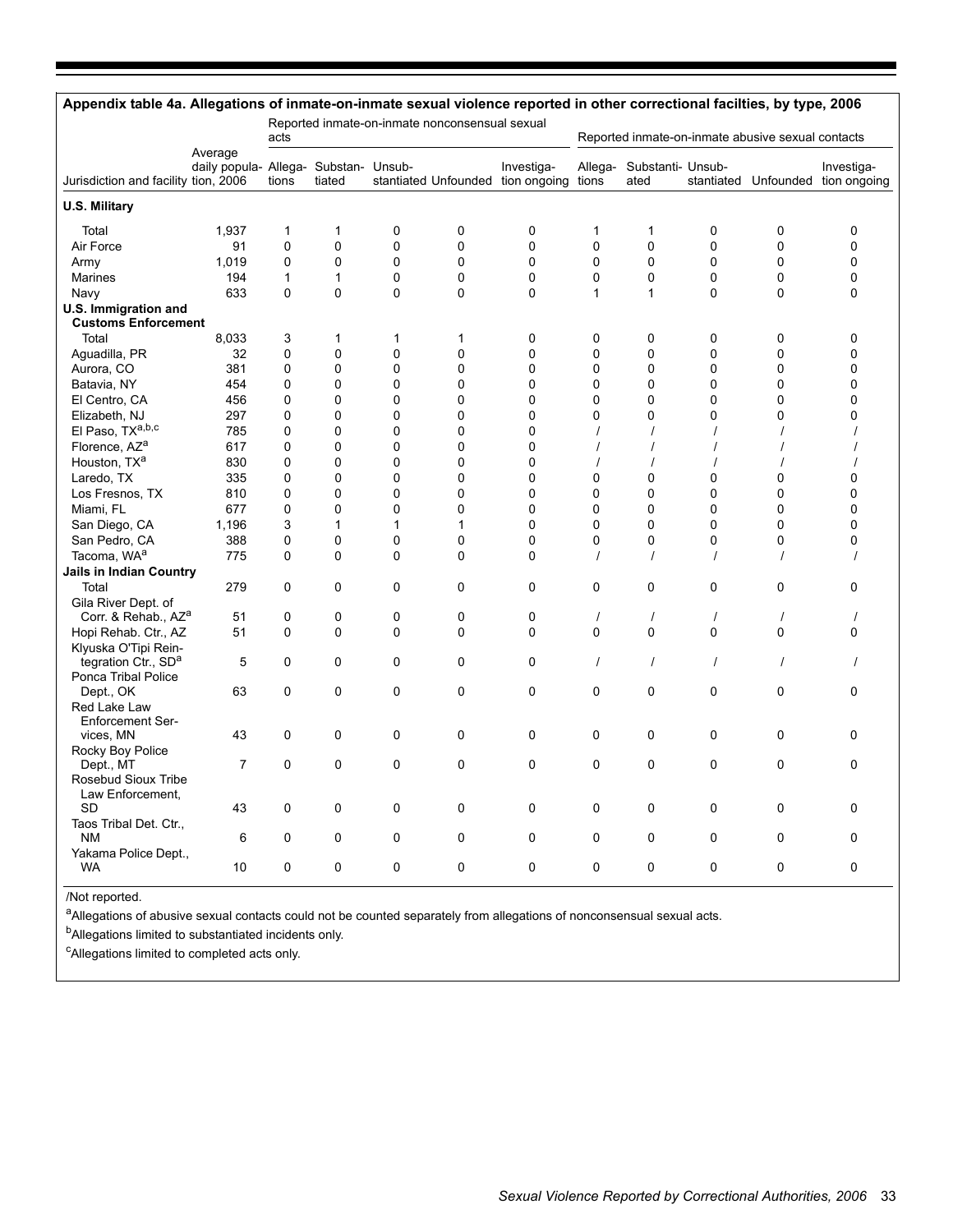| Appendix table 4a. Allegations of inmate-on-inmate sexual violence reported in other correctional facilties, by type, 2006 |                                                  |              |              |             |                                                |                                                 |                                                   |                           |                |                |                                      |  |
|----------------------------------------------------------------------------------------------------------------------------|--------------------------------------------------|--------------|--------------|-------------|------------------------------------------------|-------------------------------------------------|---------------------------------------------------|---------------------------|----------------|----------------|--------------------------------------|--|
|                                                                                                                            |                                                  | acts         |              |             | Reported inmate-on-inmate nonconsensual sexual |                                                 | Reported inmate-on-inmate abusive sexual contacts |                           |                |                |                                      |  |
| Jurisdiction and facility tion, 2006                                                                                       | Average<br>daily popula- Allega- Substan- Unsub- | tions        | tiated       |             |                                                | Investiga-<br>stantiated Unfounded tion ongoing | Allega-<br>tions                                  | Substanti- Unsub-<br>ated | stantiated     |                | Investiga-<br>Unfounded tion ongoing |  |
| <b>U.S. Military</b>                                                                                                       |                                                  |              |              |             |                                                |                                                 |                                                   |                           |                |                |                                      |  |
| Total                                                                                                                      | 1,937                                            | $\mathbf{1}$ | 1            | 0           | 0                                              | 0                                               | 1                                                 | $\mathbf{1}$              | 0              | $\mathbf 0$    | 0                                    |  |
| Air Force                                                                                                                  | 91                                               | 0            | $\mathbf 0$  | 0           | 0                                              | 0                                               | $\mathbf 0$                                       | 0                         | 0              | 0              | 0                                    |  |
| Army                                                                                                                       | 1,019                                            | 0            | 0            | 0           | 0                                              | 0                                               | $\mathbf 0$                                       | 0                         | 0              | 0              | 0                                    |  |
| Marines                                                                                                                    | 194                                              | 1            | $\mathbf{1}$ | 0           | 0                                              | 0                                               | $\mathbf{0}$                                      | $\mathbf 0$               | $\mathbf 0$    | $\mathbf 0$    | 0                                    |  |
| Navy                                                                                                                       | 633                                              | 0            | $\mathbf 0$  | 0           | 0                                              | 0                                               | $\mathbf{1}$                                      | 1                         | $\mathbf{0}$   | $\mathbf 0$    | 0                                    |  |
| U.S. Immigration and<br><b>Customs Enforcement</b>                                                                         |                                                  |              |              |             |                                                |                                                 |                                                   |                           |                |                |                                      |  |
| Total                                                                                                                      | 8,033                                            | 3            | 1            | 1           | 1                                              | 0                                               | 0                                                 | 0                         | $\mathbf 0$    | $\mathbf 0$    | 0                                    |  |
| Aguadilla, PR                                                                                                              | 32                                               | 0            | 0            | 0           | 0                                              | 0                                               | 0                                                 | $\mathbf 0$               | 0              | $\mathbf 0$    | 0                                    |  |
| Aurora, CO                                                                                                                 | 381                                              | 0            | $\mathbf 0$  | 0           | 0                                              | 0                                               | 0                                                 | $\mathbf 0$               | 0              | $\mathbf 0$    | 0                                    |  |
| Batavia, NY                                                                                                                | 454                                              | 0            | $\mathbf 0$  | 0           | 0                                              | 0                                               | 0                                                 | 0                         | 0              | 0              | 0                                    |  |
| El Centro, CA                                                                                                              | 456                                              | 0            | 0            | 0           | 0                                              | 0                                               | $\Omega$                                          | 0                         | 0              | 0              | 0                                    |  |
| Elizabeth, NJ                                                                                                              | 297                                              | 0            | 0            | 0           | 0                                              | 0                                               | 0                                                 | 0                         | 0              | 0              | 0                                    |  |
| El Paso, TXa,b,c                                                                                                           | 785                                              | 0            | $\mathbf 0$  | 0           | 0                                              | 0                                               | $\overline{1}$                                    | $\prime$                  | $\prime$       | $\overline{1}$ |                                      |  |
| Florence, AZ <sup>a</sup>                                                                                                  | 617                                              | $\Omega$     | $\mathbf 0$  | 0           | 0                                              | 0                                               |                                                   | $\prime$                  |                | $\prime$       |                                      |  |
| Houston, TX <sup>a</sup>                                                                                                   | 830                                              | $\Omega$     | $\mathbf{0}$ | 0           | $\Omega$                                       | $\Omega$                                        | $\overline{1}$                                    | $\prime$                  | $\overline{1}$ | $\overline{1}$ |                                      |  |
| Laredo, TX                                                                                                                 | 335                                              | 0            | 0            | 0           | 0                                              | 0                                               | $\Omega$                                          | 0                         | 0              | 0              | 0                                    |  |
| Los Fresnos, TX                                                                                                            | 810                                              | 0            | 0            | 0           | 0                                              | 0                                               | $\mathbf 0$                                       | 0                         | 0              | 0              | 0                                    |  |
| Miami, FL                                                                                                                  | 677                                              | 0            | 0            | 0           | 0                                              | 0                                               | $\mathbf 0$                                       | $\mathbf 0$               | $\mathbf 0$    | 0              | 0                                    |  |
| San Diego, CA                                                                                                              | 1,196                                            | 3            | $\mathbf{1}$ | 1           | 1                                              | 0                                               | $\Omega$                                          | 0                         | 0              | 0              | 0                                    |  |
| San Pedro, CA                                                                                                              | 388                                              | 0            | $\mathbf 0$  | 0           | 0                                              | 0                                               | $\Omega$                                          | 0                         | 0              | 0              | 0                                    |  |
| Tacoma, WA <sup>a</sup>                                                                                                    | 775                                              | 0            | $\mathbf 0$  | 0           | 0                                              | 0                                               | $\prime$                                          | $\prime$                  | $\prime$       | $\prime$       | $\prime$                             |  |
| <b>Jails in Indian Country</b>                                                                                             |                                                  |              |              |             |                                                |                                                 |                                                   |                           |                |                |                                      |  |
| Total                                                                                                                      | 279                                              | 0            | $\mathbf 0$  | 0           | 0                                              | 0                                               | 0                                                 | $\mathbf 0$               | $\mathbf 0$    | $\mathbf 0$    | 0                                    |  |
| Gila River Dept. of                                                                                                        |                                                  |              |              |             |                                                |                                                 |                                                   |                           |                |                |                                      |  |
| Corr. & Rehab., AZ <sup>a</sup>                                                                                            | 51                                               | 0            | 0            | 0           | 0                                              | 0                                               | $\prime$                                          | $\prime$                  | $\prime$       | $\prime$       |                                      |  |
| Hopi Rehab. Ctr., AZ                                                                                                       | 51                                               | $\Omega$     | 0            | 0           | $\Omega$                                       | 0                                               | $\Omega$                                          | $\mathbf{0}$              | $\mathbf{0}$   | $\Omega$       | 0                                    |  |
| Klyuska O'Tipi Rein-<br>tegration Ctr., SD <sup>a</sup>                                                                    | 5                                                | 0            | 0            | 0           | 0                                              | 0                                               | $\prime$                                          | $\prime$                  | $\prime$       | $\prime$       | $\prime$                             |  |
| Ponca Tribal Police                                                                                                        |                                                  |              |              |             |                                                |                                                 |                                                   |                           |                |                |                                      |  |
| Dept., OK                                                                                                                  | 63                                               | 0            | 0            | 0           | 0                                              | 0                                               | 0                                                 | 0                         | 0              | $\mathbf 0$    | 0                                    |  |
| Red Lake Law                                                                                                               |                                                  |              |              |             |                                                |                                                 |                                                   |                           |                |                |                                      |  |
| <b>Enforcement Ser-</b>                                                                                                    |                                                  |              |              |             |                                                |                                                 |                                                   |                           |                |                |                                      |  |
| vices, MN                                                                                                                  | 43                                               | 0            | 0            | 0           | 0                                              | 0                                               | 0                                                 | $\mathbf 0$               | 0              | 0              | 0                                    |  |
| Rocky Boy Police                                                                                                           | $\overline{7}$                                   | 0            | $\mathbf 0$  | 0           | 0                                              | 0                                               | 0                                                 | $\mathbf 0$               | $\mathbf 0$    | $\mathbf 0$    | 0                                    |  |
| Dept., MT<br>Rosebud Sioux Tribe                                                                                           |                                                  |              |              |             |                                                |                                                 |                                                   |                           |                |                |                                      |  |
| Law Enforcement,                                                                                                           |                                                  |              |              |             |                                                |                                                 |                                                   |                           |                |                |                                      |  |
| <b>SD</b>                                                                                                                  | 43                                               | 0            | $\mathbf 0$  | 0           | 0                                              | 0                                               | 0                                                 | $\mathbf 0$               | $\mathbf 0$    | $\mathbf 0$    | 0                                    |  |
| Taos Tribal Det. Ctr.,                                                                                                     |                                                  |              |              |             |                                                |                                                 |                                                   |                           |                |                |                                      |  |
| <b>NM</b>                                                                                                                  | 6                                                | 0            | 0            | $\mathbf 0$ | 0                                              | 0                                               | 0                                                 | $\mathbf 0$               | $\mathbf 0$    | 0              | 0                                    |  |
| Yakama Police Dept.,                                                                                                       |                                                  |              |              |             |                                                |                                                 |                                                   |                           |                |                |                                      |  |
| WA                                                                                                                         | 10                                               | 0            | 0            | 0           | 0                                              | 0                                               | 0                                                 | $\Omega$                  | 0              | $\mathbf 0$    | 0                                    |  |

#### /Not reported.

a<br>Allegations of abusive sexual contacts could not be counted separately from allegations of nonconsensual sexual acts.

b<sub>Allegations</sub> limited to substantiated incidents only.

<sup>c</sup>Allegations limited to completed acts only.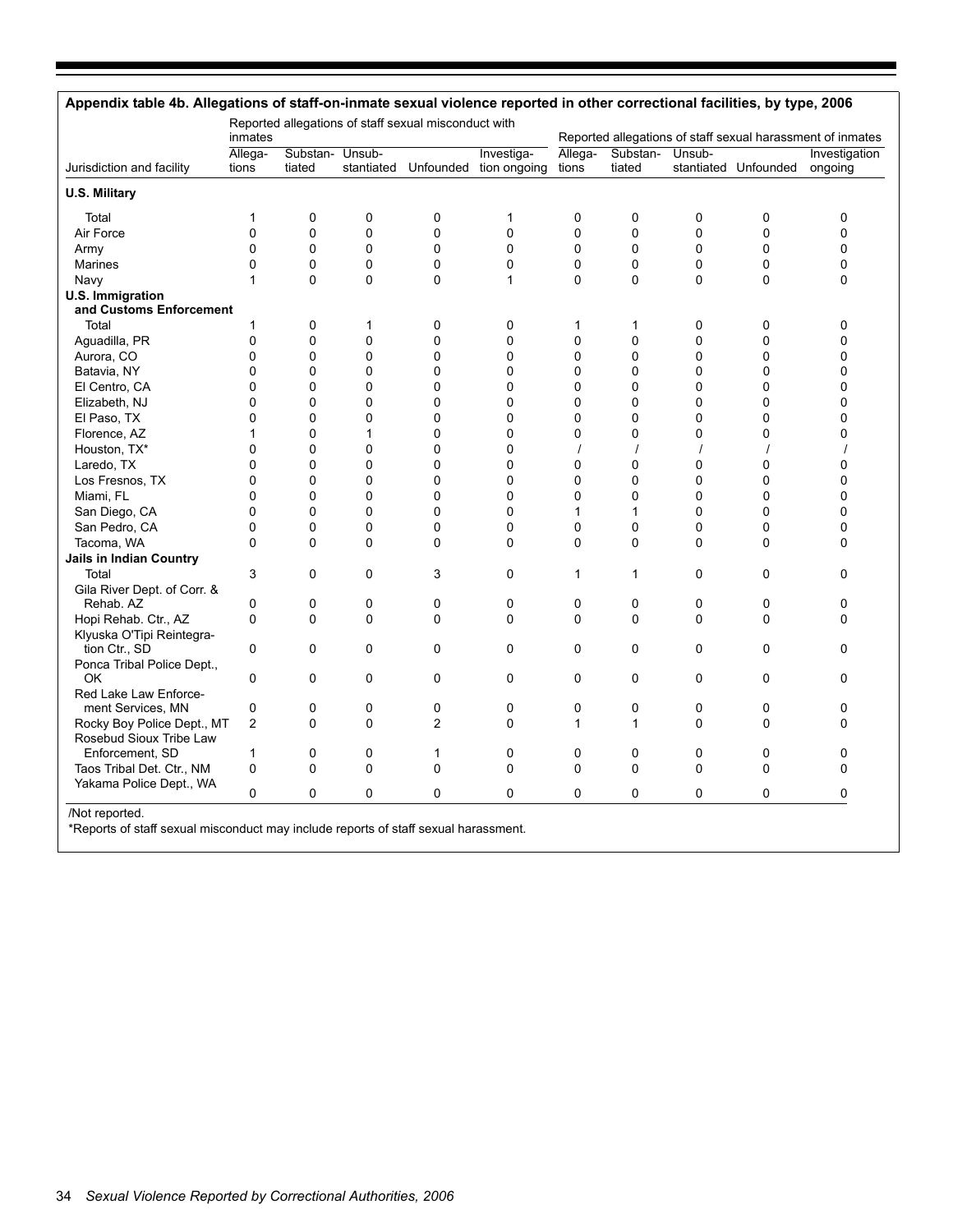|                                             | inmates          |                           |             | Reported allegations of staff sexual misconduct with |                                                 | Reported allegations of staff sexual harassment of inmates |                           |   |                      |                          |  |
|---------------------------------------------|------------------|---------------------------|-------------|------------------------------------------------------|-------------------------------------------------|------------------------------------------------------------|---------------------------|---|----------------------|--------------------------|--|
| Jurisdiction and facility                   | Allega-<br>tions | Substan- Unsub-<br>tiated |             |                                                      | Investiga-<br>stantiated Unfounded tion ongoing | Allega-<br>tions                                           | Substan- Unsub-<br>tiated |   | stantiated Unfounded | Investigation<br>ongoing |  |
| <b>U.S. Military</b>                        |                  |                           |             |                                                      |                                                 |                                                            |                           |   |                      |                          |  |
| Total                                       | $\mathbf{1}$     | $\mathbf 0$               | 0           | 0                                                    | 1                                               | 0                                                          | 0                         | 0 | 0                    | 0                        |  |
| Air Force                                   | 0                | $\mathbf 0$               | 0           | 0                                                    | 0                                               | $\pmb{0}$                                                  | 0                         | 0 | 0                    | 0                        |  |
| Army                                        | 0                | $\mathbf 0$               | 0           | 0                                                    | 0                                               | 0                                                          | 0                         | 0 | 0                    | 0                        |  |
| Marines                                     | 0                | $\mathbf 0$               | 0           | 0                                                    | 0                                               | $\mathbf 0$                                                | 0                         | 0 | 0                    | 0                        |  |
| Navy                                        | 1                | $\Omega$                  | 0           | 0                                                    | $\mathbf{1}$                                    | $\Omega$                                                   | $\Omega$                  | 0 | 0                    | 0                        |  |
| U.S. Immigration<br>and Customs Enforcement |                  |                           |             |                                                      |                                                 |                                                            |                           |   |                      |                          |  |
| Total                                       | 1                | 0                         | 1           | 0                                                    | 0                                               | 1                                                          | 1                         | 0 | 0                    | 0                        |  |
| Aguadilla, PR                               | 0                | $\mathbf 0$               | $\mathbf 0$ | 0                                                    | 0                                               | $\mathbf 0$                                                | 0                         | 0 | 0                    | $\Omega$                 |  |
| Aurora, CO                                  | 0                | 0                         | 0           | 0                                                    | 0                                               | $\mathbf 0$                                                | 0                         | 0 | 0                    | 0                        |  |
| Batavia, NY                                 | 0                | $\mathbf 0$               | 0           | 0                                                    | $\mathbf 0$                                     | $\mathbf 0$                                                | 0                         | 0 | 0                    | 0                        |  |
| El Centro, CA                               | 0                | $\mathbf 0$               | 0           | 0                                                    | 0                                               | $\mathbf 0$                                                | 0                         | 0 | 0                    | 0                        |  |
| Elizabeth, NJ                               | 0                | $\mathbf 0$               | 0           | 0                                                    | 0                                               | $\mathbf 0$                                                | 0                         | 0 | 0                    | 0                        |  |
| El Paso, TX                                 | 0                | $\mathbf{0}$              | 0           | 0                                                    | 0                                               | $\Omega$                                                   | 0                         | 0 | 0                    | 0                        |  |
| Florence, AZ                                | 1                | $\mathbf 0$               | 1           | 0                                                    | 0                                               | $\mathbf 0$                                                | 0                         | 0 | 0                    | 0                        |  |
| Houston, TX*                                | 0                | $\Omega$                  | 0           | 0                                                    | 0                                               |                                                            |                           |   |                      |                          |  |
| Laredo, TX                                  | 0                | $\mathbf{0}$              | 0           | 0                                                    | 0                                               | 0                                                          | 0                         | 0 | 0                    | 0                        |  |
| Los Fresnos, TX                             | 0                | $\mathbf 0$               | 0           | 0                                                    | 0                                               | 0                                                          | 0                         | 0 | 0                    | 0                        |  |
| Miami, FL                                   | 0                | $\mathbf{0}$              | 0           | 0                                                    | $\Omega$                                        | 0                                                          | 0                         | 0 | 0                    | 0                        |  |
| San Diego, CA                               | 0                | $\mathbf 0$               | 0           | 0                                                    | 0                                               | 1                                                          | $\mathbf{1}$              | 0 | 0                    | 0                        |  |
| San Pedro, CA                               | 0                | $\mathbf 0$               | 0           | 0                                                    | 0                                               | $\mathbf 0$                                                | 0                         | 0 | 0                    | 0                        |  |
| Tacoma, WA                                  | 0                | $\mathbf 0$               | 0           | 0                                                    | $\mathbf 0$                                     | $\mathbf 0$                                                | 0                         | 0 | 0                    | 0                        |  |
|                                             |                  |                           |             |                                                      |                                                 |                                                            |                           |   |                      |                          |  |
| Jails in Indian Country                     |                  | $\Omega$                  | $\Omega$    |                                                      |                                                 |                                                            | 1                         |   |                      |                          |  |
| Total                                       | 3                |                           |             | 3                                                    | 0                                               | 1                                                          |                           | 0 | 0                    | 0                        |  |
| Gila River Dept. of Corr. &<br>Rehab. AZ    | 0                | 0                         | 0           | 0                                                    | $\mathbf 0$                                     | $\mathbf 0$                                                | 0                         | 0 | 0                    | 0                        |  |
| Hopi Rehab. Ctr., AZ                        | 0                | $\mathbf 0$               | $\Omega$    | 0                                                    | $\Omega$                                        | 0                                                          | $\Omega$                  | 0 | 0                    | $\Omega$                 |  |
|                                             |                  |                           |             |                                                      |                                                 |                                                            |                           |   |                      |                          |  |
| Klyuska O'Tipi Reintegra-<br>tion Ctr., SD  | 0                | $\mathbf 0$               | 0           | 0                                                    | 0                                               | $\mathbf 0$                                                | 0                         | 0 | 0                    | 0                        |  |
| Ponca Tribal Police Dept.,                  |                  |                           |             |                                                      |                                                 |                                                            |                           |   |                      |                          |  |
| OK                                          | 0                | 0                         | 0           | 0                                                    | 0                                               | 0                                                          | 0                         | 0 | 0                    | 0                        |  |
| Red Lake Law Enforce-                       |                  |                           |             |                                                      |                                                 |                                                            |                           |   |                      |                          |  |
| ment Services, MN                           | 0                | 0                         | 0           | 0                                                    | 0                                               | 0                                                          | 0                         | 0 | 0                    | 0                        |  |
| Rocky Boy Police Dept., MT                  | $\overline{c}$   | 0                         | 0           | $\overline{c}$                                       | 0                                               | 1                                                          | $\mathbf{1}$              | 0 | 0                    | 0                        |  |
| Rosebud Sioux Tribe Law                     |                  |                           |             |                                                      |                                                 |                                                            |                           |   |                      |                          |  |
| Enforcement, SD                             | 1                | 0                         | 0           | 1                                                    | 0                                               | 0                                                          | 0                         | 0 | 0                    | 0                        |  |
| Taos Tribal Det. Ctr., NM                   | 0                | $\mathbf 0$               | 0           | 0                                                    | 0                                               | $\mathbf 0$                                                | 0                         | 0 | 0                    | $\mathbf 0$              |  |
| Yakama Police Dept., WA                     |                  |                           |             |                                                      |                                                 |                                                            |                           |   |                      |                          |  |
|                                             | 0                | 0                         | 0           | 0                                                    | 0                                               | $\mathbf 0$                                                | 0                         | 0 | 0                    | 0                        |  |

\*Reports of staff sexual misconduct may include reports of staff sexual harassment.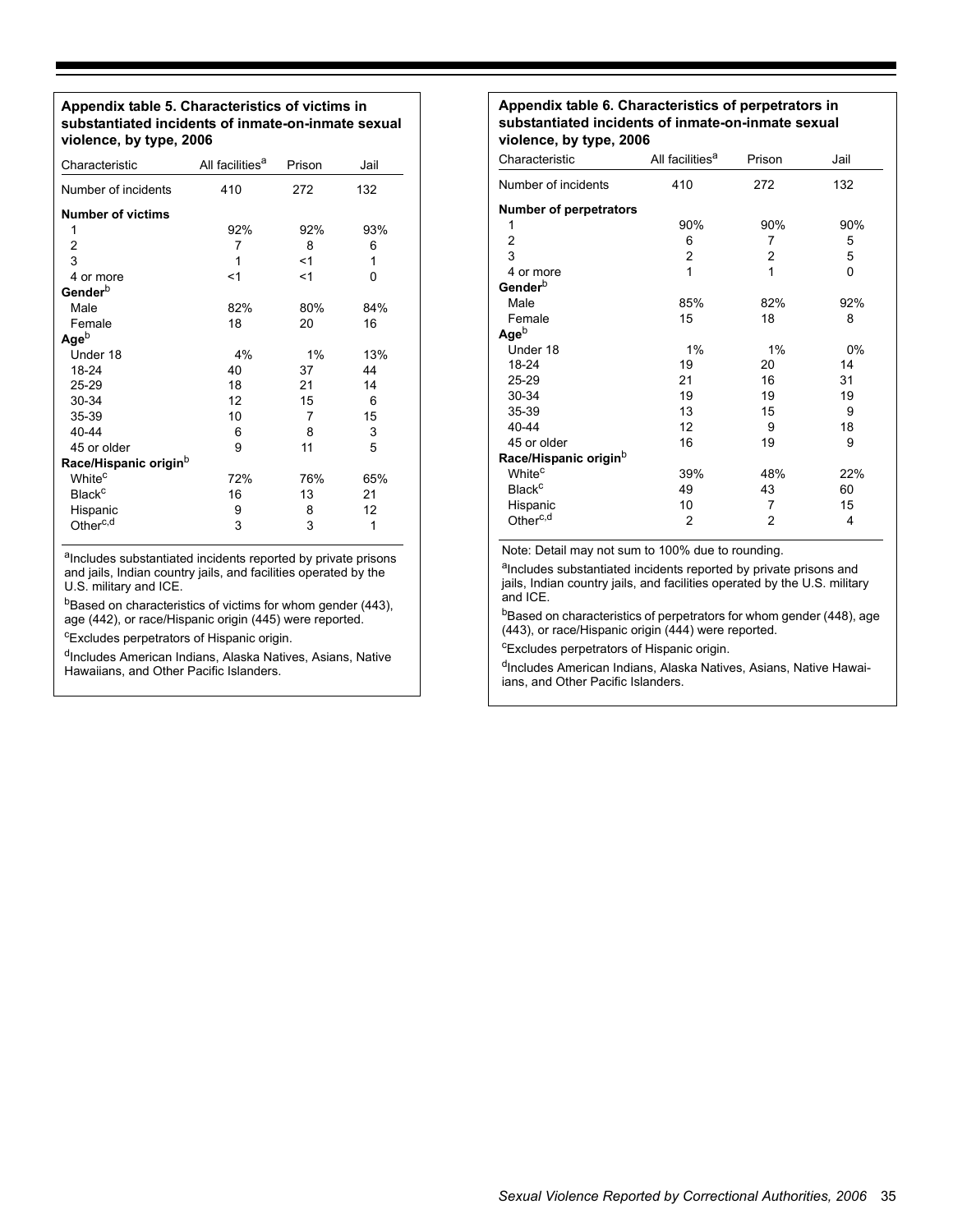**Appendix table 5. Characteristics of victims in substantiated incidents of inmate-on-inmate sexual violence, by type, 2006** 

| Characteristic                    | All facilities <sup>a</sup> | Prison | Jail |
|-----------------------------------|-----------------------------|--------|------|
| Number of incidents               | 410                         | 272    | 132  |
| <b>Number of victims</b>          |                             |        |      |
| 1                                 | 92%                         | 92%    | 93%  |
| 2                                 | 7                           | 8      | 6    |
| 3                                 | 1                           | $<$ 1  | 1    |
| 4 or more                         | $<$ 1                       | $<$ 1  | 0    |
| Gender <sup>b</sup>               |                             |        |      |
| Male                              | 82%                         | 80%    | 84%  |
| Female                            | 18                          | 20     | 16   |
| $Age^b$                           |                             |        |      |
| Under 18                          | 4%                          | 1%     | 13%  |
| 18-24                             | 40                          | 37     | 44   |
| 25-29                             | 18                          | 21     | 14   |
| 30-34                             | 12                          | 15     | 6    |
| 35-39                             | 10                          | 7      | 15   |
| 40-44                             | 6                           | 8      | 3    |
| 45 or older                       | 9                           | 11     | 5    |
| Race/Hispanic origin <sup>b</sup> |                             |        |      |
| White <sup>c</sup>                | 72%                         | 76%    | 65%  |
| <b>Black<sup>c</sup></b>          | 16                          | 13     | 21   |
| Hispanic                          | 9                           | 8      | 12   |
| Other <sup>c,d</sup>              | 3                           | 3      | 1    |

aIncludes substantiated incidents reported by private prisons and jails, Indian country jails, and facilities operated by the U.S. military and ICE.

bBased on characteristics of victims for whom gender (443), age (442), or race/Hispanic origin (445) were reported.

cExcludes perpetrators of Hispanic origin.

dIncludes American Indians, Alaska Natives, Asians, Native Hawaiians, and Other Pacific Islanders.

#### **Appendix table 6. Characteristics of perpetrators in substantiated incidents of inmate-on-inmate sexual violence, by type, 2006**

| Characteristic                    | All facilities <sup>a</sup> | Prison | Jail |
|-----------------------------------|-----------------------------|--------|------|
| Number of incidents               | 410                         | 272    | 132  |
| <b>Number of perpetrators</b>     |                             |        |      |
| 1                                 | 90%                         | 90%    | 90%  |
| 2                                 | 6                           | 7      | 5    |
| 3                                 | 2                           | 2      | 5    |
| 4 or more                         | 1                           | 1      | 0    |
| Gender <sup>b</sup>               |                             |        |      |
| Male                              | 85%                         | 82%    | 92%  |
| Female                            | 15                          | 18     | 8    |
| Ageb                              |                             |        |      |
| Under 18                          | 1%                          | 1%     | 0%   |
| 18-24                             | 19                          | 20     | 14   |
| 25-29                             | 21                          | 16     | 31   |
| 30-34                             | 19                          | 19     | 19   |
| 35-39                             | 13                          | 15     | 9    |
| 40-44                             | 12                          | 9      | 18   |
| 45 or older                       | 16                          | 19     | 9    |
| Race/Hispanic origin <sup>D</sup> |                             |        |      |
| White <sup>c</sup>                | 39%                         | 48%    | 22%  |
| <b>Black<sup>c</sup></b>          | 49                          | 43     | 60   |
| Hispanic                          | 10                          | 7      | 15   |
| Other <sup>c,d</sup>              | $\overline{2}$              | 2      | 4    |

Note: Detail may not sum to 100% due to rounding.

aIncludes substantiated incidents reported by private prisons and jails, Indian country jails, and facilities operated by the U.S. military and ICE.

bBased on characteristics of perpetrators for whom gender (448), age (443), or race/Hispanic origin (444) were reported.

<sup>c</sup>Excludes perpetrators of Hispanic origin.

dIncludes American Indians, Alaska Natives, Asians, Native Hawaiians, and Other Pacific Islanders.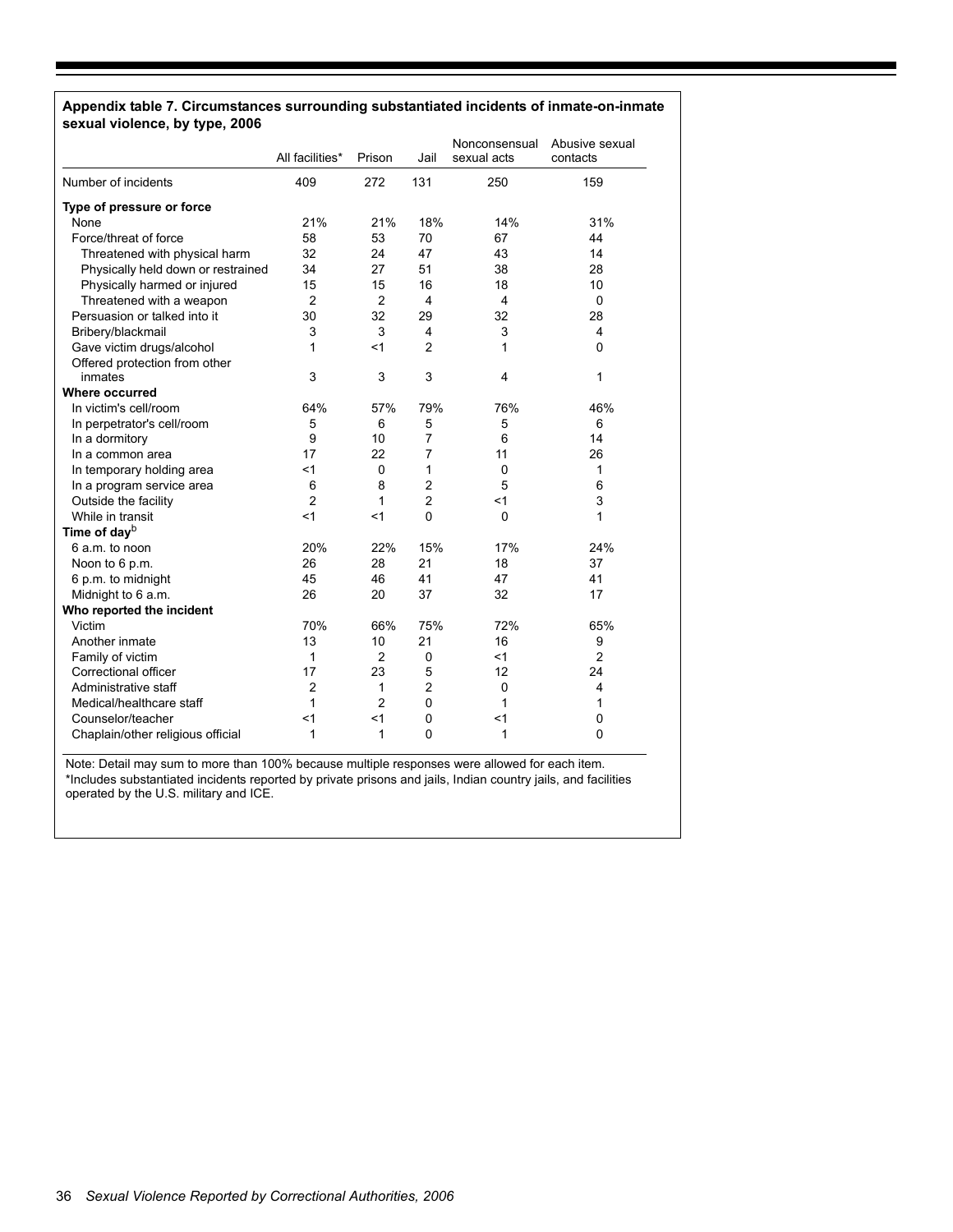#### **Appendix table 7. Circumstances surrounding substantiated incidents of inmate-on-inmate sexual violence, by type, 2006**

|                                    | All facilities* | Prison         | Jail           | Nonconsensual<br>sexual acts | Abusive sexual<br>contacts |
|------------------------------------|-----------------|----------------|----------------|------------------------------|----------------------------|
| Number of incidents                | 409             | 272            | 131            | 250                          | 159                        |
| Type of pressure or force          |                 |                |                |                              |                            |
| None                               | 21%             | 21%            | 18%            | 14%                          | 31%                        |
| Force/threat of force              | 58              | 53             | 70             | 67                           | 44                         |
| Threatened with physical harm      | 32              | 24             | 47             | 43                           | 14                         |
| Physically held down or restrained | 34              | 27             | 51             | 38                           | 28                         |
| Physically harmed or injured       | 15              | 15             | 16             | 18                           | 10                         |
| Threatened with a weapon           | $\overline{2}$  | $\overline{2}$ | 4              | 4                            | $\mathbf 0$                |
| Persuasion or talked into it       | 30              | 32             | 29             | 32                           | 28                         |
| Bribery/blackmail                  | 3               | 3              | 4              | 3                            | 4                          |
| Gave victim drugs/alcohol          | 1               | $<$ 1          | $\overline{2}$ | 1                            | 0                          |
| Offered protection from other      |                 |                |                |                              |                            |
| inmates                            | 3               | 3              | 3              | 4                            | 1                          |
| Where occurred                     |                 |                |                |                              |                            |
| In victim's cell/room              | 64%             | 57%            | 79%            | 76%                          | 46%                        |
| In perpetrator's cell/room         | 5               | 6              | 5              | 5                            | 6                          |
| In a dormitory                     | 9               | 10             | 7              | 6                            | 14                         |
| In a common area                   | 17              | 22             | 7              | 11                           | 26                         |
| In temporary holding area          | $<$ 1           | 0              | 1              | 0                            | 1                          |
| In a program service area          | 6               | 8              | $\overline{c}$ | 5                            | 6                          |
| Outside the facility               | $\overline{2}$  | 1              | $\overline{2}$ | $\leq 1$                     | 3                          |
| While in transit                   | < 1             | < 1            | $\mathbf{0}$   | $\Omega$                     | 1                          |
| Time of day <sup>b</sup>           |                 |                |                |                              |                            |
| 6 a.m. to noon                     | 20%             | 22%            | 15%            | 17%                          | 24%                        |
| Noon to 6 p.m.                     | 26              | 28             | 21             | 18                           | 37                         |
| 6 p.m. to midnight                 | 45              | 46             | 41             | 47                           | 41                         |
| Midnight to 6 a.m.                 | 26              | 20             | 37             | 32                           | 17                         |
| Who reported the incident          |                 |                |                |                              |                            |
| Victim                             | 70%             | 66%            | 75%            | 72%                          | 65%                        |
| Another inmate                     | 13              | 10             | 21             | 16                           | 9                          |
| Family of victim                   | $\mathbf 1$     | $\overline{2}$ | 0              | $<$ 1                        | $\overline{2}$             |
| Correctional officer               | 17              | 23             | 5              | 12                           | 24                         |
| Administrative staff               | $\overline{c}$  | 1              | $\overline{2}$ | $\mathbf 0$                  | $\overline{4}$             |
| Medical/healthcare staff           | 1               | $\overline{2}$ | $\mathbf 0$    | 1                            | 1                          |
| Counselor/teacher                  | < 1             | < 1            | 0              | $<$ 1                        | 0                          |
| Chaplain/other religious official  | 1               | 1              | $\Omega$       | 1                            | 0                          |

Note: Detail may sum to more than 100% because multiple responses were allowed for each item. \*Includes substantiated incidents reported by private prisons and jails, Indian country jails, and facilities operated by the U.S. military and ICE.